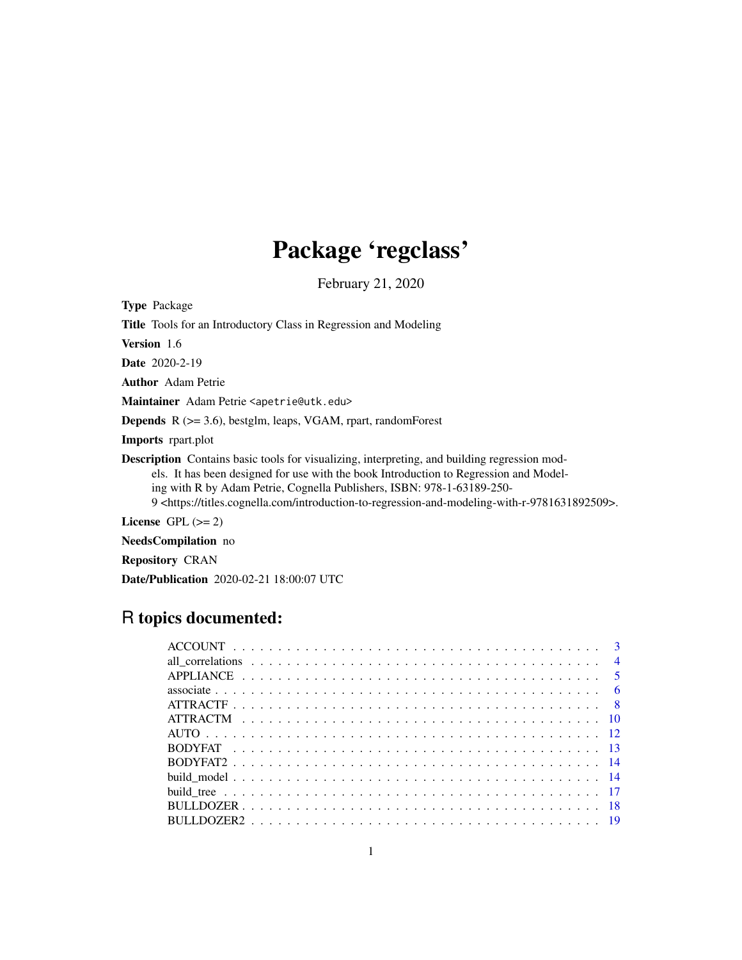# Package 'regclass'

February 21, 2020

<span id="page-0-0"></span>Type Package Title Tools for an Introductory Class in Regression and Modeling Version 1.6 Date 2020-2-19 Author Adam Petrie Maintainer Adam Petrie <apetrie@utk.edu> Depends R (>= 3.6), bestglm, leaps, VGAM, rpart, randomForest Imports rpart.plot Description Contains basic tools for visualizing, interpreting, and building regression models. It has been designed for use with the book Introduction to Regression and Modeling with R by Adam Petrie, Cognella Publishers, ISBN: 978-1-63189-250- 9 <https://titles.cognella.com/introduction-to-regression-and-modeling-with-r-9781631892509>. License GPL  $(>= 2)$ 

NeedsCompilation no

Repository CRAN

Date/Publication 2020-02-21 18:00:07 UTC

# R topics documented: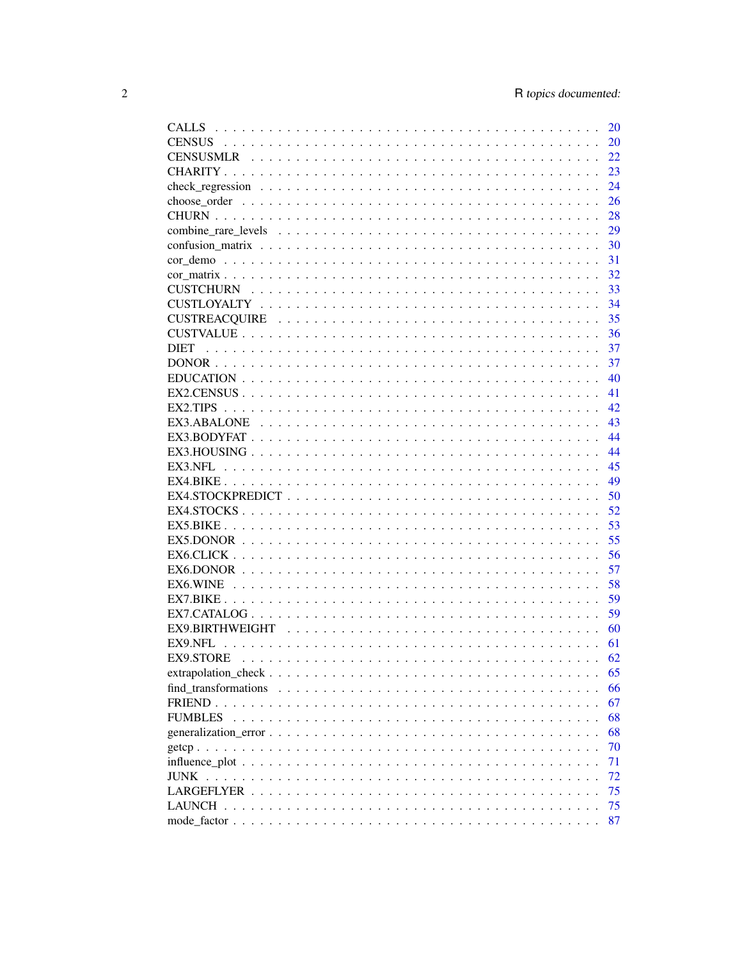| <b>CALLS</b>                                                                                           | <b>20</b>     |
|--------------------------------------------------------------------------------------------------------|---------------|
|                                                                                                        | 20            |
|                                                                                                        | 22            |
|                                                                                                        | 23            |
|                                                                                                        | 24            |
|                                                                                                        | 26            |
|                                                                                                        | 28            |
|                                                                                                        | 29            |
|                                                                                                        | <sup>30</sup> |
|                                                                                                        | 31            |
|                                                                                                        | 32            |
| <b>CUSTCHURN</b>                                                                                       | 33            |
|                                                                                                        | -34           |
|                                                                                                        | 35            |
|                                                                                                        | -36           |
| <b>DIET</b>                                                                                            |               |
|                                                                                                        | -37           |
|                                                                                                        | 40            |
|                                                                                                        | 41            |
| EX2.TIPS                                                                                               | 42            |
|                                                                                                        | 43            |
|                                                                                                        | 44            |
|                                                                                                        | 44            |
|                                                                                                        | 45            |
|                                                                                                        | 49            |
| $EX4.STOCKPREDICT \ldots \ldots \ldots \ldots \ldots \ldots \ldots \ldots \ldots \ldots \ldots \ldots$ | -50           |
|                                                                                                        | 52            |
|                                                                                                        | -53           |
|                                                                                                        | -55           |
|                                                                                                        | 56            |
|                                                                                                        | 57            |
| EX6.WINE                                                                                               | 58            |
|                                                                                                        | 59            |
|                                                                                                        | 59            |
|                                                                                                        | 60            |
| EX9.NFL                                                                                                | 61            |
| EX9.STORE                                                                                              | 62            |
|                                                                                                        | 65            |
| find transformations                                                                                   | 66            |
|                                                                                                        | 67            |
| <b>FUMBLES</b>                                                                                         | 68            |
|                                                                                                        | 68            |
|                                                                                                        | 70            |
|                                                                                                        | 71            |
| <b>JUNK</b>                                                                                            | 72            |
|                                                                                                        | 75            |
|                                                                                                        | 75            |
|                                                                                                        | 87            |
|                                                                                                        |               |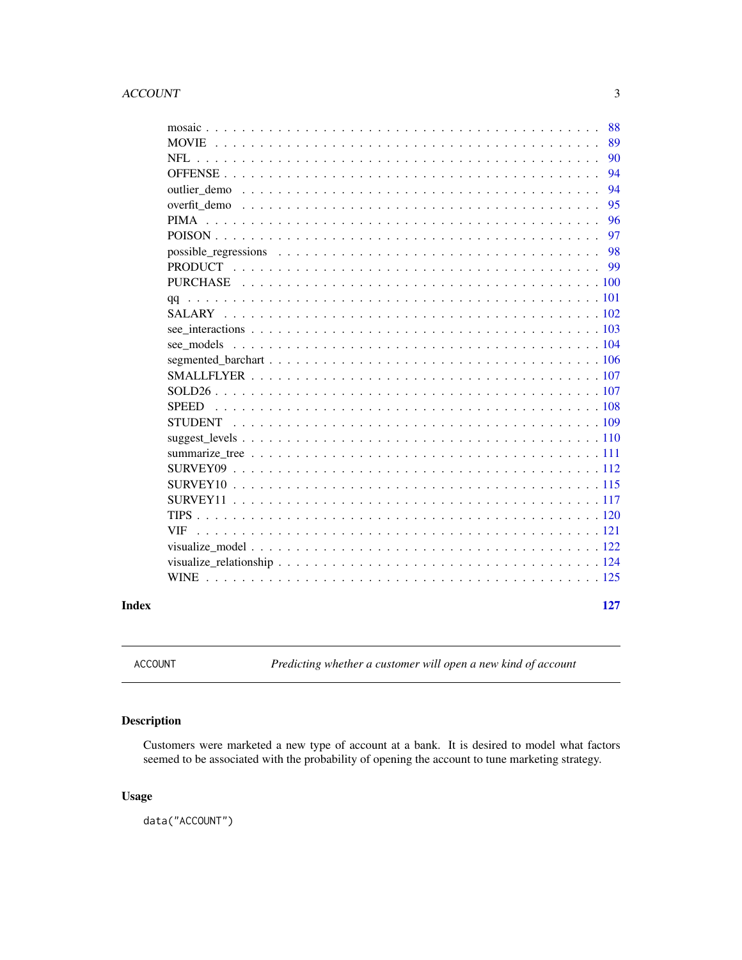# <span id="page-2-0"></span>ACCOUNT 3

|              | 88  |
|--------------|-----|
|              | 89  |
|              | 90  |
|              | 94  |
|              | 94  |
|              | 95  |
|              | 96  |
|              | 97  |
|              | 98  |
|              |     |
|              |     |
|              |     |
|              |     |
|              |     |
|              |     |
|              |     |
|              |     |
|              |     |
| <b>SPEED</b> |     |
|              |     |
|              |     |
|              |     |
|              |     |
|              |     |
|              |     |
|              |     |
| VIF.         |     |
|              |     |
|              |     |
|              |     |
|              |     |
|              | 127 |

ACCOUNT *Predicting whether a customer will open a new kind of account*

# Description

Customers were marketed a new type of account at a bank. It is desired to model what factors seemed to be associated with the probability of opening the account to tune marketing strategy.

# Usage

data("ACCOUNT")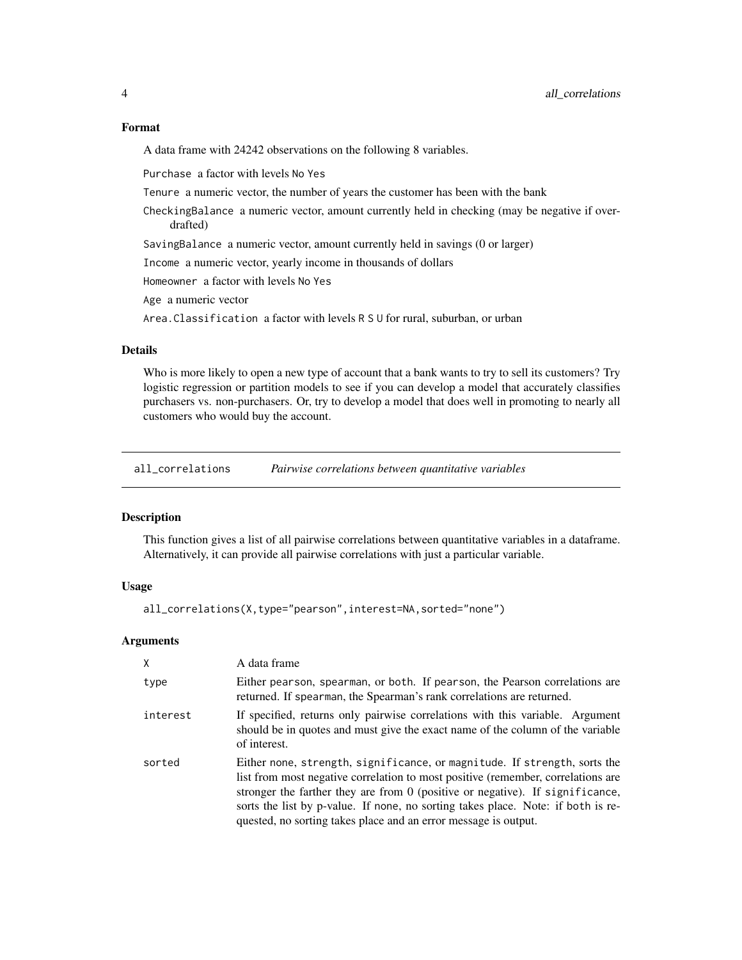#### <span id="page-3-0"></span>Format

A data frame with 24242 observations on the following 8 variables.

Purchase a factor with levels No Yes

Tenure a numeric vector, the number of years the customer has been with the bank

CheckingBalance a numeric vector, amount currently held in checking (may be negative if overdrafted)

SavingBalance a numeric vector, amount currently held in savings (0 or larger)

Income a numeric vector, yearly income in thousands of dollars

Homeowner a factor with levels No Yes

Age a numeric vector

Area.Classification a factor with levels R S U for rural, suburban, or urban

# **Details**

Who is more likely to open a new type of account that a bank wants to try to sell its customers? Try logistic regression or partition models to see if you can develop a model that accurately classifies purchasers vs. non-purchasers. Or, try to develop a model that does well in promoting to nearly all customers who would buy the account.

all\_correlations *Pairwise correlations between quantitative variables*

#### Description

This function gives a list of all pairwise correlations between quantitative variables in a dataframe. Alternatively, it can provide all pairwise correlations with just a particular variable.

# Usage

```
all_correlations(X,type="pearson",interest=NA,sorted="none")
```
# Arguments

| X        | A data frame                                                                                                                                                                                                                                                                                                                                                                                            |
|----------|---------------------------------------------------------------------------------------------------------------------------------------------------------------------------------------------------------------------------------------------------------------------------------------------------------------------------------------------------------------------------------------------------------|
| type     | Either pearson, spearman, or both. If pearson, the Pearson correlations are<br>returned. If spearman, the Spearman's rank correlations are returned.                                                                                                                                                                                                                                                    |
| interest | If specified, returns only pairwise correlations with this variable. Argument<br>should be in quotes and must give the exact name of the column of the variable<br>of interest.                                                                                                                                                                                                                         |
| sorted   | Either none, strength, significance, or magnitude. If strength, sorts the<br>list from most negative correlation to most positive (remember, correlations are<br>stronger the farther they are from $0$ (positive or negative). If significance,<br>sorts the list by p-value. If none, no sorting takes place. Note: if both is re-<br>quested, no sorting takes place and an error message is output. |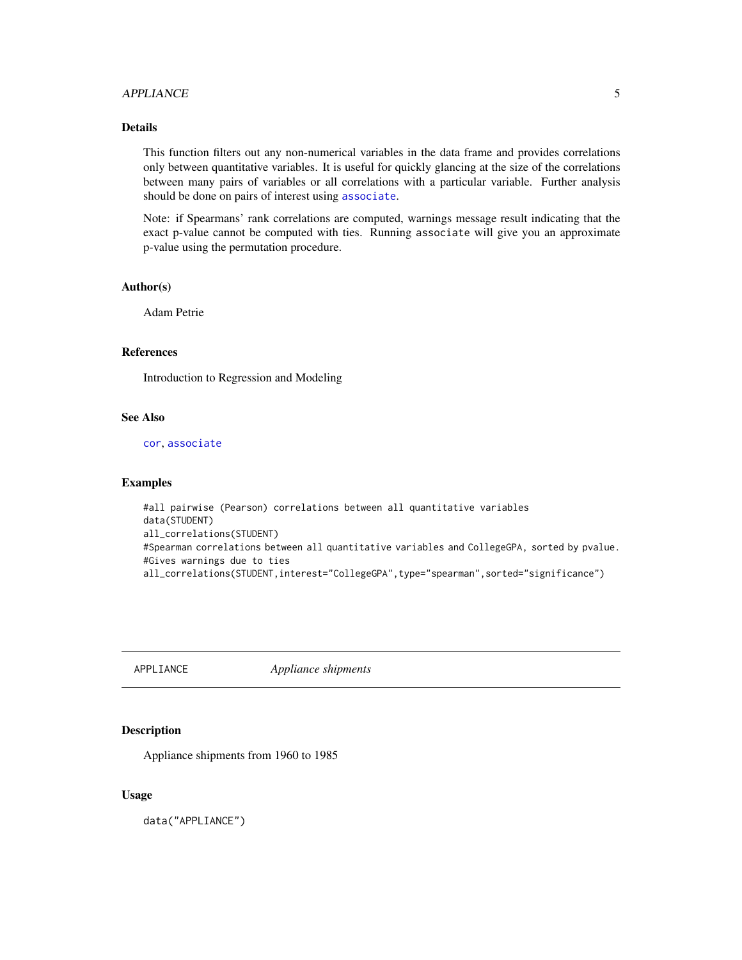# <span id="page-4-0"></span>APPLIANCE 5

# Details

This function filters out any non-numerical variables in the data frame and provides correlations only between quantitative variables. It is useful for quickly glancing at the size of the correlations between many pairs of variables or all correlations with a particular variable. Further analysis should be done on pairs of interest using [associate](#page-5-1).

Note: if Spearmans' rank correlations are computed, warnings message result indicating that the exact p-value cannot be computed with ties. Running associate will give you an approximate p-value using the permutation procedure.

#### Author(s)

Adam Petrie

# References

Introduction to Regression and Modeling

#### See Also

[cor](#page-0-0), [associate](#page-5-1)

#### Examples

```
#all pairwise (Pearson) correlations between all quantitative variables
data(STUDENT)
all_correlations(STUDENT)
#Spearman correlations between all quantitative variables and CollegeGPA, sorted by pvalue.
#Gives warnings due to ties
all_correlations(STUDENT,interest="CollegeGPA",type="spearman",sorted="significance")
```
APPLIANCE *Appliance shipments*

## Description

Appliance shipments from 1960 to 1985

# Usage

data("APPLIANCE")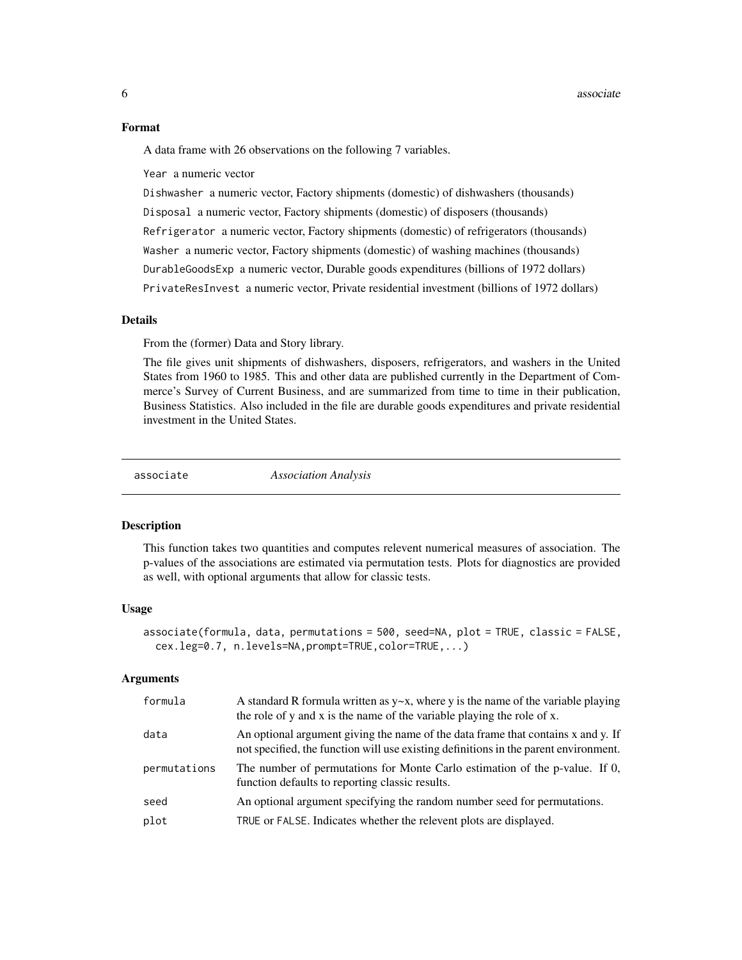#### <span id="page-5-0"></span>Format

A data frame with 26 observations on the following 7 variables.

Year a numeric vector

Dishwasher a numeric vector, Factory shipments (domestic) of dishwashers (thousands) Disposal a numeric vector, Factory shipments (domestic) of disposers (thousands) Refrigerator a numeric vector, Factory shipments (domestic) of refrigerators (thousands) Washer a numeric vector, Factory shipments (domestic) of washing machines (thousands) DurableGoodsExp a numeric vector, Durable goods expenditures (billions of 1972 dollars) PrivateResInvest a numeric vector, Private residential investment (billions of 1972 dollars)

# Details

From the (former) Data and Story library.

The file gives unit shipments of dishwashers, disposers, refrigerators, and washers in the United States from 1960 to 1985. This and other data are published currently in the Department of Commerce's Survey of Current Business, and are summarized from time to time in their publication, Business Statistics. Also included in the file are durable goods expenditures and private residential investment in the United States.

<span id="page-5-1"></span>

associate *Association Analysis*

#### **Description**

This function takes two quantities and computes relevent numerical measures of association. The p-values of the associations are estimated via permutation tests. Plots for diagnostics are provided as well, with optional arguments that allow for classic tests.

#### Usage

```
associate(formula, data, permutations = 500, seed=NA, plot = TRUE, classic = FALSE,
  cex.leg=0.7, n.levels=NA,prompt=TRUE,color=TRUE,...)
```
#### **Arguments**

| formula      | A standard R formula written as $y \sim x$ , where y is the name of the variable playing<br>the role of y and x is the name of the variable playing the role of x.       |
|--------------|--------------------------------------------------------------------------------------------------------------------------------------------------------------------------|
| data         | An optional argument giving the name of the data frame that contains x and y. If<br>not specified, the function will use existing definitions in the parent environment. |
| permutations | The number of permutations for Monte Carlo estimation of the p-value. If 0,<br>function defaults to reporting classic results.                                           |
| seed         | An optional argument specifying the random number seed for permutations.                                                                                                 |
| plot         | TRUE or FALSE. Indicates whether the relevent plots are displayed.                                                                                                       |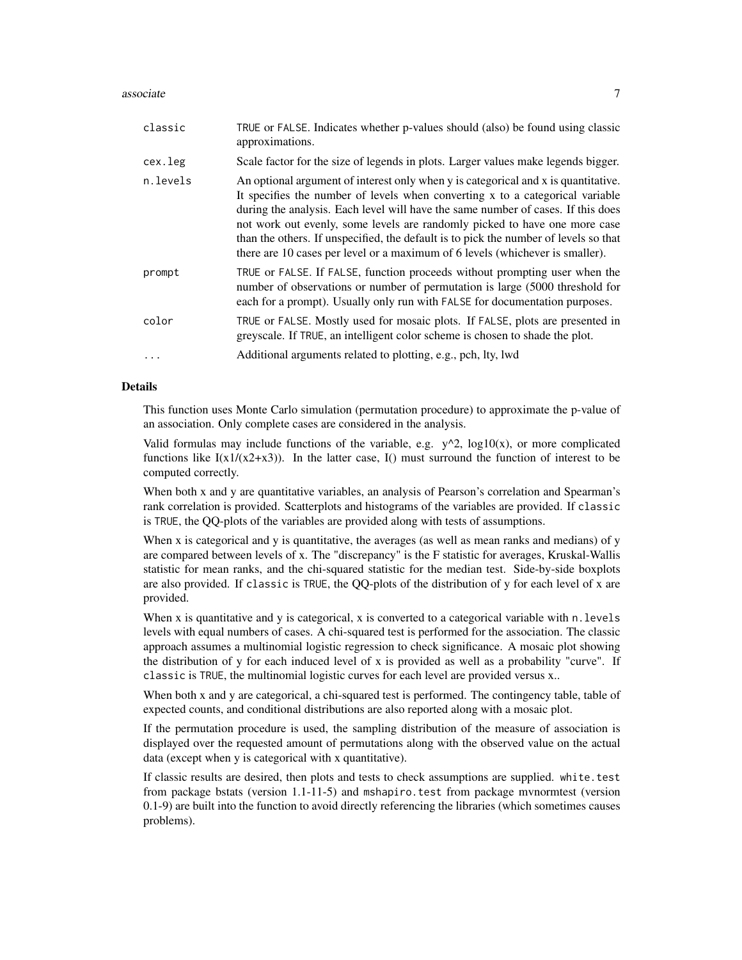#### associate 7 and 2012 12:00 and 2012 12:00 and 2012 12:00 and 2012 12:00 and 2012 12:00 and 2012 12:00 and 2012

| classic  | TRUE or FALSE. Indicates whether p-values should (also) be found using classic<br>approximations.                                                                                                                                                                                                                                                                                                                                                                                                              |
|----------|----------------------------------------------------------------------------------------------------------------------------------------------------------------------------------------------------------------------------------------------------------------------------------------------------------------------------------------------------------------------------------------------------------------------------------------------------------------------------------------------------------------|
| cex.leg  | Scale factor for the size of legends in plots. Larger values make legends bigger.                                                                                                                                                                                                                                                                                                                                                                                                                              |
| n.levels | An optional argument of interest only when y is categorical and x is quantitative.<br>It specifies the number of levels when converting x to a categorical variable<br>during the analysis. Each level will have the same number of cases. If this does<br>not work out evenly, some levels are randomly picked to have one more case<br>than the others. If unspecified, the default is to pick the number of levels so that<br>there are 10 cases per level or a maximum of 6 levels (whichever is smaller). |
| prompt   | TRUE or FALSE. If FALSE, function proceeds without prompting user when the<br>number of observations or number of permutation is large (5000 threshold for<br>each for a prompt). Usually only run with FALSE for documentation purposes.                                                                                                                                                                                                                                                                      |
| color    | TRUE or FALSE. Mostly used for mosaic plots. If FALSE, plots are presented in<br>greyscale. If TRUE, an intelligent color scheme is chosen to shade the plot.                                                                                                                                                                                                                                                                                                                                                  |
|          | Additional arguments related to plotting, e.g., pch, lty, lwd                                                                                                                                                                                                                                                                                                                                                                                                                                                  |

# Details

This function uses Monte Carlo simulation (permutation procedure) to approximate the p-value of an association. Only complete cases are considered in the analysis.

Valid formulas may include functions of the variable, e.g.  $y^2$ ,  $\log 10(x)$ , or more complicated functions like  $I(x1/(x2+x3))$ . In the latter case,  $I($ ) must surround the function of interest to be computed correctly.

When both x and y are quantitative variables, an analysis of Pearson's correlation and Spearman's rank correlation is provided. Scatterplots and histograms of the variables are provided. If classic is TRUE, the QQ-plots of the variables are provided along with tests of assumptions.

When x is categorical and y is quantitative, the averages (as well as mean ranks and medians) of y are compared between levels of x. The "discrepancy" is the F statistic for averages, Kruskal-Wallis statistic for mean ranks, and the chi-squared statistic for the median test. Side-by-side boxplots are also provided. If classic is TRUE, the QQ-plots of the distribution of y for each level of x are provided.

When x is quantitative and y is categorical, x is converted to a categorical variable with n. levels levels with equal numbers of cases. A chi-squared test is performed for the association. The classic approach assumes a multinomial logistic regression to check significance. A mosaic plot showing the distribution of y for each induced level of x is provided as well as a probability "curve". If classic is TRUE, the multinomial logistic curves for each level are provided versus x..

When both x and y are categorical, a chi-squared test is performed. The contingency table, table of expected counts, and conditional distributions are also reported along with a mosaic plot.

If the permutation procedure is used, the sampling distribution of the measure of association is displayed over the requested amount of permutations along with the observed value on the actual data (except when y is categorical with x quantitative).

If classic results are desired, then plots and tests to check assumptions are supplied. white.test from package bstats (version 1.1-11-5) and mshapiro.test from package mvnormtest (version 0.1-9) are built into the function to avoid directly referencing the libraries (which sometimes causes problems).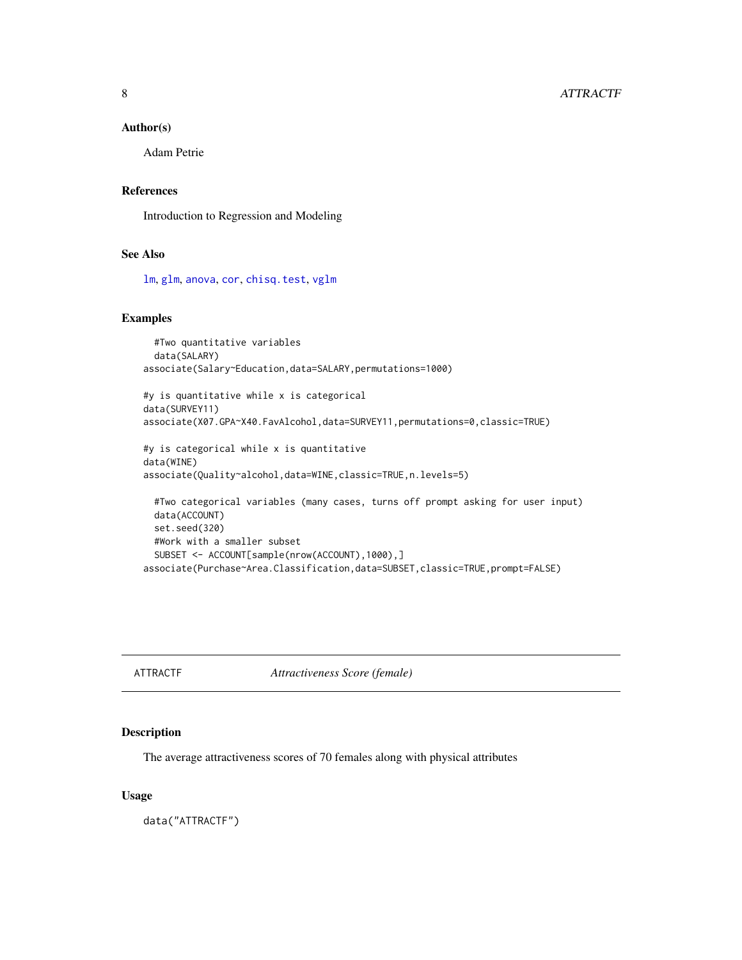# <span id="page-7-0"></span>Author(s)

Adam Petrie

# References

Introduction to Regression and Modeling

# See Also

[lm](#page-0-0), [glm](#page-0-0), [anova](#page-0-0), [cor](#page-0-0), [chisq.test](#page-0-0), [vglm](#page-0-0)

# Examples

```
#Two quantitative variables
 data(SALARY)
associate(Salary~Education,data=SALARY,permutations=1000)
```

```
#y is quantitative while x is categorical
data(SURVEY11)
associate(X07.GPA~X40.FavAlcohol,data=SURVEY11,permutations=0,classic=TRUE)
```

```
#y is categorical while x is quantitative
data(WINE)
associate(Quality~alcohol,data=WINE,classic=TRUE,n.levels=5)
 #Two categorical variables (many cases, turns off prompt asking for user input)
 data(ACCOUNT)
```

```
set.seed(320)
 #Work with a smaller subset
 SUBSET <- ACCOUNT[sample(nrow(ACCOUNT),1000),]
associate(Purchase~Area.Classification,data=SUBSET,classic=TRUE,prompt=FALSE)
```
ATTRACTF *Attractiveness Score (female)*

# Description

The average attractiveness scores of 70 females along with physical attributes

#### Usage

data("ATTRACTF")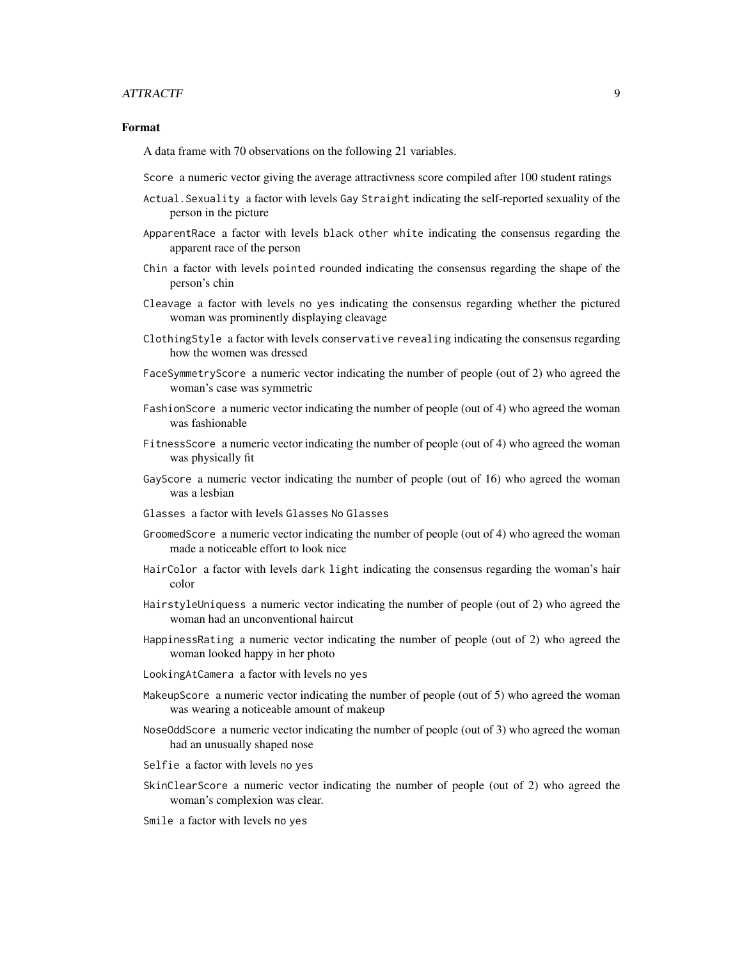#### ATTRACTF 9

#### Format

A data frame with 70 observations on the following 21 variables.

- Score a numeric vector giving the average attractivness score compiled after 100 student ratings
- Actual.Sexuality a factor with levels Gay Straight indicating the self-reported sexuality of the person in the picture
- ApparentRace a factor with levels black other white indicating the consensus regarding the apparent race of the person
- Chin a factor with levels pointed rounded indicating the consensus regarding the shape of the person's chin
- Cleavage a factor with levels no yes indicating the consensus regarding whether the pictured woman was prominently displaying cleavage
- ClothingStyle a factor with levels conservative revealing indicating the consensus regarding how the women was dressed
- FaceSymmetryScore a numeric vector indicating the number of people (out of 2) who agreed the woman's case was symmetric
- FashionScore a numeric vector indicating the number of people (out of 4) who agreed the woman was fashionable
- FitnessScore a numeric vector indicating the number of people (out of 4) who agreed the woman was physically fit
- GayScore a numeric vector indicating the number of people (out of 16) who agreed the woman was a lesbian
- Glasses a factor with levels Glasses No Glasses
- GroomedScore a numeric vector indicating the number of people (out of 4) who agreed the woman made a noticeable effort to look nice
- HairColor a factor with levels dark light indicating the consensus regarding the woman's hair color
- HairstyleUniquess a numeric vector indicating the number of people (out of 2) who agreed the woman had an unconventional haircut
- HappinessRating a numeric vector indicating the number of people (out of 2) who agreed the woman looked happy in her photo
- LookingAtCamera a factor with levels no yes
- MakeupScore a numeric vector indicating the number of people (out of 5) who agreed the woman was wearing a noticeable amount of makeup
- NoseOddScore a numeric vector indicating the number of people (out of 3) who agreed the woman had an unusually shaped nose
- Selfie a factor with levels no yes
- SkinClearScore a numeric vector indicating the number of people (out of 2) who agreed the woman's complexion was clear.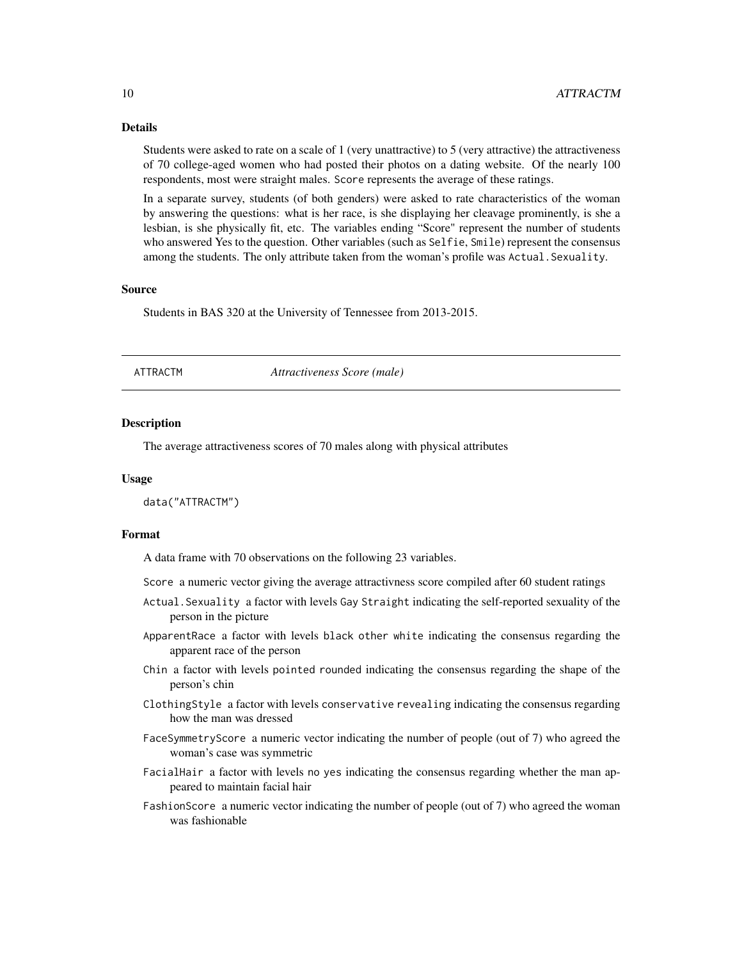#### Details

Students were asked to rate on a scale of 1 (very unattractive) to 5 (very attractive) the attractiveness of 70 college-aged women who had posted their photos on a dating website. Of the nearly 100 respondents, most were straight males. Score represents the average of these ratings.

In a separate survey, students (of both genders) were asked to rate characteristics of the woman by answering the questions: what is her race, is she displaying her cleavage prominently, is she a lesbian, is she physically fit, etc. The variables ending "Score" represent the number of students who answered Yes to the question. Other variables (such as Selfie, Smile) represent the consensus among the students. The only attribute taken from the woman's profile was Actual. Sexuality.

#### Source

Students in BAS 320 at the University of Tennessee from 2013-2015.

| ATTRACTM | Attractiveness Score (male) |  |
|----------|-----------------------------|--|
|----------|-----------------------------|--|

#### **Description**

The average attractiveness scores of 70 males along with physical attributes

#### Usage

data("ATTRACTM")

#### Format

A data frame with 70 observations on the following 23 variables.

Score a numeric vector giving the average attractivness score compiled after 60 student ratings

- Actual.Sexuality a factor with levels Gay Straight indicating the self-reported sexuality of the person in the picture
- ApparentRace a factor with levels black other white indicating the consensus regarding the apparent race of the person
- Chin a factor with levels pointed rounded indicating the consensus regarding the shape of the person's chin
- ClothingStyle a factor with levels conservative revealing indicating the consensus regarding how the man was dressed
- FaceSymmetryScore a numeric vector indicating the number of people (out of 7) who agreed the woman's case was symmetric
- FacialHair a factor with levels no yes indicating the consensus regarding whether the man appeared to maintain facial hair
- FashionScore a numeric vector indicating the number of people (out of 7) who agreed the woman was fashionable

<span id="page-9-0"></span>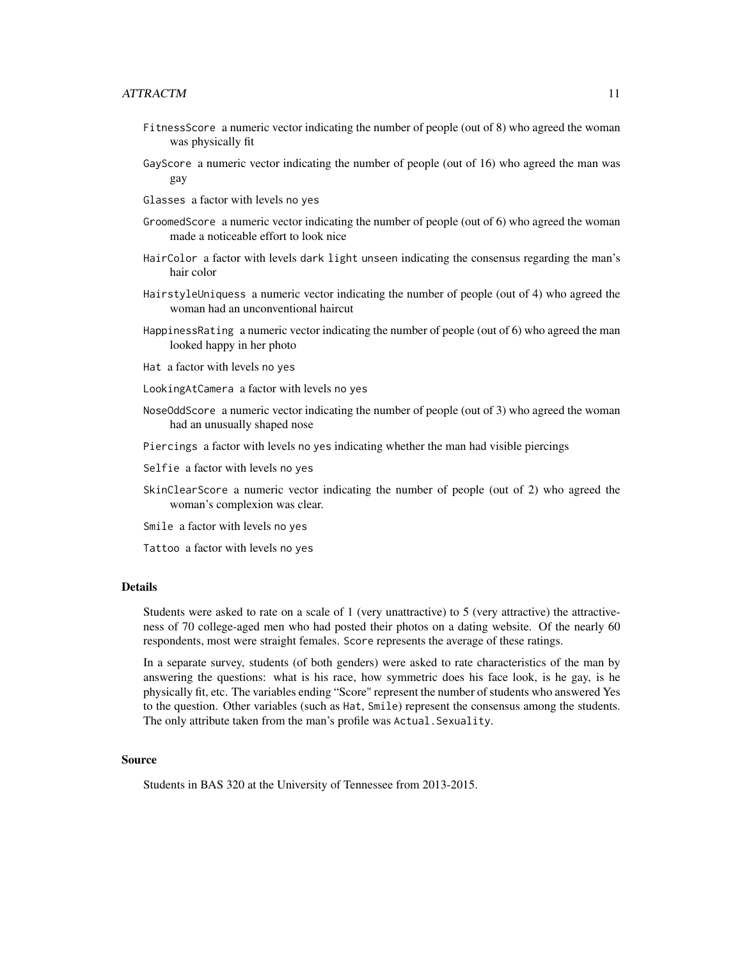- FitnessScore a numeric vector indicating the number of people (out of 8) who agreed the woman was physically fit
- GayScore a numeric vector indicating the number of people (out of 16) who agreed the man was gay
- Glasses a factor with levels no yes
- GroomedScore a numeric vector indicating the number of people (out of 6) who agreed the woman made a noticeable effort to look nice
- HairColor a factor with levels dark light unseen indicating the consensus regarding the man's hair color
- HairstyleUniquess a numeric vector indicating the number of people (out of 4) who agreed the woman had an unconventional haircut
- HappinessRating a numeric vector indicating the number of people (out of 6) who agreed the man looked happy in her photo
- Hat a factor with levels no yes
- LookingAtCamera a factor with levels no yes
- NoseOddScore a numeric vector indicating the number of people (out of 3) who agreed the woman had an unusually shaped nose
- Piercings a factor with levels no yes indicating whether the man had visible piercings
- Selfie a factor with levels no yes
- SkinClearScore a numeric vector indicating the number of people (out of 2) who agreed the woman's complexion was clear.
- Smile a factor with levels no yes
- Tattoo a factor with levels no yes

# **Details**

Students were asked to rate on a scale of 1 (very unattractive) to 5 (very attractive) the attractiveness of 70 college-aged men who had posted their photos on a dating website. Of the nearly 60 respondents, most were straight females. Score represents the average of these ratings.

In a separate survey, students (of both genders) were asked to rate characteristics of the man by answering the questions: what is his race, how symmetric does his face look, is he gay, is he physically fit, etc. The variables ending "Score" represent the number of students who answered Yes to the question. Other variables (such as Hat, Smile) represent the consensus among the students. The only attribute taken from the man's profile was Actual. Sexuality.

#### Source

Students in BAS 320 at the University of Tennessee from 2013-2015.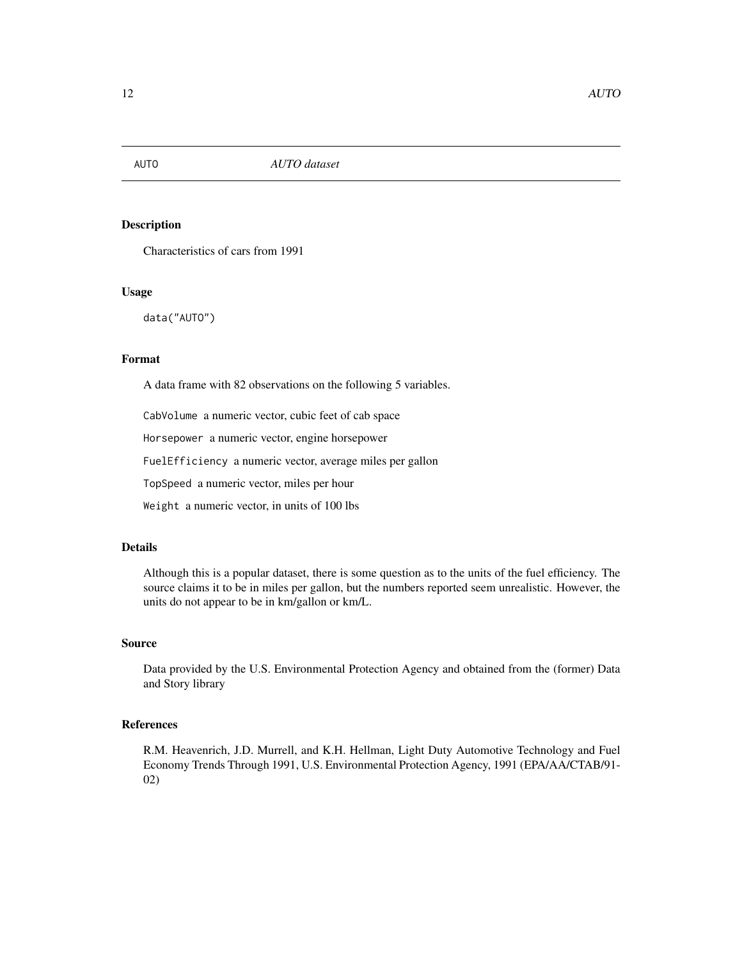<span id="page-11-0"></span>

Characteristics of cars from 1991

# Usage

data("AUTO")

# Format

A data frame with 82 observations on the following 5 variables.

CabVolume a numeric vector, cubic feet of cab space

Horsepower a numeric vector, engine horsepower

FuelEfficiency a numeric vector, average miles per gallon

TopSpeed a numeric vector, miles per hour

Weight a numeric vector, in units of 100 lbs

# Details

Although this is a popular dataset, there is some question as to the units of the fuel efficiency. The source claims it to be in miles per gallon, but the numbers reported seem unrealistic. However, the units do not appear to be in km/gallon or km/L.

#### Source

Data provided by the U.S. Environmental Protection Agency and obtained from the (former) Data and Story library

# References

R.M. Heavenrich, J.D. Murrell, and K.H. Hellman, Light Duty Automotive Technology and Fuel Economy Trends Through 1991, U.S. Environmental Protection Agency, 1991 (EPA/AA/CTAB/91- 02)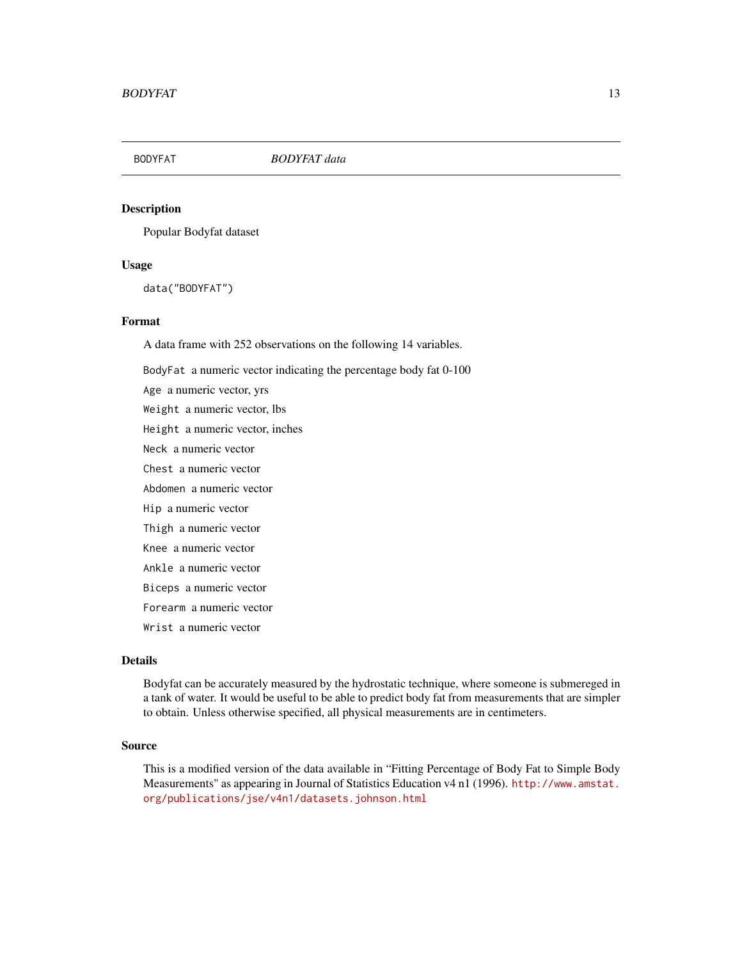<span id="page-12-0"></span>

Popular Bodyfat dataset

#### Usage

data("BODYFAT")

#### Format

A data frame with 252 observations on the following 14 variables.

BodyFat a numeric vector indicating the percentage body fat 0-100

Age a numeric vector, yrs Weight a numeric vector, lbs Height a numeric vector, inches Neck a numeric vector Chest a numeric vector Abdomen a numeric vector Hip a numeric vector Thigh a numeric vector Knee a numeric vector Ankle a numeric vector Biceps a numeric vector Forearm a numeric vector Wrist a numeric vector

# Details

Bodyfat can be accurately measured by the hydrostatic technique, where someone is submereged in a tank of water. It would be useful to be able to predict body fat from measurements that are simpler to obtain. Unless otherwise specified, all physical measurements are in centimeters.

# Source

This is a modified version of the data available in "Fitting Percentage of Body Fat to Simple Body Measurements" as appearing in Journal of Statistics Education v4 n1 (1996). [http://www.amstat.](http://www.amstat.org/publications/jse/v4n1/datasets.johnson.html) [org/publications/jse/v4n1/datasets.johnson.html](http://www.amstat.org/publications/jse/v4n1/datasets.johnson.html)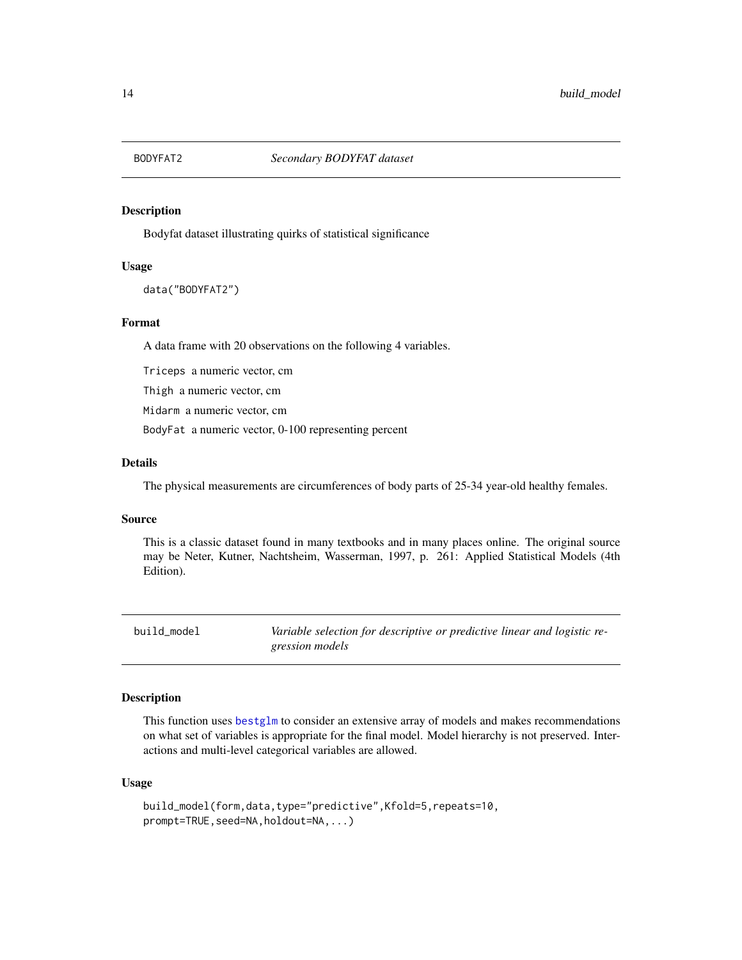<span id="page-13-0"></span>

Bodyfat dataset illustrating quirks of statistical significance

# Usage

data("BODYFAT2")

#### Format

A data frame with 20 observations on the following 4 variables.

Triceps a numeric vector, cm

Thigh a numeric vector, cm

Midarm a numeric vector, cm

BodyFat a numeric vector, 0-100 representing percent

#### Details

The physical measurements are circumferences of body parts of 25-34 year-old healthy females.

#### Source

This is a classic dataset found in many textbooks and in many places online. The original source may be Neter, Kutner, Nachtsheim, Wasserman, 1997, p. 261: Applied Statistical Models (4th Edition).

build\_model *Variable selection for descriptive or predictive linear and logistic regression models*

#### Description

This function uses [bestglm](#page-0-0) to consider an extensive array of models and makes recommendations on what set of variables is appropriate for the final model. Model hierarchy is not preserved. Interactions and multi-level categorical variables are allowed.

#### Usage

```
build_model(form,data,type="predictive",Kfold=5,repeats=10,
prompt=TRUE, seed=NA, holdout=NA, ...)
```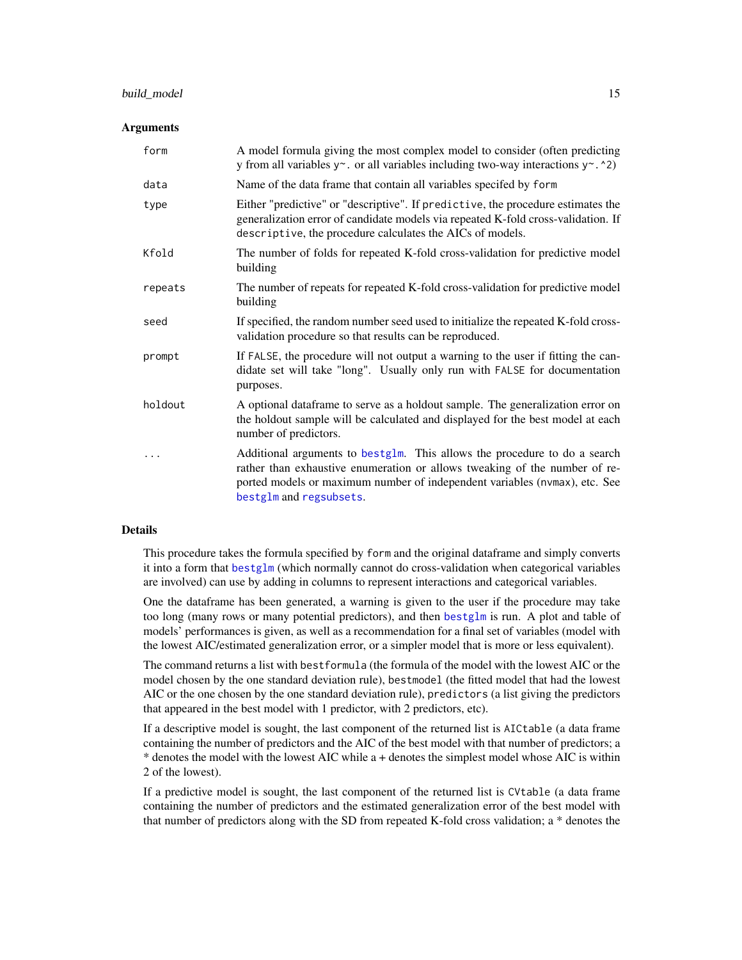# build\_model 15

#### Arguments

| form    | A model formula giving the most complex model to consider (often predicting<br>y from all variables $y \sim$ . or all variables including two-way interactions $y \sim$ . $\sim$ 2)                                                                              |
|---------|------------------------------------------------------------------------------------------------------------------------------------------------------------------------------------------------------------------------------------------------------------------|
| data    | Name of the data frame that contain all variables specifed by form                                                                                                                                                                                               |
| type    | Either "predictive" or "descriptive". If predictive, the procedure estimates the<br>generalization error of candidate models via repeated K-fold cross-validation. If<br>descriptive, the procedure calculates the AICs of models.                               |
| Kfold   | The number of folds for repeated K-fold cross-validation for predictive model<br>building                                                                                                                                                                        |
| repeats | The number of repeats for repeated K-fold cross-validation for predictive model<br>building                                                                                                                                                                      |
| seed    | If specified, the random number seed used to initialize the repeated K-fold cross-<br>validation procedure so that results can be reproduced.                                                                                                                    |
| prompt  | If FALSE, the procedure will not output a warning to the user if fitting the can-<br>didate set will take "long". Usually only run with FALSE for documentation<br>purposes.                                                                                     |
| holdout | A optional dataframe to serve as a holdout sample. The generalization error on<br>the holdout sample will be calculated and displayed for the best model at each<br>number of predictors.                                                                        |
| .       | Additional arguments to bestglm. This allows the procedure to do a search<br>rather than exhaustive enumeration or allows tweaking of the number of re-<br>ported models or maximum number of independent variables (nvmax), etc. See<br>bestglm and regsubsets. |

#### Details

This procedure takes the formula specified by form and the original dataframe and simply converts it into a form that [bestglm](#page-0-0) (which normally cannot do cross-validation when categorical variables are involved) can use by adding in columns to represent interactions and categorical variables.

One the dataframe has been generated, a warning is given to the user if the procedure may take too long (many rows or many potential predictors), and then [bestglm](#page-0-0) is run. A plot and table of models' performances is given, as well as a recommendation for a final set of variables (model with the lowest AIC/estimated generalization error, or a simpler model that is more or less equivalent).

The command returns a list with bestformula (the formula of the model with the lowest AIC or the model chosen by the one standard deviation rule), bestmodel (the fitted model that had the lowest AIC or the one chosen by the one standard deviation rule), predictors (a list giving the predictors that appeared in the best model with 1 predictor, with 2 predictors, etc).

If a descriptive model is sought, the last component of the returned list is AICtable (a data frame containing the number of predictors and the AIC of the best model with that number of predictors; a \* denotes the model with the lowest AIC while a + denotes the simplest model whose AIC is within 2 of the lowest).

If a predictive model is sought, the last component of the returned list is CVtable (a data frame containing the number of predictors and the estimated generalization error of the best model with that number of predictors along with the SD from repeated K-fold cross validation; a \* denotes the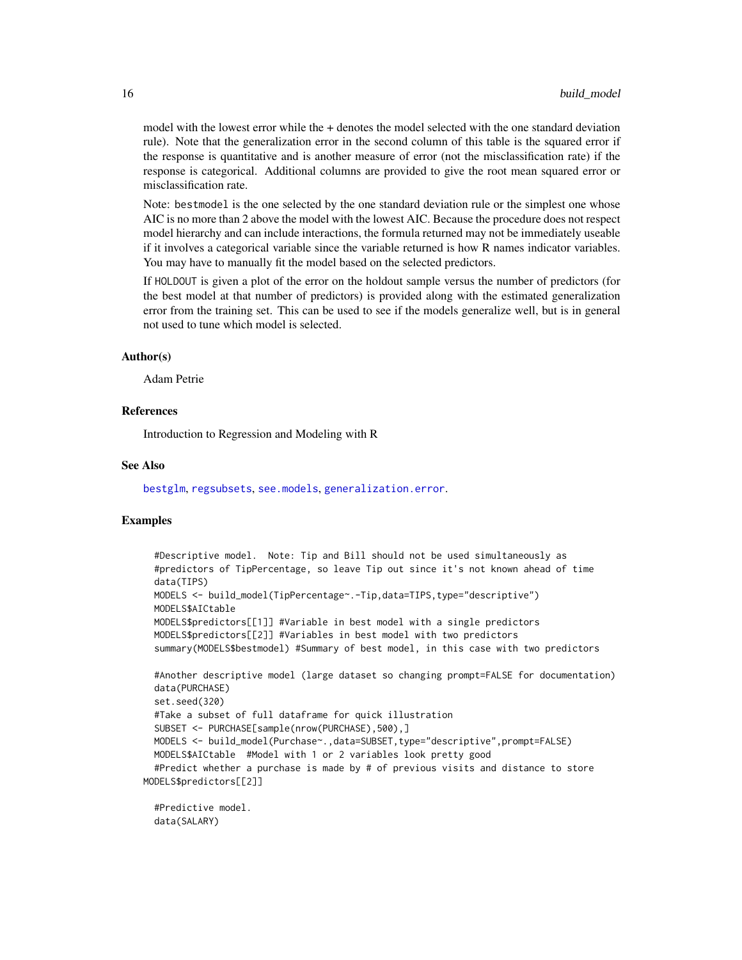model with the lowest error while the + denotes the model selected with the one standard deviation rule). Note that the generalization error in the second column of this table is the squared error if the response is quantitative and is another measure of error (not the misclassification rate) if the response is categorical. Additional columns are provided to give the root mean squared error or misclassification rate.

Note: bestmodel is the one selected by the one standard deviation rule or the simplest one whose AIC is no more than 2 above the model with the lowest AIC. Because the procedure does not respect model hierarchy and can include interactions, the formula returned may not be immediately useable if it involves a categorical variable since the variable returned is how R names indicator variables. You may have to manually fit the model based on the selected predictors.

If HOLDOUT is given a plot of the error on the holdout sample versus the number of predictors (for the best model at that number of predictors) is provided along with the estimated generalization error from the training set. This can be used to see if the models generalize well, but is in general not used to tune which model is selected.

#### Author(s)

Adam Petrie

#### References

Introduction to Regression and Modeling with R

# See Also

[bestglm](#page-0-0), [regsubsets](#page-0-0), [see.models](#page-103-1), [generalization.error](#page-67-1).

## Examples

```
#Descriptive model. Note: Tip and Bill should not be used simultaneously as
 #predictors of TipPercentage, so leave Tip out since it's not known ahead of time
 data(TIPS)
 MODELS <- build_model(TipPercentage~.-Tip,data=TIPS,type="descriptive")
 MODELS$AICtable
 MODELS$predictors[[1]] #Variable in best model with a single predictors
 MODELS$predictors[[2]] #Variables in best model with two predictors
 summary(MODELS$bestmodel) #Summary of best model, in this case with two predictors
 #Another descriptive model (large dataset so changing prompt=FALSE for documentation)
 data(PURCHASE)
 set.seed(320)
 #Take a subset of full dataframe for quick illustration
 SUBSET <- PURCHASE[sample(nrow(PURCHASE),500),]
 MODELS <- build_model(Purchase~.,data=SUBSET,type="descriptive",prompt=FALSE)
 MODELS$AICtable #Model with 1 or 2 variables look pretty good
 #Predict whether a purchase is made by # of previous visits and distance to store
MODELS$predictors[[2]]
```

```
#Predictive model.
data(SALARY)
```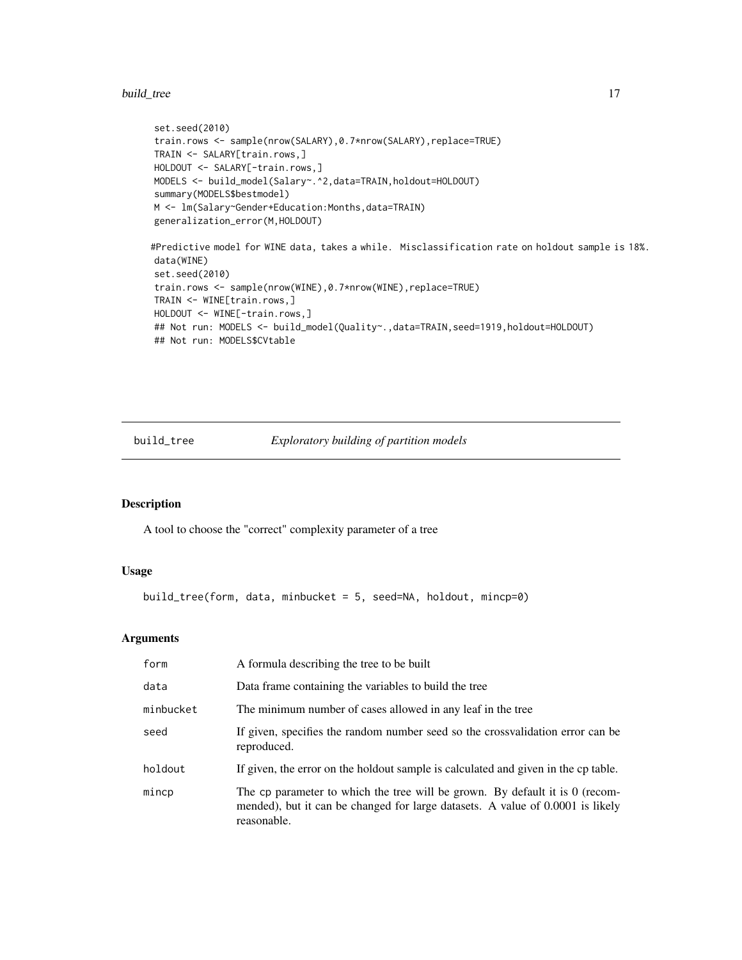#### <span id="page-16-0"></span>build\_tree 17

```
set.seed(2010)
train.rows <- sample(nrow(SALARY),0.7*nrow(SALARY),replace=TRUE)
TRAIN <- SALARY[train.rows,]
HOLDOUT <- SALARY[-train.rows,]
MODELS <- build_model(Salary~.^2,data=TRAIN,holdout=HOLDOUT)
summary(MODELS$bestmodel)
M <- lm(Salary~Gender+Education:Months,data=TRAIN)
generalization_error(M,HOLDOUT)
#Predictive model for WINE data, takes a while. Misclassification rate on holdout sample is 18%.
data(WINE)
set.seed(2010)
train.rows <- sample(nrow(WINE),0.7*nrow(WINE),replace=TRUE)
TRAIN <- WINE[train.rows,]
HOLDOUT <- WINE[-train.rows,]
## Not run: MODELS <- build_model(Quality~.,data=TRAIN,seed=1919,holdout=HOLDOUT)
## Not run: MODELS$CVtable
```
build\_tree *Exploratory building of partition models*

# Description

A tool to choose the "correct" complexity parameter of a tree

# Usage

```
build_tree(form, data, minbucket = 5, seed=NA, holdout, mincp=0)
```
#### Arguments

| form      | A formula describing the tree to be built                                                                                                                                     |
|-----------|-------------------------------------------------------------------------------------------------------------------------------------------------------------------------------|
| data      | Data frame containing the variables to build the tree                                                                                                                         |
| minbucket | The minimum number of cases allowed in any leaf in the tree                                                                                                                   |
| seed      | If given, specifies the random number seed so the crossvalidation error can be<br>reproduced.                                                                                 |
| holdout   | If given, the error on the holdout sample is calculated and given in the cp table.                                                                                            |
| mincp     | The cp parameter to which the tree will be grown. By default it is 0 (recom-<br>mended), but it can be changed for large datasets. A value of 0.0001 is likely<br>reasonable. |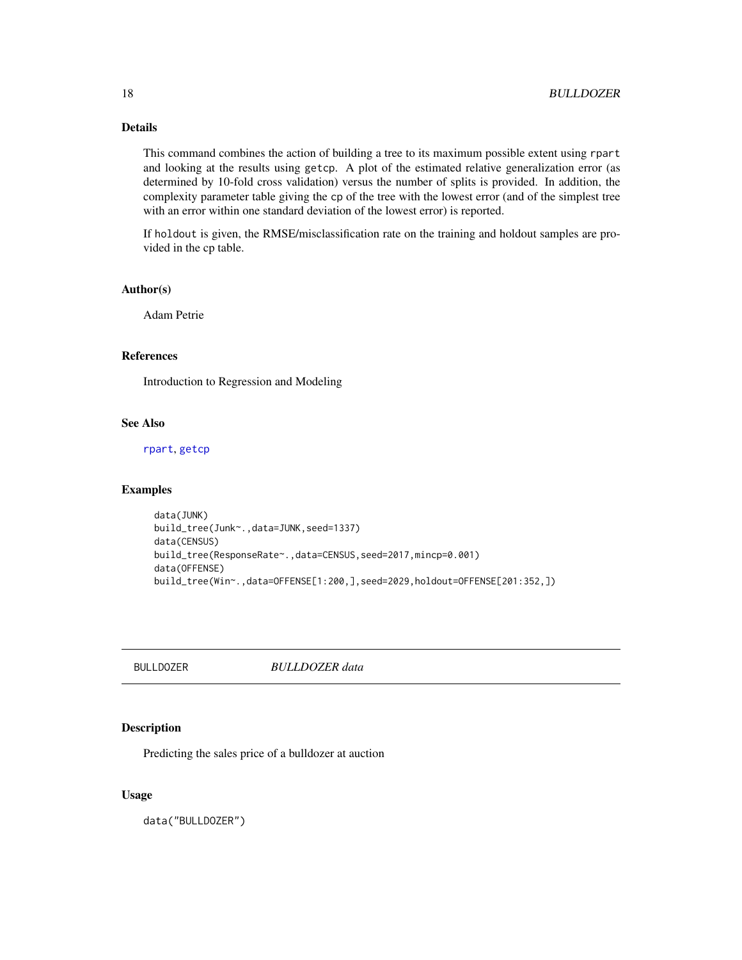# <span id="page-17-0"></span>Details

This command combines the action of building a tree to its maximum possible extent using rpart and looking at the results using getcp. A plot of the estimated relative generalization error (as determined by 10-fold cross validation) versus the number of splits is provided. In addition, the complexity parameter table giving the cp of the tree with the lowest error (and of the simplest tree with an error within one standard deviation of the lowest error) is reported.

If holdout is given, the RMSE/misclassification rate on the training and holdout samples are provided in the cp table.

# Author(s)

Adam Petrie

# References

Introduction to Regression and Modeling

# See Also

[rpart](#page-0-0), [getcp](#page-69-1)

#### Examples

```
data(JUNK)
build_tree(Junk~.,data=JUNK,seed=1337)
data(CENSUS)
build_tree(ResponseRate~.,data=CENSUS,seed=2017,mincp=0.001)
data(OFFENSE)
build_tree(Win~.,data=OFFENSE[1:200,],seed=2029,holdout=OFFENSE[201:352,])
```
BULLDOZER *BULLDOZER data*

# Description

Predicting the sales price of a bulldozer at auction

#### Usage

data("BULLDOZER")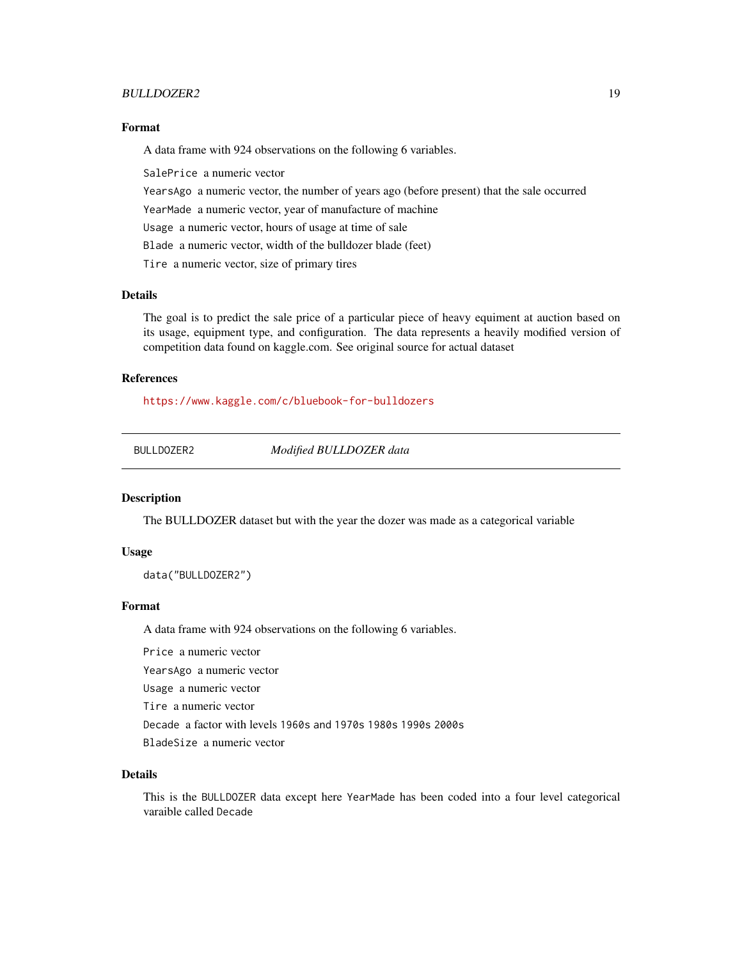# <span id="page-18-0"></span>BULLDOZER2 19

#### Format

A data frame with 924 observations on the following 6 variables.

SalePrice a numeric vector

YearsAgo a numeric vector, the number of years ago (before present) that the sale occurred

YearMade a numeric vector, year of manufacture of machine

Usage a numeric vector, hours of usage at time of sale

Blade a numeric vector, width of the bulldozer blade (feet)

Tire a numeric vector, size of primary tires

# Details

The goal is to predict the sale price of a particular piece of heavy equiment at auction based on its usage, equipment type, and configuration. The data represents a heavily modified version of competition data found on kaggle.com. See original source for actual dataset

# References

<https://www.kaggle.com/c/bluebook-for-bulldozers>

BULLDOZER2 *Modified BULLDOZER data*

#### Description

The BULLDOZER dataset but with the year the dozer was made as a categorical variable

#### Usage

data("BULLDOZER2")

# Format

A data frame with 924 observations on the following 6 variables.

Price a numeric vector

YearsAgo a numeric vector

Usage a numeric vector

Tire a numeric vector

Decade a factor with levels 1960s and 1970s 1980s 1990s 2000s

BladeSize a numeric vector

# Details

This is the BULLDOZER data except here YearMade has been coded into a four level categorical varaible called Decade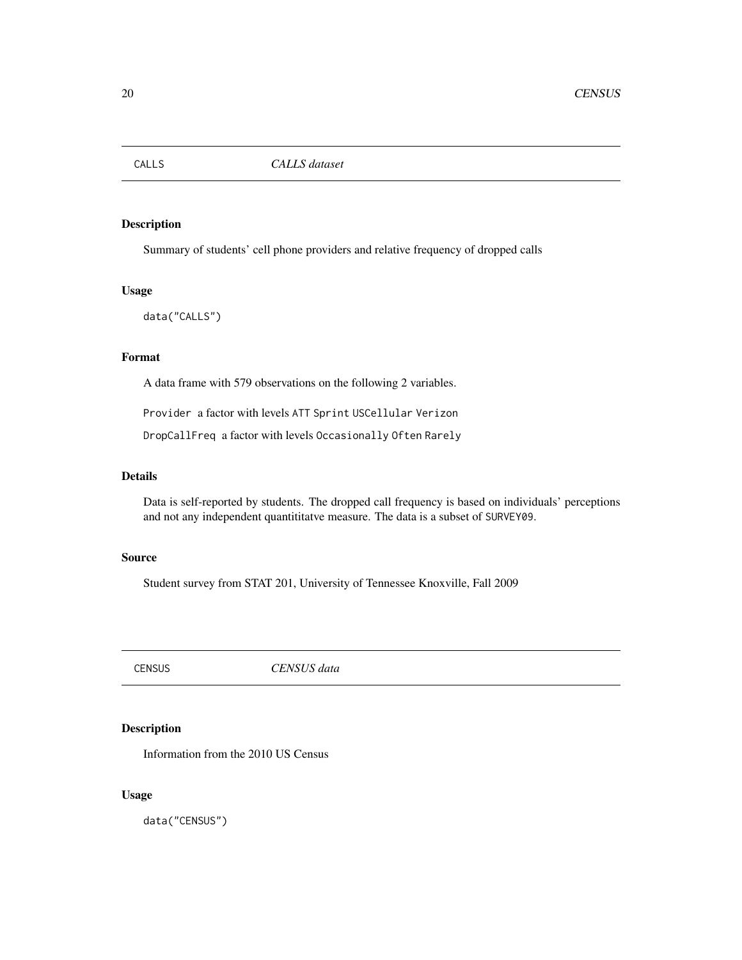<span id="page-19-0"></span>

Summary of students' cell phone providers and relative frequency of dropped calls

#### Usage

data("CALLS")

# Format

A data frame with 579 observations on the following 2 variables.

Provider a factor with levels ATT Sprint USCellular Verizon

DropCallFreq a factor with levels Occasionally Often Rarely

# Details

Data is self-reported by students. The dropped call frequency is based on individuals' perceptions and not any independent quantititatve measure. The data is a subset of SURVEY09.

# Source

Student survey from STAT 201, University of Tennessee Knoxville, Fall 2009

CENSUS *CENSUS data*

# Description

Information from the 2010 US Census

# Usage

data("CENSUS")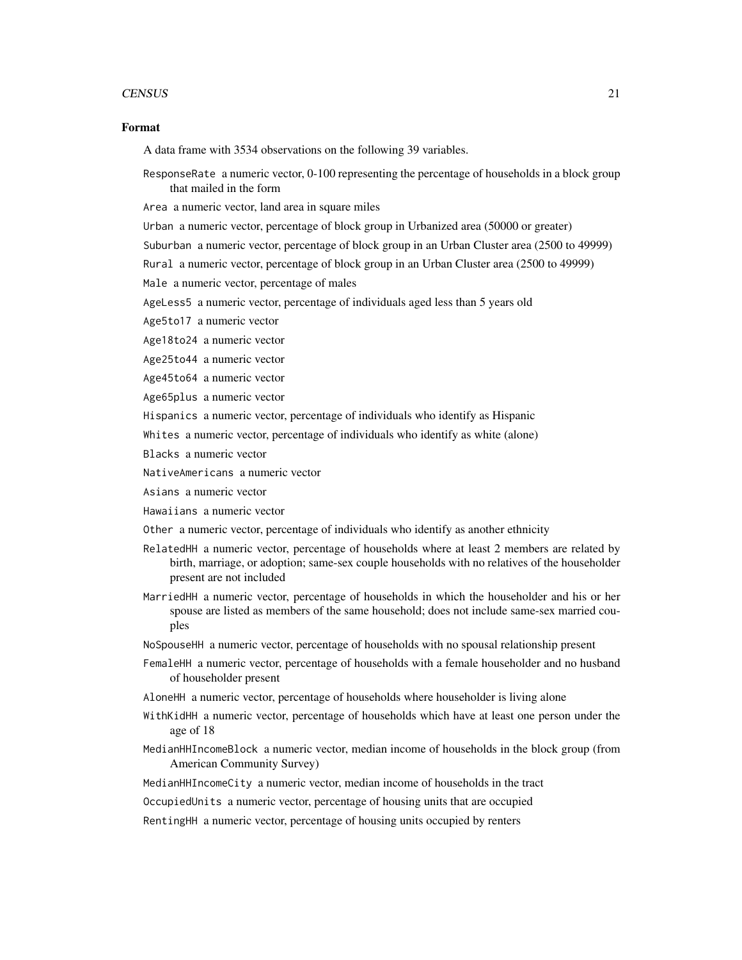#### CENSUS 21

#### Format

A data frame with 3534 observations on the following 39 variables.

ResponseRate a numeric vector, 0-100 representing the percentage of households in a block group that mailed in the form

Area a numeric vector, land area in square miles

Urban a numeric vector, percentage of block group in Urbanized area (50000 or greater)

Suburban a numeric vector, percentage of block group in an Urban Cluster area (2500 to 49999)

Rural a numeric vector, percentage of block group in an Urban Cluster area (2500 to 49999)

Male a numeric vector, percentage of males

AgeLess5 a numeric vector, percentage of individuals aged less than 5 years old

Age5to17 a numeric vector

Age18to24 a numeric vector

Age25to44 a numeric vector

Age45to64 a numeric vector

Age65plus a numeric vector

Hispanics a numeric vector, percentage of individuals who identify as Hispanic

Whites a numeric vector, percentage of individuals who identify as white (alone)

Blacks a numeric vector

NativeAmericans a numeric vector

Asians a numeric vector

Hawaiians a numeric vector

Other a numeric vector, percentage of individuals who identify as another ethnicity

- RelatedHH a numeric vector, percentage of households where at least 2 members are related by birth, marriage, or adoption; same-sex couple households with no relatives of the householder present are not included
- MarriedHH a numeric vector, percentage of households in which the householder and his or her spouse are listed as members of the same household; does not include same-sex married couples

NoSpouseHH a numeric vector, percentage of households with no spousal relationship present

- FemaleHH a numeric vector, percentage of households with a female householder and no husband of householder present
- AloneHH a numeric vector, percentage of households where householder is living alone
- WithKidHH a numeric vector, percentage of households which have at least one person under the age of 18

MedianHHIncomeBlock a numeric vector, median income of households in the block group (from American Community Survey)

MedianHHIncomeCity a numeric vector, median income of households in the tract

OccupiedUnits a numeric vector, percentage of housing units that are occupied

RentingHH a numeric vector, percentage of housing units occupied by renters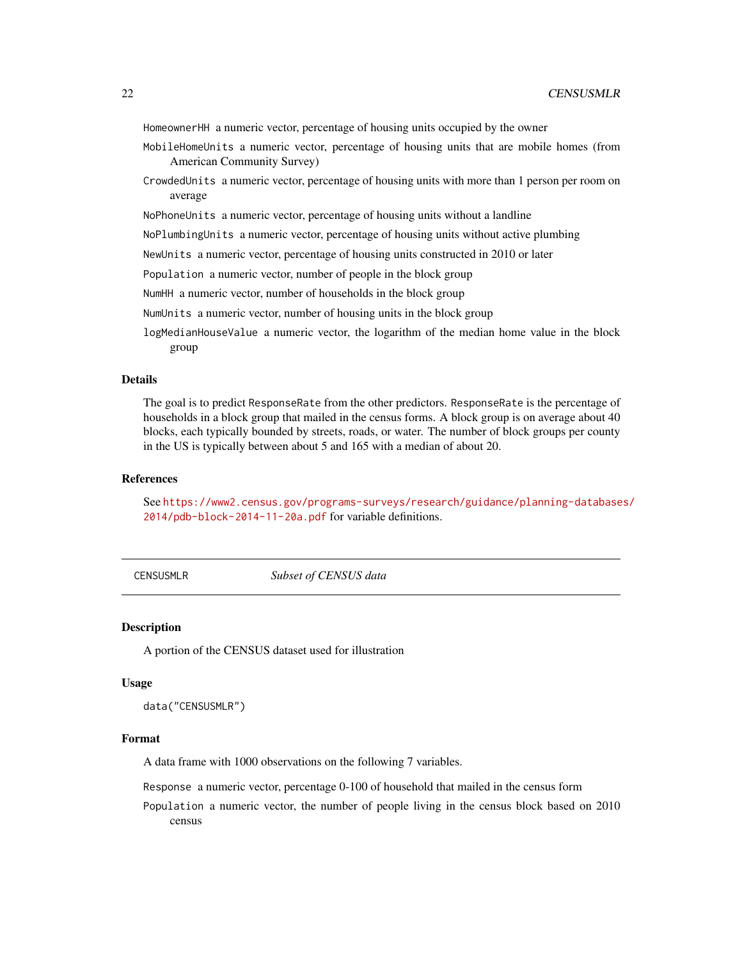<span id="page-21-0"></span>HomeownerHH a numeric vector, percentage of housing units occupied by the owner

- MobileHomeUnits a numeric vector, percentage of housing units that are mobile homes (from American Community Survey)
- CrowdedUnits a numeric vector, percentage of housing units with more than 1 person per room on average
- NoPhoneUnits a numeric vector, percentage of housing units without a landline

NoPlumbingUnits a numeric vector, percentage of housing units without active plumbing

NewUnits a numeric vector, percentage of housing units constructed in 2010 or later

Population a numeric vector, number of people in the block group

NumHH a numeric vector, number of households in the block group

NumUnits a numeric vector, number of housing units in the block group

logMedianHouseValue a numeric vector, the logarithm of the median home value in the block group

#### Details

The goal is to predict ResponseRate from the other predictors. ResponseRate is the percentage of households in a block group that mailed in the census forms. A block group is on average about 40 blocks, each typically bounded by streets, roads, or water. The number of block groups per county in the US is typically between about 5 and 165 with a median of about 20.

#### References

See [https://www2.census.gov/programs-surveys/research/guidance/planning-database](https://www2.census.gov/programs-surveys/research/guidance/planning-databases/2014/pdb-block-2014-11-20a.pdf)s/ [2014/pdb-block-2014-11-20a.pdf](https://www2.census.gov/programs-surveys/research/guidance/planning-databases/2014/pdb-block-2014-11-20a.pdf) for variable definitions.

CENSUSMLR *Subset of CENSUS data*

# Description

A portion of the CENSUS dataset used for illustration

#### Usage

data("CENSUSMLR")

#### Format

A data frame with 1000 observations on the following 7 variables.

Response a numeric vector, percentage 0-100 of household that mailed in the census form

Population a numeric vector, the number of people living in the census block based on 2010 census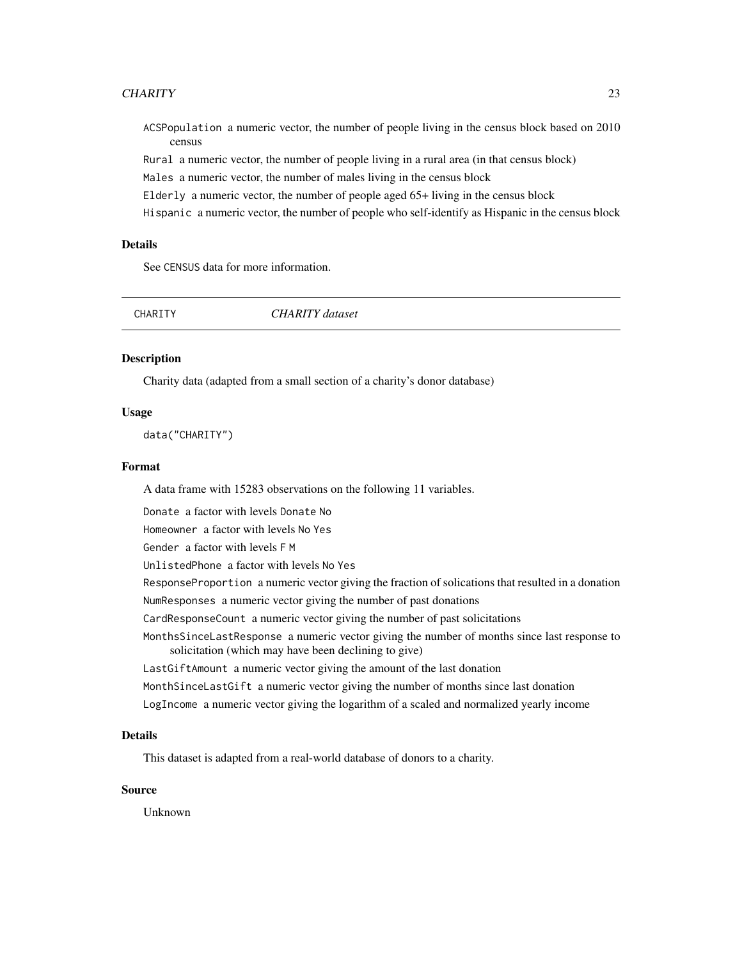#### <span id="page-22-0"></span>CHARITY 23

ACSPopulation a numeric vector, the number of people living in the census block based on 2010 census

Rural a numeric vector, the number of people living in a rural area (in that census block)

Males a numeric vector, the number of males living in the census block

Elderly a numeric vector, the number of people aged 65+ living in the census block

Hispanic a numeric vector, the number of people who self-identify as Hispanic in the census block

# Details

See CENSUS data for more information.

| CHARITY | CHARITY dataset |  |
|---------|-----------------|--|
|         |                 |  |

#### Description

Charity data (adapted from a small section of a charity's donor database)

#### Usage

data("CHARITY")

# Format

A data frame with 15283 observations on the following 11 variables.

Donate a factor with levels Donate No

Homeowner a factor with levels No Yes

Gender a factor with levels F M

UnlistedPhone a factor with levels No Yes

ResponseProportion a numeric vector giving the fraction of solications that resulted in a donation NumResponses a numeric vector giving the number of past donations

CardResponseCount a numeric vector giving the number of past solicitations

MonthsSinceLastResponse a numeric vector giving the number of months since last response to solicitation (which may have been declining to give)

LastGiftAmount a numeric vector giving the amount of the last donation

MonthSinceLastGift a numeric vector giving the number of months since last donation

LogIncome a numeric vector giving the logarithm of a scaled and normalized yearly income

#### Details

This dataset is adapted from a real-world database of donors to a charity.

#### Source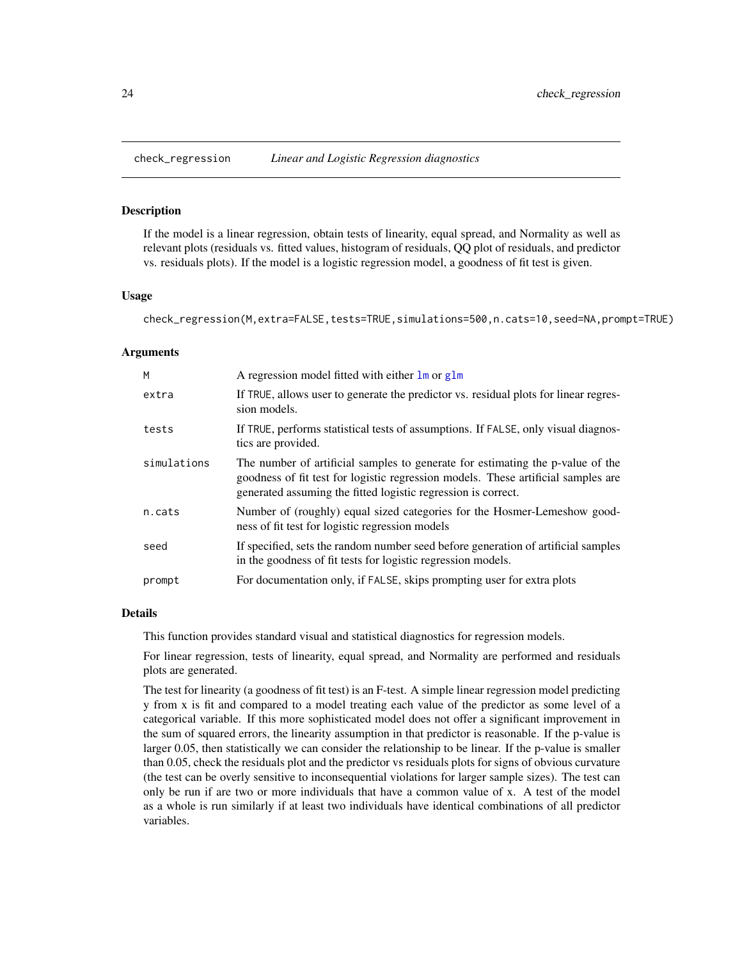<span id="page-23-0"></span>

If the model is a linear regression, obtain tests of linearity, equal spread, and Normality as well as relevant plots (residuals vs. fitted values, histogram of residuals, QQ plot of residuals, and predictor vs. residuals plots). If the model is a logistic regression model, a goodness of fit test is given.

#### Usage

check\_regression(M,extra=FALSE,tests=TRUE,simulations=500,n.cats=10,seed=NA,prompt=TRUE)

#### Arguments

| M           | A regression model fitted with either $\text{Im} \text{ or } \text{glm}$                                                                                                                                                             |
|-------------|--------------------------------------------------------------------------------------------------------------------------------------------------------------------------------------------------------------------------------------|
| extra       | If TRUE, allows user to generate the predictor vs. residual plots for linear regres-<br>sion models.                                                                                                                                 |
| tests       | If TRUE, performs statistical tests of assumptions. If FALSE, only visual diagnos-<br>tics are provided.                                                                                                                             |
| simulations | The number of artificial samples to generate for estimating the p-value of the<br>goodness of fit test for logistic regression models. These artificial samples are<br>generated assuming the fitted logistic regression is correct. |
| n.cats      | Number of (roughly) equal sized categories for the Hosmer-Lemeshow good-<br>ness of fit test for logistic regression models                                                                                                          |
| seed        | If specified, sets the random number seed before generation of artificial samples<br>in the goodness of fit tests for logistic regression models.                                                                                    |
| prompt      | For documentation only, if FALSE, skips prompting user for extra plots                                                                                                                                                               |

# Details

This function provides standard visual and statistical diagnostics for regression models.

For linear regression, tests of linearity, equal spread, and Normality are performed and residuals plots are generated.

The test for linearity (a goodness of fit test) is an F-test. A simple linear regression model predicting y from x is fit and compared to a model treating each value of the predictor as some level of a categorical variable. If this more sophisticated model does not offer a significant improvement in the sum of squared errors, the linearity assumption in that predictor is reasonable. If the p-value is larger 0.05, then statistically we can consider the relationship to be linear. If the p-value is smaller than 0.05, check the residuals plot and the predictor vs residuals plots for signs of obvious curvature (the test can be overly sensitive to inconsequential violations for larger sample sizes). The test can only be run if are two or more individuals that have a common value of x. A test of the model as a whole is run similarly if at least two individuals have identical combinations of all predictor variables.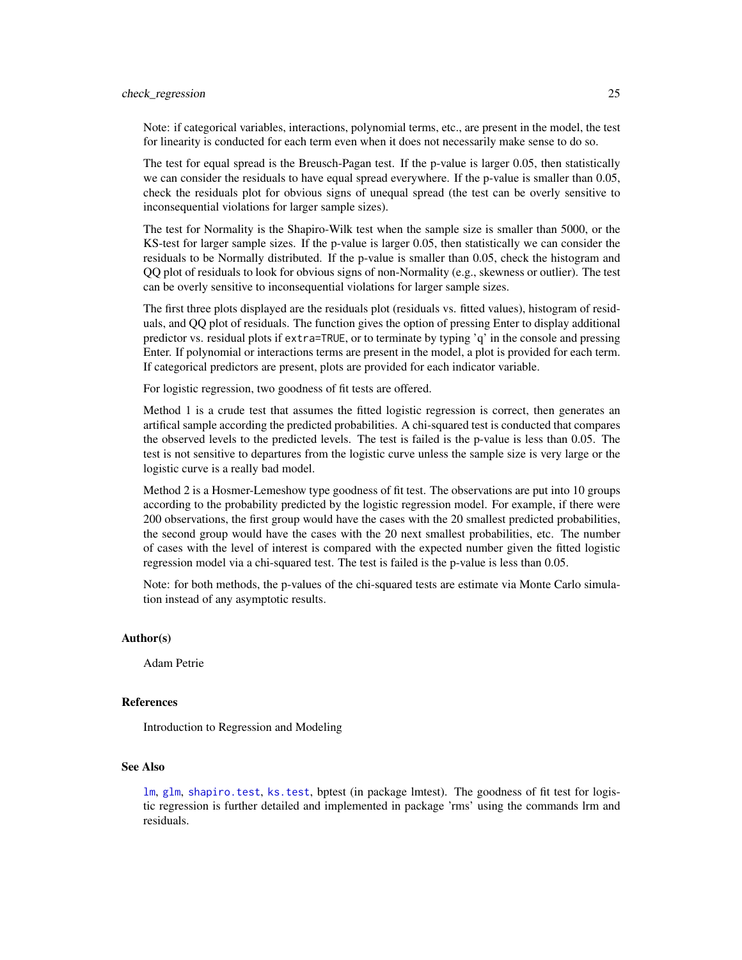#### check\_regression 25

Note: if categorical variables, interactions, polynomial terms, etc., are present in the model, the test for linearity is conducted for each term even when it does not necessarily make sense to do so.

The test for equal spread is the Breusch-Pagan test. If the p-value is larger 0.05, then statistically we can consider the residuals to have equal spread everywhere. If the p-value is smaller than 0.05, check the residuals plot for obvious signs of unequal spread (the test can be overly sensitive to inconsequential violations for larger sample sizes).

The test for Normality is the Shapiro-Wilk test when the sample size is smaller than 5000, or the KS-test for larger sample sizes. If the p-value is larger 0.05, then statistically we can consider the residuals to be Normally distributed. If the p-value is smaller than 0.05, check the histogram and QQ plot of residuals to look for obvious signs of non-Normality (e.g., skewness or outlier). The test can be overly sensitive to inconsequential violations for larger sample sizes.

The first three plots displayed are the residuals plot (residuals vs. fitted values), histogram of residuals, and QQ plot of residuals. The function gives the option of pressing Enter to display additional predictor vs. residual plots if extra=TRUE, or to terminate by typing 'q' in the console and pressing Enter. If polynomial or interactions terms are present in the model, a plot is provided for each term. If categorical predictors are present, plots are provided for each indicator variable.

For logistic regression, two goodness of fit tests are offered.

Method 1 is a crude test that assumes the fitted logistic regression is correct, then generates an artifical sample according the predicted probabilities. A chi-squared test is conducted that compares the observed levels to the predicted levels. The test is failed is the p-value is less than 0.05. The test is not sensitive to departures from the logistic curve unless the sample size is very large or the logistic curve is a really bad model.

Method 2 is a Hosmer-Lemeshow type goodness of fit test. The observations are put into 10 groups according to the probability predicted by the logistic regression model. For example, if there were 200 observations, the first group would have the cases with the 20 smallest predicted probabilities, the second group would have the cases with the 20 next smallest probabilities, etc. The number of cases with the level of interest is compared with the expected number given the fitted logistic regression model via a chi-squared test. The test is failed is the p-value is less than 0.05.

Note: for both methods, the p-values of the chi-squared tests are estimate via Monte Carlo simulation instead of any asymptotic results.

# Author(s)

Adam Petrie

#### References

Introduction to Regression and Modeling

# See Also

[lm](#page-0-0), [glm](#page-0-0), [shapiro.test](#page-0-0), [ks.test](#page-0-0), bptest (in package lmtest). The goodness of fit test for logistic regression is further detailed and implemented in package 'rms' using the commands lrm and residuals.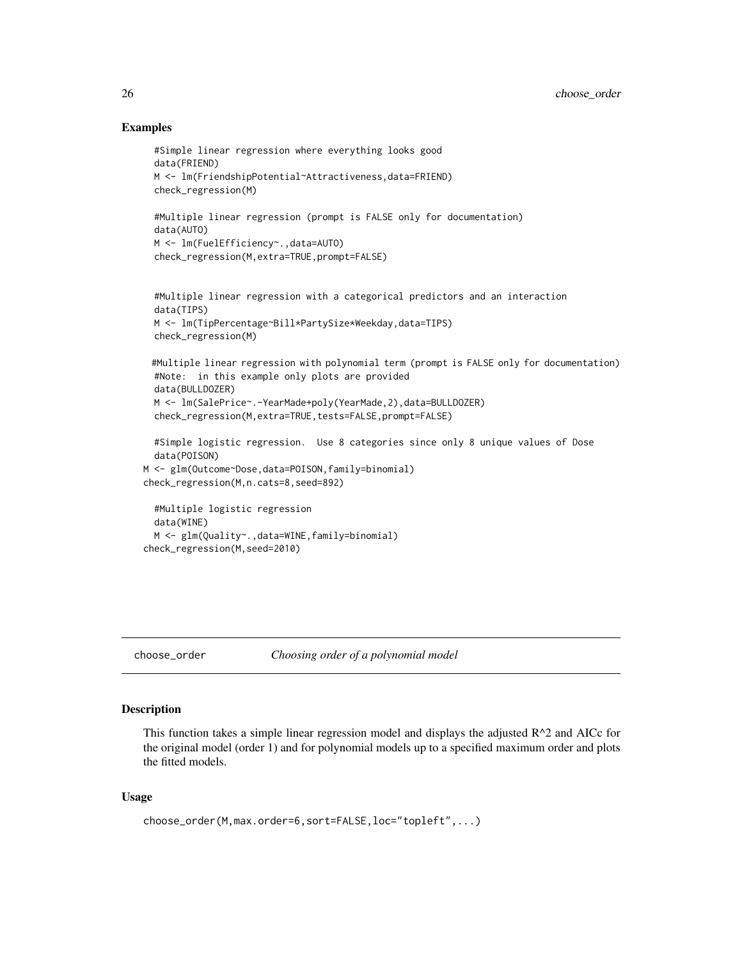# Examples

```
#Simple linear regression where everything looks good
 data(FRIEND)
 M <- lm(FriendshipPotential~Attractiveness,data=FRIEND)
 check_regression(M)
 #Multiple linear regression (prompt is FALSE only for documentation)
 data(AUTO)
 M <- lm(FuelEfficiency~.,data=AUTO)
 check_regression(M,extra=TRUE,prompt=FALSE)
 #Multiple linear regression with a categorical predictors and an interaction
 data(TIPS)
 M <- lm(TipPercentage~Bill*PartySize*Weekday,data=TIPS)
 check_regression(M)
 #Multiple linear regression with polynomial term (prompt is FALSE only for documentation)
 #Note: in this example only plots are provided
 data(BULLDOZER)
 M <- lm(SalePrice~.-YearMade+poly(YearMade,2),data=BULLDOZER)
 check_regression(M,extra=TRUE,tests=FALSE,prompt=FALSE)
 #Simple logistic regression. Use 8 categories since only 8 unique values of Dose
 data(POISON)
M <- glm(Outcome~Dose,data=POISON,family=binomial)
check_regression(M,n.cats=8,seed=892)
 #Multiple logistic regression
 data(WINE)
 M <- glm(Quality~.,data=WINE,family=binomial)
check_regression(M,seed=2010)
```

```
choose_order Choosing order of a polynomial model
```
#### Description

This function takes a simple linear regression model and displays the adjusted  $R^2$  and AICc for the original model (order 1) and for polynomial models up to a specified maximum order and plots the fitted models.

#### Usage

```
choose_order(M,max.order=6,sort=FALSE,loc="topleft",...)
```
<span id="page-25-0"></span>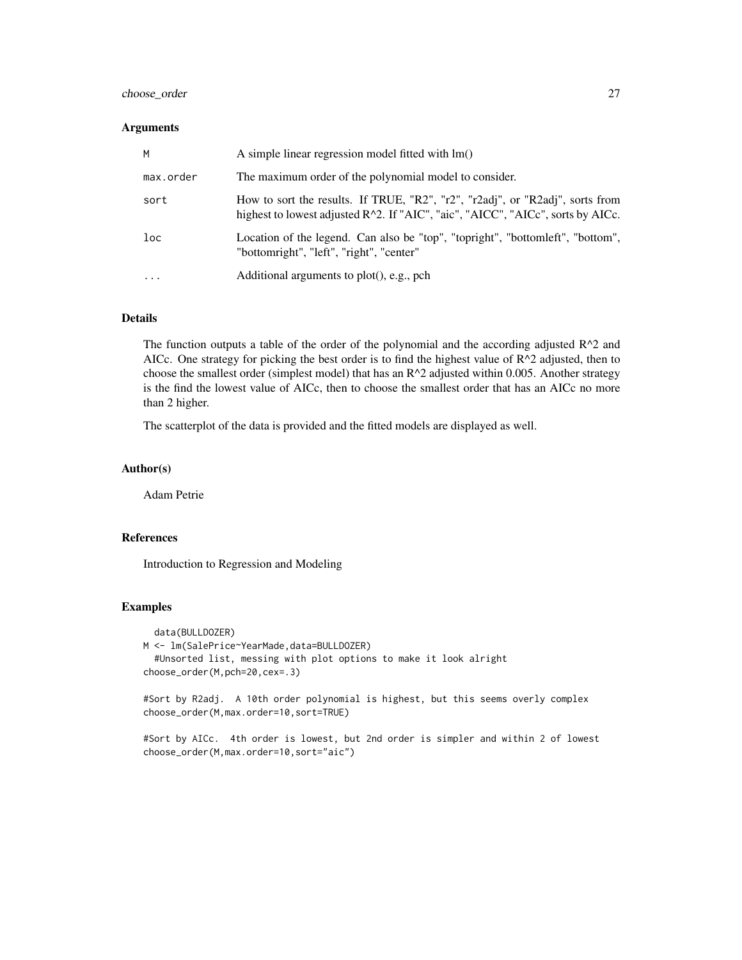# choose\_order 27

#### Arguments

| M         | A simple linear regression model fitted with lm()                                                                                                                |
|-----------|------------------------------------------------------------------------------------------------------------------------------------------------------------------|
| max.order | The maximum order of the polynomial model to consider.                                                                                                           |
| sort      | How to sort the results. If TRUE, "R2", "r2", "r2adj", or "R2adj", sorts from<br>highest to lowest adjusted R^2. If "AIC", "aic", "AICC", "AICc", sorts by AICc. |
| loc       | Location of the legend. Can also be "top", "topright", "bottomleft", "bottom",<br>"bottomright", "left", "right", "center"                                       |
|           | Additional arguments to plot(), e.g., pch                                                                                                                        |

# Details

The function outputs a table of the order of the polynomial and the according adjusted  $R^2$  and AICc. One strategy for picking the best order is to find the highest value of R^2 adjusted, then to choose the smallest order (simplest model) that has an  $R^2$  adjusted within 0.005. Another strategy is the find the lowest value of AICc, then to choose the smallest order that has an AICc no more than 2 higher.

The scatterplot of the data is provided and the fitted models are displayed as well.

# Author(s)

Adam Petrie

#### References

Introduction to Regression and Modeling

# Examples

```
data(BULLDOZER)
M <- lm(SalePrice~YearMade,data=BULLDOZER)
  #Unsorted list, messing with plot options to make it look alright
choose_order(M,pch=20,cex=.3)
```
#Sort by R2adj. A 10th order polynomial is highest, but this seems overly complex choose\_order(M,max.order=10,sort=TRUE)

#Sort by AICc. 4th order is lowest, but 2nd order is simpler and within 2 of lowest choose\_order(M,max.order=10,sort="aic")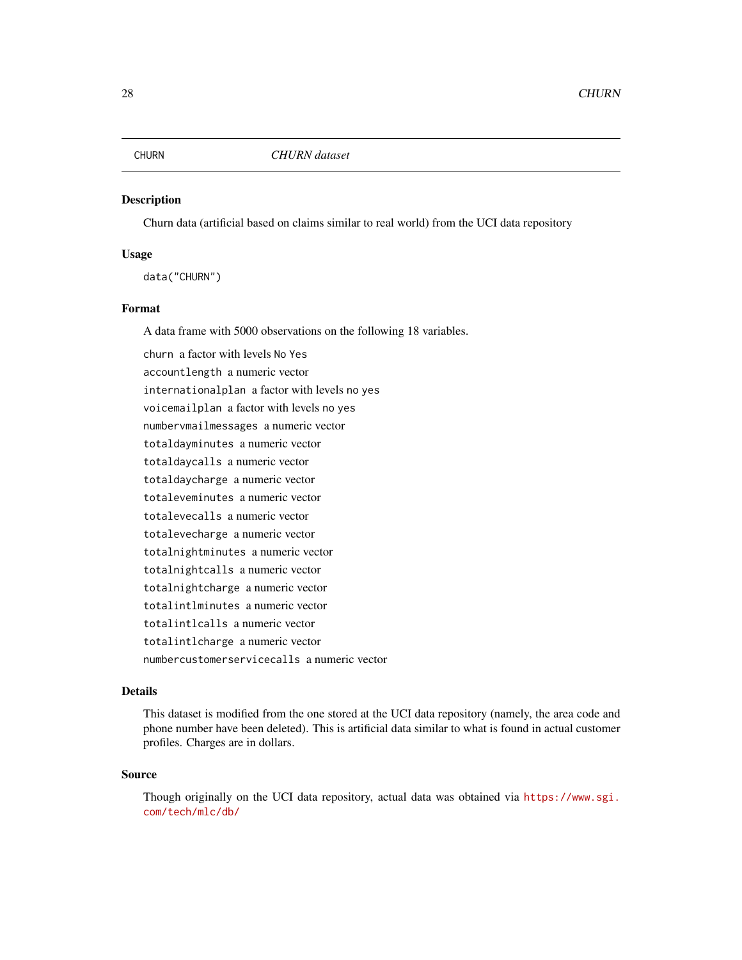<span id="page-27-0"></span>

Churn data (artificial based on claims similar to real world) from the UCI data repository

# Usage

data("CHURN")

# Format

A data frame with 5000 observations on the following 18 variables.

churn a factor with levels No Yes accountlength a numeric vector internationalplan a factor with levels no yes voicemailplan a factor with levels no yes numbervmailmessages a numeric vector totaldayminutes a numeric vector totaldaycalls a numeric vector totaldaycharge a numeric vector totaleveminutes a numeric vector totalevecalls a numeric vector totalevecharge a numeric vector totalnightminutes a numeric vector totalnightcalls a numeric vector totalnightcharge a numeric vector totalintlminutes a numeric vector totalintlcalls a numeric vector totalintlcharge a numeric vector numbercustomerservicecalls a numeric vector

#### Details

This dataset is modified from the one stored at the UCI data repository (namely, the area code and phone number have been deleted). This is artificial data similar to what is found in actual customer profiles. Charges are in dollars.

### Source

Though originally on the UCI data repository, actual data was obtained via [https://www.sgi.](https://www.sgi.com/tech/mlc/db/) [com/tech/mlc/db/](https://www.sgi.com/tech/mlc/db/)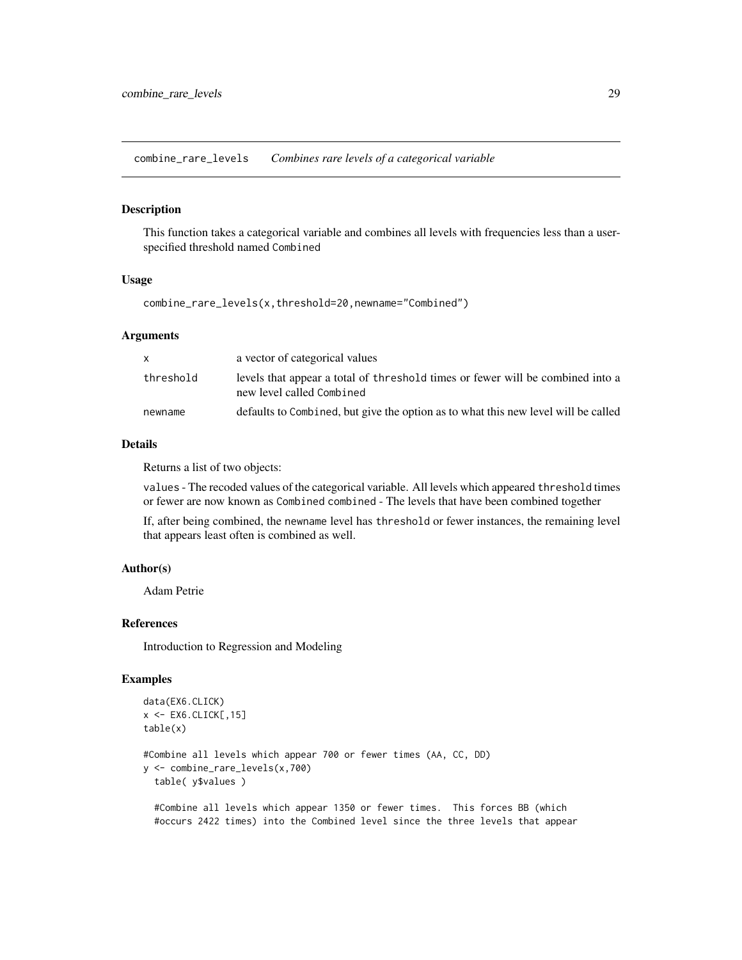<span id="page-28-0"></span>combine\_rare\_levels *Combines rare levels of a categorical variable*

#### Description

This function takes a categorical variable and combines all levels with frequencies less than a userspecified threshold named Combined

# Usage

combine\_rare\_levels(x,threshold=20,newname="Combined")

#### Arguments

|           | a vector of categorical values                                                                              |
|-----------|-------------------------------------------------------------------------------------------------------------|
| threshold | levels that appear a total of threshold times or fewer will be combined into a<br>new level called Combined |
| newname   | defaults to Combined, but give the option as to what this new level will be called                          |

#### Details

Returns a list of two objects:

values - The recoded values of the categorical variable. All levels which appeared threshold times or fewer are now known as Combined combined - The levels that have been combined together

If, after being combined, the newname level has threshold or fewer instances, the remaining level that appears least often is combined as well.

# Author(s)

Adam Petrie

### References

Introduction to Regression and Modeling

# Examples

```
data(EX6.CLICK)
x <- EX6.CLICK[,15]
table(x)
#Combine all levels which appear 700 or fewer times (AA, CC, DD)
y <- combine_rare_levels(x,700)
  table( y$values )
```
#Combine all levels which appear 1350 or fewer times. This forces BB (which #occurs 2422 times) into the Combined level since the three levels that appear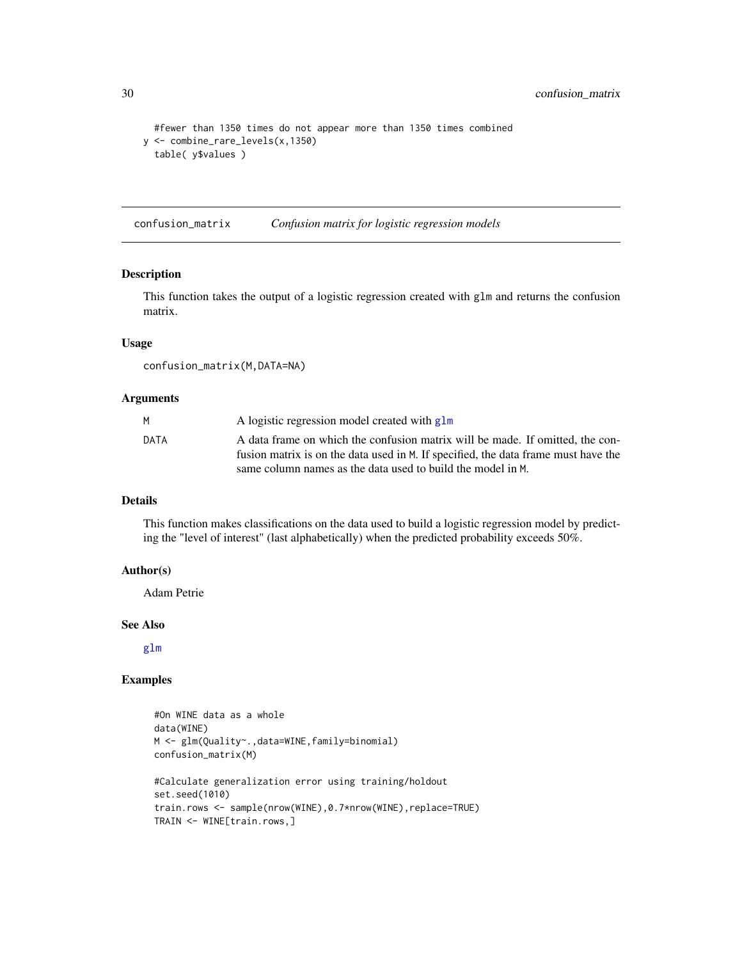```
#fewer than 1350 times do not appear more than 1350 times combined
y <- combine_rare_levels(x,1350)
  table( y$values )
```
confusion\_matrix *Confusion matrix for logistic regression models*

# Description

This function takes the output of a logistic regression created with glm and returns the confusion matrix.

# Usage

confusion\_matrix(M,DATA=NA)

#### Arguments

|      | A logistic regression model created with glm                                       |
|------|------------------------------------------------------------------------------------|
| DATA | A data frame on which the confusion matrix will be made. If omitted, the con-      |
|      | fusion matrix is on the data used in M. If specified, the data frame must have the |
|      | same column names as the data used to build the model in M.                        |

# Details

This function makes classifications on the data used to build a logistic regression model by predicting the "level of interest" (last alphabetically) when the predicted probability exceeds 50%.

# Author(s)

Adam Petrie

### See Also

[glm](#page-0-0)

# Examples

```
#On WINE data as a whole
data(WINE)
M <- glm(Quality~.,data=WINE,family=binomial)
confusion_matrix(M)
#Calculate generalization error using training/holdout
set.seed(1010)
train.rows <- sample(nrow(WINE),0.7*nrow(WINE),replace=TRUE)
TRAIN <- WINE[train.rows,]
```
<span id="page-29-0"></span>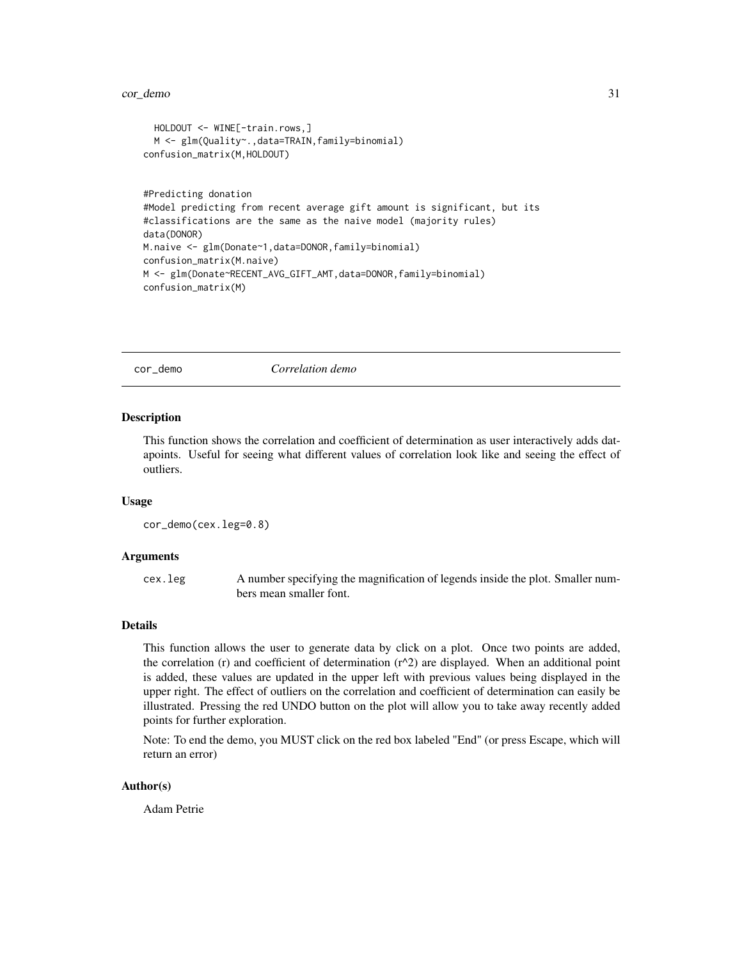```
HOLDOUT <- WINE[-train.rows,]
  M <- glm(Quality~.,data=TRAIN,family=binomial)
confusion_matrix(M,HOLDOUT)
#Predicting donation
#Model predicting from recent average gift amount is significant, but its
#classifications are the same as the naive model (majority rules)
data(DONOR)
M.naive <- glm(Donate~1,data=DONOR,family=binomial)
confusion_matrix(M.naive)
M <- glm(Donate~RECENT_AVG_GIFT_AMT,data=DONOR,family=binomial)
confusion_matrix(M)
```
cor\_demo *Correlation demo*

#### Description

This function shows the correlation and coefficient of determination as user interactively adds datapoints. Useful for seeing what different values of correlation look like and seeing the effect of outliers.

#### Usage

```
cor_demo(cex.leg=0.8)
```
#### Arguments

cex.leg A number specifying the magnification of legends inside the plot. Smaller numbers mean smaller font.

# Details

This function allows the user to generate data by click on a plot. Once two points are added, the correlation (r) and coefficient of determination  $(r^2)$  are displayed. When an additional point is added, these values are updated in the upper left with previous values being displayed in the upper right. The effect of outliers on the correlation and coefficient of determination can easily be illustrated. Pressing the red UNDO button on the plot will allow you to take away recently added points for further exploration.

Note: To end the demo, you MUST click on the red box labeled "End" (or press Escape, which will return an error)

#### Author(s)

Adam Petrie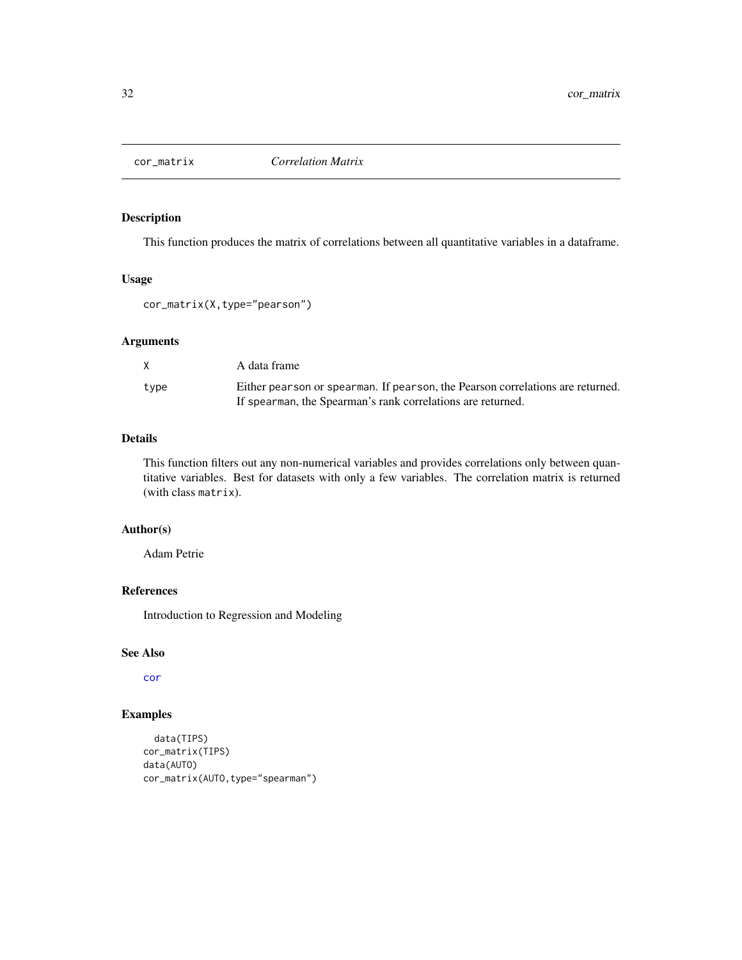<span id="page-31-0"></span>

This function produces the matrix of correlations between all quantitative variables in a dataframe.

# Usage

cor\_matrix(X,type="pearson")

## Arguments

| X.   | A data frame                                                                   |
|------|--------------------------------------------------------------------------------|
| type | Either pearson or spearman. If pearson, the Pearson correlations are returned. |
|      | If spearman, the Spearman's rank correlations are returned.                    |

# Details

This function filters out any non-numerical variables and provides correlations only between quantitative variables. Best for datasets with only a few variables. The correlation matrix is returned (with class matrix).

# Author(s)

Adam Petrie

#### References

Introduction to Regression and Modeling

# See Also

[cor](#page-0-0)

# Examples

```
data(TIPS)
cor_matrix(TIPS)
data(AUTO)
cor_matrix(AUTO,type="spearman")
```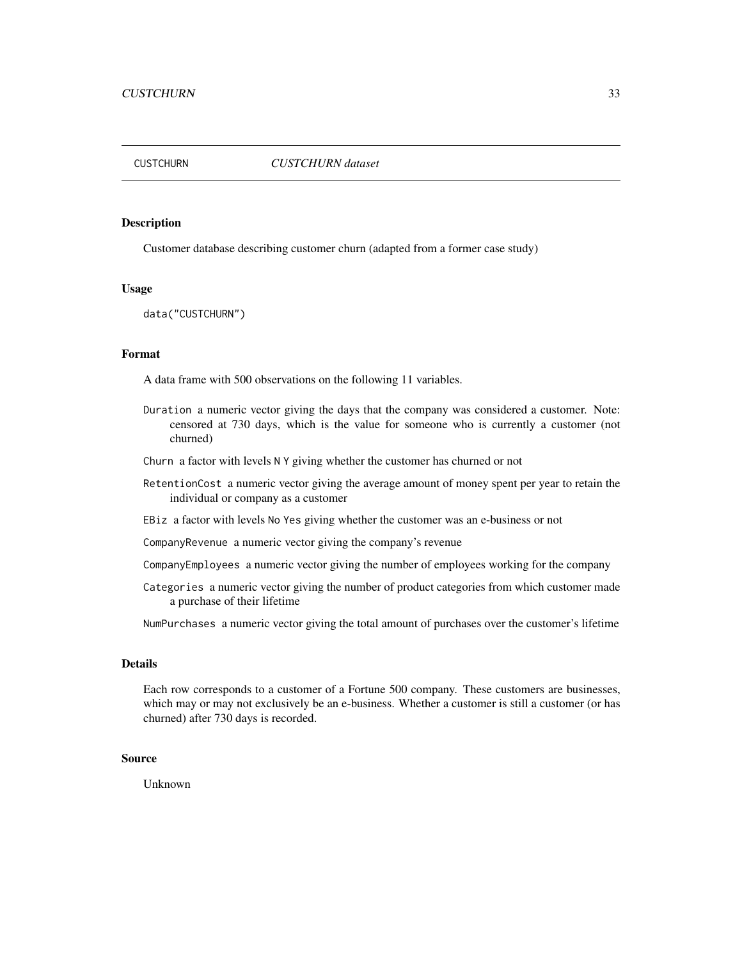<span id="page-32-0"></span>

Customer database describing customer churn (adapted from a former case study)

#### Usage

data("CUSTCHURN")

# Format

A data frame with 500 observations on the following 11 variables.

- Duration a numeric vector giving the days that the company was considered a customer. Note: censored at 730 days, which is the value for someone who is currently a customer (not churned)
- Churn a factor with levels N Y giving whether the customer has churned or not
- RetentionCost a numeric vector giving the average amount of money spent per year to retain the individual or company as a customer
- EBiz a factor with levels No Yes giving whether the customer was an e-business or not

CompanyRevenue a numeric vector giving the company's revenue

- CompanyEmployees a numeric vector giving the number of employees working for the company
- Categories a numeric vector giving the number of product categories from which customer made a purchase of their lifetime

NumPurchases a numeric vector giving the total amount of purchases over the customer's lifetime

# Details

Each row corresponds to a customer of a Fortune 500 company. These customers are businesses, which may or may not exclusively be an e-business. Whether a customer is still a customer (or has churned) after 730 days is recorded.

# Source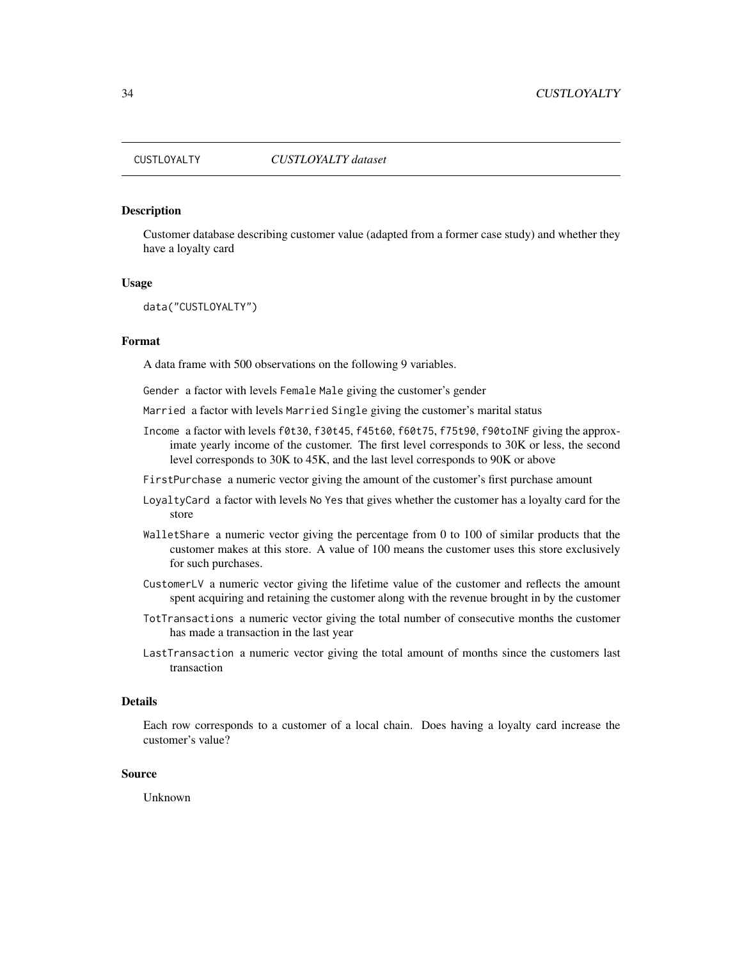<span id="page-33-0"></span>

Customer database describing customer value (adapted from a former case study) and whether they have a loyalty card

#### Usage

data("CUSTLOYALTY")

# Format

A data frame with 500 observations on the following 9 variables.

Gender a factor with levels Female Male giving the customer's gender

- Married a factor with levels Married Single giving the customer's marital status
- Income a factor with levels f0t30, f30t45, f45t60, f60t75, f75t90, f90toINF giving the approximate yearly income of the customer. The first level corresponds to 30K or less, the second level corresponds to 30K to 45K, and the last level corresponds to 90K or above
- FirstPurchase a numeric vector giving the amount of the customer's first purchase amount
- LoyaltyCard a factor with levels No Yes that gives whether the customer has a loyalty card for the store
- WalletShare a numeric vector giving the percentage from 0 to 100 of similar products that the customer makes at this store. A value of 100 means the customer uses this store exclusively for such purchases.
- CustomerLV a numeric vector giving the lifetime value of the customer and reflects the amount spent acquiring and retaining the customer along with the revenue brought in by the customer
- TotTransactions a numeric vector giving the total number of consecutive months the customer has made a transaction in the last year
- LastTransaction a numeric vector giving the total amount of months since the customers last transaction

## Details

Each row corresponds to a customer of a local chain. Does having a loyalty card increase the customer's value?

#### Source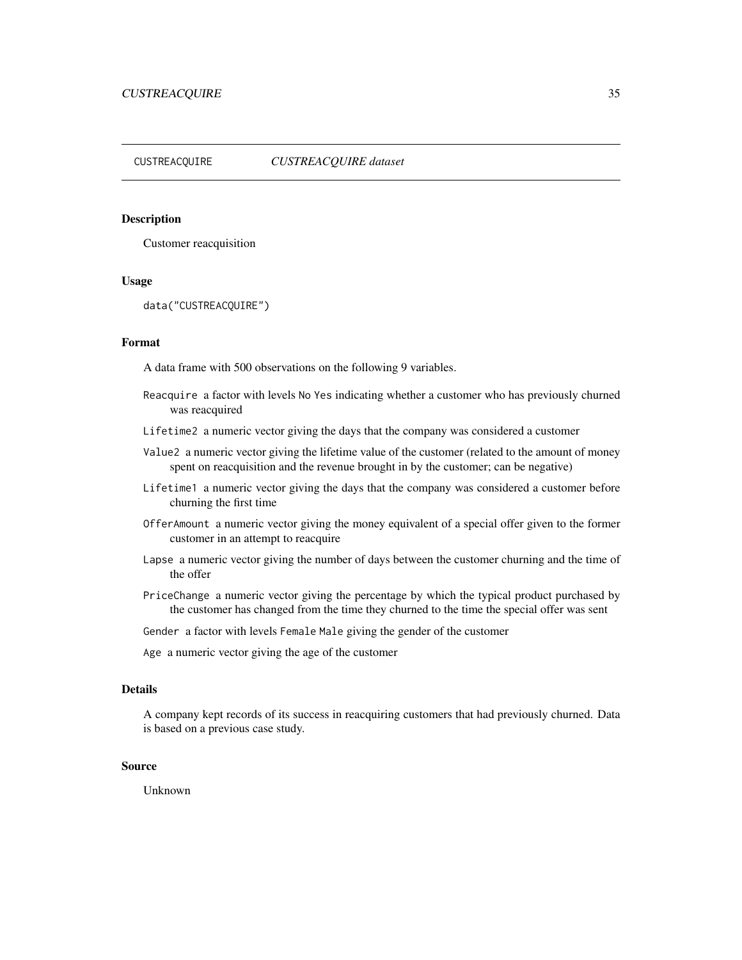#### <span id="page-34-0"></span>CUSTREACQUIRE *CUSTREACQUIRE dataset*

# Description

Customer reacquisition

#### Usage

data("CUSTREACQUIRE")

# Format

A data frame with 500 observations on the following 9 variables.

- Reacquire a factor with levels No Yes indicating whether a customer who has previously churned was reacquired
- Lifetime2 a numeric vector giving the days that the company was considered a customer
- Value2 a numeric vector giving the lifetime value of the customer (related to the amount of money spent on reacquisition and the revenue brought in by the customer; can be negative)
- Lifetime1 a numeric vector giving the days that the company was considered a customer before churning the first time
- OfferAmount a numeric vector giving the money equivalent of a special offer given to the former customer in an attempt to reacquire
- Lapse a numeric vector giving the number of days between the customer churning and the time of the offer
- PriceChange a numeric vector giving the percentage by which the typical product purchased by the customer has changed from the time they churned to the time the special offer was sent

Gender a factor with levels Female Male giving the gender of the customer

Age a numeric vector giving the age of the customer

# Details

A company kept records of its success in reacquiring customers that had previously churned. Data is based on a previous case study.

# Source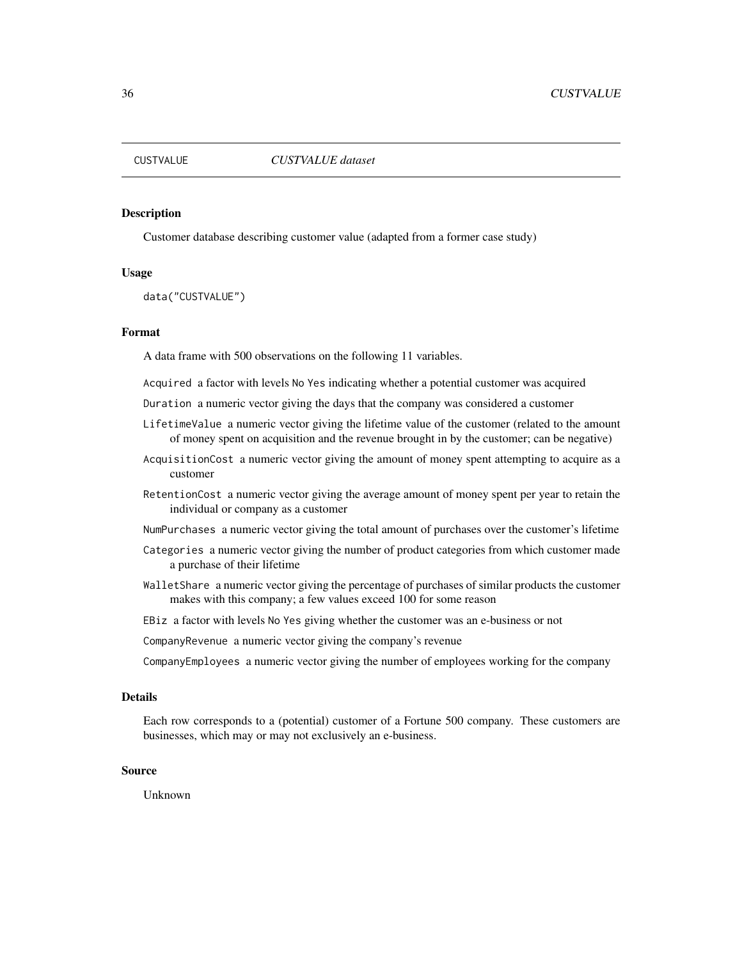<span id="page-35-0"></span>

Customer database describing customer value (adapted from a former case study)

#### Usage

data("CUSTVALUE")

#### Format

A data frame with 500 observations on the following 11 variables.

Acquired a factor with levels No Yes indicating whether a potential customer was acquired

- Duration a numeric vector giving the days that the company was considered a customer
- LifetimeValue a numeric vector giving the lifetime value of the customer (related to the amount of money spent on acquisition and the revenue brought in by the customer; can be negative)
- AcquisitionCost a numeric vector giving the amount of money spent attempting to acquire as a customer
- RetentionCost a numeric vector giving the average amount of money spent per year to retain the individual or company as a customer
- NumPurchases a numeric vector giving the total amount of purchases over the customer's lifetime
- Categories a numeric vector giving the number of product categories from which customer made a purchase of their lifetime
- WalletShare a numeric vector giving the percentage of purchases of similar products the customer makes with this company; a few values exceed 100 for some reason
- EBiz a factor with levels No Yes giving whether the customer was an e-business or not
- CompanyRevenue a numeric vector giving the company's revenue
- CompanyEmployees a numeric vector giving the number of employees working for the company

#### Details

Each row corresponds to a (potential) customer of a Fortune 500 company. These customers are businesses, which may or may not exclusively an e-business.

#### Source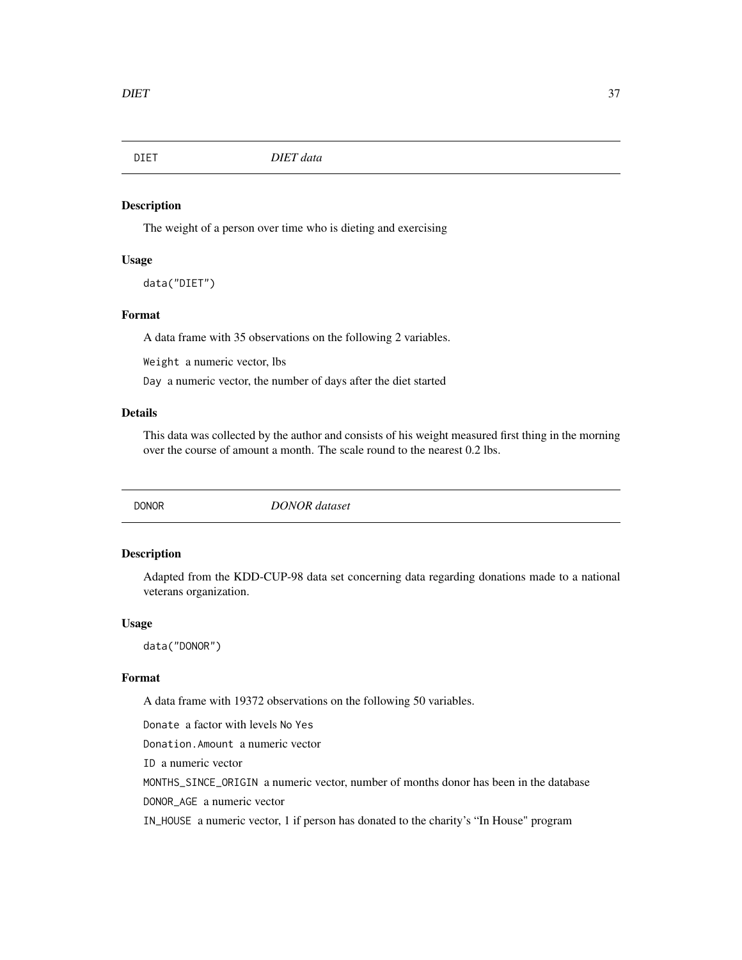The weight of a person over time who is dieting and exercising

## Usage

data("DIET")

# Format

A data frame with 35 observations on the following 2 variables.

Weight a numeric vector, lbs

Day a numeric vector, the number of days after the diet started

# Details

This data was collected by the author and consists of his weight measured first thing in the morning over the course of amount a month. The scale round to the nearest 0.2 lbs.

DONOR *DONOR dataset*

# Description

Adapted from the KDD-CUP-98 data set concerning data regarding donations made to a national veterans organization.

#### Usage

data("DONOR")

## Format

A data frame with 19372 observations on the following 50 variables.

Donate a factor with levels No Yes

Donation.Amount a numeric vector

ID a numeric vector

MONTHS\_SINCE\_ORIGIN a numeric vector, number of months donor has been in the database

DONOR\_AGE a numeric vector

IN\_HOUSE a numeric vector, 1 if person has donated to the charity's "In House" program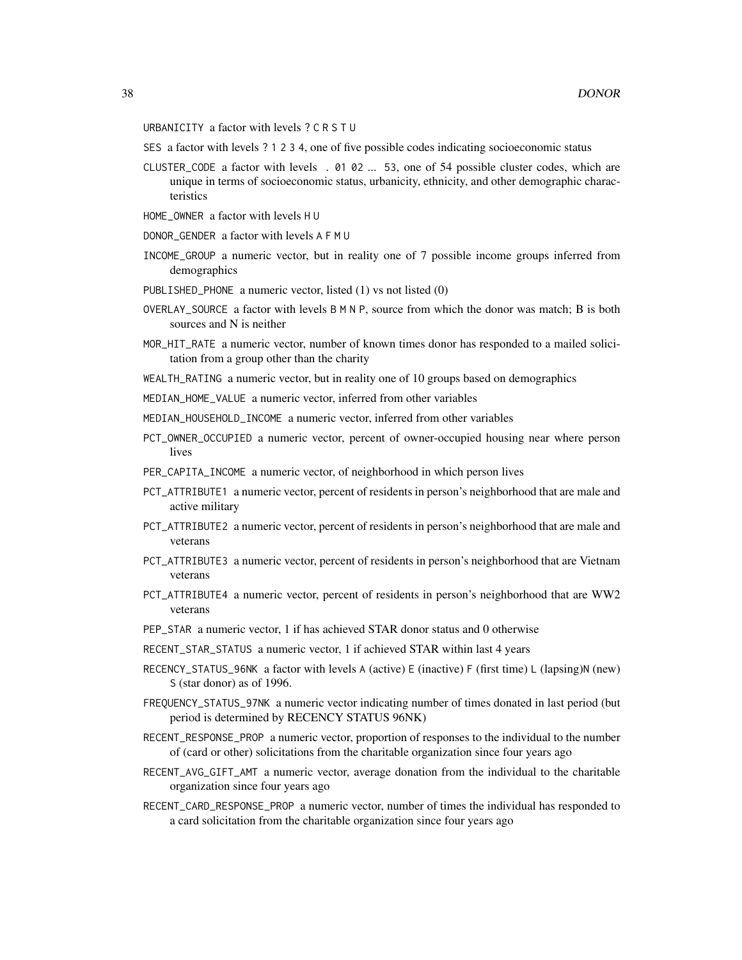- URBANICITY a factor with levels ? C R S T U
- SES a factor with levels ? 1 2 3 4, one of five possible codes indicating socioeconomic status
- CLUSTER\_CODE a factor with levels . 01 02 ... 53, one of 54 possible cluster codes, which are unique in terms of socioeconomic status, urbanicity, ethnicity, and other demographic characteristics
- HOME\_OWNER a factor with levels H U
- DONOR\_GENDER a factor with levels A F M U
- INCOME\_GROUP a numeric vector, but in reality one of 7 possible income groups inferred from demographics
- PUBLISHED\_PHONE a numeric vector, listed (1) vs not listed (0)
- OVERLAY\_SOURCE a factor with levels B M N P, source from which the donor was match; B is both sources and N is neither
- MOR\_HIT\_RATE a numeric vector, number of known times donor has responded to a mailed solicitation from a group other than the charity
- WEALTH\_RATING a numeric vector, but in reality one of 10 groups based on demographics
- MEDIAN\_HOME\_VALUE a numeric vector, inferred from other variables
- MEDIAN\_HOUSEHOLD\_INCOME a numeric vector, inferred from other variables
- PCT\_OWNER\_OCCUPIED a numeric vector, percent of owner-occupied housing near where person lives
- PER\_CAPITA\_INCOME a numeric vector, of neighborhood in which person lives
- PCT\_ATTRIBUTE1 a numeric vector, percent of residents in person's neighborhood that are male and active military
- PCT\_ATTRIBUTE2 a numeric vector, percent of residents in person's neighborhood that are male and veterans
- PCT\_ATTRIBUTE3 a numeric vector, percent of residents in person's neighborhood that are Vietnam veterans
- PCT\_ATTRIBUTE4 a numeric vector, percent of residents in person's neighborhood that are WW2 veterans
- PEP\_STAR a numeric vector, 1 if has achieved STAR donor status and 0 otherwise
- RECENT\_STAR\_STATUS a numeric vector, 1 if achieved STAR within last 4 years
- RECENCY\_STATUS\_96NK a factor with levels A (active) E (inactive) F (first time) L (lapsing)N (new) S (star donor) as of 1996.
- FREQUENCY\_STATUS\_97NK a numeric vector indicating number of times donated in last period (but period is determined by RECENCY STATUS 96NK)
- RECENT\_RESPONSE\_PROP a numeric vector, proportion of responses to the individual to the number of (card or other) solicitations from the charitable organization since four years ago
- RECENT\_AVG\_GIFT\_AMT a numeric vector, average donation from the individual to the charitable organization since four years ago
- RECENT\_CARD\_RESPONSE\_PROP a numeric vector, number of times the individual has responded to a card solicitation from the charitable organization since four years ago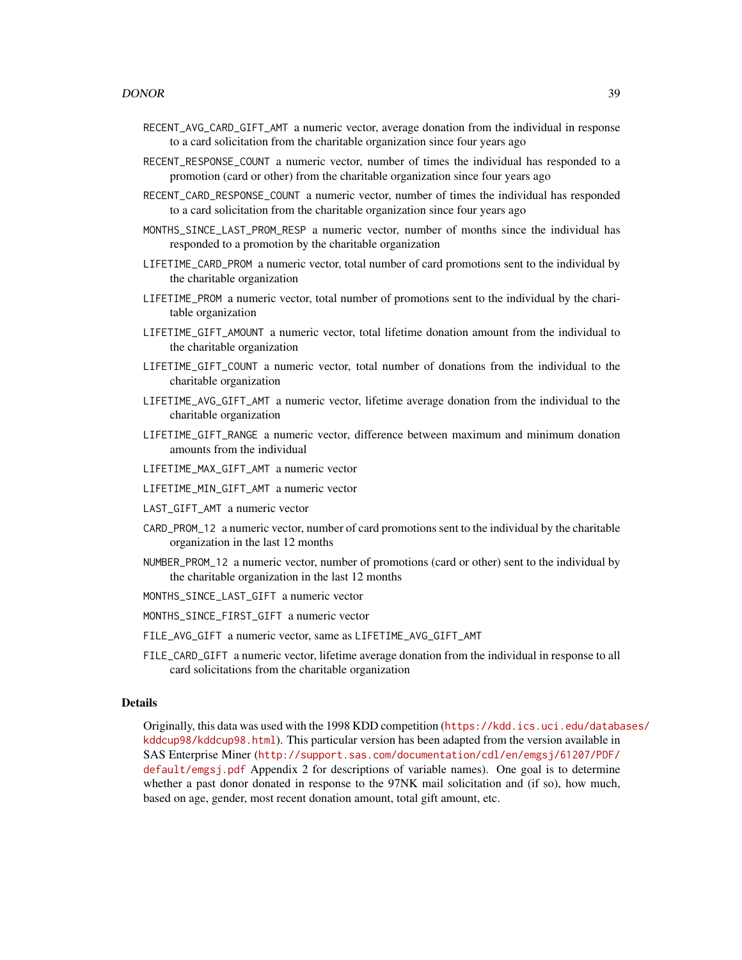- RECENT\_AVG\_CARD\_GIFT\_AMT a numeric vector, average donation from the individual in response to a card solicitation from the charitable organization since four years ago
- RECENT\_RESPONSE\_COUNT a numeric vector, number of times the individual has responded to a promotion (card or other) from the charitable organization since four years ago
- RECENT\_CARD\_RESPONSE\_COUNT a numeric vector, number of times the individual has responded to a card solicitation from the charitable organization since four years ago
- MONTHS\_SINCE\_LAST\_PROM\_RESP a numeric vector, number of months since the individual has responded to a promotion by the charitable organization
- LIFETIME\_CARD\_PROM a numeric vector, total number of card promotions sent to the individual by the charitable organization
- LIFETIME\_PROM a numeric vector, total number of promotions sent to the individual by the charitable organization
- LIFETIME\_GIFT\_AMOUNT a numeric vector, total lifetime donation amount from the individual to the charitable organization
- LIFETIME\_GIFT\_COUNT a numeric vector, total number of donations from the individual to the charitable organization
- LIFETIME\_AVG\_GIFT\_AMT a numeric vector, lifetime average donation from the individual to the charitable organization
- LIFETIME\_GIFT\_RANGE a numeric vector, difference between maximum and minimum donation amounts from the individual
- LIFETIME\_MAX\_GIFT\_AMT a numeric vector
- LIFETIME\_MIN\_GIFT\_AMT a numeric vector
- LAST\_GIFT\_AMT a numeric vector
- CARD\_PROM\_12 a numeric vector, number of card promotions sent to the individual by the charitable organization in the last 12 months
- NUMBER\_PROM\_12 a numeric vector, number of promotions (card or other) sent to the individual by the charitable organization in the last 12 months
- MONTHS\_SINCE\_LAST\_GIFT a numeric vector
- MONTHS\_SINCE\_FIRST\_GIFT a numeric vector
- FILE\_AVG\_GIFT a numeric vector, same as LIFETIME\_AVG\_GIFT\_AMT
- FILE\_CARD\_GIFT a numeric vector, lifetime average donation from the individual in response to all card solicitations from the charitable organization

## Details

Originally, this data was used with the 1998 KDD competition ([https://kdd.ics.uci.edu/databa](https://kdd.ics.uci.edu/databases/kddcup98/kddcup98.html)ses/ [kddcup98/kddcup98.html](https://kdd.ics.uci.edu/databases/kddcup98/kddcup98.html)). This particular version has been adapted from the version available in SAS Enterprise Miner ([http://support.sas.com/documentation/cdl/en/emgsj/61207/PDF/](http://support.sas.com/documentation/cdl/en/emgsj/61207/PDF/default/emgsj.pdf) [default/emgsj.pdf](http://support.sas.com/documentation/cdl/en/emgsj/61207/PDF/default/emgsj.pdf) Appendix 2 for descriptions of variable names). One goal is to determine whether a past donor donated in response to the 97NK mail solicitation and (if so), how much, based on age, gender, most recent donation amount, total gift amount, etc.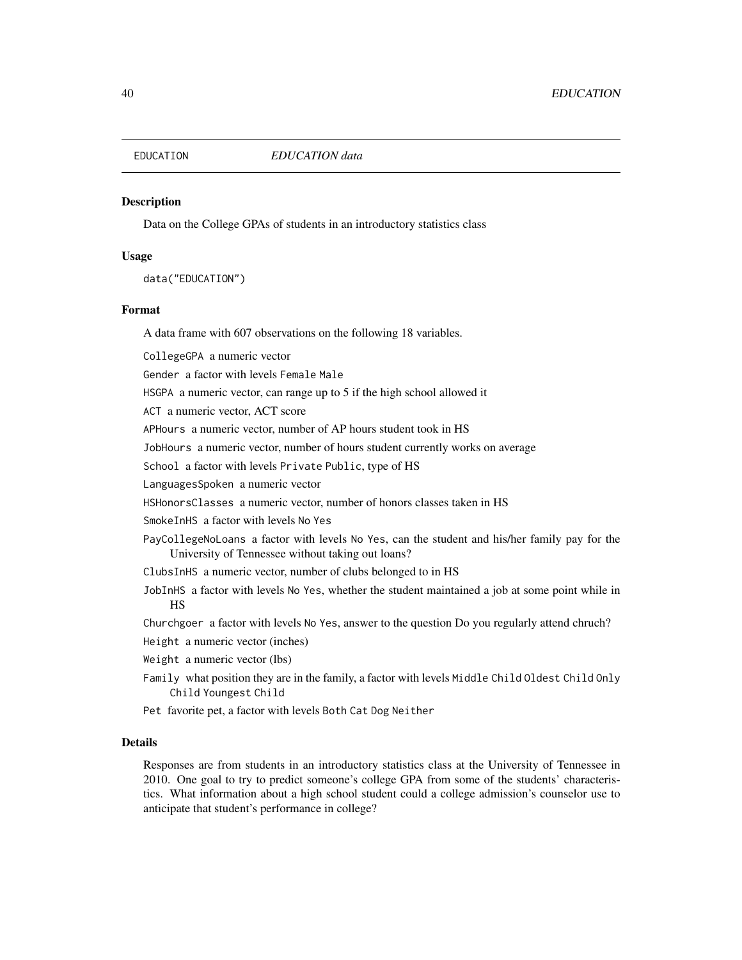Data on the College GPAs of students in an introductory statistics class

## Usage

data("EDUCATION")

### Format

A data frame with 607 observations on the following 18 variables.

CollegeGPA a numeric vector

Gender a factor with levels Female Male

HSGPA a numeric vector, can range up to 5 if the high school allowed it

ACT a numeric vector, ACT score

APHours a numeric vector, number of AP hours student took in HS

JobHours a numeric vector, number of hours student currently works on average

School a factor with levels Private Public, type of HS

LanguagesSpoken a numeric vector

HSHonorsClasses a numeric vector, number of honors classes taken in HS

SmokeInHS a factor with levels No Yes

PayCollegeNoLoans a factor with levels No Yes, can the student and his/her family pay for the University of Tennessee without taking out loans?

- ClubsInHS a numeric vector, number of clubs belonged to in HS
- JobInHS a factor with levels No Yes, whether the student maintained a job at some point while in HS

Churchgoer a factor with levels No Yes, answer to the question Do you regularly attend chruch?

Height a numeric vector (inches)

- Weight a numeric vector (lbs)
- Family what position they are in the family, a factor with levels Middle Child Oldest Child Only Child Youngest Child
- Pet favorite pet, a factor with levels Both Cat Dog Neither

#### Details

Responses are from students in an introductory statistics class at the University of Tennessee in 2010. One goal to try to predict someone's college GPA from some of the students' characteristics. What information about a high school student could a college admission's counselor use to anticipate that student's performance in college?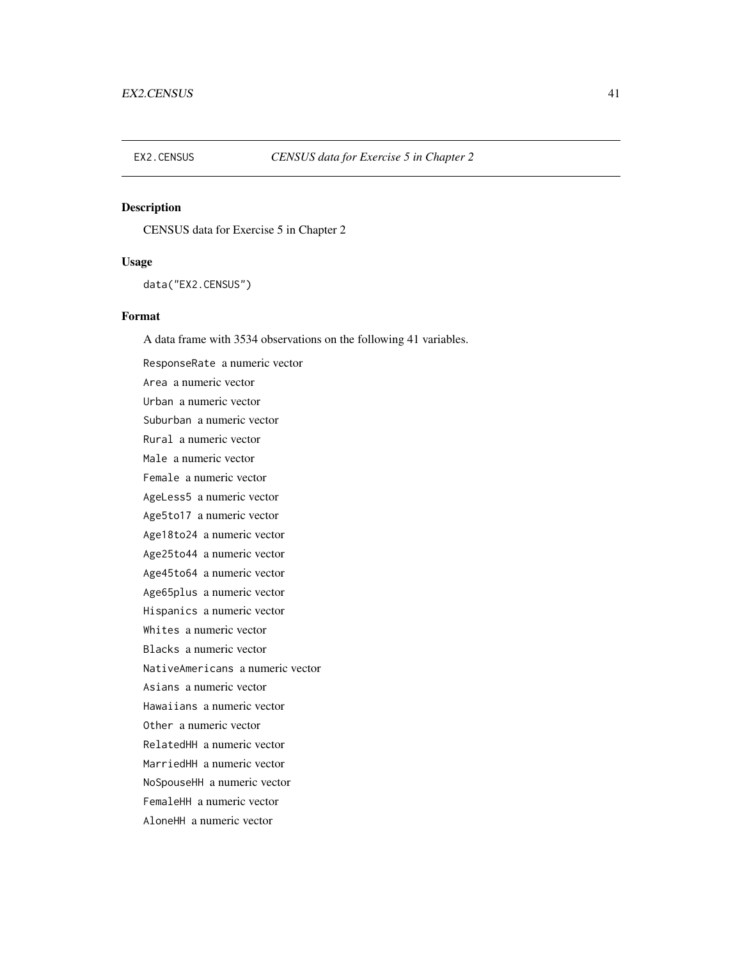CENSUS data for Exercise 5 in Chapter 2

## Usage

data("EX2.CENSUS")

# Format

A data frame with 3534 observations on the following 41 variables.

ResponseRate a numeric vector Area a numeric vector Urban a numeric vector Suburban a numeric vector Rural a numeric vector Male a numeric vector Female a numeric vector AgeLess5 a numeric vector Age5to17 a numeric vector Age18to24 a numeric vector Age25to44 a numeric vector Age45to64 a numeric vector Age65plus a numeric vector Hispanics a numeric vector Whites a numeric vector Blacks a numeric vector NativeAmericans a numeric vector Asians a numeric vector Hawaiians a numeric vector Other a numeric vector RelatedHH a numeric vector MarriedHH a numeric vector NoSpouseHH a numeric vector FemaleHH a numeric vector AloneHH a numeric vector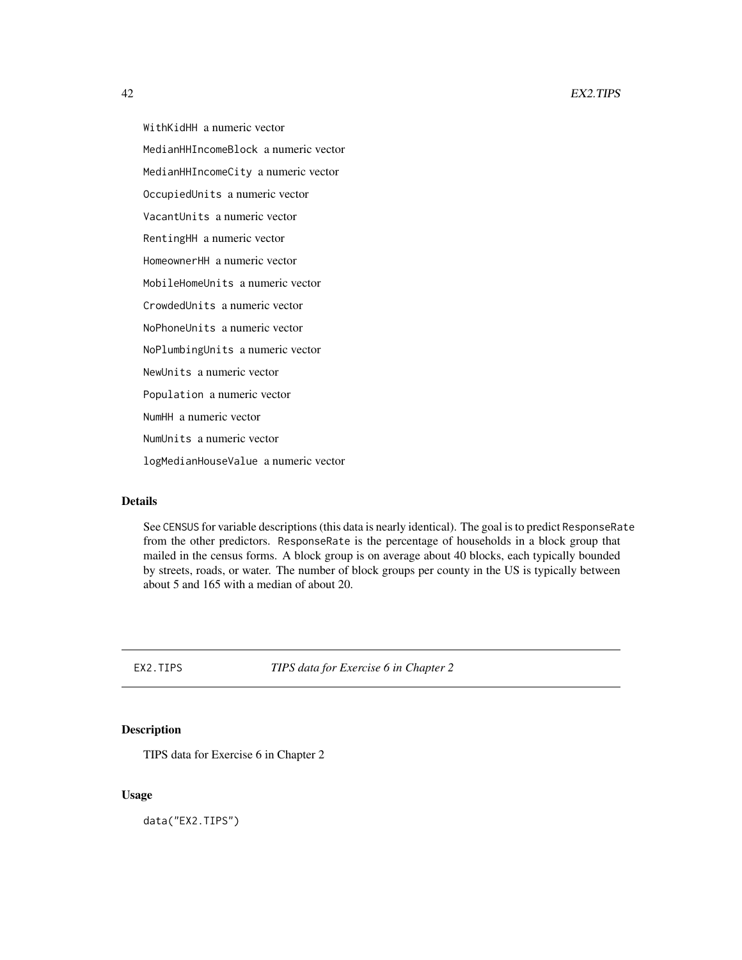WithKidHH a numeric vector MedianHHIncomeBlock a numeric vector MedianHHIncomeCity a numeric vector OccupiedUnits a numeric vector VacantUnits a numeric vector RentingHH a numeric vector HomeownerHH a numeric vector MobileHomeUnits a numeric vector CrowdedUnits a numeric vector NoPhoneUnits a numeric vector NoPlumbingUnits a numeric vector NewUnits a numeric vector Population a numeric vector NumHH a numeric vector NumUnits a numeric vector logMedianHouseValue a numeric vector

# Details

See CENSUS for variable descriptions (this data is nearly identical). The goal is to predict ResponseRate from the other predictors. ResponseRate is the percentage of households in a block group that mailed in the census forms. A block group is on average about 40 blocks, each typically bounded by streets, roads, or water. The number of block groups per county in the US is typically between about 5 and 165 with a median of about 20.

EX2.TIPS *TIPS data for Exercise 6 in Chapter 2*

## Description

TIPS data for Exercise 6 in Chapter 2

## Usage

data("EX2.TIPS")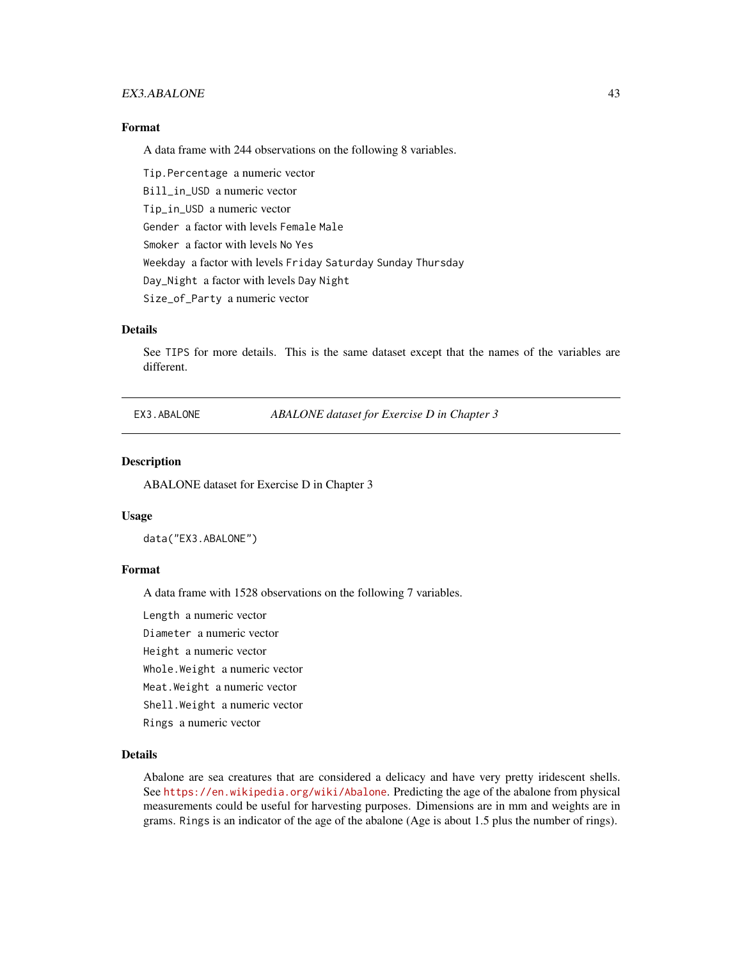# EX3.ABALONE 43

# Format

A data frame with 244 observations on the following 8 variables.

Tip.Percentage a numeric vector Bill\_in\_USD a numeric vector Tip\_in\_USD a numeric vector Gender a factor with levels Female Male Smoker a factor with levels No Yes Weekday a factor with levels Friday Saturday Sunday Thursday Day\_Night a factor with levels Day Night Size\_of\_Party a numeric vector

## Details

See TIPS for more details. This is the same dataset except that the names of the variables are different.

EX3.ABALONE *ABALONE dataset for Exercise D in Chapter 3*

# **Description**

ABALONE dataset for Exercise D in Chapter 3

#### Usage

data("EX3.ABALONE")

#### Format

A data frame with 1528 observations on the following 7 variables.

Length a numeric vector

Diameter a numeric vector

Height a numeric vector

Whole.Weight a numeric vector

Meat.Weight a numeric vector

Shell.Weight a numeric vector

Rings a numeric vector

## Details

Abalone are sea creatures that are considered a delicacy and have very pretty iridescent shells. See <https://en.wikipedia.org/wiki/Abalone>. Predicting the age of the abalone from physical measurements could be useful for harvesting purposes. Dimensions are in mm and weights are in grams. Rings is an indicator of the age of the abalone (Age is about 1.5 plus the number of rings).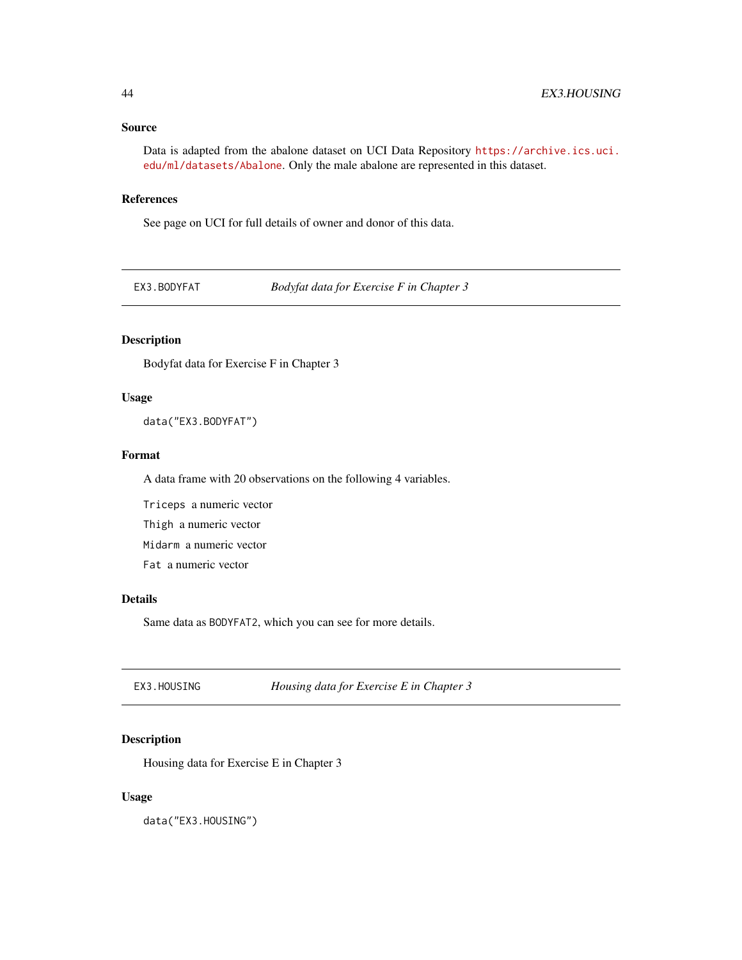# Source

Data is adapted from the abalone dataset on UCI Data Repository [https://archive.ics.uci.](https://archive.ics.uci.edu/ml/datasets/Abalone) [edu/ml/datasets/Abalone](https://archive.ics.uci.edu/ml/datasets/Abalone). Only the male abalone are represented in this dataset.

# References

See page on UCI for full details of owner and donor of this data.

EX3.BODYFAT *Bodyfat data for Exercise F in Chapter 3*

# Description

Bodyfat data for Exercise F in Chapter 3

## Usage

data("EX3.BODYFAT")

## Format

A data frame with 20 observations on the following 4 variables.

Triceps a numeric vector

Thigh a numeric vector

Midarm a numeric vector

Fat a numeric vector

## Details

Same data as BODYFAT2, which you can see for more details.

EX3.HOUSING *Housing data for Exercise E in Chapter 3*

# Description

Housing data for Exercise E in Chapter 3

## Usage

data("EX3.HOUSING")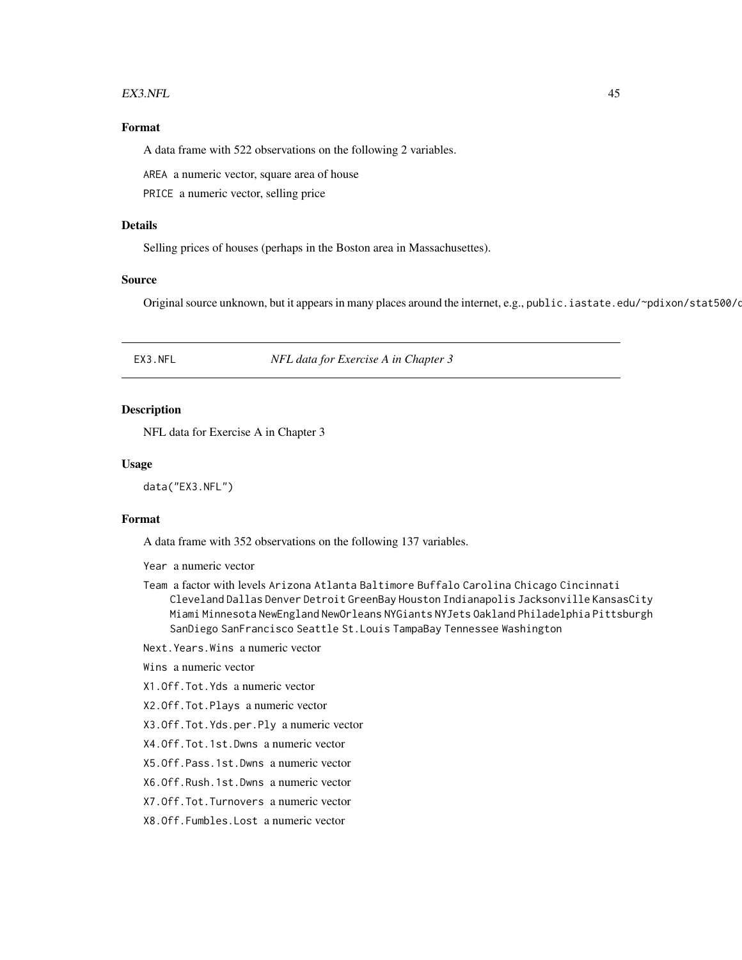#### EX3.NFL 45

# Format

A data frame with 522 observations on the following 2 variables.

AREA a numeric vector, square area of house

PRICE a numeric vector, selling price

## Details

Selling prices of houses (perhaps in the Boston area in Massachusettes).

## Source

Original source unknown, but it appears in many places around the internet, e.g., public. iastate.edu/~pdixon/stat500/d

EX3.NFL *NFL data for Exercise A in Chapter 3*

## Description

NFL data for Exercise A in Chapter 3

## Usage

data("EX3.NFL")

## Format

A data frame with 352 observations on the following 137 variables.

Year a numeric vector

Team a factor with levels Arizona Atlanta Baltimore Buffalo Carolina Chicago Cincinnati Cleveland Dallas Denver Detroit GreenBay Houston Indianapolis Jacksonville KansasCity Miami Minnesota NewEngland NewOrleans NYGiants NYJets Oakland Philadelphia Pittsburgh SanDiego SanFrancisco Seattle St.Louis TampaBay Tennessee Washington

Next.Years.Wins a numeric vector

# Wins a numeric vector

X1.Off.Tot.Yds a numeric vector

X2.Off.Tot.Plays a numeric vector

X3.Off.Tot.Yds.per.Ply a numeric vector

X4.Off.Tot.1st.Dwns a numeric vector

X5.Off.Pass.1st.Dwns a numeric vector

X6.Off.Rush.1st.Dwns a numeric vector

X7.Off.Tot.Turnovers a numeric vector

X8.Off.Fumbles.Lost a numeric vector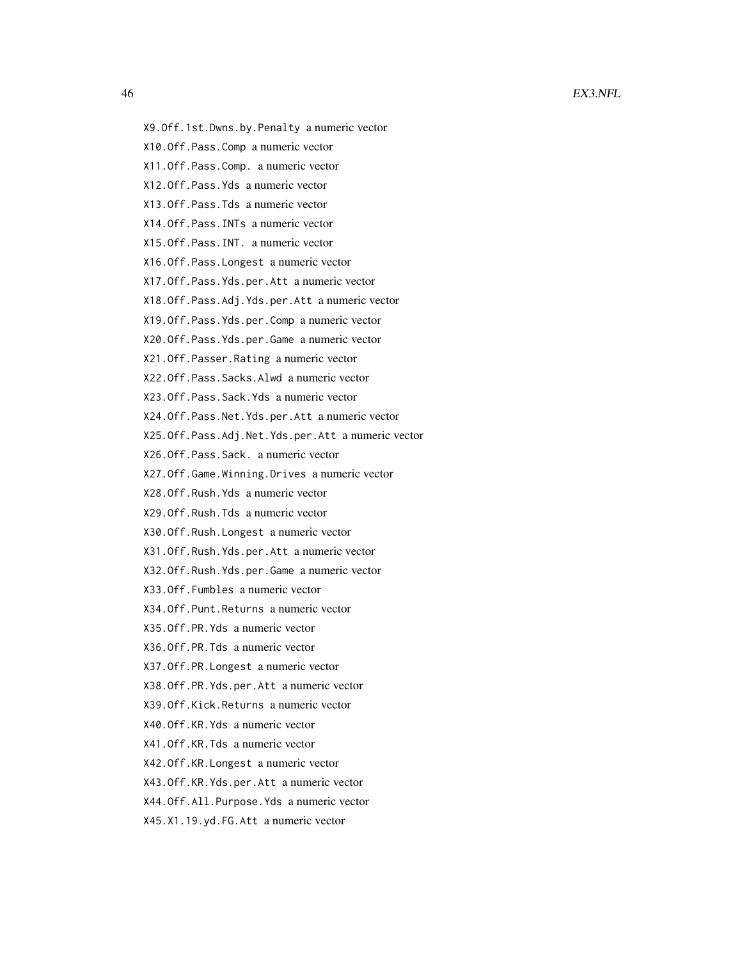- 
- X9.Off.1st.Dwns.by.Penalty a numeric vector
- X10.Off.Pass.Comp a numeric vector
- X11.Off.Pass.Comp. a numeric vector
- X12.Off.Pass.Yds a numeric vector
- X13.Off.Pass.Tds a numeric vector
- X14.Off.Pass.INTs a numeric vector
- X15.Off.Pass.INT. a numeric vector
- X16.Off.Pass.Longest a numeric vector
- X17.Off.Pass.Yds.per.Att a numeric vector
- X18.Off.Pass.Adj.Yds.per.Att a numeric vector
- X19.Off.Pass.Yds.per.Comp a numeric vector
- X20.Off.Pass.Yds.per.Game a numeric vector
- X21.Off.Passer.Rating a numeric vector
- X22.Off.Pass.Sacks.Alwd a numeric vector
- X23.Off.Pass.Sack.Yds a numeric vector
- X24.Off.Pass.Net.Yds.per.Att a numeric vector
- X25.Off.Pass.Adj.Net.Yds.per.Att a numeric vector
- X26.Off.Pass.Sack. a numeric vector
- X27.Off.Game.Winning.Drives a numeric vector
- X28.Off.Rush.Yds a numeric vector
- X29.Off.Rush.Tds a numeric vector
- X30.Off.Rush.Longest a numeric vector
- X31.Off.Rush.Yds.per.Att a numeric vector
- X32.Off.Rush.Yds.per.Game a numeric vector
- X33.Off.Fumbles a numeric vector
- X34.Off.Punt.Returns a numeric vector
- X35.Off.PR.Yds a numeric vector
- X36.Off.PR.Tds a numeric vector
- X37.Off.PR.Longest a numeric vector
- X38.Off.PR.Yds.per.Att a numeric vector
- X39.Off.Kick.Returns a numeric vector
- X40.Off.KR.Yds a numeric vector
- X41.Off.KR.Tds a numeric vector
- X42.Off.KR.Longest a numeric vector
- X43.Off.KR.Yds.per.Att a numeric vector
- X44.Off.All.Purpose.Yds a numeric vector
- X45.X1.19.yd.FG.Att a numeric vector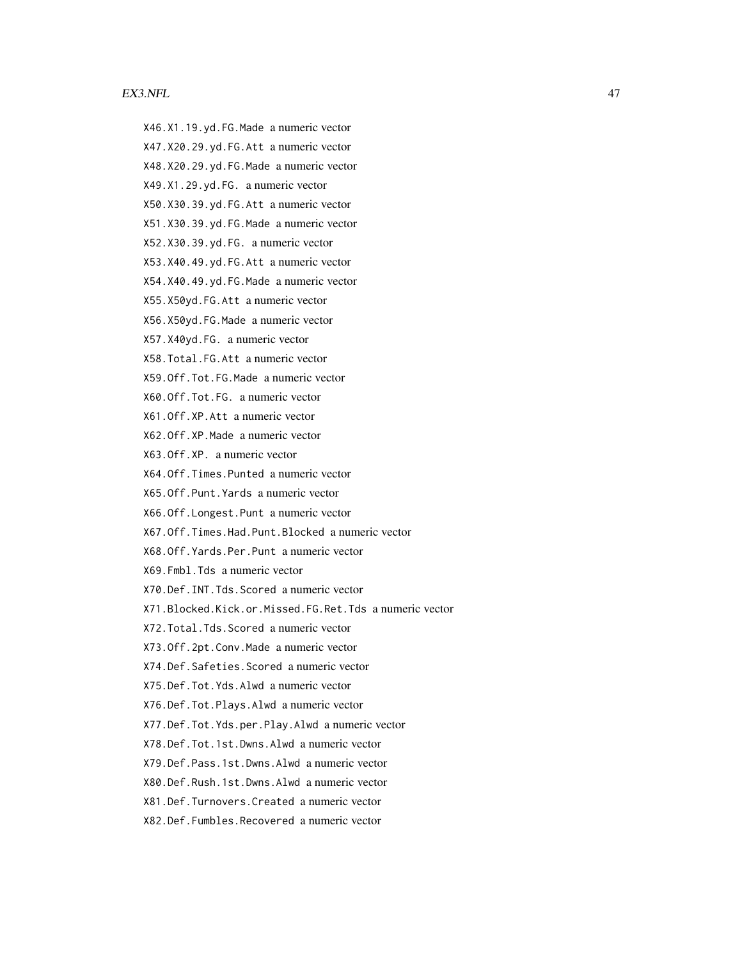#### EX3.NFL 47

- X46.X1.19.yd.FG.Made a numeric vector
- X47.X20.29.yd.FG.Att a numeric vector
- X48.X20.29.yd.FG.Made a numeric vector
- X49.X1.29.yd.FG. a numeric vector
- X50.X30.39.yd.FG.Att a numeric vector
- X51.X30.39.yd.FG.Made a numeric vector
- X52.X30.39.yd.FG. a numeric vector
- X53.X40.49.yd.FG.Att a numeric vector
- X54.X40.49.yd.FG.Made a numeric vector
- X55.X50yd.FG.Att a numeric vector
- X56.X50yd.FG.Made a numeric vector
- X57.X40yd.FG. a numeric vector
- X58.Total.FG.Att a numeric vector
- X59.Off.Tot.FG.Made a numeric vector
- X60.Off.Tot.FG. a numeric vector
- X61.Off.XP.Att a numeric vector
- X62.Off.XP.Made a numeric vector
- X63.Off.XP. a numeric vector
- X64.Off.Times.Punted a numeric vector
- X65.Off.Punt.Yards a numeric vector
- X66.Off.Longest.Punt a numeric vector
- X67.Off.Times.Had.Punt.Blocked a numeric vector
- X68.Off.Yards.Per.Punt a numeric vector
- X69.Fmbl.Tds a numeric vector
- X70.Def.INT.Tds.Scored a numeric vector
- X71.Blocked.Kick.or.Missed.FG.Ret.Tds a numeric vector
- X72.Total.Tds.Scored a numeric vector
- X73.Off.2pt.Conv.Made a numeric vector
- X74.Def.Safeties.Scored a numeric vector
- X75.Def.Tot.Yds.Alwd a numeric vector
- X76.Def.Tot.Plays.Alwd a numeric vector
- X77.Def.Tot.Yds.per.Play.Alwd a numeric vector
- X78.Def.Tot.1st.Dwns.Alwd a numeric vector
- X79.Def.Pass.1st.Dwns.Alwd a numeric vector
- X80.Def.Rush.1st.Dwns.Alwd a numeric vector
- X81.Def.Turnovers.Created a numeric vector
- X82.Def.Fumbles.Recovered a numeric vector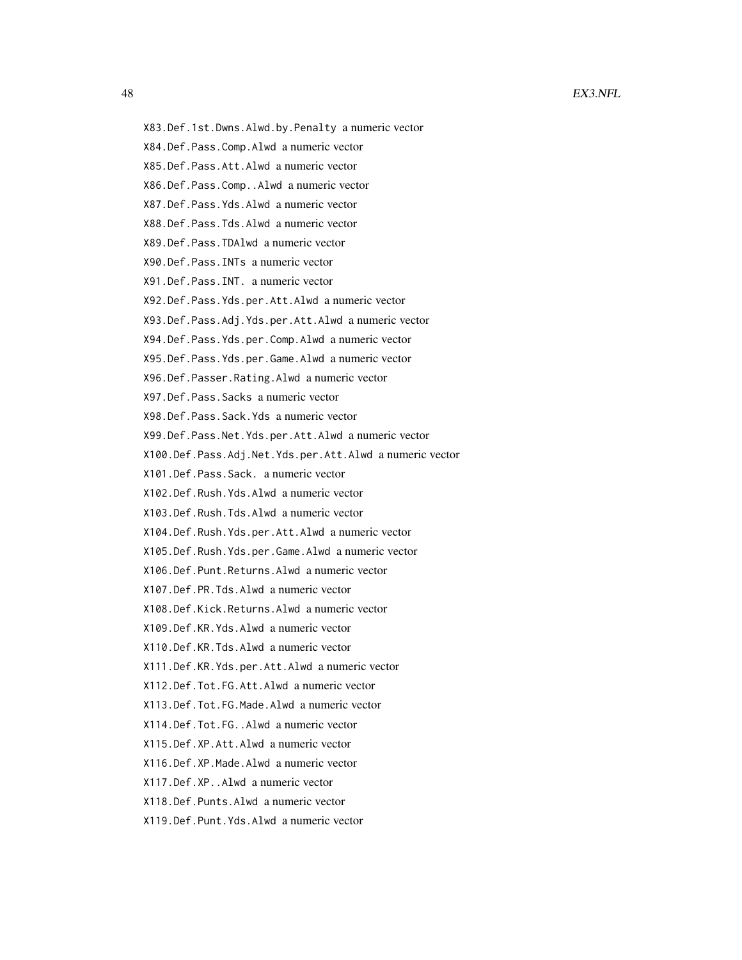- X83.Def.1st.Dwns.Alwd.by.Penalty a numeric vector
- X84.Def.Pass.Comp.Alwd a numeric vector
- X85.Def.Pass.Att.Alwd a numeric vector
- X86.Def.Pass.Comp..Alwd a numeric vector
- X87.Def.Pass.Yds.Alwd a numeric vector
- X88.Def.Pass.Tds.Alwd a numeric vector
- X89.Def.Pass.TDAlwd a numeric vector
- X90.Def.Pass.INTs a numeric vector
- X91.Def.Pass.INT. a numeric vector
- X92.Def.Pass.Yds.per.Att.Alwd a numeric vector
- X93.Def.Pass.Adj.Yds.per.Att.Alwd a numeric vector
- X94.Def.Pass.Yds.per.Comp.Alwd a numeric vector
- X95.Def.Pass.Yds.per.Game.Alwd a numeric vector
- X96.Def.Passer.Rating.Alwd a numeric vector
- X97.Def.Pass.Sacks a numeric vector
- X98.Def.Pass.Sack.Yds a numeric vector
- X99.Def.Pass.Net.Yds.per.Att.Alwd a numeric vector
- X100.Def.Pass.Adj.Net.Yds.per.Att.Alwd a numeric vector
- X101.Def.Pass.Sack. a numeric vector
- X102.Def.Rush.Yds.Alwd a numeric vector
- X103.Def.Rush.Tds.Alwd a numeric vector
- X104.Def.Rush.Yds.per.Att.Alwd a numeric vector
- X105.Def.Rush.Yds.per.Game.Alwd a numeric vector
- X106.Def.Punt.Returns.Alwd a numeric vector
- X107.Def.PR.Tds.Alwd a numeric vector
- X108.Def.Kick.Returns.Alwd a numeric vector
- X109.Def.KR.Yds.Alwd a numeric vector
- X110.Def.KR.Tds.Alwd a numeric vector
- X111.Def.KR.Yds.per.Att.Alwd a numeric vector
- X112.Def.Tot.FG.Att.Alwd a numeric vector
- X113.Def.Tot.FG.Made.Alwd a numeric vector
- X114.Def.Tot.FG..Alwd a numeric vector
- X115.Def.XP.Att.Alwd a numeric vector
- X116.Def.XP.Made.Alwd a numeric vector
- X117.Def.XP..Alwd a numeric vector
- X118.Def.Punts.Alwd a numeric vector
- X119.Def.Punt.Yds.Alwd a numeric vector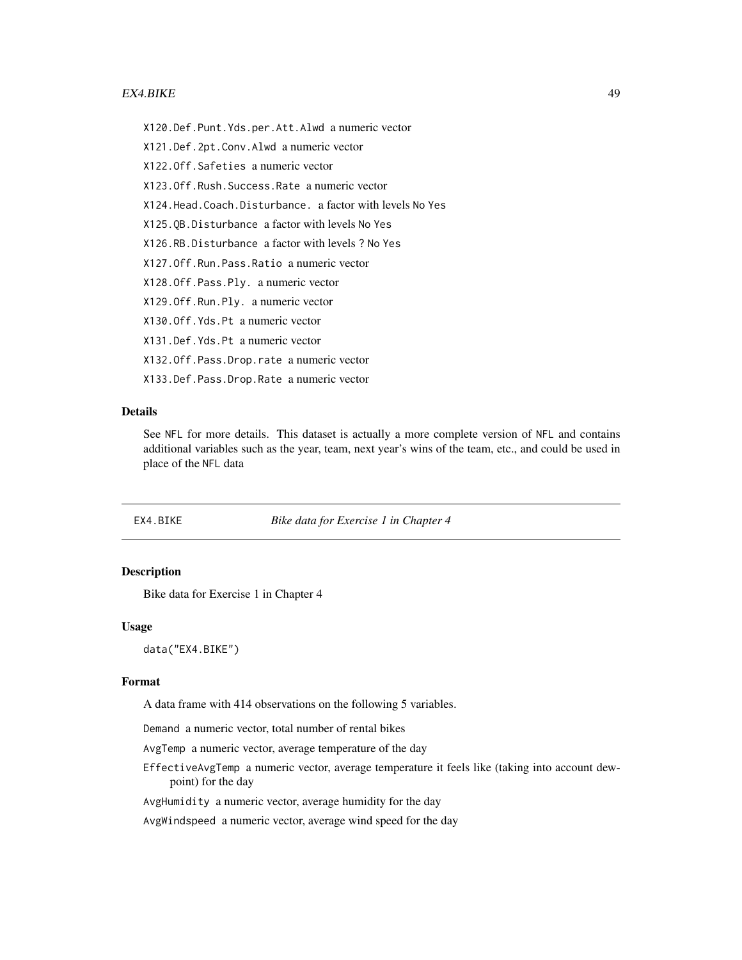#### EX4.BIKE 49

X120.Def.Punt.Yds.per.Att.Alwd a numeric vector

X121.Def.2pt.Conv.Alwd a numeric vector

X122.Off.Safeties a numeric vector

X123.Off.Rush.Success.Rate a numeric vector

X124.Head.Coach.Disturbance. a factor with levels No Yes

X125.QB.Disturbance a factor with levels No Yes

X126.RB.Disturbance a factor with levels ? No Yes

X127.Off.Run.Pass.Ratio a numeric vector

X128.Off.Pass.Ply. a numeric vector

X129.Off.Run.Ply. a numeric vector

X130.Off.Yds.Pt a numeric vector

X131.Def.Yds.Pt a numeric vector

X132.Off.Pass.Drop.rate a numeric vector

X133.Def.Pass.Drop.Rate a numeric vector

# Details

See NFL for more details. This dataset is actually a more complete version of NFL and contains additional variables such as the year, team, next year's wins of the team, etc., and could be used in place of the NFL data

EX4.BIKE *Bike data for Exercise 1 in Chapter 4*

## Description

Bike data for Exercise 1 in Chapter 4

## Usage

data("EX4.BIKE")

#### Format

A data frame with 414 observations on the following 5 variables.

Demand a numeric vector, total number of rental bikes

AvgTemp a numeric vector, average temperature of the day

EffectiveAvgTemp a numeric vector, average temperature it feels like (taking into account dewpoint) for the day

AvgHumidity a numeric vector, average humidity for the day

AvgWindspeed a numeric vector, average wind speed for the day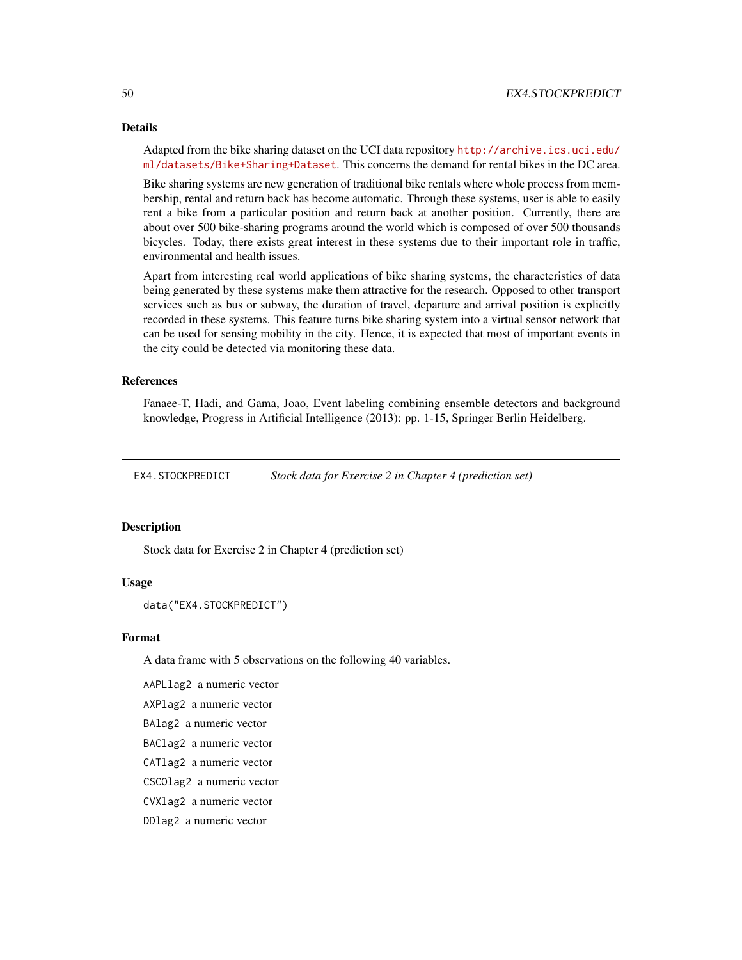## 50 EX4.STOCKPREDICT

#### Details

Adapted from the bike sharing dataset on the UCI data repository [http://archive.ics.uci.edu/](http://archive.ics.uci.edu/ml/datasets/Bike+Sharing+Dataset) [ml/datasets/Bike+Sharing+Dataset](http://archive.ics.uci.edu/ml/datasets/Bike+Sharing+Dataset). This concerns the demand for rental bikes in the DC area.

Bike sharing systems are new generation of traditional bike rentals where whole process from membership, rental and return back has become automatic. Through these systems, user is able to easily rent a bike from a particular position and return back at another position. Currently, there are about over 500 bike-sharing programs around the world which is composed of over 500 thousands bicycles. Today, there exists great interest in these systems due to their important role in traffic, environmental and health issues.

Apart from interesting real world applications of bike sharing systems, the characteristics of data being generated by these systems make them attractive for the research. Opposed to other transport services such as bus or subway, the duration of travel, departure and arrival position is explicitly recorded in these systems. This feature turns bike sharing system into a virtual sensor network that can be used for sensing mobility in the city. Hence, it is expected that most of important events in the city could be detected via monitoring these data.

## References

Fanaee-T, Hadi, and Gama, Joao, Event labeling combining ensemble detectors and background knowledge, Progress in Artificial Intelligence (2013): pp. 1-15, Springer Berlin Heidelberg.

EX4.STOCKPREDICT *Stock data for Exercise 2 in Chapter 4 (prediction set)*

## Description

Stock data for Exercise 2 in Chapter 4 (prediction set)

## Usage

```
data("EX4.STOCKPREDICT")
```
## Format

A data frame with 5 observations on the following 40 variables.

AAPLlag2 a numeric vector

AXPlag2 a numeric vector

BAlag2 a numeric vector

BAClag2 a numeric vector

CATlag2 a numeric vector

CSCOlag2 a numeric vector

CVXlag2 a numeric vector

DDlag2 a numeric vector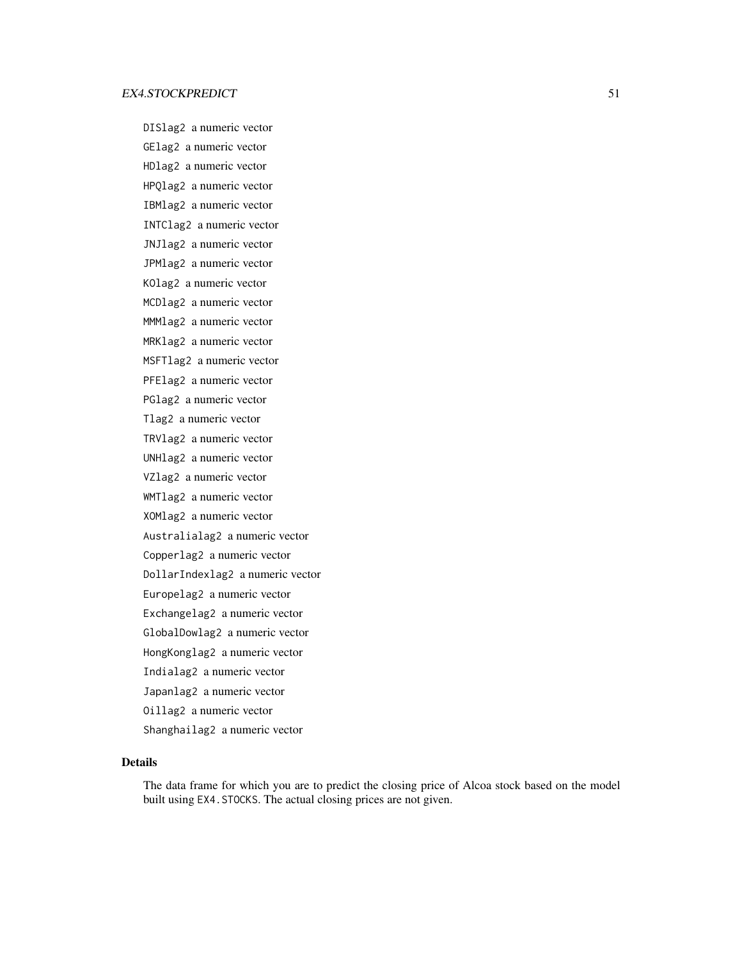DISlag2 a numeric vector GElag2 a numeric vector HDlag2 a numeric vector HPQlag2 a numeric vector IBMlag2 a numeric vector INTClag2 a numeric vector JNJlag2 a numeric vector JPMlag2 a numeric vector KOlag2 a numeric vector MCDlag2 a numeric vector MMMlag2 a numeric vector MRKlag2 a numeric vector MSFTlag2 a numeric vector PFElag2 a numeric vector PGlag2 a numeric vector Tlag2 a numeric vector TRVlag2 a numeric vector UNHlag2 a numeric vector VZlag2 a numeric vector WMTlag2 a numeric vector XOMlag2 a numeric vector Australialag2 a numeric vector Copperlag2 a numeric vector DollarIndexlag2 a numeric vector Europelag2 a numeric vector Exchangelag2 a numeric vector GlobalDowlag2 a numeric vector HongKonglag2 a numeric vector Indialag2 a numeric vector Japanlag2 a numeric vector Oillag2 a numeric vector Shanghailag2 a numeric vector

## Details

The data frame for which you are to predict the closing price of Alcoa stock based on the model built using EX4.STOCKS. The actual closing prices are not given.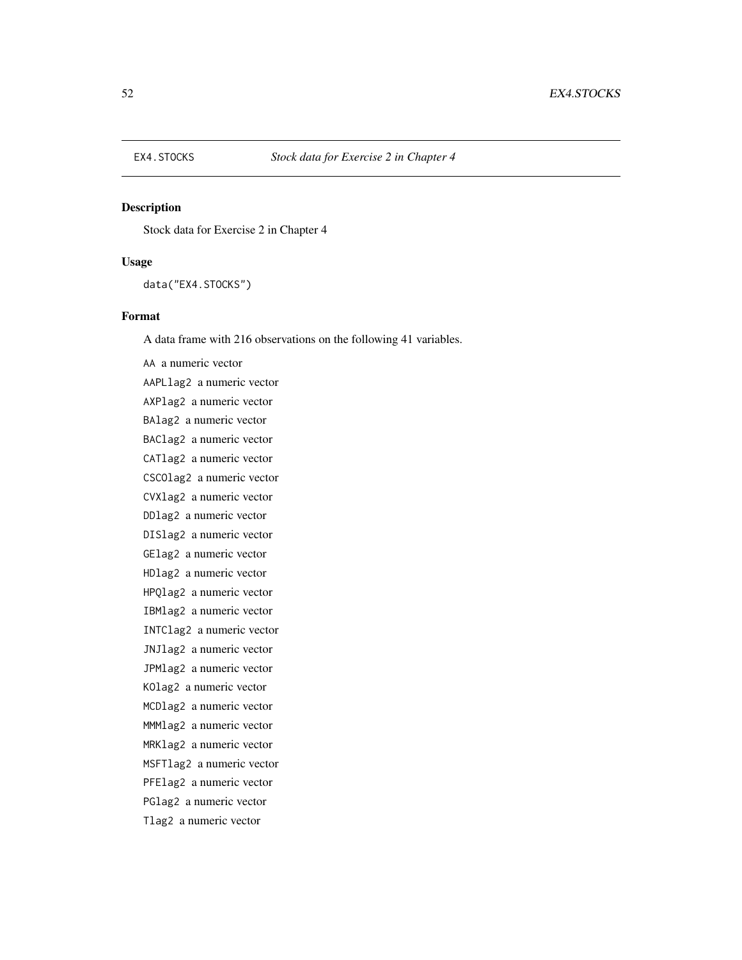Stock data for Exercise 2 in Chapter 4

## Usage

data("EX4.STOCKS")

# Format

A data frame with 216 observations on the following 41 variables.

AA a numeric vector AAPLlag2 a numeric vector AXPlag2 a numeric vector BAlag2 a numeric vector BAClag2 a numeric vector CATlag2 a numeric vector CSCOlag2 a numeric vector CVXlag2 a numeric vector DDlag2 a numeric vector DISlag2 a numeric vector GElag2 a numeric vector HDlag2 a numeric vector HPQlag2 a numeric vector IBMlag2 a numeric vector INTClag2 a numeric vector JNJlag2 a numeric vector JPMlag2 a numeric vector KOlag2 a numeric vector MCDlag2 a numeric vector MMMlag2 a numeric vector MRKlag2 a numeric vector MSFTlag2 a numeric vector PFElag2 a numeric vector PGlag2 a numeric vector Tlag2 a numeric vector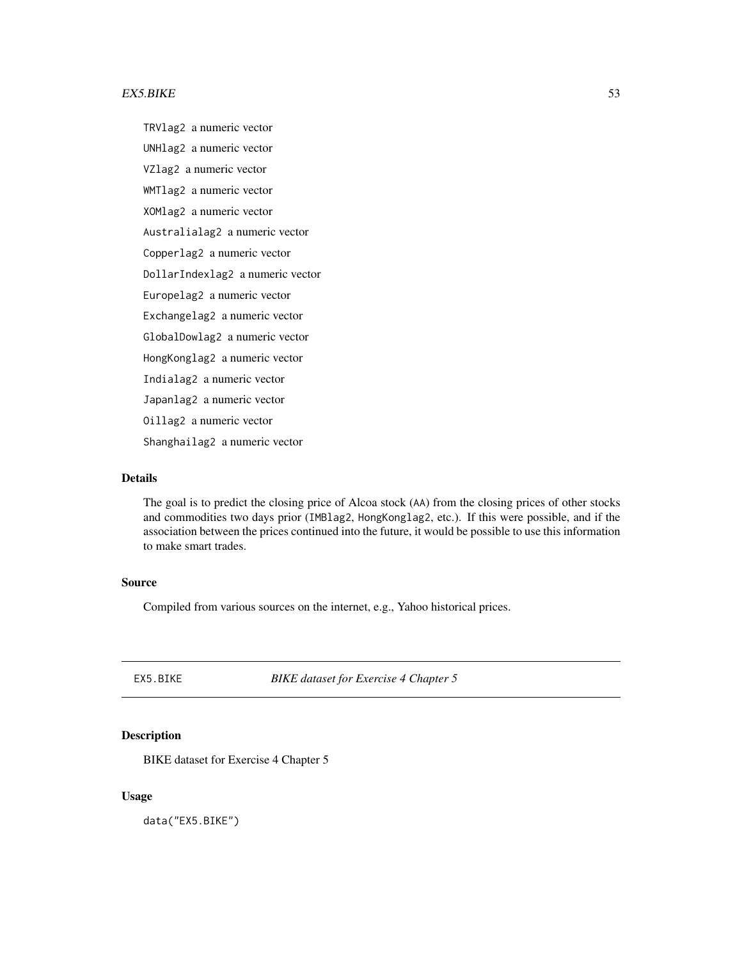#### $EX5.BIKE$  53

TRVlag2 a numeric vector UNHlag2 a numeric vector VZlag2 a numeric vector WMTlag2 a numeric vector XOMlag2 a numeric vector Australialag2 a numeric vector Copperlag2 a numeric vector DollarIndexlag2 a numeric vector Europelag2 a numeric vector Exchangelag2 a numeric vector GlobalDowlag2 a numeric vector HongKonglag2 a numeric vector Indialag2 a numeric vector Japanlag2 a numeric vector Oillag2 a numeric vector Shanghailag2 a numeric vector

## Details

The goal is to predict the closing price of Alcoa stock (AA) from the closing prices of other stocks and commodities two days prior (IMBlag2, HongKonglag2, etc.). If this were possible, and if the association between the prices continued into the future, it would be possible to use this information to make smart trades.

## Source

Compiled from various sources on the internet, e.g., Yahoo historical prices.

EX5.BIKE *BIKE dataset for Exercise 4 Chapter 5*

# Description

BIKE dataset for Exercise 4 Chapter 5

## Usage

data("EX5.BIKE")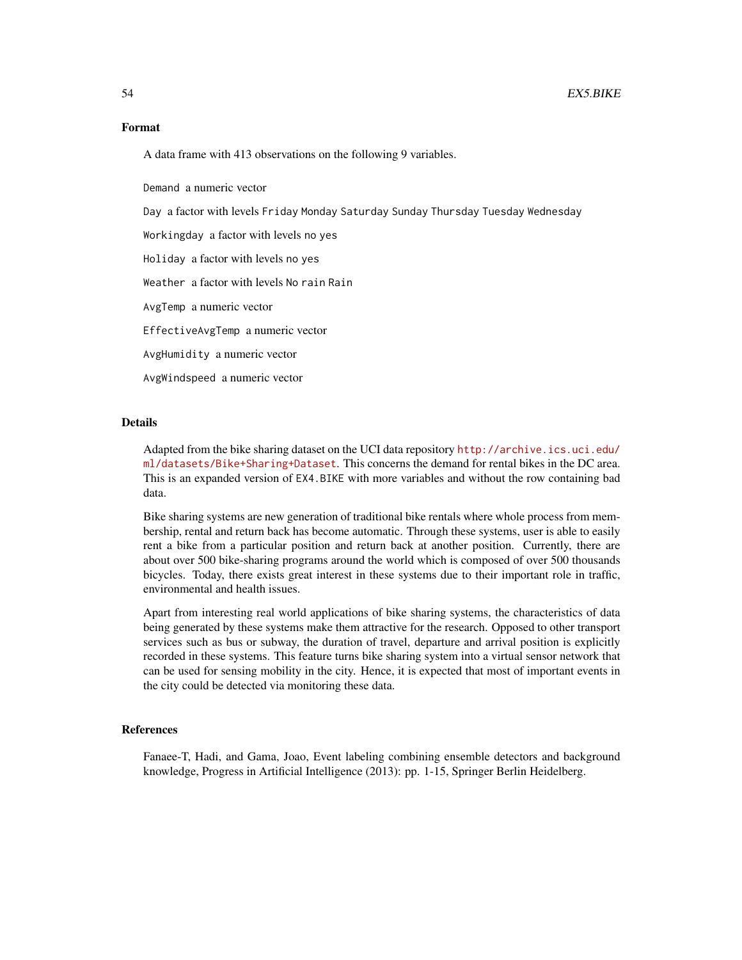## Format

A data frame with 413 observations on the following 9 variables.

Demand a numeric vector

Day a factor with levels Friday Monday Saturday Sunday Thursday Tuesday Wednesday

Workingday a factor with levels no yes

Holiday a factor with levels no yes

Weather a factor with levels No rain Rain

AvgTemp a numeric vector

EffectiveAvgTemp a numeric vector

AvgHumidity a numeric vector

AvgWindspeed a numeric vector

#### Details

Adapted from the bike sharing dataset on the UCI data repository [http://archive.ics.uci.edu/](http://archive.ics.uci.edu/ml/datasets/Bike+Sharing+Dataset) [ml/datasets/Bike+Sharing+Dataset](http://archive.ics.uci.edu/ml/datasets/Bike+Sharing+Dataset). This concerns the demand for rental bikes in the DC area. This is an expanded version of EX4.BIKE with more variables and without the row containing bad data.

Bike sharing systems are new generation of traditional bike rentals where whole process from membership, rental and return back has become automatic. Through these systems, user is able to easily rent a bike from a particular position and return back at another position. Currently, there are about over 500 bike-sharing programs around the world which is composed of over 500 thousands bicycles. Today, there exists great interest in these systems due to their important role in traffic, environmental and health issues.

Apart from interesting real world applications of bike sharing systems, the characteristics of data being generated by these systems make them attractive for the research. Opposed to other transport services such as bus or subway, the duration of travel, departure and arrival position is explicitly recorded in these systems. This feature turns bike sharing system into a virtual sensor network that can be used for sensing mobility in the city. Hence, it is expected that most of important events in the city could be detected via monitoring these data.

## References

Fanaee-T, Hadi, and Gama, Joao, Event labeling combining ensemble detectors and background knowledge, Progress in Artificial Intelligence (2013): pp. 1-15, Springer Berlin Heidelberg.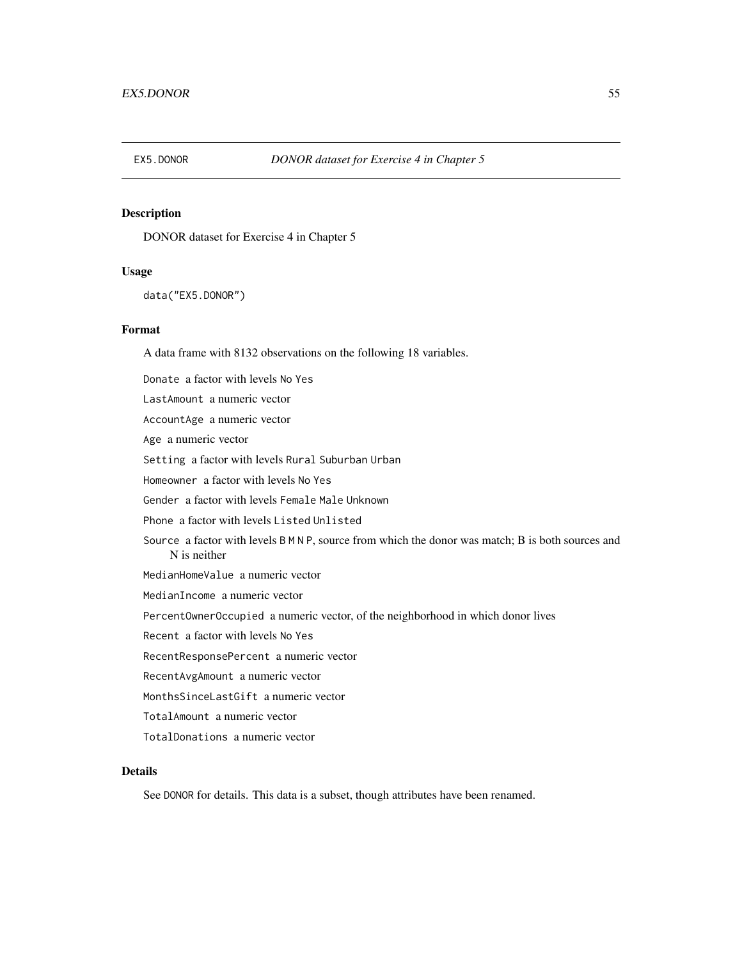DONOR dataset for Exercise 4 in Chapter 5

#### Usage

```
data("EX5.DONOR")
```
#### Format

A data frame with 8132 observations on the following 18 variables.

Donate a factor with levels No Yes LastAmount a numeric vector AccountAge a numeric vector Age a numeric vector Setting a factor with levels Rural Suburban Urban Homeowner a factor with levels No Yes Gender a factor with levels Female Male Unknown Phone a factor with levels Listed Unlisted Source a factor with levels B M N P, source from which the donor was match; B is both sources and N is neither MedianHomeValue a numeric vector MedianIncome a numeric vector PercentOwnerOccupied a numeric vector, of the neighborhood in which donor lives Recent a factor with levels No Yes RecentResponsePercent a numeric vector RecentAvgAmount a numeric vector MonthsSinceLastGift a numeric vector TotalAmount a numeric vector

TotalDonations a numeric vector

## Details

See DONOR for details. This data is a subset, though attributes have been renamed.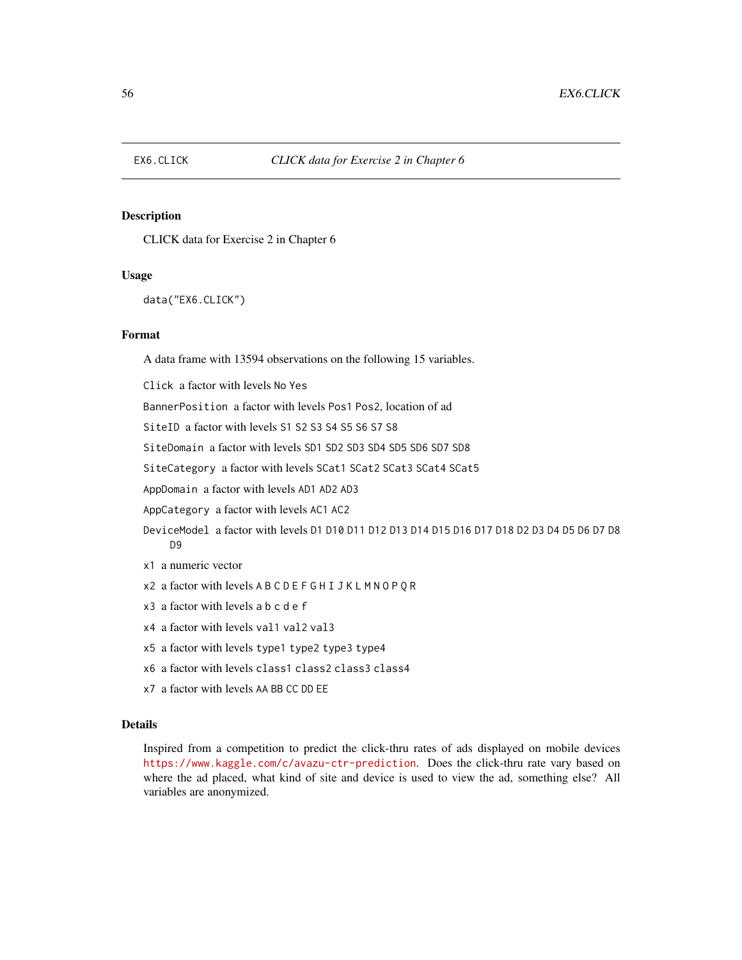CLICK data for Exercise 2 in Chapter 6

## Usage

data("EX6.CLICK")

## Format

A data frame with 13594 observations on the following 15 variables.

Click a factor with levels No Yes

BannerPosition a factor with levels Pos1 Pos2, location of ad

SiteID a factor with levels S1 S2 S3 S4 S5 S6 S7 S8

SiteDomain a factor with levels SD1 SD2 SD3 SD4 SD5 SD6 SD7 SD8

SiteCategory a factor with levels SCat1 SCat2 SCat3 SCat4 SCat5

AppDomain a factor with levels AD1 AD2 AD3

AppCategory a factor with levels AC1 AC2

- DeviceModel a factor with levels D1 D10 D11 D12 D13 D14 D15 D16 D17 D18 D2 D3 D4 D5 D6 D7 D8 D9
- x1 a numeric vector
- x2 a factor with levels A B C D E F G H I J K L M N O P Q R
- x3 a factor with levels a b c d e f
- x4 a factor with levels val1 val2 val3
- x5 a factor with levels type1 type2 type3 type4
- x6 a factor with levels class1 class2 class3 class4
- x7 a factor with levels AA BB CC DD EE

## Details

Inspired from a competition to predict the click-thru rates of ads displayed on mobile devices <https://www.kaggle.com/c/avazu-ctr-prediction>. Does the click-thru rate vary based on where the ad placed, what kind of site and device is used to view the ad, something else? All variables are anonymized.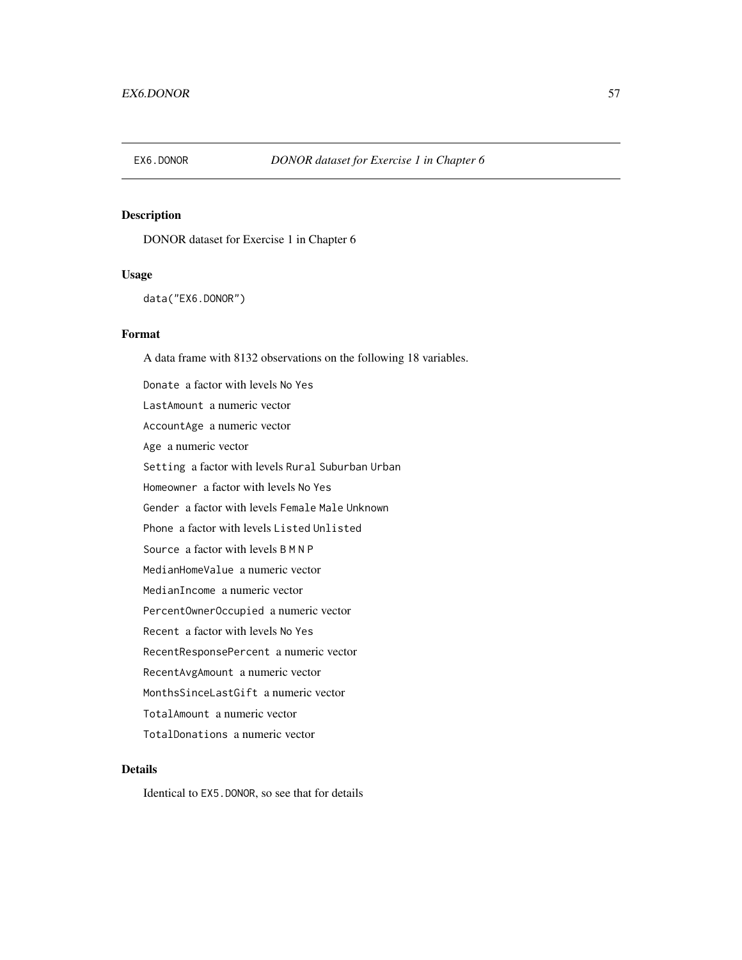DONOR dataset for Exercise 1 in Chapter 6

## Usage

data("EX6.DONOR")

## Format

A data frame with 8132 observations on the following 18 variables. Donate a factor with levels No Yes LastAmount a numeric vector AccountAge a numeric vector Age a numeric vector Setting a factor with levels Rural Suburban Urban Homeowner a factor with levels No Yes Gender a factor with levels Female Male Unknown Phone a factor with levels Listed Unlisted Source a factor with levels B M N P MedianHomeValue a numeric vector MedianIncome a numeric vector PercentOwnerOccupied a numeric vector Recent a factor with levels No Yes RecentResponsePercent a numeric vector RecentAvgAmount a numeric vector MonthsSinceLastGift a numeric vector TotalAmount a numeric vector TotalDonations a numeric vector

# Details

Identical to EX5.DONOR, so see that for details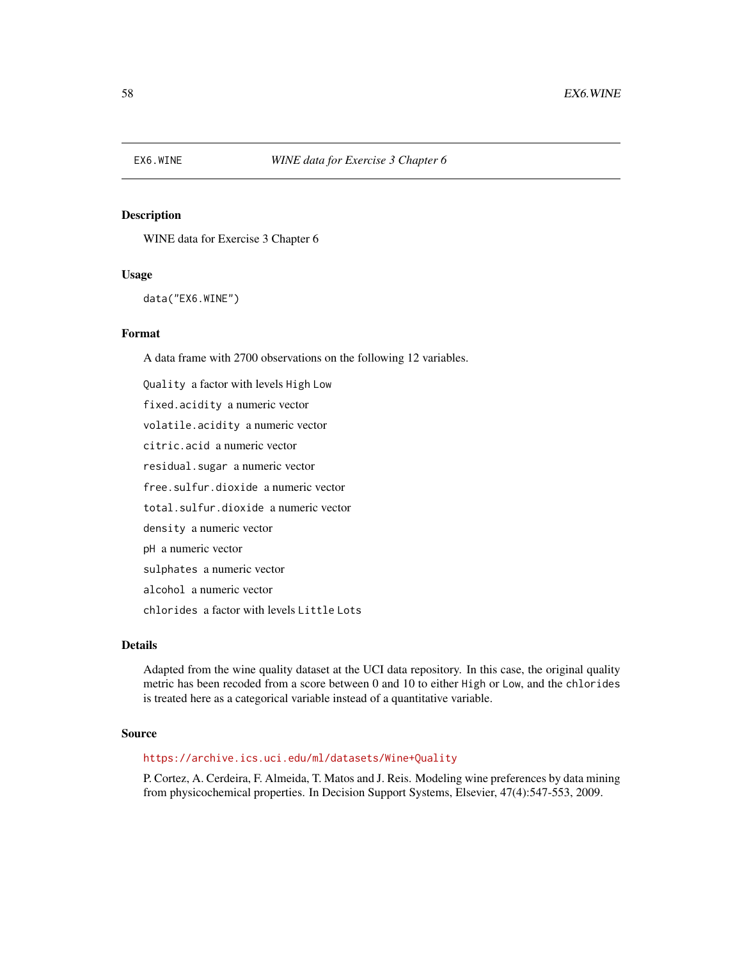WINE data for Exercise 3 Chapter 6

## Usage

data("EX6.WINE")

## Format

A data frame with 2700 observations on the following 12 variables.

Quality a factor with levels High Low fixed.acidity a numeric vector volatile.acidity a numeric vector citric.acid a numeric vector residual.sugar a numeric vector free.sulfur.dioxide a numeric vector total.sulfur.dioxide a numeric vector density a numeric vector pH a numeric vector sulphates a numeric vector alcohol a numeric vector chlorides a factor with levels Little Lots

# Details

Adapted from the wine quality dataset at the UCI data repository. In this case, the original quality metric has been recoded from a score between 0 and 10 to either High or Low, and the chlorides is treated here as a categorical variable instead of a quantitative variable.

## Source

#### <https://archive.ics.uci.edu/ml/datasets/Wine+Quality>

P. Cortez, A. Cerdeira, F. Almeida, T. Matos and J. Reis. Modeling wine preferences by data mining from physicochemical properties. In Decision Support Systems, Elsevier, 47(4):547-553, 2009.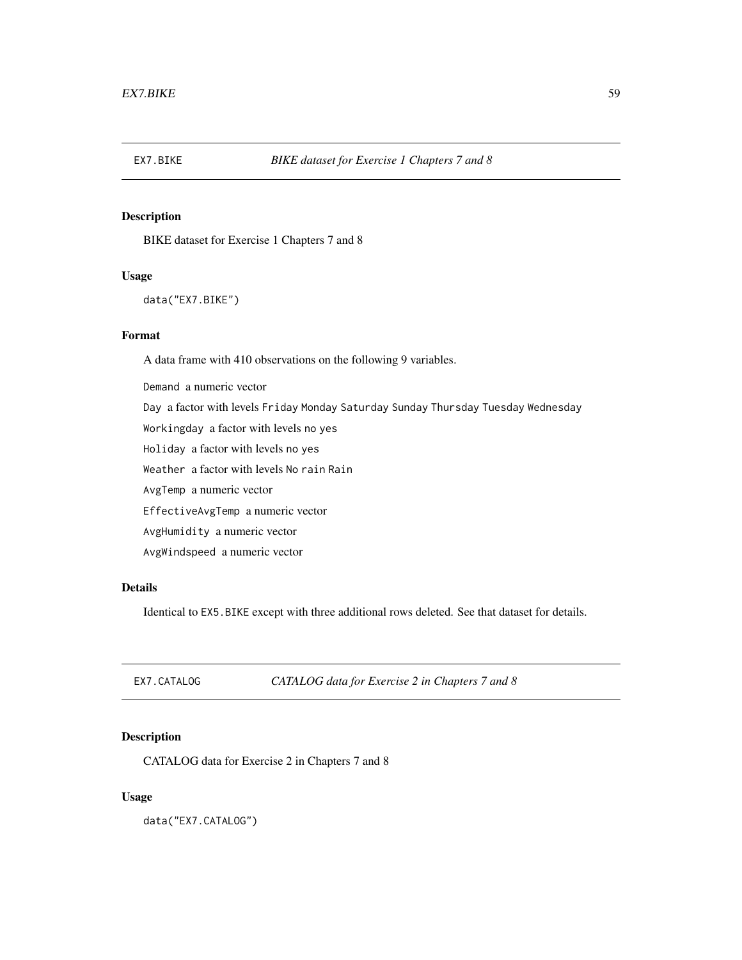BIKE dataset for Exercise 1 Chapters 7 and 8

## Usage

data("EX7.BIKE")

# Format

A data frame with 410 observations on the following 9 variables.

Demand a numeric vector Day a factor with levels Friday Monday Saturday Sunday Thursday Tuesday Wednesday Workingday a factor with levels no yes Holiday a factor with levels no yes Weather a factor with levels No rain Rain AvgTemp a numeric vector EffectiveAvgTemp a numeric vector AvgHumidity a numeric vector AvgWindspeed a numeric vector

# Details

Identical to EX5.BIKE except with three additional rows deleted. See that dataset for details.

EX7.CATALOG *CATALOG data for Exercise 2 in Chapters 7 and 8*

# Description

CATALOG data for Exercise 2 in Chapters 7 and 8

## Usage

data("EX7.CATALOG")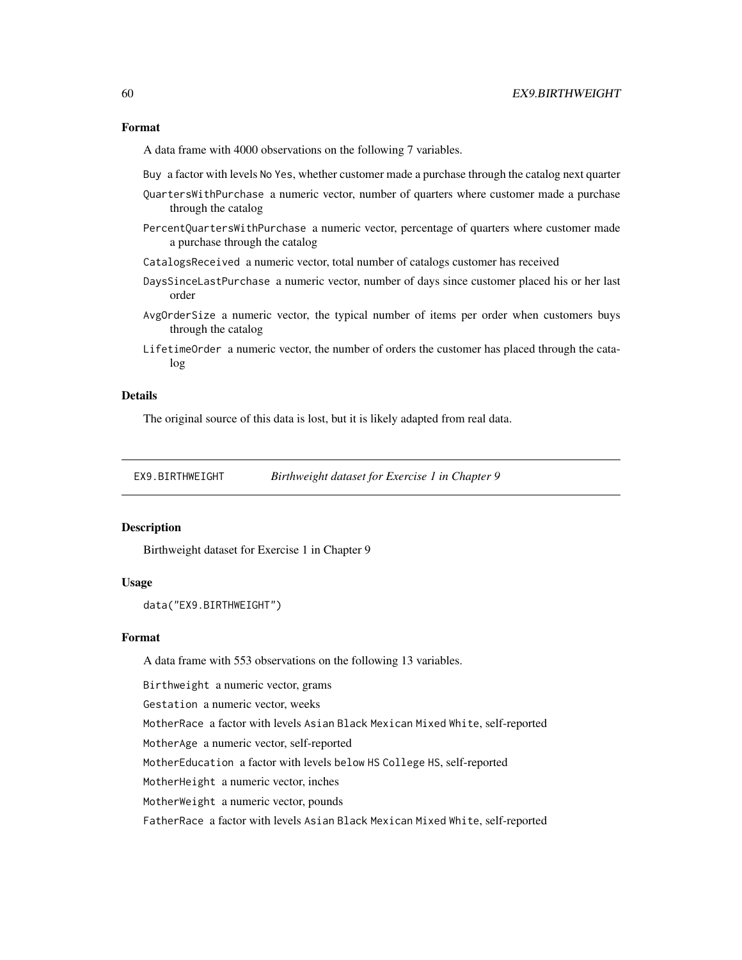## Format

A data frame with 4000 observations on the following 7 variables.

Buy a factor with levels No Yes, whether customer made a purchase through the catalog next quarter

- QuartersWithPurchase a numeric vector, number of quarters where customer made a purchase through the catalog
- PercentQuartersWithPurchase a numeric vector, percentage of quarters where customer made a purchase through the catalog
- CatalogsReceived a numeric vector, total number of catalogs customer has received
- DaysSinceLastPurchase a numeric vector, number of days since customer placed his or her last order
- AvgOrderSize a numeric vector, the typical number of items per order when customers buys through the catalog
- LifetimeOrder a numeric vector, the number of orders the customer has placed through the catalog

# Details

The original source of this data is lost, but it is likely adapted from real data.

EX9.BIRTHWEIGHT *Birthweight dataset for Exercise 1 in Chapter 9*

## Description

Birthweight dataset for Exercise 1 in Chapter 9

## Usage

```
data("EX9.BIRTHWEIGHT")
```
## Format

A data frame with 553 observations on the following 13 variables.

Birthweight a numeric vector, grams

Gestation a numeric vector, weeks

MotherRace a factor with levels Asian Black Mexican Mixed White, self-reported

MotherAge a numeric vector, self-reported

MotherEducation a factor with levels below HS College HS, self-reported

MotherHeight a numeric vector, inches

MotherWeight a numeric vector, pounds

FatherRace a factor with levels Asian Black Mexican Mixed White, self-reported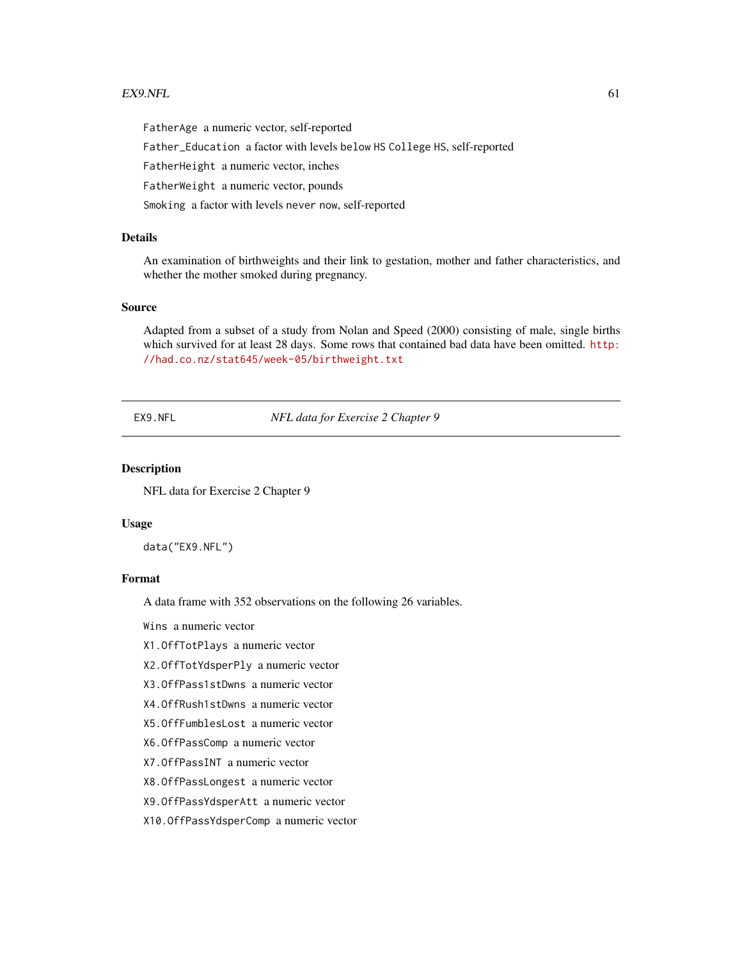#### $EX9.$ NFL 61

FatherAge a numeric vector, self-reported

Father\_Education a factor with levels below HS College HS, self-reported

FatherHeight a numeric vector, inches

FatherWeight a numeric vector, pounds

Smoking a factor with levels never now, self-reported

# Details

An examination of birthweights and their link to gestation, mother and father characteristics, and whether the mother smoked during pregnancy.

# Source

Adapted from a subset of a study from Nolan and Speed (2000) consisting of male, single births which survived for at least 28 days. Some rows that contained bad data have been omitted. [http:](http://had.co.nz/stat645/week-05/birthweight.txt) [//had.co.nz/stat645/week-05/birthweight.txt](http://had.co.nz/stat645/week-05/birthweight.txt)

EX9.NFL *NFL data for Exercise 2 Chapter 9*

## Description

NFL data for Exercise 2 Chapter 9

#### Usage

data("EX9.NFL")

#### Format

A data frame with 352 observations on the following 26 variables.

Wins a numeric vector

X1.OffTotPlays a numeric vector

X2.OffTotYdsperPly a numeric vector

X3.OffPass1stDwns a numeric vector

X4.OffRush1stDwns a numeric vector

X5.OffFumblesLost a numeric vector

X6.OffPassComp a numeric vector

X7.OffPassINT a numeric vector

X8.OffPassLongest a numeric vector

X9.OffPassYdsperAtt a numeric vector

X10.OffPassYdsperComp a numeric vector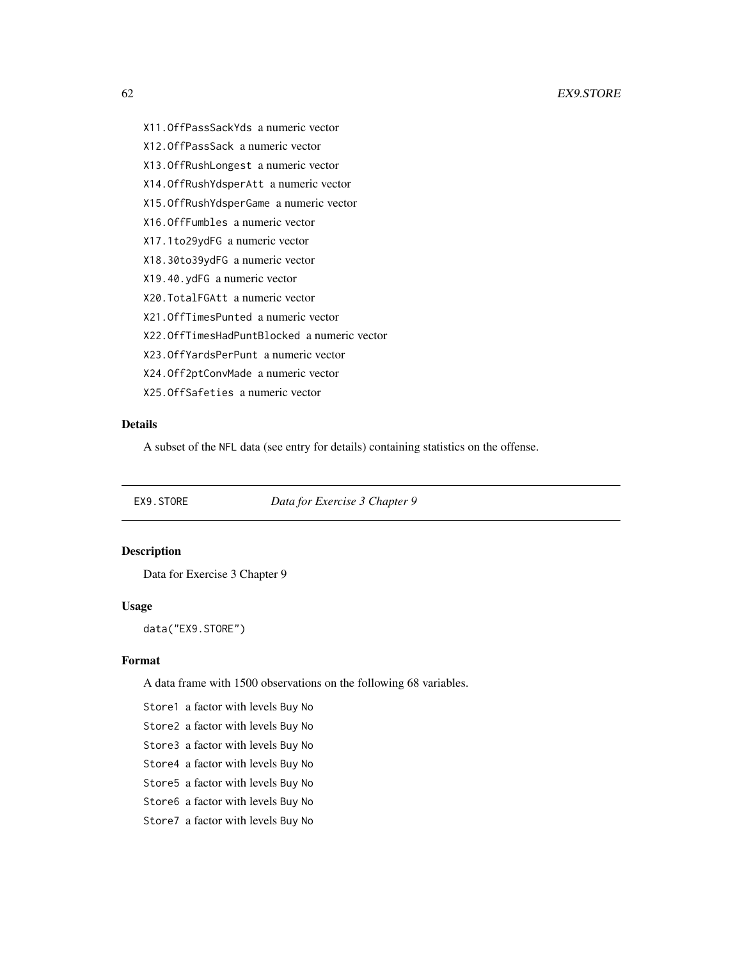- X11.OffPassSackYds a numeric vector
- X12.OffPassSack a numeric vector
- X13.OffRushLongest a numeric vector
- X14.OffRushYdsperAtt a numeric vector
- X15.OffRushYdsperGame a numeric vector
- X16.OffFumbles a numeric vector
- X17.1to29ydFG a numeric vector
- X18.30to39ydFG a numeric vector
- X19.40.ydFG a numeric vector
- X20.TotalFGAtt a numeric vector
- X21.OffTimesPunted a numeric vector
- X22.OffTimesHadPuntBlocked a numeric vector
- X23.OffYardsPerPunt a numeric vector
- X24.Off2ptConvMade a numeric vector
- X25.OffSafeties a numeric vector

# Details

A subset of the NFL data (see entry for details) containing statistics on the offense.

EX9.STORE *Data for Exercise 3 Chapter 9*

# Description

Data for Exercise 3 Chapter 9

# Usage

data("EX9.STORE")

# Format

A data frame with 1500 observations on the following 68 variables.

Store1 a factor with levels Buy No

Store2 a factor with levels Buy No

- Store3 a factor with levels Buy No
- Store4 a factor with levels Buy No
- Store5 a factor with levels Buy No
- Store6 a factor with levels Buy No
- Store7 a factor with levels Buy No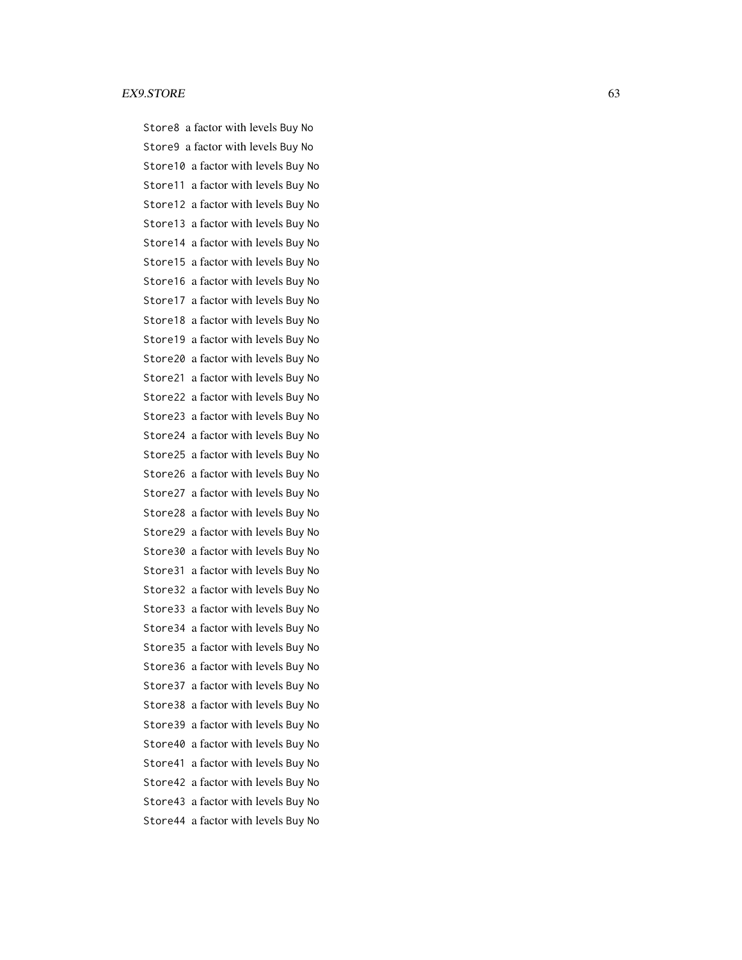#### EX9.STORE 63

Store8 a factor with levels Buy No Store9 a factor with levels Buy No Store10 a factor with levels Buy No Store11 a factor with levels Buy No Store12 a factor with levels Buy No Store13 a factor with levels Buy No Store14 a factor with levels Buy No Store15 a factor with levels Buy No Store16 a factor with levels Buy No Store17 a factor with levels Buy No Store18 a factor with levels Buy No Store19 a factor with levels Buy No Store20 a factor with levels Buy No Store21 a factor with levels Buy No Store22 a factor with levels Buy No Store23 a factor with levels Buy No Store24 a factor with levels Buy No Store25 a factor with levels Buy No Store26 a factor with levels Buy No Store27 a factor with levels Buy No Store28 a factor with levels Buy No Store29 a factor with levels Buy No Store30 a factor with levels Buy No Store31 a factor with levels Buy No Store32 a factor with levels Buy No Store33 a factor with levels Buy No Store34 a factor with levels Buy No Store35 a factor with levels Buy No Store36 a factor with levels Buy No Store37 a factor with levels Buy No Store38 a factor with levels Buy No Store39 a factor with levels Buy No Store40 a factor with levels Buy No Store41 a factor with levels Buy No Store42 a factor with levels Buy No Store43 a factor with levels Buy No Store44 a factor with levels Buy No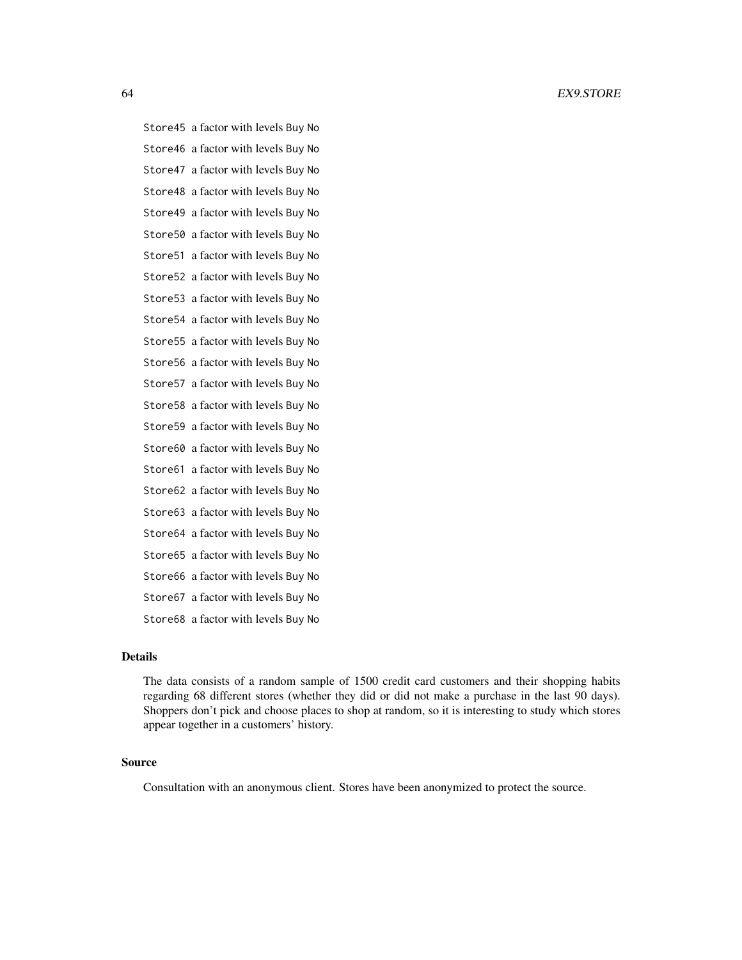Store45 a factor with levels Buy No Store46 a factor with levels Buy No Store47 a factor with levels Buy No Store48 a factor with levels Buy No Store49 a factor with levels Buy No Store50 a factor with levels Buy No Store51 a factor with levels Buy No Store52 a factor with levels Buy No Store53 a factor with levels Buy No Store54 a factor with levels Buy No Store55 a factor with levels Buy No Store56 a factor with levels Buy No Store57 a factor with levels Buy No Store58 a factor with levels Buy No Store59 a factor with levels Buy No Store60 a factor with levels Buy No Store61 a factor with levels Buy No Store62 a factor with levels Buy No Store63 a factor with levels Buy No Store64 a factor with levels Buy No Store65 a factor with levels Buy No Store66 a factor with levels Buy No Store67 a factor with levels Buy No Store68 a factor with levels Buy No

## Details

The data consists of a random sample of 1500 credit card customers and their shopping habits regarding 68 different stores (whether they did or did not make a purchase in the last 90 days). Shoppers don't pick and choose places to shop at random, so it is interesting to study which stores appear together in a customers' history.

## Source

Consultation with an anonymous client. Stores have been anonymized to protect the source.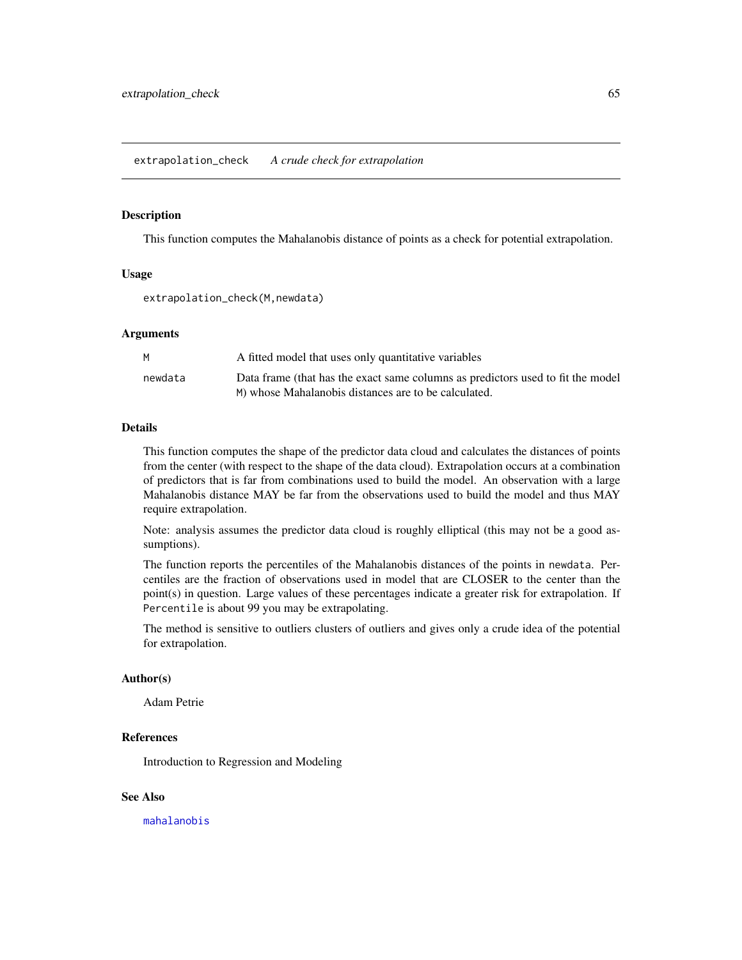This function computes the Mahalanobis distance of points as a check for potential extrapolation.

## Usage

extrapolation\_check(M,newdata)

## Arguments

| A fitted model that uses only quantitative variables                                                                                    |
|-----------------------------------------------------------------------------------------------------------------------------------------|
| Data frame (that has the exact same columns as predictors used to fit the model<br>M) whose Mahalanobis distances are to be calculated. |
|                                                                                                                                         |

## Details

This function computes the shape of the predictor data cloud and calculates the distances of points from the center (with respect to the shape of the data cloud). Extrapolation occurs at a combination of predictors that is far from combinations used to build the model. An observation with a large Mahalanobis distance MAY be far from the observations used to build the model and thus MAY require extrapolation.

Note: analysis assumes the predictor data cloud is roughly elliptical (this may not be a good assumptions).

The function reports the percentiles of the Mahalanobis distances of the points in newdata. Percentiles are the fraction of observations used in model that are CLOSER to the center than the point(s) in question. Large values of these percentages indicate a greater risk for extrapolation. If Percentile is about 99 you may be extrapolating.

The method is sensitive to outliers clusters of outliers and gives only a crude idea of the potential for extrapolation.

## Author(s)

Adam Petrie

## References

Introduction to Regression and Modeling

## See Also

[mahalanobis](#page-0-0)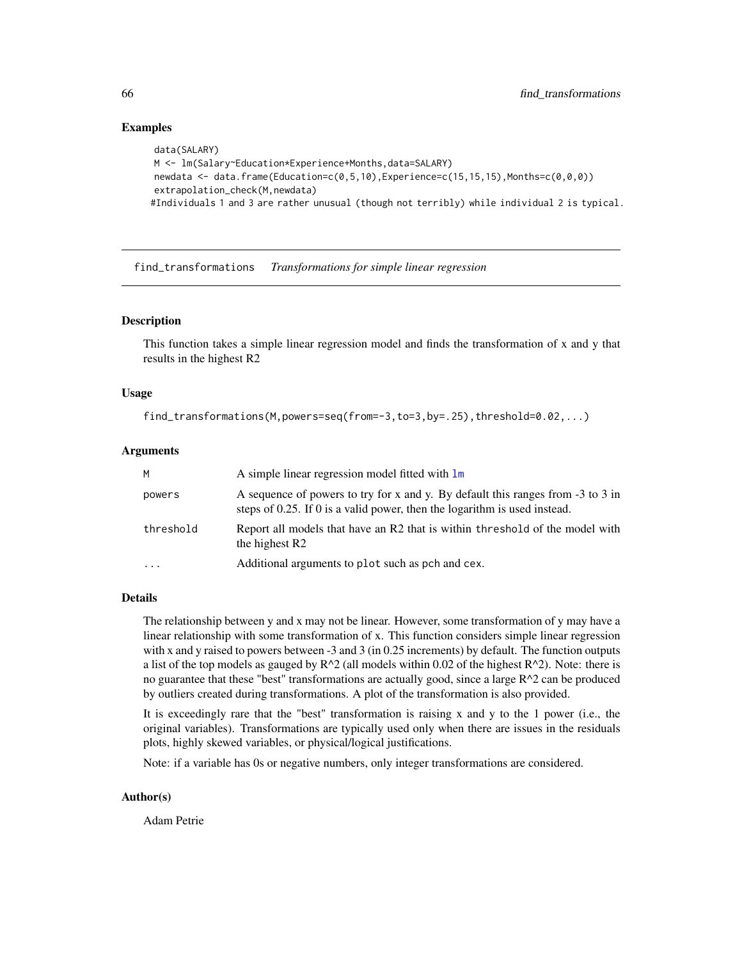## Examples

```
data(SALARY)
M <- lm(Salary~Education*Experience+Months,data=SALARY)
newdata <- data.frame(Education=c(0,5,10),Experience=c(15,15,15),Months=c(0,0,0))
extrapolation_check(M,newdata)
#Individuals 1 and 3 are rather unusual (though not terribly) while individual 2 is typical.
```
find\_transformations *Transformations for simple linear regression*

# **Description**

This function takes a simple linear regression model and finds the transformation of x and y that results in the highest R2

## Usage

```
find_transformations(M,powers=seq(from=-3,to=3,by=.25),threshold=0.02,...)
```
## Arguments

| M         | A simple linear regression model fitted with $\text{Im}$                                                                                                     |
|-----------|--------------------------------------------------------------------------------------------------------------------------------------------------------------|
| powers    | A sequence of powers to try for x and y. By default this ranges from -3 to 3 in<br>steps of 0.25. If 0 is a valid power, then the logarithm is used instead. |
| threshold | Report all models that have an R2 that is within threshold of the model with<br>the highest R <sub>2</sub>                                                   |
| $\cdots$  | Additional arguments to plot such as pch and cex.                                                                                                            |

## Details

The relationship between y and x may not be linear. However, some transformation of y may have a linear relationship with some transformation of x. This function considers simple linear regression with x and y raised to powers between -3 and 3 (in 0.25 increments) by default. The function outputs a list of the top models as gauged by  $R^2$  (all models within 0.02 of the highest  $R^2$ ). Note: there is no guarantee that these "best" transformations are actually good, since a large R^2 can be produced by outliers created during transformations. A plot of the transformation is also provided.

It is exceedingly rare that the "best" transformation is raising x and y to the 1 power (i.e., the original variables). Transformations are typically used only when there are issues in the residuals plots, highly skewed variables, or physical/logical justifications.

Note: if a variable has 0s or negative numbers, only integer transformations are considered.

## Author(s)

Adam Petrie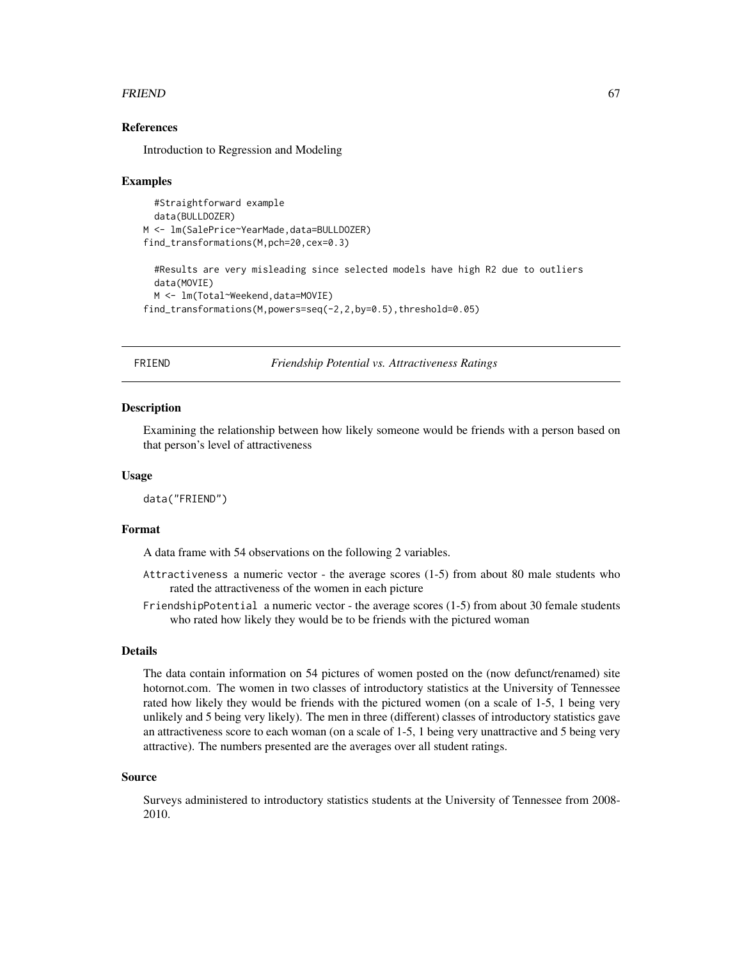#### FRIEND 67

## References

Introduction to Regression and Modeling

#### Examples

```
#Straightforward example
 data(BULLDOZER)
M <- lm(SalePrice~YearMade,data=BULLDOZER)
find_transformations(M,pch=20,cex=0.3)
 #Results are very misleading since selected models have high R2 due to outliers
 data(MOVIE)
 M <- lm(Total~Weekend,data=MOVIE)
find_transformations(M,powers=seq(-2,2,by=0.5),threshold=0.05)
```
FRIEND *Friendship Potential vs. Attractiveness Ratings*

## **Description**

Examining the relationship between how likely someone would be friends with a person based on that person's level of attractiveness

#### Usage

data("FRIEND")

## Format

A data frame with 54 observations on the following 2 variables.

- Attractiveness a numeric vector the average scores (1-5) from about 80 male students who rated the attractiveness of the women in each picture
- FriendshipPotential a numeric vector the average scores (1-5) from about 30 female students who rated how likely they would be to be friends with the pictured woman

#### Details

The data contain information on 54 pictures of women posted on the (now defunct/renamed) site hotornot.com. The women in two classes of introductory statistics at the University of Tennessee rated how likely they would be friends with the pictured women (on a scale of 1-5, 1 being very unlikely and 5 being very likely). The men in three (different) classes of introductory statistics gave an attractiveness score to each woman (on a scale of 1-5, 1 being very unattractive and 5 being very attractive). The numbers presented are the averages over all student ratings.

#### Source

Surveys administered to introductory statistics students at the University of Tennessee from 2008- 2010.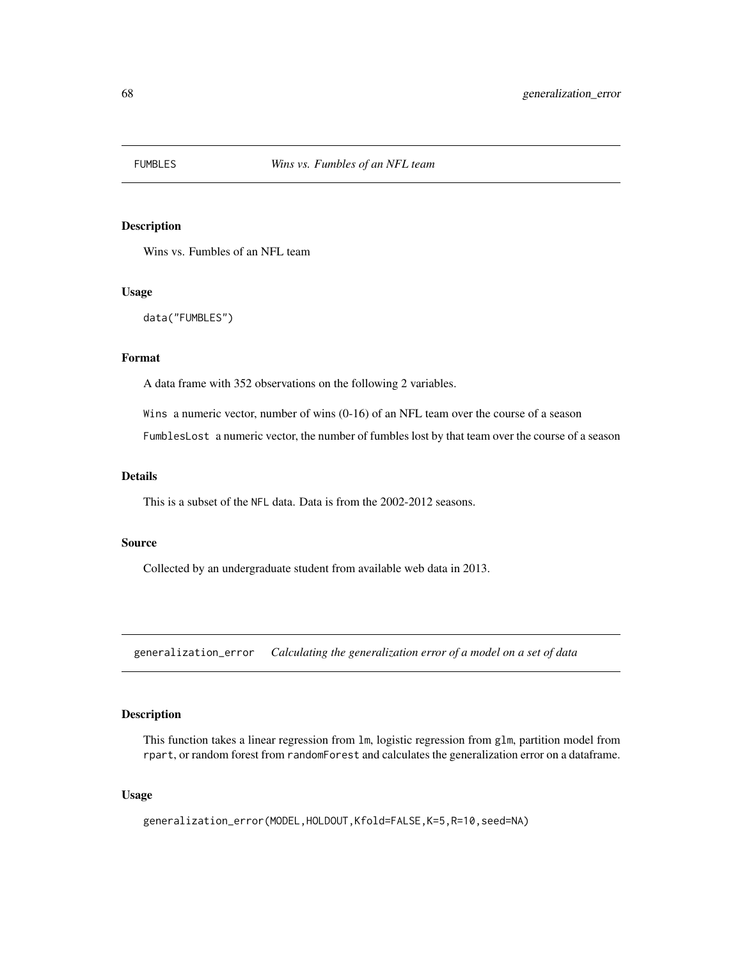Wins vs. Fumbles of an NFL team

## Usage

```
data("FUMBLES")
```
## Format

A data frame with 352 observations on the following 2 variables.

Wins a numeric vector, number of wins (0-16) of an NFL team over the course of a season

FumblesLost a numeric vector, the number of fumbles lost by that team over the course of a season

## Details

This is a subset of the NFL data. Data is from the 2002-2012 seasons.

## Source

Collected by an undergraduate student from available web data in 2013.

generalization\_error *Calculating the generalization error of a model on a set of data*

# Description

This function takes a linear regression from lm, logistic regression from glm, partition model from rpart, or random forest from randomForest and calculates the generalization error on a dataframe.

## Usage

generalization\_error(MODEL,HOLDOUT,Kfold=FALSE,K=5,R=10,seed=NA)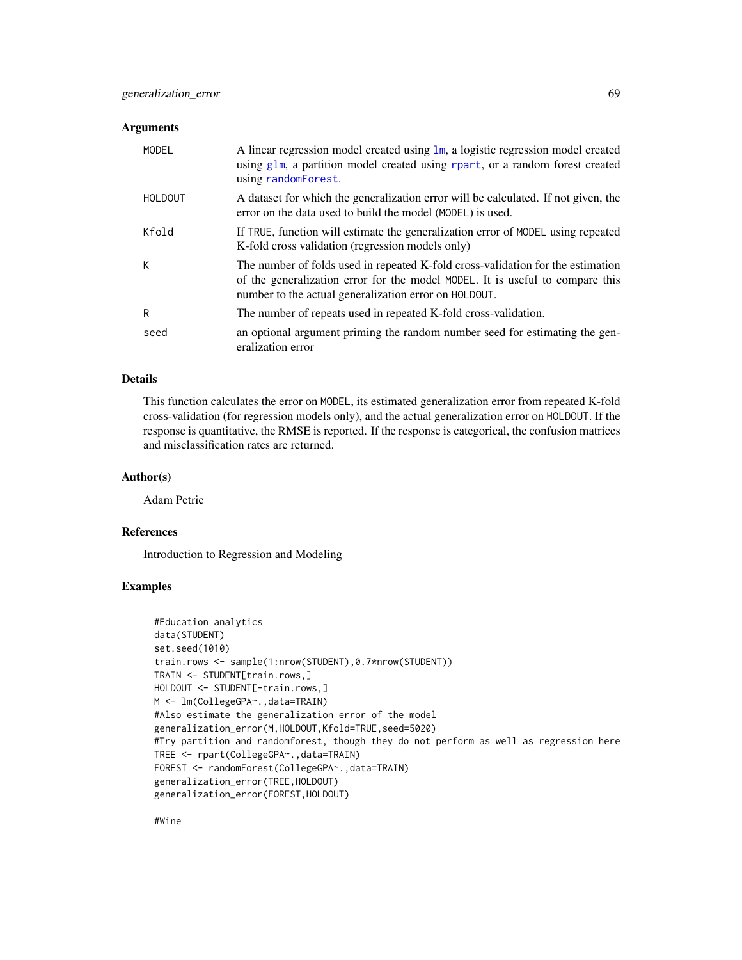## Arguments

| MODEL          | A linear regression model created using $\text{lm}$ , a logistic regression model created<br>using glm, a partition model created using rpart, or a random forest created<br>using randomForest.                          |
|----------------|---------------------------------------------------------------------------------------------------------------------------------------------------------------------------------------------------------------------------|
| <b>HOLDOUT</b> | A dataset for which the generalization error will be calculated. If not given, the<br>error on the data used to build the model (MODEL) is used.                                                                          |
| Kfold          | If TRUE, function will estimate the generalization error of MODEL using repeated<br>K-fold cross validation (regression models only)                                                                                      |
| К              | The number of folds used in repeated K-fold cross-validation for the estimation<br>of the generalization error for the model MODEL. It is useful to compare this<br>number to the actual generalization error on HOLDOUT. |
| R              | The number of repeats used in repeated K-fold cross-validation.                                                                                                                                                           |
| seed           | an optional argument priming the random number seed for estimating the gen-<br>eralization error                                                                                                                          |

# Details

This function calculates the error on MODEL, its estimated generalization error from repeated K-fold cross-validation (for regression models only), and the actual generalization error on HOLDOUT. If the response is quantitative, the RMSE is reported. If the response is categorical, the confusion matrices and misclassification rates are returned.

## Author(s)

Adam Petrie

# References

Introduction to Regression and Modeling

# Examples

```
#Education analytics
data(STUDENT)
set.seed(1010)
train.rows <- sample(1:nrow(STUDENT),0.7*nrow(STUDENT))
TRAIN <- STUDENT[train.rows,]
HOLDOUT <- STUDENT[-train.rows,]
M <- lm(CollegeGPA~.,data=TRAIN)
#Also estimate the generalization error of the model
generalization_error(M,HOLDOUT,Kfold=TRUE,seed=5020)
#Try partition and randomforest, though they do not perform as well as regression here
TREE <- rpart(CollegeGPA~.,data=TRAIN)
FOREST <- randomForest(CollegeGPA~.,data=TRAIN)
generalization_error(TREE,HOLDOUT)
generalization_error(FOREST,HOLDOUT)
```
#Wine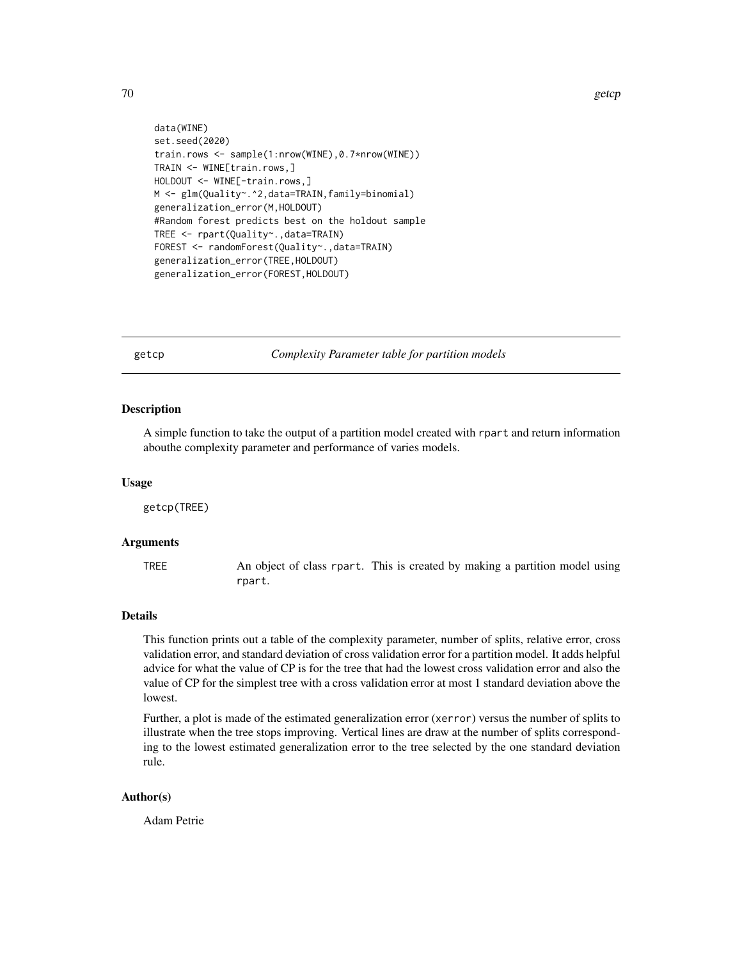```
data(WINE)
set.seed(2020)
train.rows <- sample(1:nrow(WINE),0.7*nrow(WINE))
TRAIN <- WINE[train.rows,]
HOLDOUT <- WINE[-train.rows,]
M <- glm(Quality~.^2,data=TRAIN,family=binomial)
generalization_error(M,HOLDOUT)
#Random forest predicts best on the holdout sample
TREE <- rpart(Quality~.,data=TRAIN)
FOREST <- randomForest(Quality~.,data=TRAIN)
generalization_error(TREE,HOLDOUT)
generalization_error(FOREST,HOLDOUT)
```
getcp *Complexity Parameter table for partition models*

## Description

A simple function to take the output of a partition model created with rpart and return information abouthe complexity parameter and performance of varies models.

#### Usage

getcp(TREE)

#### Arguments

TREE An object of class rpart. This is created by making a partition model using rpart.

## Details

This function prints out a table of the complexity parameter, number of splits, relative error, cross validation error, and standard deviation of cross validation error for a partition model. It adds helpful advice for what the value of CP is for the tree that had the lowest cross validation error and also the value of CP for the simplest tree with a cross validation error at most 1 standard deviation above the lowest.

Further, a plot is made of the estimated generalization error (xerror) versus the number of splits to illustrate when the tree stops improving. Vertical lines are draw at the number of splits corresponding to the lowest estimated generalization error to the tree selected by the one standard deviation rule.

## Author(s)

Adam Petrie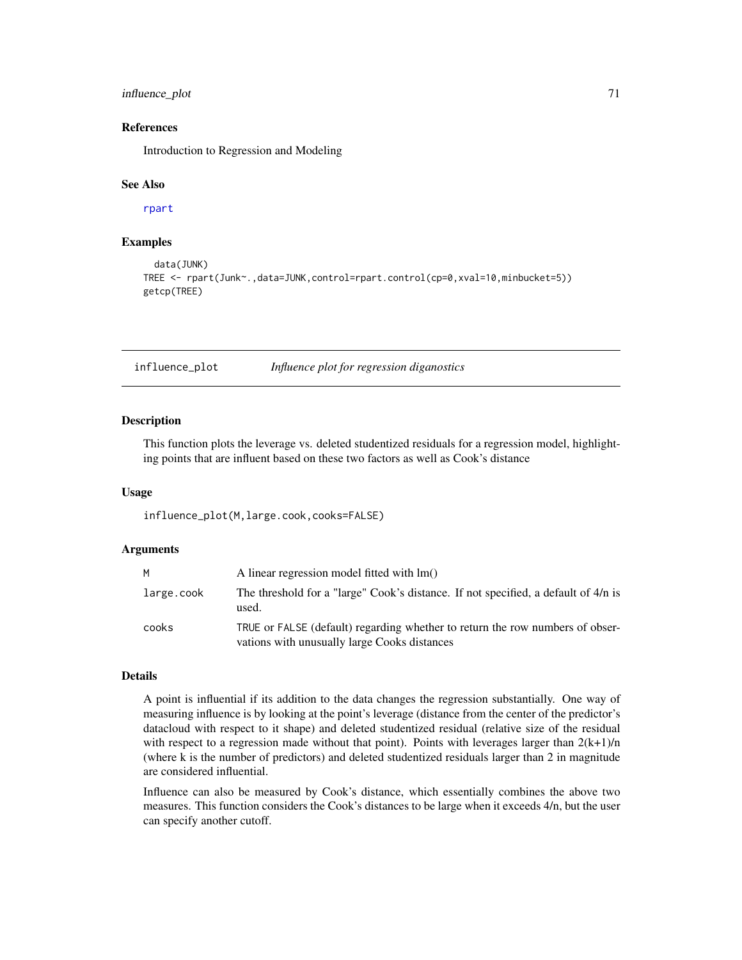# influence\_plot 71

## References

Introduction to Regression and Modeling

#### See Also

[rpart](#page-0-0)

## Examples

```
data(JUNK)
TREE <- rpart(Junk~.,data=JUNK,control=rpart.control(cp=0,xval=10,minbucket=5))
getcp(TREE)
```
influence\_plot *Influence plot for regression diganostics*

# **Description**

This function plots the leverage vs. deleted studentized residuals for a regression model, highlighting points that are influent based on these two factors as well as Cook's distance

#### Usage

influence\_plot(M,large.cook,cooks=FALSE)

#### Arguments

| M          | A linear regression model fitted with $Im()$                                                                                  |
|------------|-------------------------------------------------------------------------------------------------------------------------------|
| large.cook | The threshold for a "large" Cook's distance. If not specified, a default of 4/n is<br>used.                                   |
| cooks      | TRUE or FALSE (default) regarding whether to return the row numbers of obser-<br>vations with unusually large Cooks distances |

## Details

A point is influential if its addition to the data changes the regression substantially. One way of measuring influence is by looking at the point's leverage (distance from the center of the predictor's datacloud with respect to it shape) and deleted studentized residual (relative size of the residual with respect to a regression made without that point). Points with leverages larger than  $2(k+1)/n$ (where k is the number of predictors) and deleted studentized residuals larger than 2 in magnitude are considered influential.

Influence can also be measured by Cook's distance, which essentially combines the above two measures. This function considers the Cook's distances to be large when it exceeds 4/n, but the user can specify another cutoff.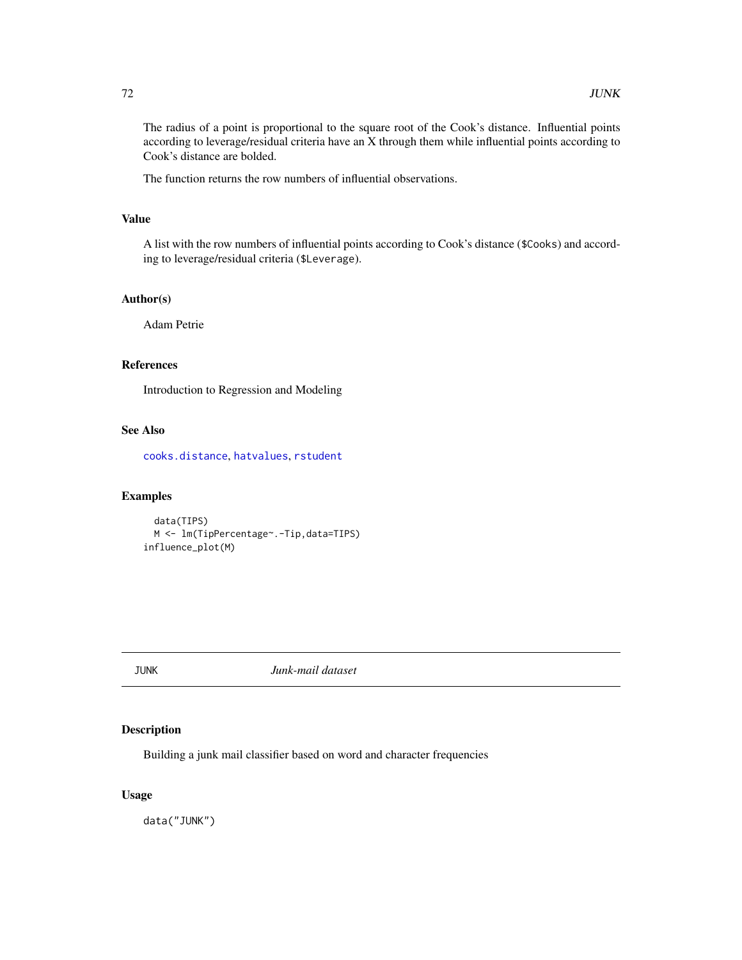The radius of a point is proportional to the square root of the Cook's distance. Influential points according to leverage/residual criteria have an X through them while influential points according to Cook's distance are bolded.

The function returns the row numbers of influential observations.

## Value

A list with the row numbers of influential points according to Cook's distance (\$Cooks) and according to leverage/residual criteria (\$Leverage).

# Author(s)

Adam Petrie

## References

Introduction to Regression and Modeling

# See Also

[cooks.distance](#page-0-0), [hatvalues](#page-0-0), [rstudent](#page-0-0)

## Examples

```
data(TIPS)
 M <- lm(TipPercentage~.-Tip,data=TIPS)
influence_plot(M)
```
JUNK *Junk-mail dataset*

# Description

Building a junk mail classifier based on word and character frequencies

# Usage

data("JUNK")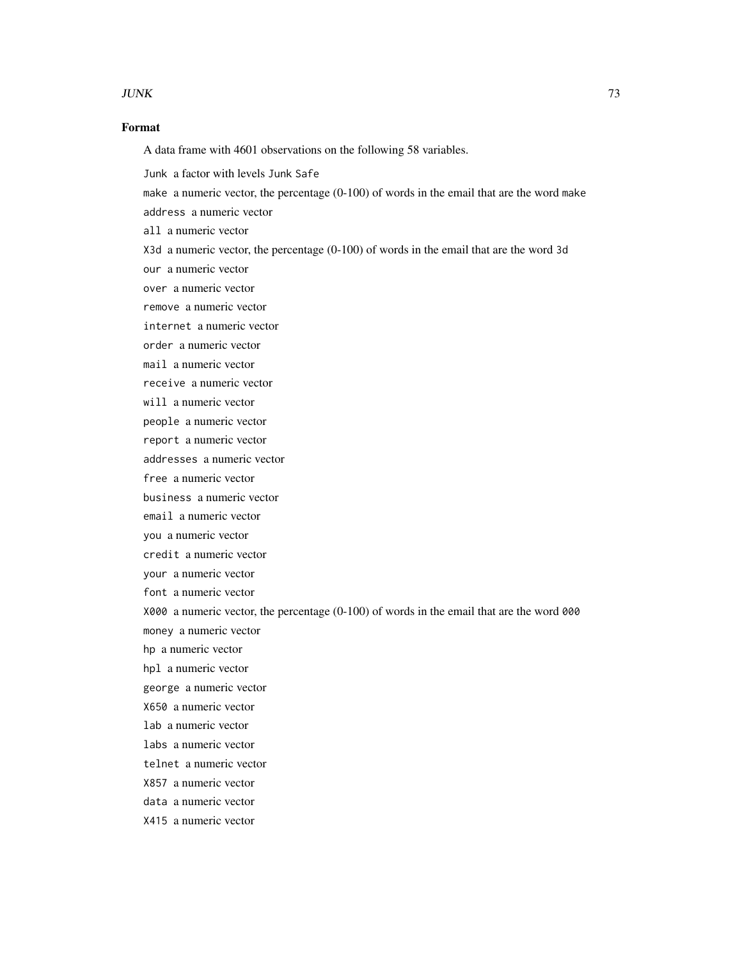#### $JUNK$  73

# Format

A data frame with 4601 observations on the following 58 variables.

Junk a factor with levels Junk Safe

make a numeric vector, the percentage (0-100) of words in the email that are the word make

address a numeric vector

all a numeric vector

X3d a numeric vector, the percentage (0-100) of words in the email that are the word 3d

our a numeric vector

over a numeric vector

remove a numeric vector

internet a numeric vector

order a numeric vector

mail a numeric vector

receive a numeric vector

will a numeric vector

people a numeric vector

report a numeric vector

addresses a numeric vector

free a numeric vector

business a numeric vector

email a numeric vector

you a numeric vector

credit a numeric vector

your a numeric vector

font a numeric vector

X000 a numeric vector, the percentage (0-100) of words in the email that are the word 000

money a numeric vector

hp a numeric vector

hpl a numeric vector

george a numeric vector

X650 a numeric vector

lab a numeric vector

labs a numeric vector

telnet a numeric vector

X857 a numeric vector

data a numeric vector

X415 a numeric vector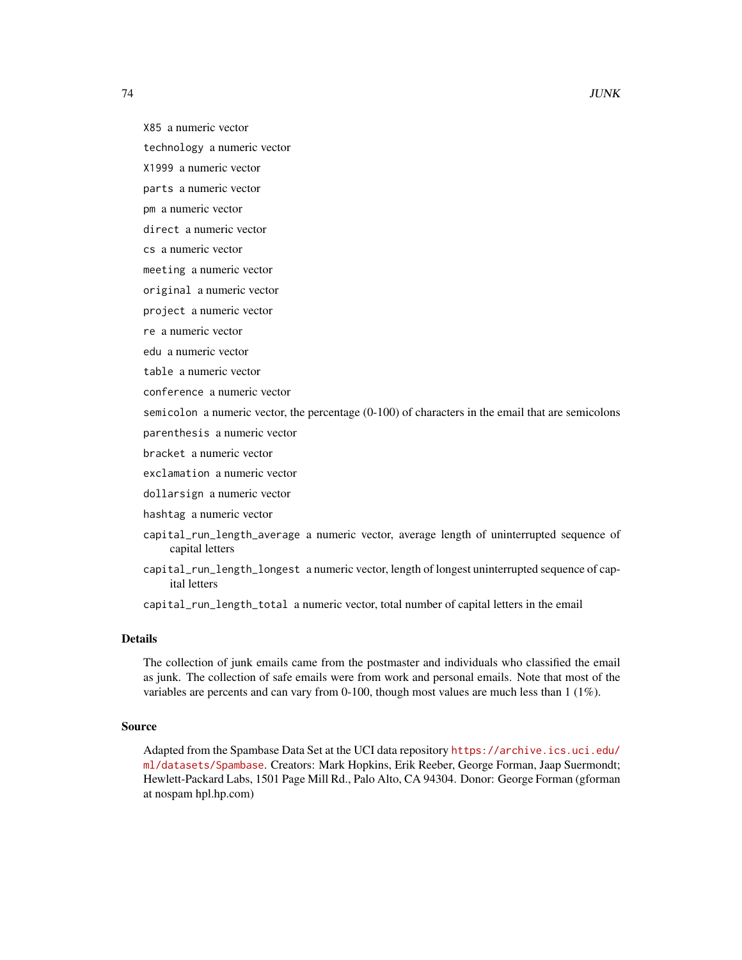- technology a numeric vector
- X1999 a numeric vector
- parts a numeric vector
- pm a numeric vector
- direct a numeric vector
- cs a numeric vector
- meeting a numeric vector
- original a numeric vector
- project a numeric vector
- re a numeric vector
- edu a numeric vector
- table a numeric vector
- conference a numeric vector

semicolon a numeric vector, the percentage (0-100) of characters in the email that are semicolons

- parenthesis a numeric vector
- bracket a numeric vector
- exclamation a numeric vector
- dollarsign a numeric vector
- hashtag a numeric vector
- capital\_run\_length\_average a numeric vector, average length of uninterrupted sequence of capital letters
- capital\_run\_length\_longest a numeric vector, length of longest uninterrupted sequence of capital letters
- capital\_run\_length\_total a numeric vector, total number of capital letters in the email

# Details

The collection of junk emails came from the postmaster and individuals who classified the email as junk. The collection of safe emails were from work and personal emails. Note that most of the variables are percents and can vary from 0-100, though most values are much less than 1 (1%).

## Source

Adapted from the Spambase Data Set at the UCI data repository [https://archive.ics.uci.edu/](https://archive.ics.uci.edu/ml/datasets/Spambase) [ml/datasets/Spambase](https://archive.ics.uci.edu/ml/datasets/Spambase). Creators: Mark Hopkins, Erik Reeber, George Forman, Jaap Suermondt; Hewlett-Packard Labs, 1501 Page Mill Rd., Palo Alto, CA 94304. Donor: George Forman (gforman at nospam hpl.hp.com)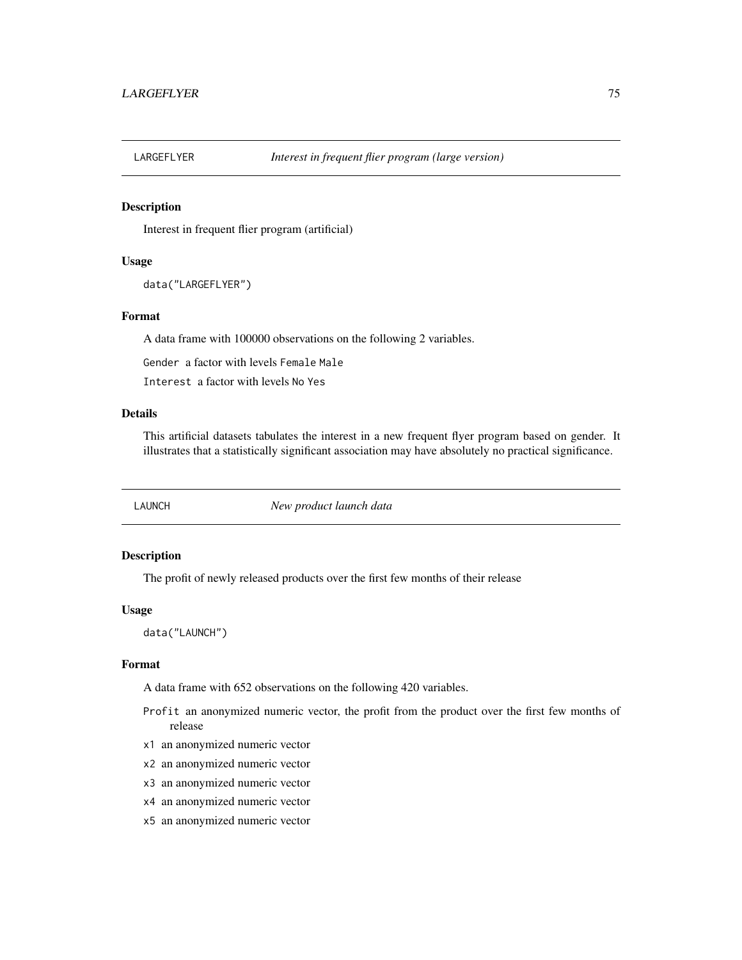## Description

Interest in frequent flier program (artificial)

#### Usage

```
data("LARGEFLYER")
```
# Format

A data frame with 100000 observations on the following 2 variables.

Gender a factor with levels Female Male

Interest a factor with levels No Yes

# Details

This artificial datasets tabulates the interest in a new frequent flyer program based on gender. It illustrates that a statistically significant association may have absolutely no practical significance.

LAUNCH *New product launch data*

#### Description

The profit of newly released products over the first few months of their release

#### Usage

data("LAUNCH")

#### Format

A data frame with 652 observations on the following 420 variables.

- Profit an anonymized numeric vector, the profit from the product over the first few months of release
- x1 an anonymized numeric vector
- x2 an anonymized numeric vector
- x3 an anonymized numeric vector
- x4 an anonymized numeric vector
- x5 an anonymized numeric vector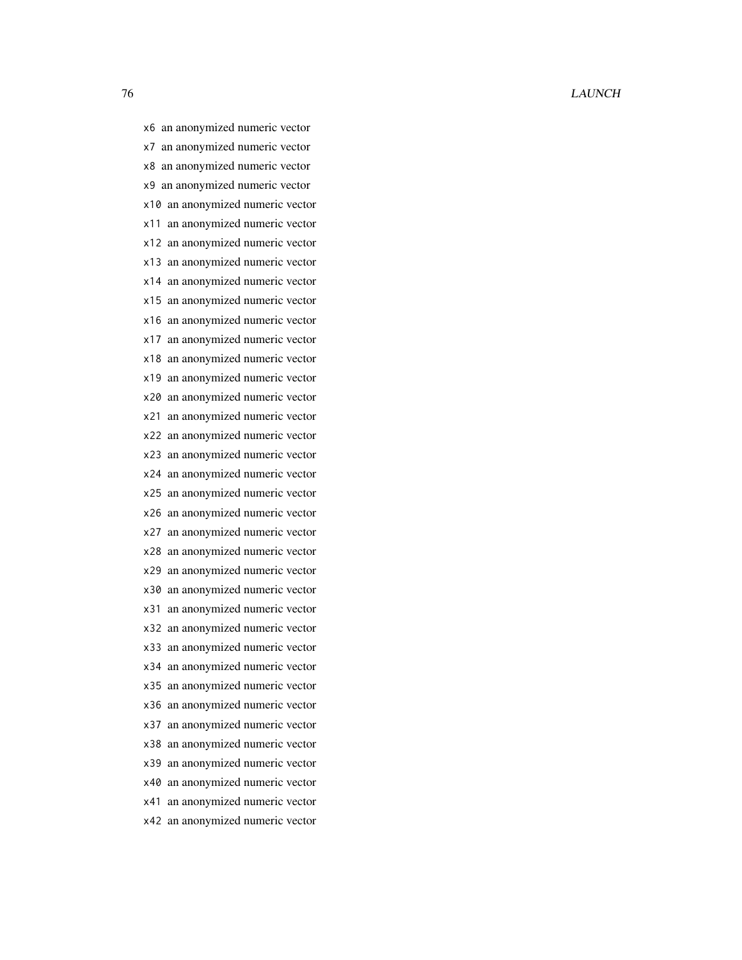x6 an anonymized numeric vector x7 an anonymized numeric vector x8 an anonymized numeric vector x9 an anonymized numeric vector x10 an anonymized numeric vector x11 an anonymized numeric vector x12 an anonymized numeric vector x13 an anonymized numeric vector x14 an anonymized numeric vector x15 an anonymized numeric vector x16 an anonymized numeric vector x17 an anonymized numeric vector x18 an anonymized numeric vector x19 an anonymized numeric vector x20 an anonymized numeric vector x21 an anonymized numeric vector x22 an anonymized numeric vector x23 an anonymized numeric vector x24 an anonymized numeric vector x25 an anonymized numeric vector x26 an anonymized numeric vector x27 an anonymized numeric vector x28 an anonymized numeric vector x29 an anonymized numeric vector x30 an anonymized numeric vector x31 an anonymized numeric vector x32 an anonymized numeric vector x33 an anonymized numeric vector x34 an anonymized numeric vector x35 an anonymized numeric vector x36 an anonymized numeric vector x37 an anonymized numeric vector x38 an anonymized numeric vector x39 an anonymized numeric vector x40 an anonymized numeric vector x41 an anonymized numeric vector x42 an anonymized numeric vector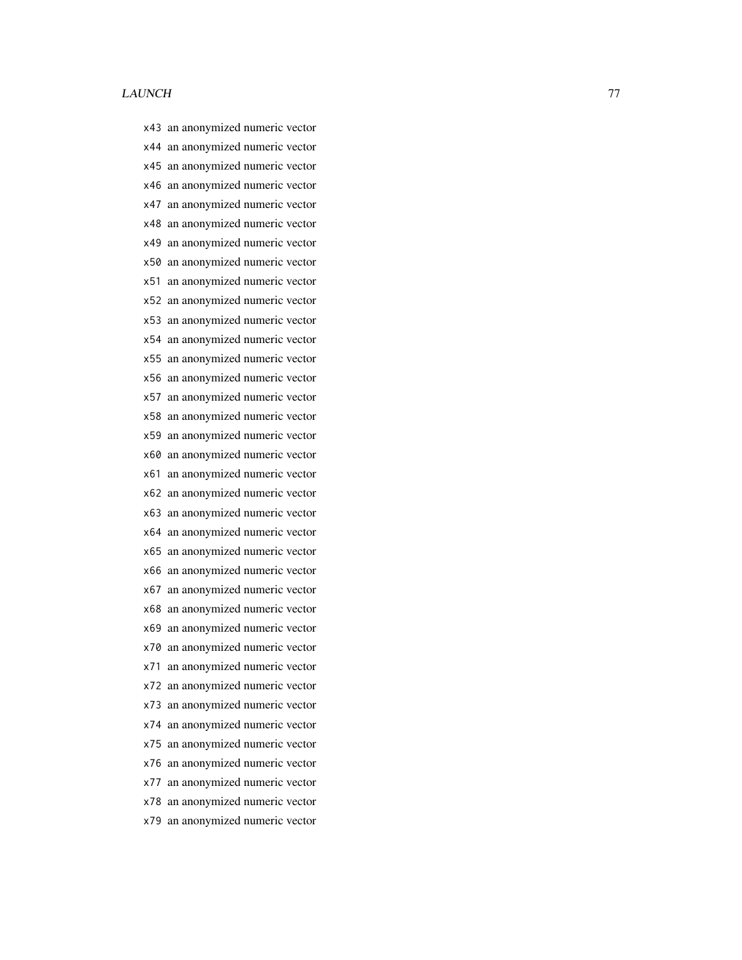x43 an anonymized numeric vector x44 an anonymized numeric vector x45 an anonymized numeric vector x46 an anonymized numeric vector x47 an anonymized numeric vector x48 an anonymized numeric vector x49 an anonymized numeric vector x50 an anonymized numeric vector x51 an anonymized numeric vector x52 an anonymized numeric vector x53 an anonymized numeric vector x54 an anonymized numeric vector x55 an anonymized numeric vector x56 an anonymized numeric vector x57 an anonymized numeric vector x58 an anonymized numeric vector x59 an anonymized numeric vector x60 an anonymized numeric vector x61 an anonymized numeric vector x62 an anonymized numeric vector x63 an anonymized numeric vector x64 an anonymized numeric vector x65 an anonymized numeric vector x66 an anonymized numeric vector x67 an anonymized numeric vector x68 an anonymized numeric vector x69 an anonymized numeric vector x70 an anonymized numeric vector x71 an anonymized numeric vector x72 an anonymized numeric vector x73 an anonymized numeric vector x74 an anonymized numeric vector x75 an anonymized numeric vector x76 an anonymized numeric vector x77 an anonymized numeric vector x78 an anonymized numeric vector

x79 an anonymized numeric vector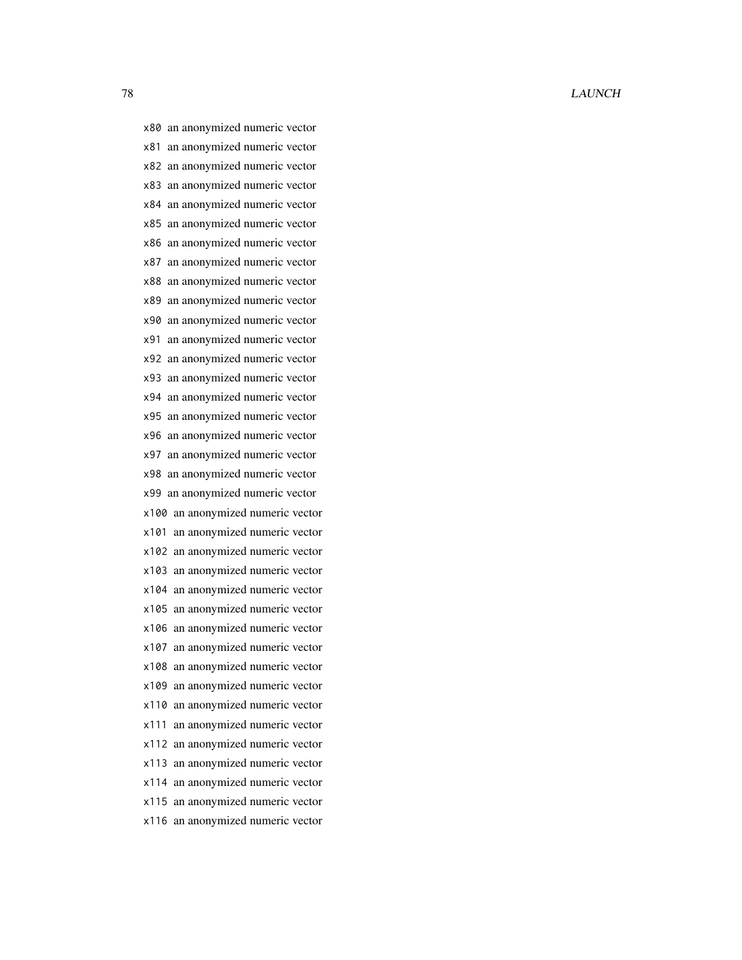x80 an anonymized numeric vector x81 an anonymized numeric vector x82 an anonymized numeric vector x83 an anonymized numeric vector x84 an anonymized numeric vector x85 an anonymized numeric vector x86 an anonymized numeric vector x87 an anonymized numeric vector x88 an anonymized numeric vector x89 an anonymized numeric vector x90 an anonymized numeric vector x91 an anonymized numeric vector x92 an anonymized numeric vector x93 an anonymized numeric vector x94 an anonymized numeric vector x95 an anonymized numeric vector x96 an anonymized numeric vector x97 an anonymized numeric vector x98 an anonymized numeric vector x99 an anonymized numeric vector x100 an anonymized numeric vector x101 an anonymized numeric vector x102 an anonymized numeric vector x103 an anonymized numeric vector x104 an anonymized numeric vector x105 an anonymized numeric vector x106 an anonymized numeric vector x107 an anonymized numeric vector x108 an anonymized numeric vector x109 an anonymized numeric vector x110 an anonymized numeric vector x111 an anonymized numeric vector x112 an anonymized numeric vector x113 an anonymized numeric vector x114 an anonymized numeric vector x115 an anonymized numeric vector x116 an anonymized numeric vector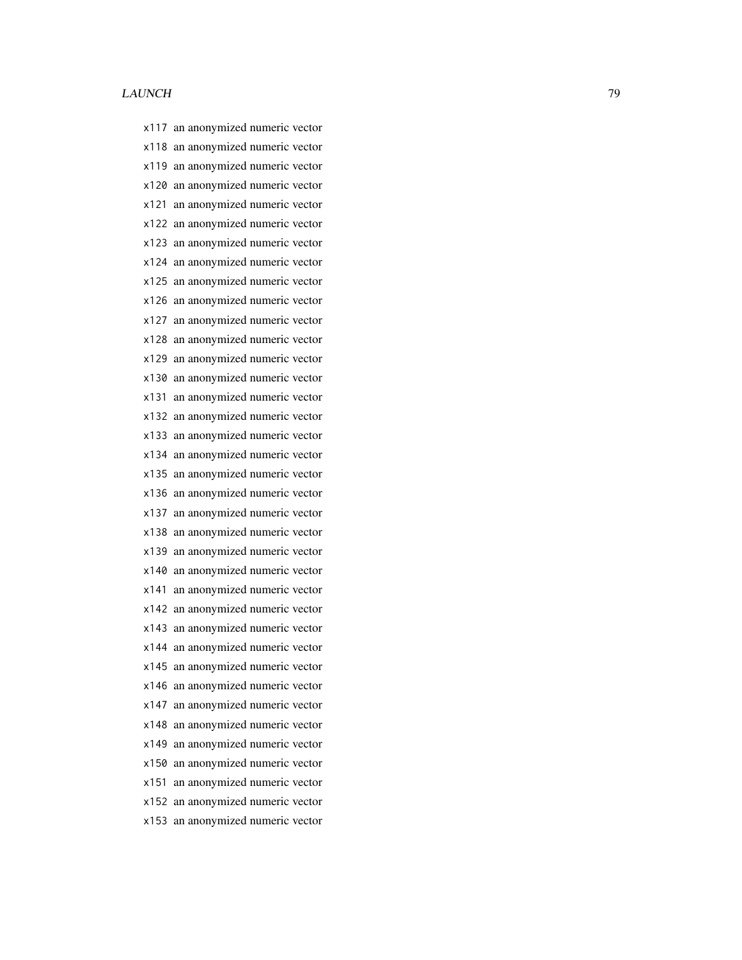x117 an anonymized numeric vector x118 an anonymized numeric vector x119 an anonymized numeric vector x120 an anonymized numeric vector x121 an anonymized numeric vector x122 an anonymized numeric vector x123 an anonymized numeric vector x124 an anonymized numeric vector x125 an anonymized numeric vector x126 an anonymized numeric vector x127 an anonymized numeric vector x128 an anonymized numeric vector x129 an anonymized numeric vector x130 an anonymized numeric vector x131 an anonymized numeric vector x132 an anonymized numeric vector x133 an anonymized numeric vector x134 an anonymized numeric vector x135 an anonymized numeric vector x136 an anonymized numeric vector x137 an anonymized numeric vector x138 an anonymized numeric vector x139 an anonymized numeric vector x140 an anonymized numeric vector x141 an anonymized numeric vector x142 an anonymized numeric vector x143 an anonymized numeric vector x144 an anonymized numeric vector x145 an anonymized numeric vector x146 an anonymized numeric vector x147 an anonymized numeric vector x148 an anonymized numeric vector x149 an anonymized numeric vector x150 an anonymized numeric vector x151 an anonymized numeric vector x152 an anonymized numeric vector x153 an anonymized numeric vector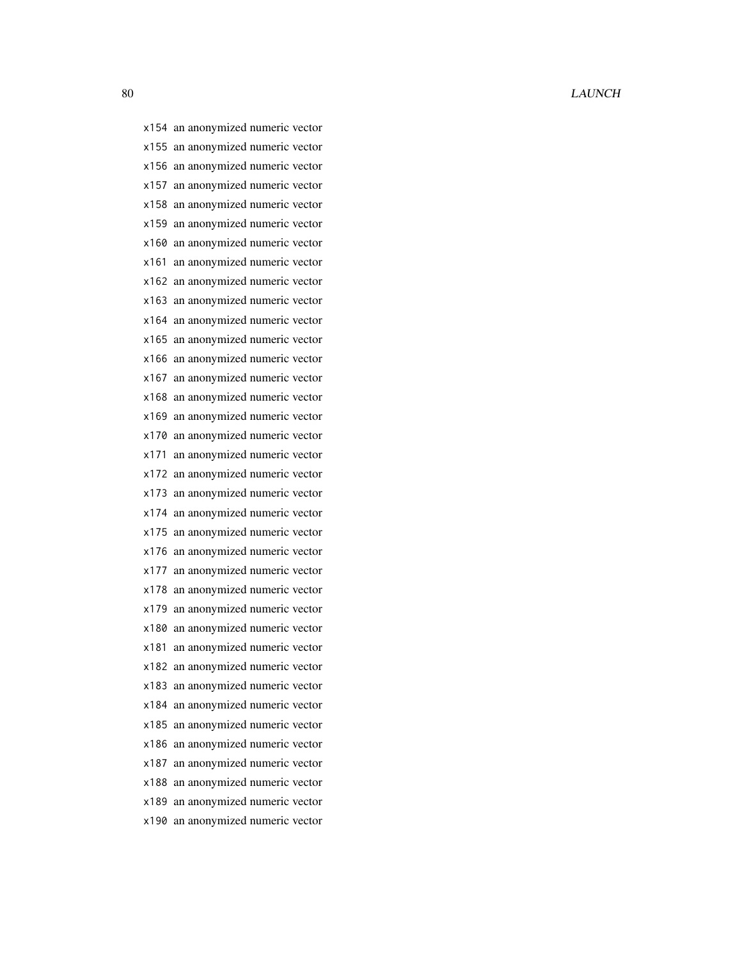x154 an anonymized numeric vector x155 an anonymized numeric vector x156 an anonymized numeric vector x157 an anonymized numeric vector x158 an anonymized numeric vector x159 an anonymized numeric vector x160 an anonymized numeric vector x161 an anonymized numeric vector x162 an anonymized numeric vector x163 an anonymized numeric vector x164 an anonymized numeric vector x165 an anonymized numeric vector x166 an anonymized numeric vector x167 an anonymized numeric vector x168 an anonymized numeric vector x169 an anonymized numeric vector x170 an anonymized numeric vector x171 an anonymized numeric vector x172 an anonymized numeric vector x173 an anonymized numeric vector x174 an anonymized numeric vector x175 an anonymized numeric vector x176 an anonymized numeric vector x177 an anonymized numeric vector x178 an anonymized numeric vector x179 an anonymized numeric vector x180 an anonymized numeric vector x181 an anonymized numeric vector x182 an anonymized numeric vector x183 an anonymized numeric vector x184 an anonymized numeric vector x185 an anonymized numeric vector x186 an anonymized numeric vector x187 an anonymized numeric vector x188 an anonymized numeric vector x189 an anonymized numeric vector x190 an anonymized numeric vector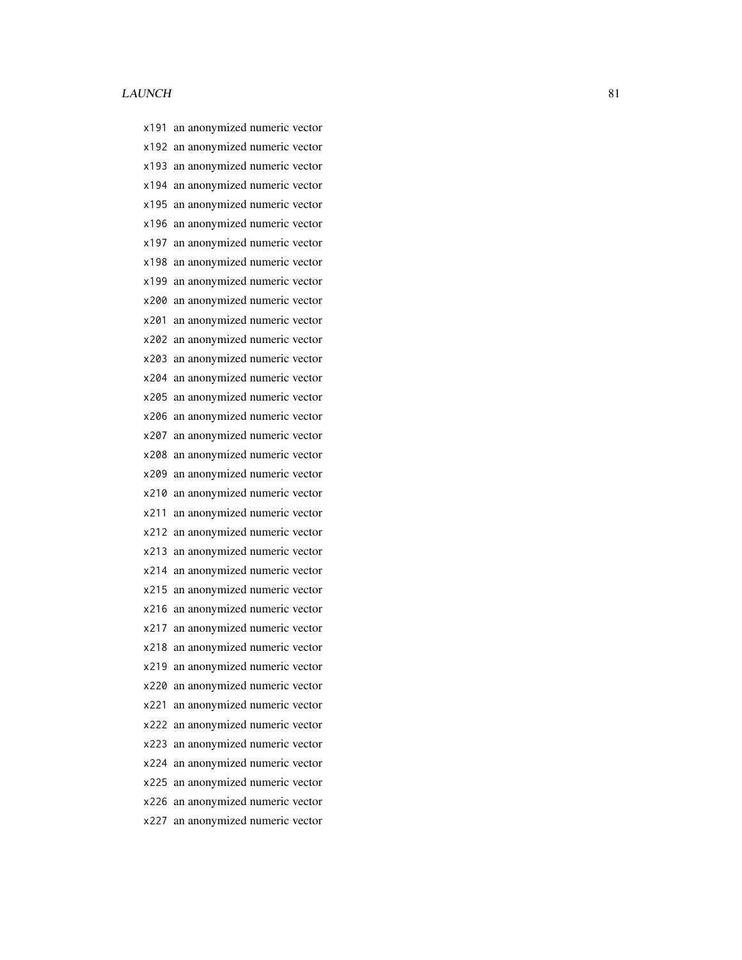x191 an anonymized numeric vector x192 an anonymized numeric vector x193 an anonymized numeric vector x194 an anonymized numeric vector x195 an anonymized numeric vector x196 an anonymized numeric vector x197 an anonymized numeric vector x198 an anonymized numeric vector x199 an anonymized numeric vector x200 an anonymized numeric vector x201 an anonymized numeric vector x202 an anonymized numeric vector x203 an anonymized numeric vector x204 an anonymized numeric vector x205 an anonymized numeric vector x206 an anonymized numeric vector x207 an anonymized numeric vector x208 an anonymized numeric vector x209 an anonymized numeric vector x210 an anonymized numeric vector x211 an anonymized numeric vector x212 an anonymized numeric vector x213 an anonymized numeric vector x214 an anonymized numeric vector x215 an anonymized numeric vector x216 an anonymized numeric vector x217 an anonymized numeric vector x218 an anonymized numeric vector x219 an anonymized numeric vector x220 an anonymized numeric vector x221 an anonymized numeric vector x222 an anonymized numeric vector x223 an anonymized numeric vector x224 an anonymized numeric vector x225 an anonymized numeric vector x226 an anonymized numeric vector x227 an anonymized numeric vector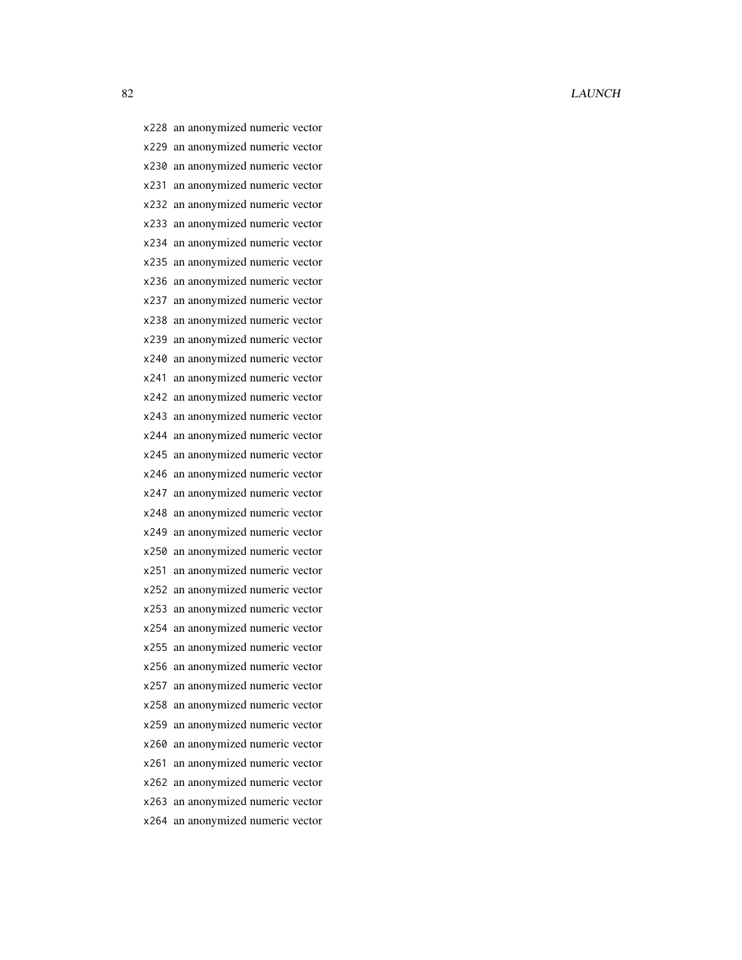x228 an anonymized numeric vector x229 an anonymized numeric vector x230 an anonymized numeric vector x231 an anonymized numeric vector x232 an anonymized numeric vector x233 an anonymized numeric vector x234 an anonymized numeric vector x235 an anonymized numeric vector x236 an anonymized numeric vector x237 an anonymized numeric vector x238 an anonymized numeric vector x239 an anonymized numeric vector x240 an anonymized numeric vector x241 an anonymized numeric vector x242 an anonymized numeric vector x243 an anonymized numeric vector x244 an anonymized numeric vector x245 an anonymized numeric vector x246 an anonymized numeric vector x247 an anonymized numeric vector x248 an anonymized numeric vector x249 an anonymized numeric vector x250 an anonymized numeric vector x251 an anonymized numeric vector x252 an anonymized numeric vector x253 an anonymized numeric vector x254 an anonymized numeric vector x255 an anonymized numeric vector x256 an anonymized numeric vector x257 an anonymized numeric vector x258 an anonymized numeric vector x259 an anonymized numeric vector x260 an anonymized numeric vector x261 an anonymized numeric vector x262 an anonymized numeric vector x263 an anonymized numeric vector x264 an anonymized numeric vector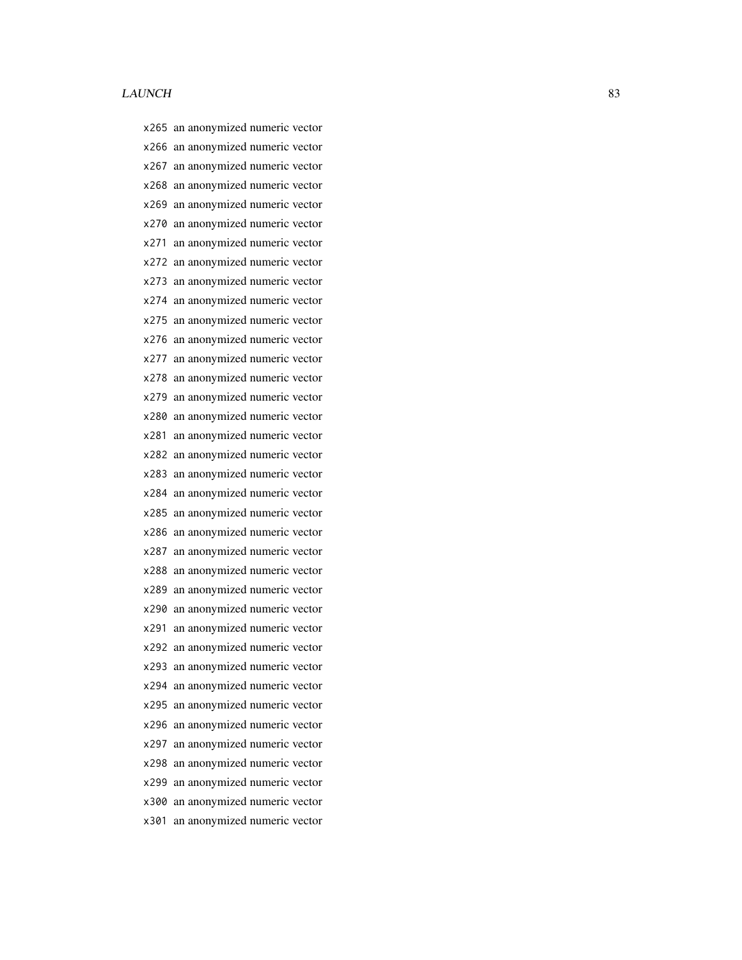x265 an anonymized numeric vector x266 an anonymized numeric vector x267 an anonymized numeric vector x268 an anonymized numeric vector x269 an anonymized numeric vector x270 an anonymized numeric vector x271 an anonymized numeric vector x272 an anonymized numeric vector x273 an anonymized numeric vector x274 an anonymized numeric vector x275 an anonymized numeric vector x276 an anonymized numeric vector x277 an anonymized numeric vector x278 an anonymized numeric vector x279 an anonymized numeric vector x280 an anonymized numeric vector x281 an anonymized numeric vector x282 an anonymized numeric vector x283 an anonymized numeric vector x284 an anonymized numeric vector x285 an anonymized numeric vector x286 an anonymized numeric vector x287 an anonymized numeric vector x288 an anonymized numeric vector x289 an anonymized numeric vector x290 an anonymized numeric vector x291 an anonymized numeric vector x292 an anonymized numeric vector x293 an anonymized numeric vector x294 an anonymized numeric vector x295 an anonymized numeric vector x296 an anonymized numeric vector x297 an anonymized numeric vector x298 an anonymized numeric vector x299 an anonymized numeric vector x300 an anonymized numeric vector x301 an anonymized numeric vector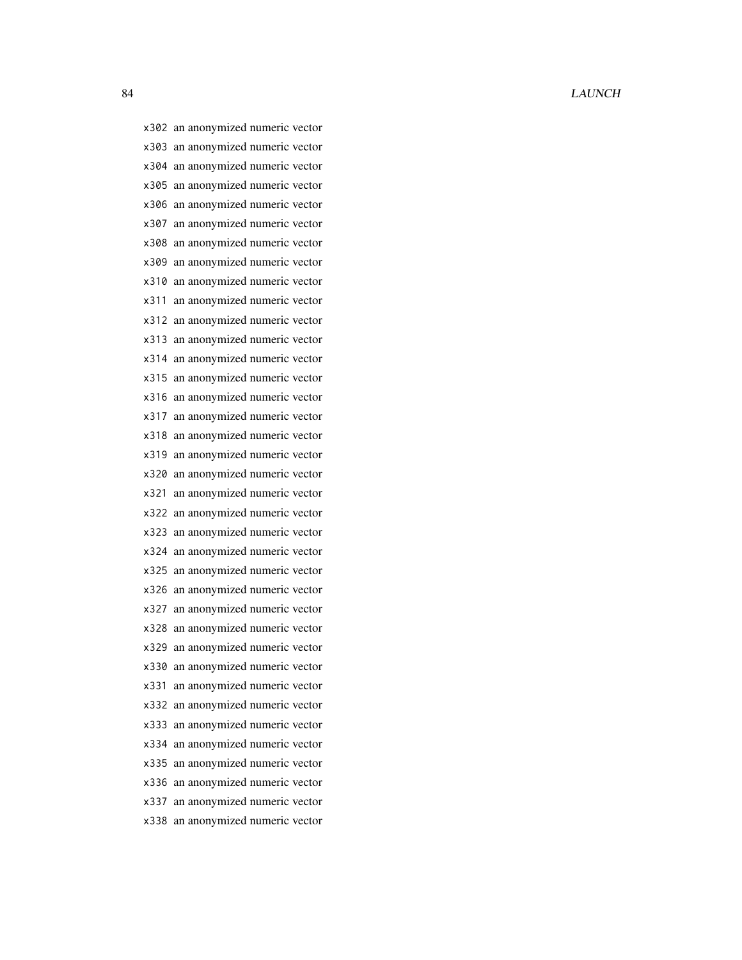x302 an anonymized numeric vector x303 an anonymized numeric vector x304 an anonymized numeric vector x305 an anonymized numeric vector x306 an anonymized numeric vector x307 an anonymized numeric vector x308 an anonymized numeric vector x309 an anonymized numeric vector x310 an anonymized numeric vector x311 an anonymized numeric vector x312 an anonymized numeric vector x313 an anonymized numeric vector x314 an anonymized numeric vector x315 an anonymized numeric vector x316 an anonymized numeric vector x317 an anonymized numeric vector x318 an anonymized numeric vector x319 an anonymized numeric vector x320 an anonymized numeric vector x321 an anonymized numeric vector x322 an anonymized numeric vector x323 an anonymized numeric vector x324 an anonymized numeric vector x325 an anonymized numeric vector x326 an anonymized numeric vector x327 an anonymized numeric vector x328 an anonymized numeric vector x329 an anonymized numeric vector x330 an anonymized numeric vector x331 an anonymized numeric vector x332 an anonymized numeric vector x333 an anonymized numeric vector x334 an anonymized numeric vector x335 an anonymized numeric vector x336 an anonymized numeric vector x337 an anonymized numeric vector x338 an anonymized numeric vector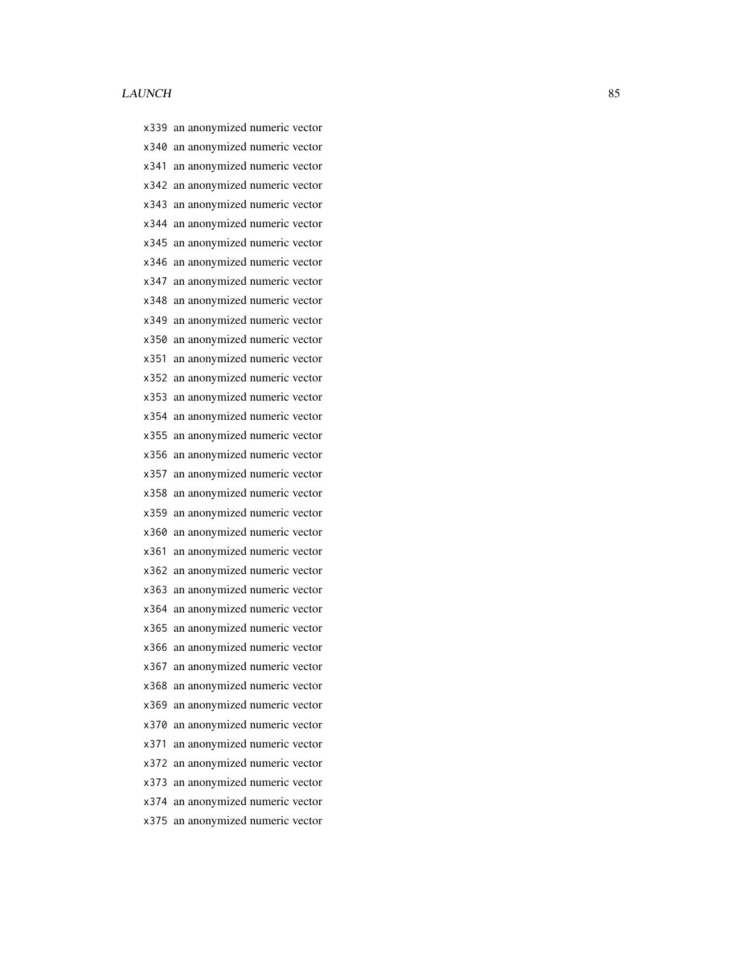x339 an anonymized numeric vector x340 an anonymized numeric vector x341 an anonymized numeric vector x342 an anonymized numeric vector x343 an anonymized numeric vector x344 an anonymized numeric vector x345 an anonymized numeric vector x346 an anonymized numeric vector x347 an anonymized numeric vector x348 an anonymized numeric vector x349 an anonymized numeric vector x350 an anonymized numeric vector x351 an anonymized numeric vector x352 an anonymized numeric vector x353 an anonymized numeric vector x354 an anonymized numeric vector x355 an anonymized numeric vector x356 an anonymized numeric vector x357 an anonymized numeric vector x358 an anonymized numeric vector x359 an anonymized numeric vector x360 an anonymized numeric vector x361 an anonymized numeric vector x362 an anonymized numeric vector x363 an anonymized numeric vector x364 an anonymized numeric vector x365 an anonymized numeric vector x366 an anonymized numeric vector x367 an anonymized numeric vector x368 an anonymized numeric vector x369 an anonymized numeric vector x370 an anonymized numeric vector x371 an anonymized numeric vector x372 an anonymized numeric vector x373 an anonymized numeric vector x374 an anonymized numeric vector x375 an anonymized numeric vector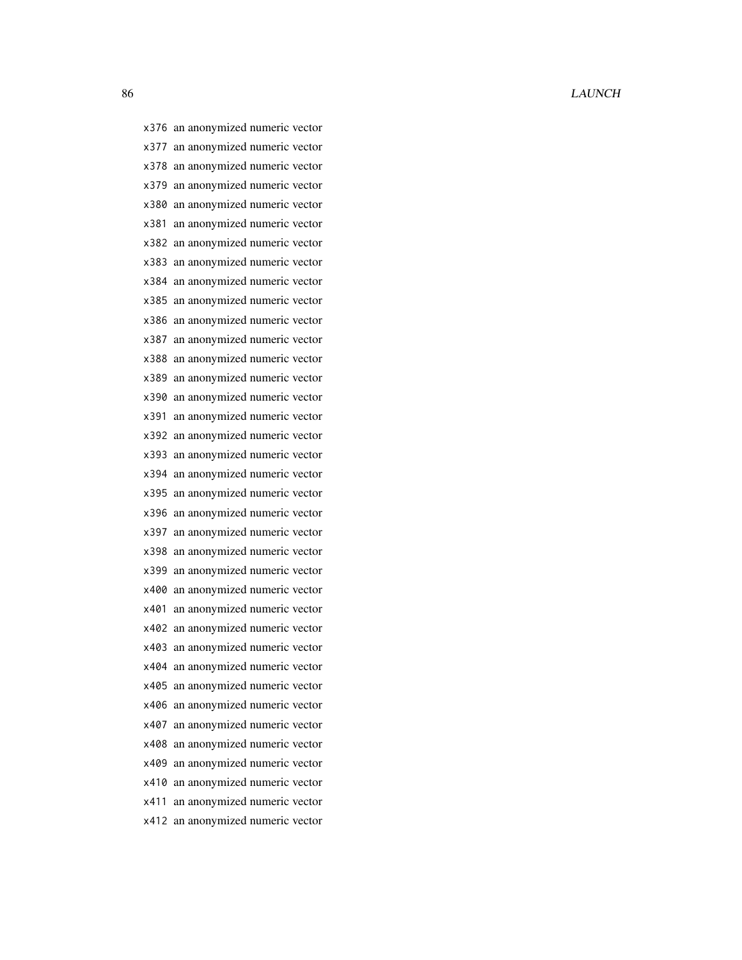x376 an anonymized numeric vector x377 an anonymized numeric vector x378 an anonymized numeric vector x379 an anonymized numeric vector x380 an anonymized numeric vector x381 an anonymized numeric vector x382 an anonymized numeric vector x383 an anonymized numeric vector x384 an anonymized numeric vector x385 an anonymized numeric vector x386 an anonymized numeric vector x387 an anonymized numeric vector x388 an anonymized numeric vector x389 an anonymized numeric vector x390 an anonymized numeric vector x391 an anonymized numeric vector x392 an anonymized numeric vector x393 an anonymized numeric vector x394 an anonymized numeric vector x395 an anonymized numeric vector x396 an anonymized numeric vector x397 an anonymized numeric vector x398 an anonymized numeric vector x399 an anonymized numeric vector x400 an anonymized numeric vector x401 an anonymized numeric vector x402 an anonymized numeric vector x403 an anonymized numeric vector x404 an anonymized numeric vector x405 an anonymized numeric vector x406 an anonymized numeric vector x407 an anonymized numeric vector x408 an anonymized numeric vector x409 an anonymized numeric vector x410 an anonymized numeric vector x411 an anonymized numeric vector x412 an anonymized numeric vector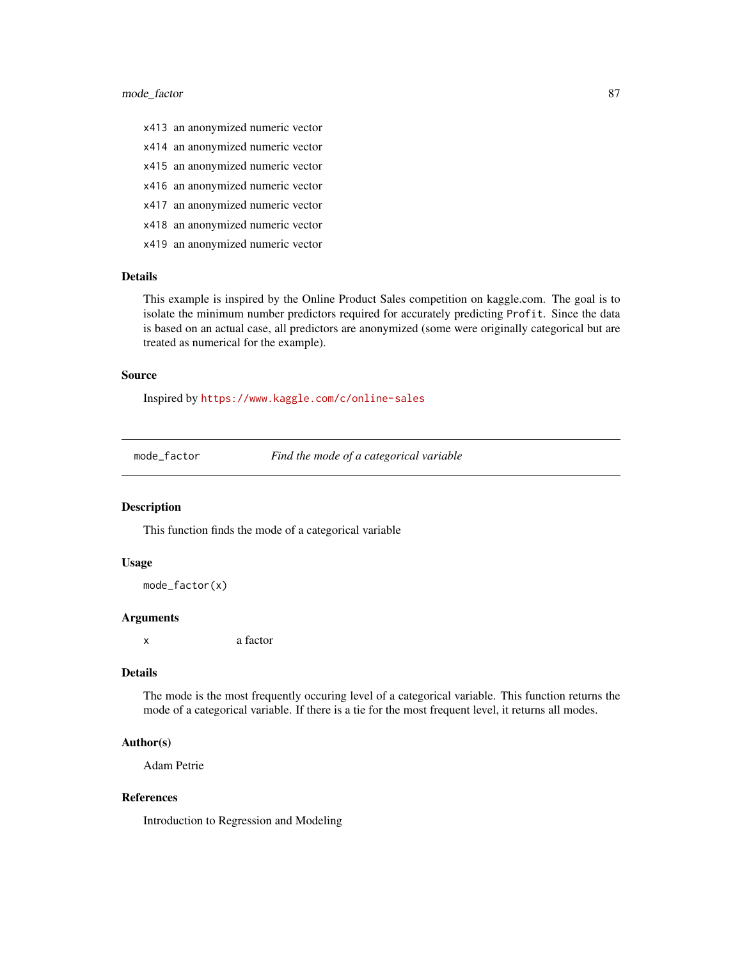# mode\_factor 87

- x413 an anonymized numeric vector
- x414 an anonymized numeric vector
- x415 an anonymized numeric vector
- x416 an anonymized numeric vector
- x417 an anonymized numeric vector
- x418 an anonymized numeric vector
- x419 an anonymized numeric vector

# Details

This example is inspired by the Online Product Sales competition on kaggle.com. The goal is to isolate the minimum number predictors required for accurately predicting Profit. Since the data is based on an actual case, all predictors are anonymized (some were originally categorical but are treated as numerical for the example).

#### Source

Inspired by <https://www.kaggle.com/c/online-sales>

mode\_factor *Find the mode of a categorical variable*

# Description

This function finds the mode of a categorical variable

## Usage

```
mode_factor(x)
```
## Arguments

x a factor

# Details

The mode is the most frequently occuring level of a categorical variable. This function returns the mode of a categorical variable. If there is a tie for the most frequent level, it returns all modes.

#### Author(s)

Adam Petrie

#### References

Introduction to Regression and Modeling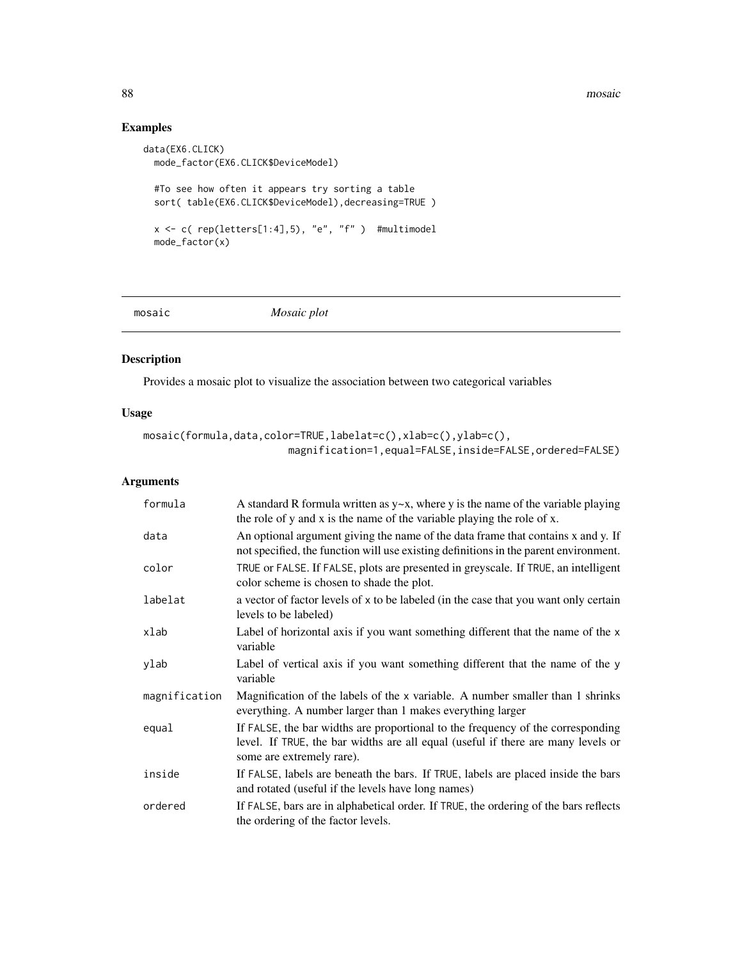#### 88 mosaic no ben'ny tanàna mandritry ny taona 2008–2014. Ilay kaominina dia kaominina mpikambana amin'ny fivondronan-

# Examples

```
data(EX6.CLICK)
  mode_factor(EX6.CLICK$DeviceModel)
  #To see how often it appears try sorting a table
  sort( table(EX6.CLICK$DeviceModel),decreasing=TRUE )
  x \leftarrow c ( rep(letters[1:4],5), "e", "f" ) #multimodel
  mode_factor(x)
```
mosaic *Mosaic plot*

# Description

Provides a mosaic plot to visualize the association between two categorical variables

# Usage

```
mosaic(formula,data,color=TRUE,labelat=c(),xlab=c(),ylab=c(),
                        magnification=1,equal=FALSE,inside=FALSE,ordered=FALSE)
```
# Arguments

| formula       | A standard R formula written as $y \sim x$ , where y is the name of the variable playing<br>the role of y and x is the name of the variable playing the role of x.                               |
|---------------|--------------------------------------------------------------------------------------------------------------------------------------------------------------------------------------------------|
| data          | An optional argument giving the name of the data frame that contains x and y. If<br>not specified, the function will use existing definitions in the parent environment.                         |
| color         | TRUE or FALSE. If FALSE, plots are presented in greyscale. If TRUE, an intelligent<br>color scheme is chosen to shade the plot.                                                                  |
| labelat       | a vector of factor levels of x to be labeled (in the case that you want only certain<br>levels to be labeled)                                                                                    |
| xlab          | Label of horizontal axis if you want something different that the name of the x<br>variable                                                                                                      |
| ylab          | Label of vertical axis if you want something different that the name of the y<br>variable                                                                                                        |
| magnification | Magnification of the labels of the x variable. A number smaller than 1 shrinks<br>everything. A number larger than 1 makes everything larger                                                     |
| equal         | If FALSE, the bar widths are proportional to the frequency of the corresponding<br>level. If TRUE, the bar widths are all equal (useful if there are many levels or<br>some are extremely rare). |
| inside        | If FALSE, labels are beneath the bars. If TRUE, labels are placed inside the bars<br>and rotated (useful if the levels have long names)                                                          |
| ordered       | If FALSE, bars are in alphabetical order. If TRUE, the ordering of the bars reflects<br>the ordering of the factor levels.                                                                       |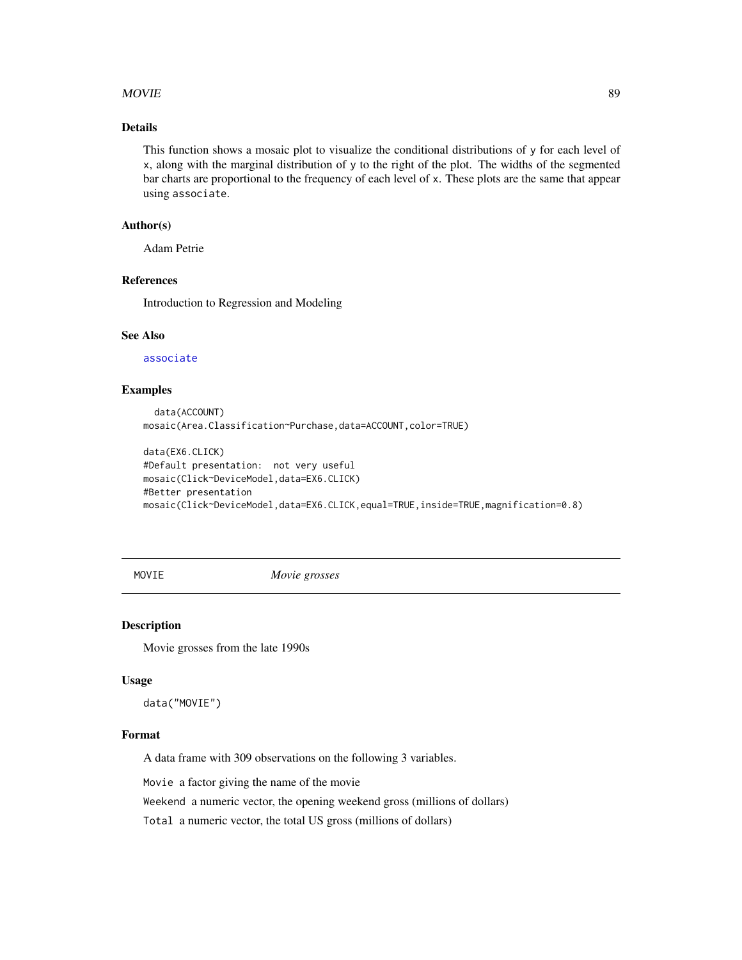## $MovIE$  89

# Details

This function shows a mosaic plot to visualize the conditional distributions of y for each level of x, along with the marginal distribution of y to the right of the plot. The widths of the segmented bar charts are proportional to the frequency of each level of x. These plots are the same that appear using associate.

# Author(s)

Adam Petrie

# References

Introduction to Regression and Modeling

#### See Also

[associate](#page-5-0)

## Examples

```
data(ACCOUNT)
mosaic(Area.Classification~Purchase,data=ACCOUNT,color=TRUE)
```

```
data(EX6.CLICK)
#Default presentation: not very useful
mosaic(Click~DeviceModel,data=EX6.CLICK)
#Better presentation
mosaic(Click~DeviceModel,data=EX6.CLICK,equal=TRUE,inside=TRUE,magnification=0.8)
```
MOVIE *Movie grosses*

#### Description

Movie grosses from the late 1990s

#### Usage

data("MOVIE")

#### Format

A data frame with 309 observations on the following 3 variables.

Movie a factor giving the name of the movie

Weekend a numeric vector, the opening weekend gross (millions of dollars)

Total a numeric vector, the total US gross (millions of dollars)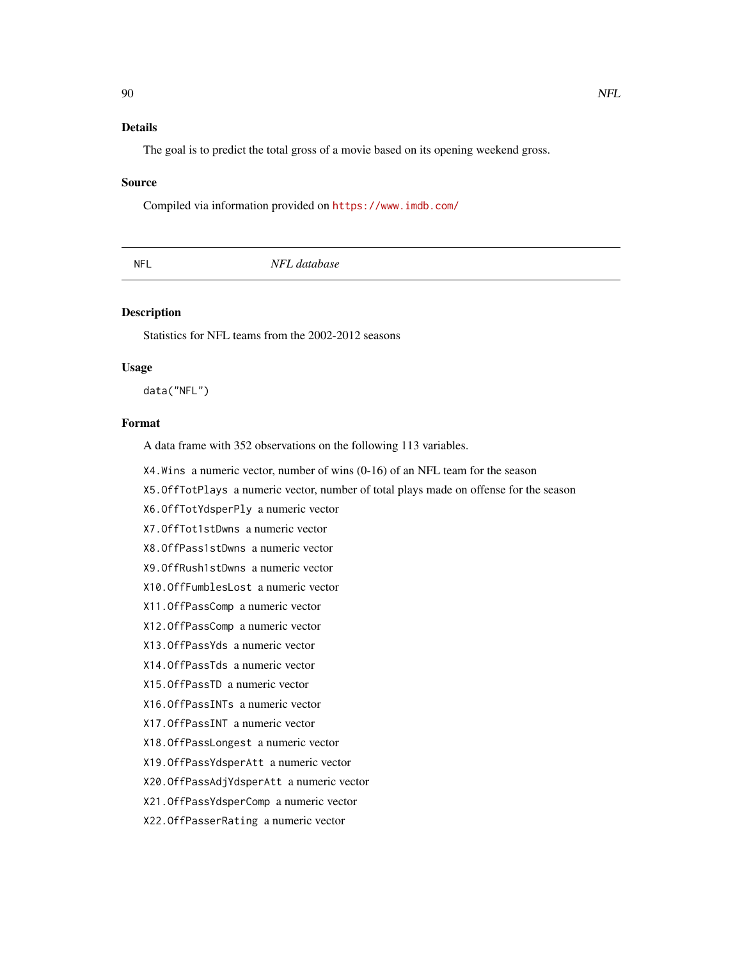# Details

The goal is to predict the total gross of a movie based on its opening weekend gross.

#### Source

Compiled via information provided on <https://www.imdb.com/>

| <b>NFL</b> | NFL database |  |
|------------|--------------|--|
|            |              |  |

## Description

Statistics for NFL teams from the 2002-2012 seasons

#### Usage

data("NFL")

# Format

A data frame with 352 observations on the following 113 variables.

- X4.Wins a numeric vector, number of wins (0-16) of an NFL team for the season
- X5.OffTotPlays a numeric vector, number of total plays made on offense for the season
- X6.OffTotYdsperPly a numeric vector
- X7.OffTot1stDwns a numeric vector
- X8.OffPass1stDwns a numeric vector
- X9.OffRush1stDwns a numeric vector
- X10.OffFumblesLost a numeric vector
- X11.OffPassComp a numeric vector
- X12.OffPassComp a numeric vector
- X13.OffPassYds a numeric vector
- X14.OffPassTds a numeric vector
- X15.OffPassTD a numeric vector
- X16.OffPassINTs a numeric vector
- X17.OffPassINT a numeric vector
- X18.OffPassLongest a numeric vector
- X19.OffPassYdsperAtt a numeric vector
- X20.OffPassAdjYdsperAtt a numeric vector
- X21.OffPassYdsperComp a numeric vector
- X22.OffPasserRating a numeric vector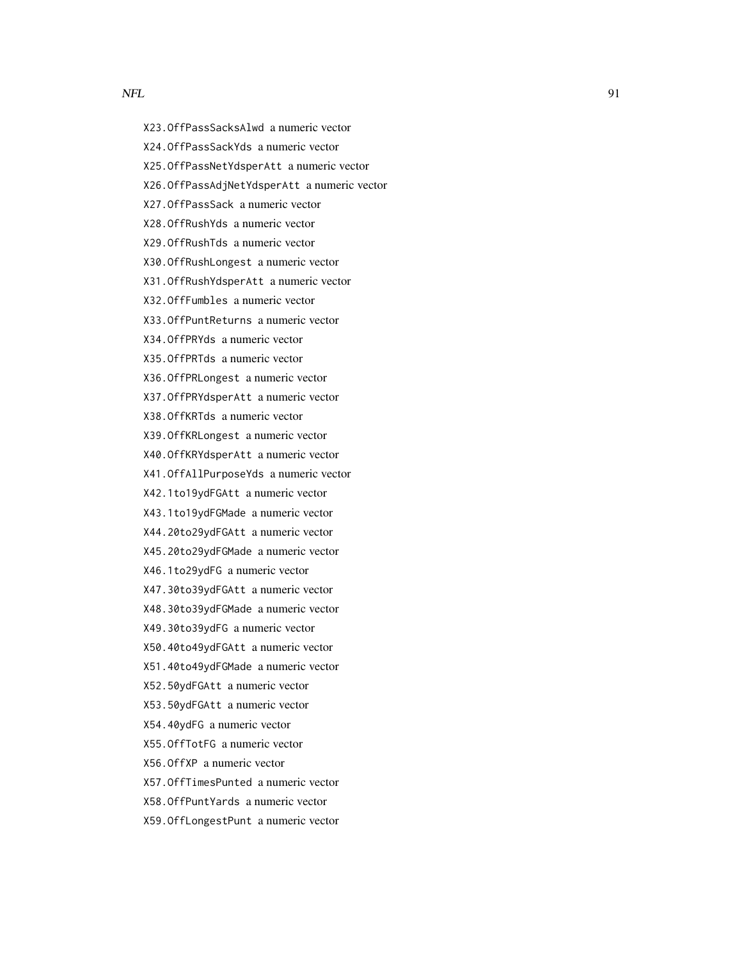- X23.OffPassSacksAlwd a numeric vector
- X24.OffPassSackYds a numeric vector
- X25.OffPassNetYdsperAtt a numeric vector
- X26.OffPassAdjNetYdsperAtt a numeric vector
- X27.OffPassSack a numeric vector
- X28.OffRushYds a numeric vector
- X29.OffRushTds a numeric vector
- X30.OffRushLongest a numeric vector
- X31.OffRushYdsperAtt a numeric vector
- X32.OffFumbles a numeric vector
- X33.OffPuntReturns a numeric vector
- X34.OffPRYds a numeric vector
- X35.OffPRTds a numeric vector
- X36.OffPRLongest a numeric vector
- X37.OffPRYdsperAtt a numeric vector
- X38.OffKRTds a numeric vector
- X39.OffKRLongest a numeric vector
- X40.OffKRYdsperAtt a numeric vector
- X41.OffAllPurposeYds a numeric vector
- X42.1to19ydFGAtt a numeric vector
- X43.1to19ydFGMade a numeric vector
- X44.20to29ydFGAtt a numeric vector
- X45.20to29ydFGMade a numeric vector
- X46.1to29ydFG a numeric vector
- X47.30to39ydFGAtt a numeric vector
- X48.30to39ydFGMade a numeric vector
- X49.30to39ydFG a numeric vector
- X50.40to49ydFGAtt a numeric vector
- X51.40to49ydFGMade a numeric vector
- X52.50ydFGAtt a numeric vector
- X53.50ydFGAtt a numeric vector
- X54.40ydFG a numeric vector
- X55.OffTotFG a numeric vector
- X56.OffXP a numeric vector
- X57.OffTimesPunted a numeric vector
- X58.OffPuntYards a numeric vector
- X59.OffLongestPunt a numeric vector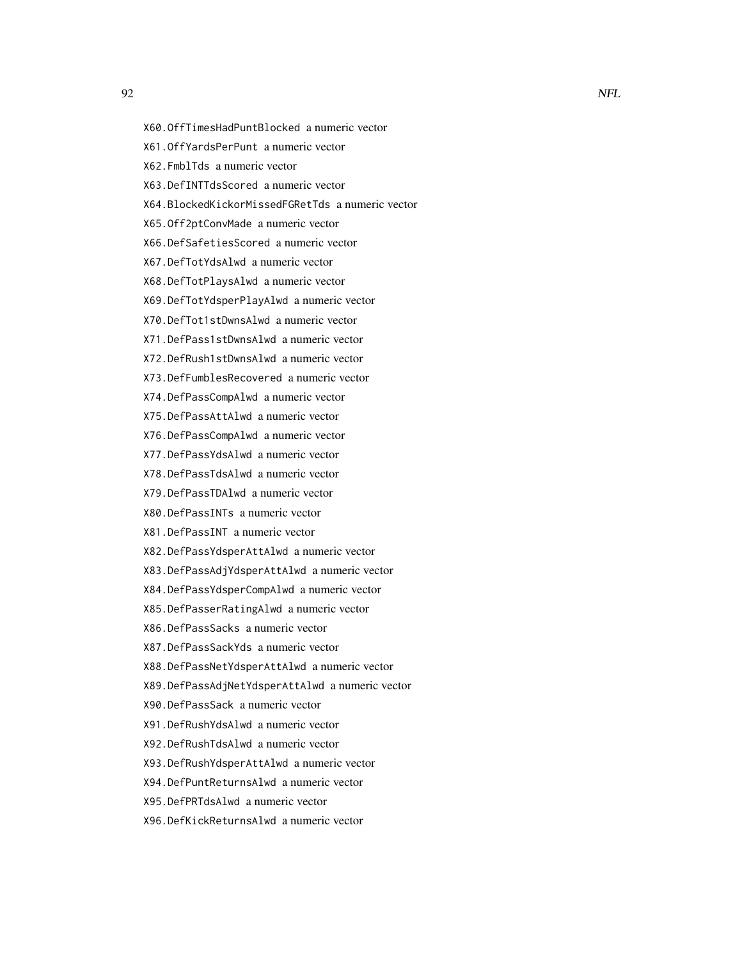- X60.OffTimesHadPuntBlocked a numeric vector
- X61.OffYardsPerPunt a numeric vector
- X62.FmblTds a numeric vector
- X63.DefINTTdsScored a numeric vector
- X64.BlockedKickorMissedFGRetTds a numeric vector
- X65.Off2ptConvMade a numeric vector
- X66.DefSafetiesScored a numeric vector
- X67.DefTotYdsAlwd a numeric vector
- X68.DefTotPlaysAlwd a numeric vector
- X69.DefTotYdsperPlayAlwd a numeric vector
- X70.DefTot1stDwnsAlwd a numeric vector
- X71.DefPass1stDwnsAlwd a numeric vector
- X72.DefRush1stDwnsAlwd a numeric vector
- X73.DefFumblesRecovered a numeric vector
- X74.DefPassCompAlwd a numeric vector
- X75.DefPassAttAlwd a numeric vector
- X76.DefPassCompAlwd a numeric vector
- X77.DefPassYdsAlwd a numeric vector
- X78.DefPassTdsAlwd a numeric vector
- X79.DefPassTDAlwd a numeric vector
- X80.DefPassINTs a numeric vector
- X81.DefPassINT a numeric vector
- X82.DefPassYdsperAttAlwd a numeric vector
- X83.DefPassAdjYdsperAttAlwd a numeric vector
- X84.DefPassYdsperCompAlwd a numeric vector
- X85.DefPasserRatingAlwd a numeric vector
- X86.DefPassSacks a numeric vector
- X87.DefPassSackYds a numeric vector
- X88.DefPassNetYdsperAttAlwd a numeric vector
- X89.DefPassAdjNetYdsperAttAlwd a numeric vector
- X90.DefPassSack a numeric vector
- X91.DefRushYdsAlwd a numeric vector
- X92.DefRushTdsAlwd a numeric vector
- X93.DefRushYdsperAttAlwd a numeric vector
- X94.DefPuntReturnsAlwd a numeric vector
- X95.DefPRTdsAlwd a numeric vector
- X96.DefKickReturnsAlwd a numeric vector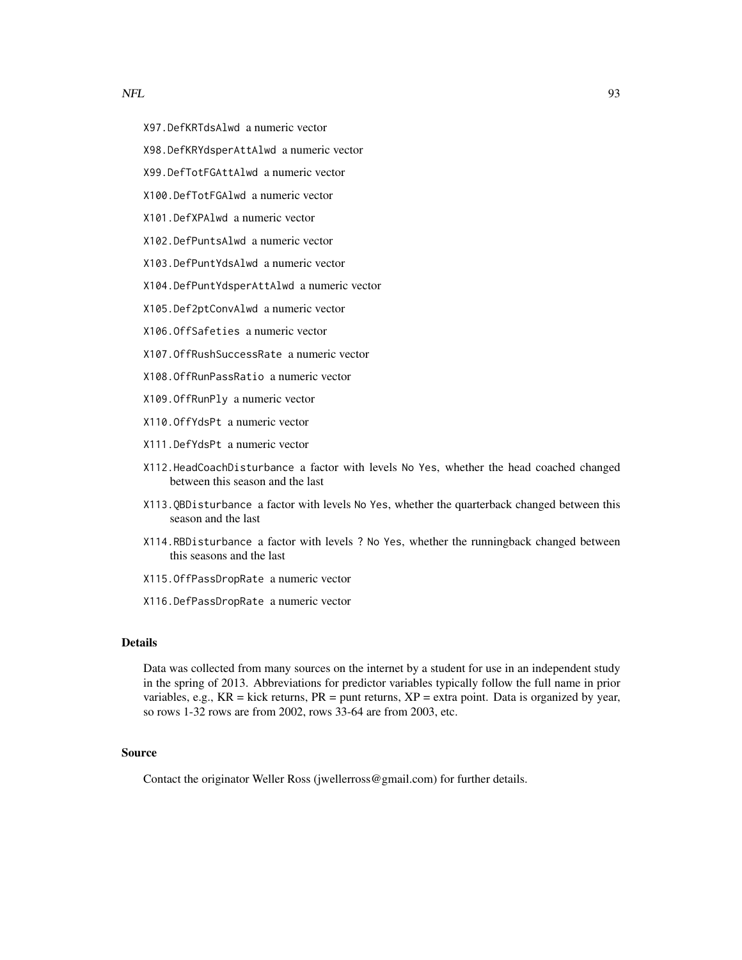- X97.DefKRTdsAlwd a numeric vector
- X98.DefKRYdsperAttAlwd a numeric vector
- X99.DefTotFGAttAlwd a numeric vector
- X100.DefTotFGAlwd a numeric vector
- X101.DefXPAlwd a numeric vector
- X102.DefPuntsAlwd a numeric vector
- X103.DefPuntYdsAlwd a numeric vector
- X104.DefPuntYdsperAttAlwd a numeric vector
- X105.Def2ptConvAlwd a numeric vector
- X106.OffSafeties a numeric vector
- X107.OffRushSuccessRate a numeric vector
- X108.OffRunPassRatio a numeric vector
- X109.OffRunPly a numeric vector
- X110.OffYdsPt a numeric vector
- X111.DefYdsPt a numeric vector
- X112.HeadCoachDisturbance a factor with levels No Yes, whether the head coached changed between this season and the last
- X113.QBDisturbance a factor with levels No Yes, whether the quarterback changed between this season and the last
- X114.RBDisturbance a factor with levels ? No Yes, whether the runningback changed between this seasons and the last
- X115.OffPassDropRate a numeric vector
- X116.DefPassDropRate a numeric vector

## Details

Data was collected from many sources on the internet by a student for use in an independent study in the spring of 2013. Abbreviations for predictor variables typically follow the full name in prior variables, e.g.,  $KR =$  kick returns,  $PR =$  punt returns,  $XP =$  extra point. Data is organized by year, so rows 1-32 rows are from 2002, rows 33-64 are from 2003, etc.

# Source

Contact the originator Weller Ross (jwellerross@gmail.com) for further details.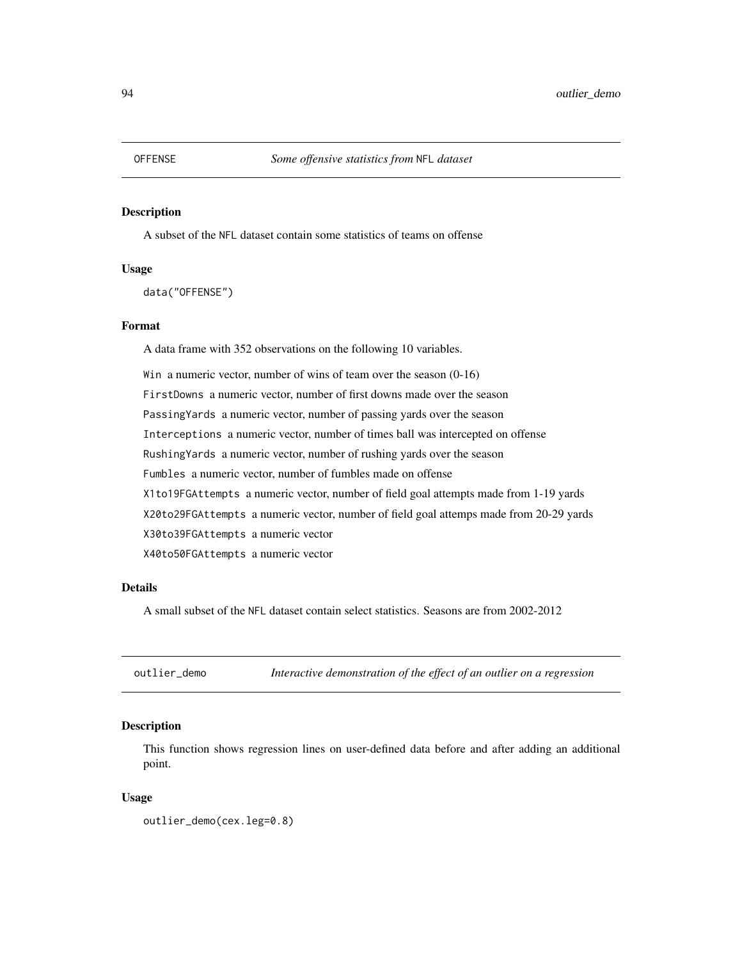#### Description

A subset of the NFL dataset contain some statistics of teams on offense

#### Usage

data("OFFENSE")

#### Format

A data frame with 352 observations on the following 10 variables.

Win a numeric vector, number of wins of team over the season (0-16) FirstDowns a numeric vector, number of first downs made over the season PassingYards a numeric vector, number of passing yards over the season Interceptions a numeric vector, number of times ball was intercepted on offense RushingYards a numeric vector, number of rushing yards over the season Fumbles a numeric vector, number of fumbles made on offense X1to19FGAttempts a numeric vector, number of field goal attempts made from 1-19 yards X20to29FGAttempts a numeric vector, number of field goal attemps made from 20-29 yards X30to39FGAttempts a numeric vector X40to50FGAttempts a numeric vector

# Details

A small subset of the NFL dataset contain select statistics. Seasons are from 2002-2012

outlier\_demo *Interactive demonstration of the effect of an outlier on a regression*

# **Description**

This function shows regression lines on user-defined data before and after adding an additional point.

## Usage

outlier\_demo(cex.leg=0.8)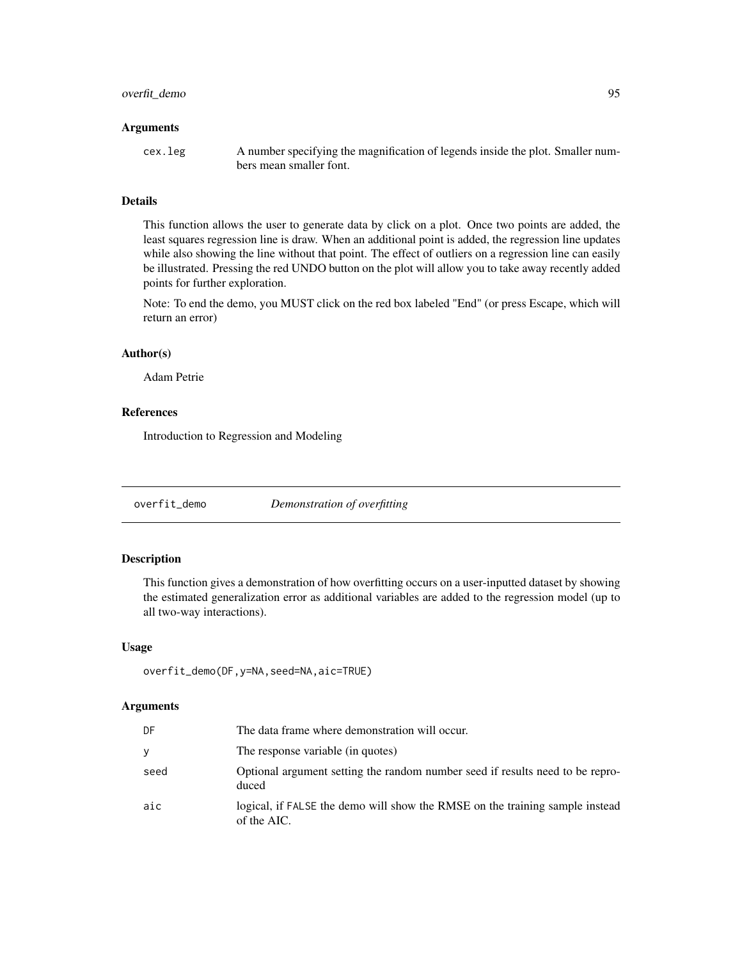# overfit\_demo 95

#### **Arguments**

cex.leg A number specifying the magnification of legends inside the plot. Smaller numbers mean smaller font.

## Details

This function allows the user to generate data by click on a plot. Once two points are added, the least squares regression line is draw. When an additional point is added, the regression line updates while also showing the line without that point. The effect of outliers on a regression line can easily be illustrated. Pressing the red UNDO button on the plot will allow you to take away recently added points for further exploration.

Note: To end the demo, you MUST click on the red box labeled "End" (or press Escape, which will return an error)

# Author(s)

Adam Petrie

## References

Introduction to Regression and Modeling

overfit\_demo *Demonstration of overfitting*

# Description

This function gives a demonstration of how overfitting occurs on a user-inputted dataset by showing the estimated generalization error as additional variables are added to the regression model (up to all two-way interactions).

## Usage

```
overfit_demo(DF,y=NA,seed=NA,aic=TRUE)
```
#### Arguments

| DF   | The data frame where demonstration will occur.                                              |
|------|---------------------------------------------------------------------------------------------|
|      | The response variable (in quotes)                                                           |
| seed | Optional argument setting the random number seed if results need to be repro-<br>duced      |
| aic  | logical, if FALSE the demo will show the RMSE on the training sample instead<br>of the AIC. |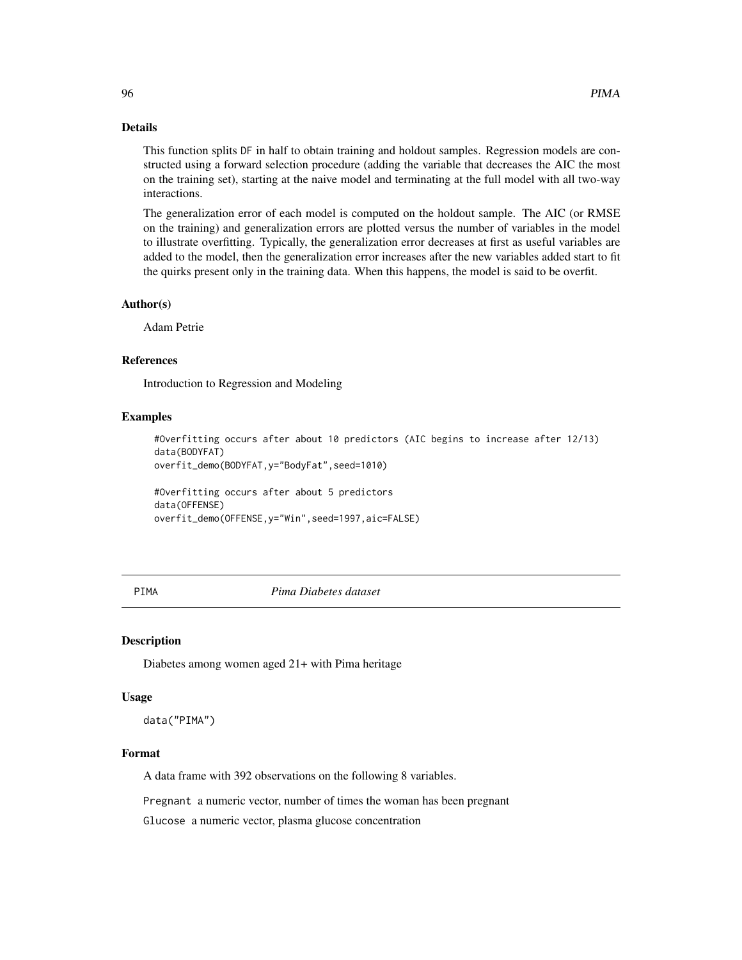# Details

This function splits DF in half to obtain training and holdout samples. Regression models are constructed using a forward selection procedure (adding the variable that decreases the AIC the most on the training set), starting at the naive model and terminating at the full model with all two-way interactions.

The generalization error of each model is computed on the holdout sample. The AIC (or RMSE on the training) and generalization errors are plotted versus the number of variables in the model to illustrate overfitting. Typically, the generalization error decreases at first as useful variables are added to the model, then the generalization error increases after the new variables added start to fit the quirks present only in the training data. When this happens, the model is said to be overfit.

## Author(s)

Adam Petrie

#### References

Introduction to Regression and Modeling

## Examples

```
#Overfitting occurs after about 10 predictors (AIC begins to increase after 12/13)
data(BODYFAT)
```
overfit\_demo(BODYFAT,y="BodyFat",seed=1010)

#Overfitting occurs after about 5 predictors data(OFFENSE) overfit\_demo(OFFENSE,y="Win",seed=1997,aic=FALSE)

## PIMA *Pima Diabetes dataset*

#### Description

Diabetes among women aged 21+ with Pima heritage

#### Usage

data("PIMA")

## Format

A data frame with 392 observations on the following 8 variables.

Pregnant a numeric vector, number of times the woman has been pregnant

Glucose a numeric vector, plasma glucose concentration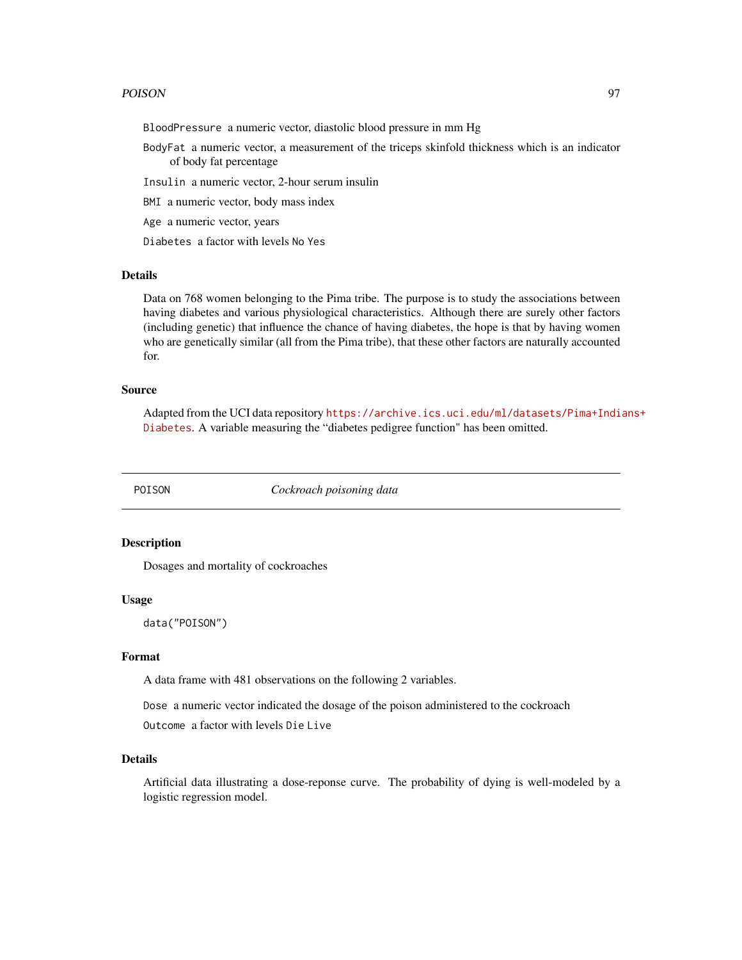#### POISON 97

BloodPressure a numeric vector, diastolic blood pressure in mm Hg

BodyFat a numeric vector, a measurement of the triceps skinfold thickness which is an indicator of body fat percentage

Insulin a numeric vector, 2-hour serum insulin

BMI a numeric vector, body mass index

Age a numeric vector, years

Diabetes a factor with levels No Yes

## Details

Data on 768 women belonging to the Pima tribe. The purpose is to study the associations between having diabetes and various physiological characteristics. Although there are surely other factors (including genetic) that influence the chance of having diabetes, the hope is that by having women who are genetically similar (all from the Pima tribe), that these other factors are naturally accounted for.

#### Source

Adapted from the UCI data repository [https://archive.ics.uci.edu/ml/datasets/Pima+Indi](https://archive.ics.uci.edu/ml/datasets/Pima+Indians+Diabetes)ans+ [Diabetes](https://archive.ics.uci.edu/ml/datasets/Pima+Indians+Diabetes). A variable measuring the "diabetes pedigree function" has been omitted.

POISON *Cockroach poisoning data*

## Description

Dosages and mortality of cockroaches

## Usage

data("POISON")

## Format

A data frame with 481 observations on the following 2 variables.

Dose a numeric vector indicated the dosage of the poison administered to the cockroach

```
Outcome a factor with levels Die Live
```
# Details

Artificial data illustrating a dose-reponse curve. The probability of dying is well-modeled by a logistic regression model.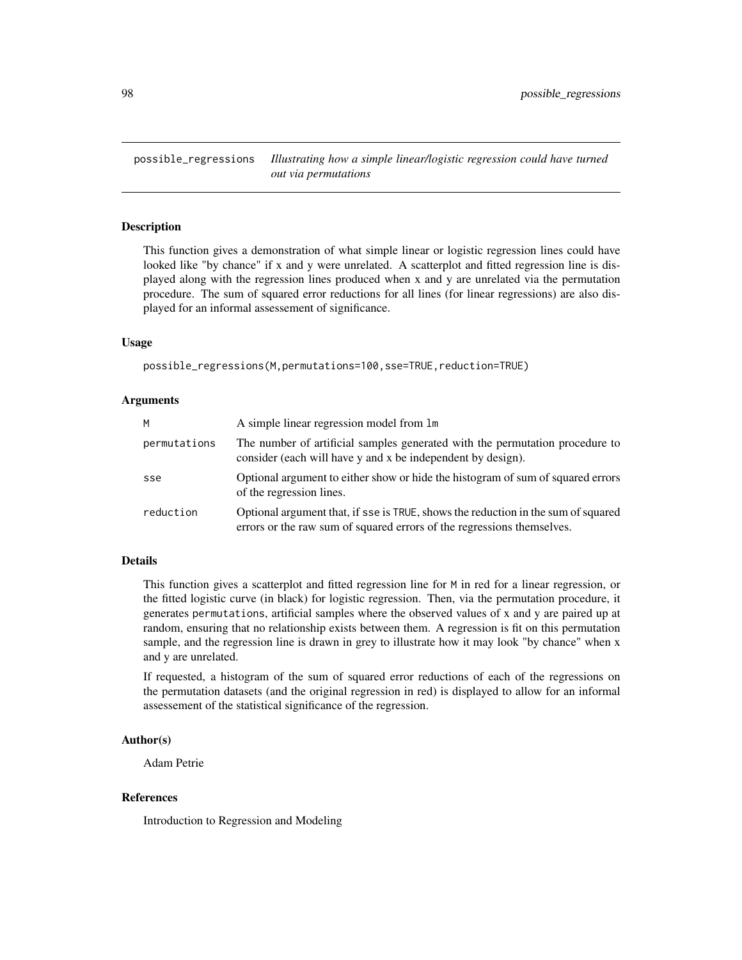possible\_regressions *Illustrating how a simple linear/logistic regression could have turned out via permutations*

## Description

This function gives a demonstration of what simple linear or logistic regression lines could have looked like "by chance" if x and y were unrelated. A scatterplot and fitted regression line is displayed along with the regression lines produced when x and y are unrelated via the permutation procedure. The sum of squared error reductions for all lines (for linear regressions) are also displayed for an informal assessement of significance.

#### Usage

```
possible_regressions(M,permutations=100,sse=TRUE,reduction=TRUE)
```
## Arguments

| м            | A simple linear regression model from 1m                                                                                                                    |
|--------------|-------------------------------------------------------------------------------------------------------------------------------------------------------------|
| permutations | The number of artificial samples generated with the permutation procedure to<br>consider (each will have y and x be independent by design).                 |
| sse          | Optional argument to either show or hide the histogram of sum of squared errors<br>of the regression lines.                                                 |
| reduction    | Optional argument that, if sse is TRUE, shows the reduction in the sum of squared<br>errors or the raw sum of squared errors of the regressions themselves. |

# Details

This function gives a scatterplot and fitted regression line for M in red for a linear regression, or the fitted logistic curve (in black) for logistic regression. Then, via the permutation procedure, it generates permutations, artificial samples where the observed values of x and y are paired up at random, ensuring that no relationship exists between them. A regression is fit on this permutation sample, and the regression line is drawn in grey to illustrate how it may look "by chance" when x and y are unrelated.

If requested, a histogram of the sum of squared error reductions of each of the regressions on the permutation datasets (and the original regression in red) is displayed to allow for an informal assessement of the statistical significance of the regression.

# Author(s)

Adam Petrie

## References

Introduction to Regression and Modeling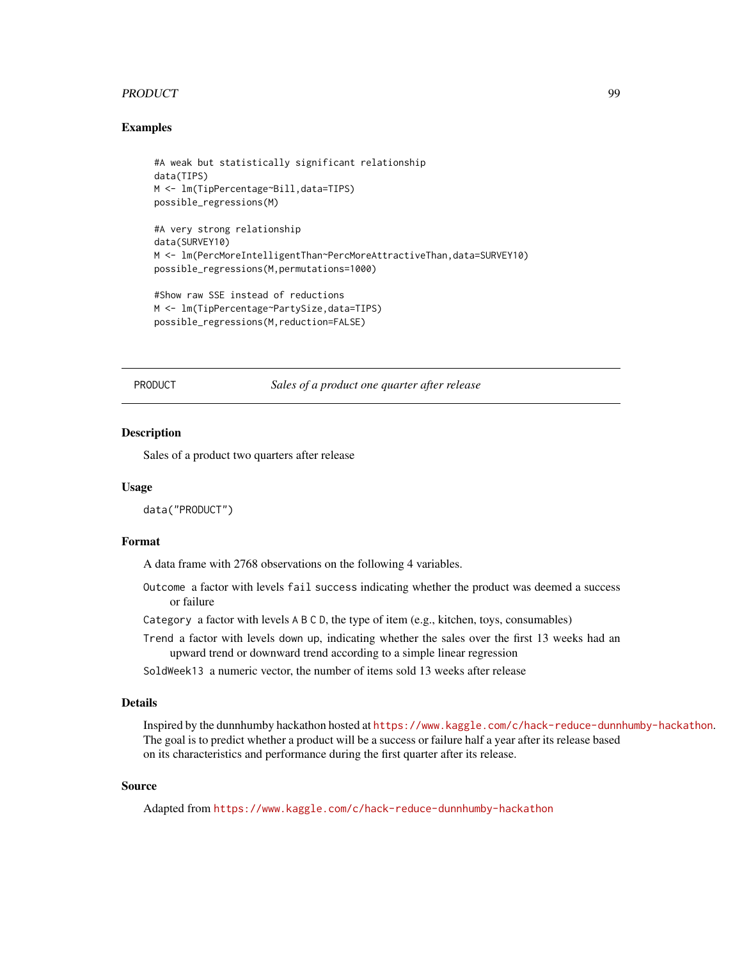## PRODUCT 99

## Examples

```
#A weak but statistically significant relationship
data(TIPS)
M <- lm(TipPercentage~Bill,data=TIPS)
possible_regressions(M)
#A very strong relationship
data(SURVEY10)
M <- lm(PercMoreIntelligentThan~PercMoreAttractiveThan,data=SURVEY10)
possible_regressions(M,permutations=1000)
#Show raw SSE instead of reductions
```

```
M <- lm(TipPercentage~PartySize,data=TIPS)
possible_regressions(M,reduction=FALSE)
```
PRODUCT *Sales of a product one quarter after release*

#### Description

Sales of a product two quarters after release

#### Usage

data("PRODUCT")

# Format

A data frame with 2768 observations on the following 4 variables.

- Outcome a factor with levels fail success indicating whether the product was deemed a success or failure
- Category a factor with levels A B C D, the type of item (e.g., kitchen, toys, consumables)
- Trend a factor with levels down up, indicating whether the sales over the first 13 weeks had an upward trend or downward trend according to a simple linear regression
- SoldWeek13 a numeric vector, the number of items sold 13 weeks after release

## Details

Inspired by the dunnhumby hackathon hosted at <https://www.kaggle.com/c/hack-reduce-dunnhumby-hackathon>. The goal is to predict whether a product will be a success or failure half a year after its release based on its characteristics and performance during the first quarter after its release.

#### Source

Adapted from <https://www.kaggle.com/c/hack-reduce-dunnhumby-hackathon>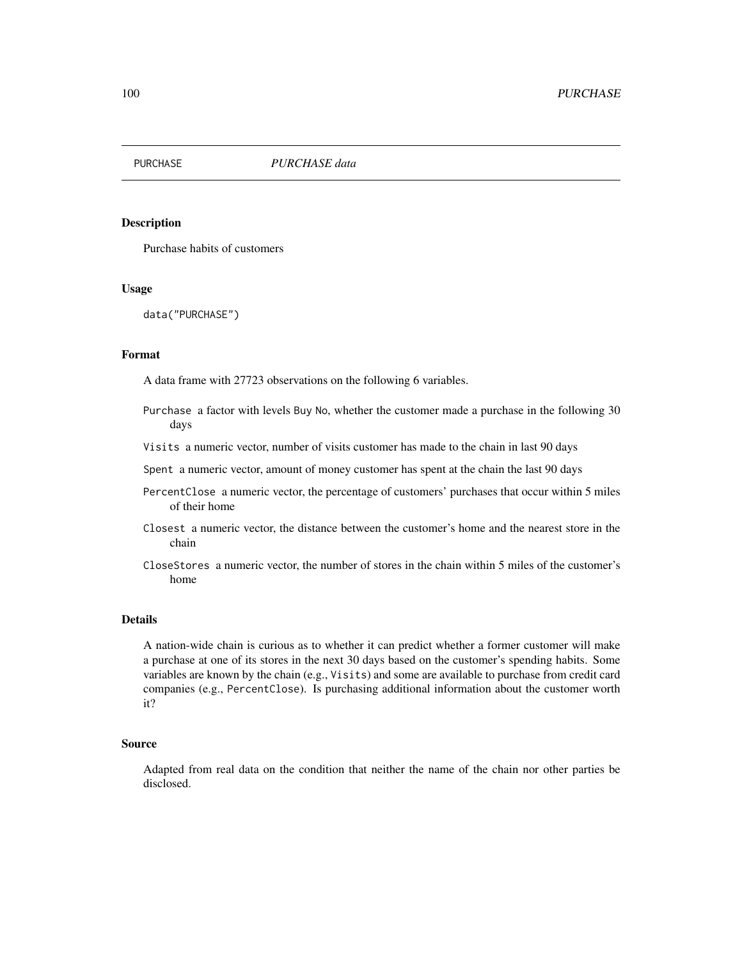## Description

Purchase habits of customers

#### Usage

data("PURCHASE")

#### Format

A data frame with 27723 observations on the following 6 variables.

- Purchase a factor with levels Buy No, whether the customer made a purchase in the following 30 days
- Visits a numeric vector, number of visits customer has made to the chain in last 90 days
- Spent a numeric vector, amount of money customer has spent at the chain the last 90 days
- PercentClose a numeric vector, the percentage of customers' purchases that occur within 5 miles of their home
- Closest a numeric vector, the distance between the customer's home and the nearest store in the chain
- CloseStores a numeric vector, the number of stores in the chain within 5 miles of the customer's home

# Details

A nation-wide chain is curious as to whether it can predict whether a former customer will make a purchase at one of its stores in the next 30 days based on the customer's spending habits. Some variables are known by the chain (e.g., Visits) and some are available to purchase from credit card companies (e.g., PercentClose). Is purchasing additional information about the customer worth it?

#### Source

Adapted from real data on the condition that neither the name of the chain nor other parties be disclosed.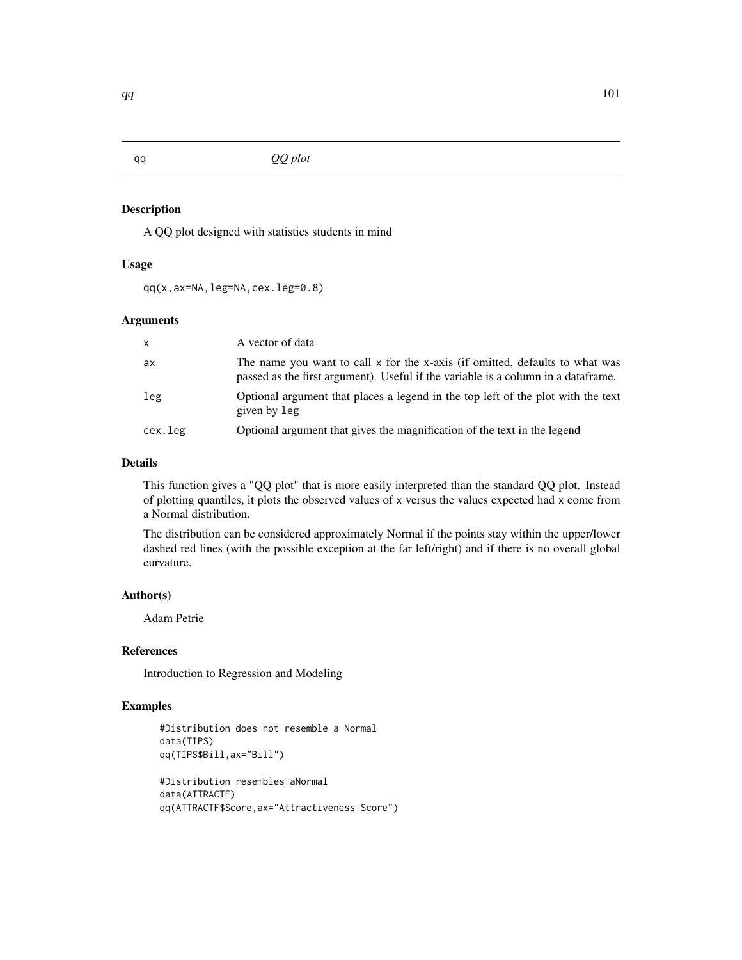# Description

A QQ plot designed with statistics students in mind

## Usage

qq(x,ax=NA,leg=NA,cex.leg=0.8)

# Arguments

| $\mathsf{x}$ | A vector of data                                                                                                                                                   |
|--------------|--------------------------------------------------------------------------------------------------------------------------------------------------------------------|
| ax           | The name you want to call x for the x-axis (if omitted, defaults to what was<br>passed as the first argument). Useful if the variable is a column in a data frame. |
| leg          | Optional argument that places a legend in the top left of the plot with the text<br>given by leg                                                                   |
| cex.leg      | Optional argument that gives the magnification of the text in the legend                                                                                           |

# Details

This function gives a "QQ plot" that is more easily interpreted than the standard QQ plot. Instead of plotting quantiles, it plots the observed values of x versus the values expected had x come from a Normal distribution.

The distribution can be considered approximately Normal if the points stay within the upper/lower dashed red lines (with the possible exception at the far left/right) and if there is no overall global curvature.

# Author(s)

Adam Petrie

# References

Introduction to Regression and Modeling

# Examples

```
#Distribution does not resemble a Normal
data(TIPS)
qq(TIPS$Bill,ax="Bill")
#Distribution resembles aNormal
data(ATTRACTF)
qq(ATTRACTF$Score,ax="Attractiveness Score")
```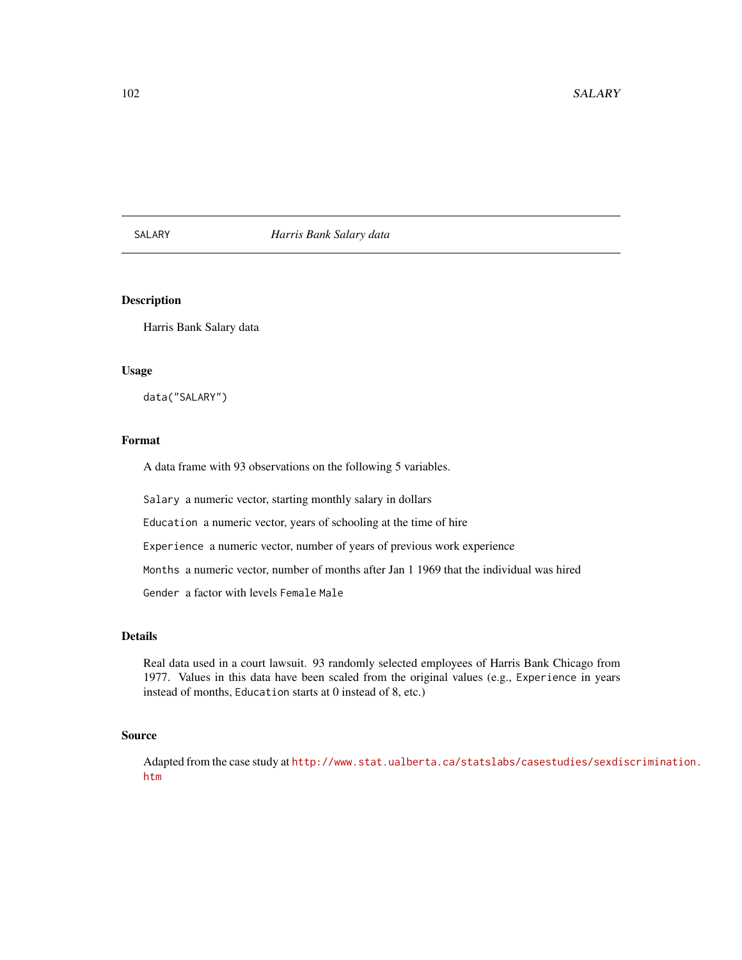## SALARY *Harris Bank Salary data*

# Description

Harris Bank Salary data

## Usage

data("SALARY")

# Format

A data frame with 93 observations on the following 5 variables.

Salary a numeric vector, starting monthly salary in dollars

Education a numeric vector, years of schooling at the time of hire

Experience a numeric vector, number of years of previous work experience

Months a numeric vector, number of months after Jan 1 1969 that the individual was hired

Gender a factor with levels Female Male

# Details

Real data used in a court lawsuit. 93 randomly selected employees of Harris Bank Chicago from 1977. Values in this data have been scaled from the original values (e.g., Experience in years instead of months, Education starts at 0 instead of 8, etc.)

#### Source

Adapted from the case study at [http://www.stat.ualberta.ca/statslabs/casestudies/sexdi](http://www.stat.ualberta.ca/statslabs/casestudies/sexdiscrimination.htm)scrimination. [htm](http://www.stat.ualberta.ca/statslabs/casestudies/sexdiscrimination.htm)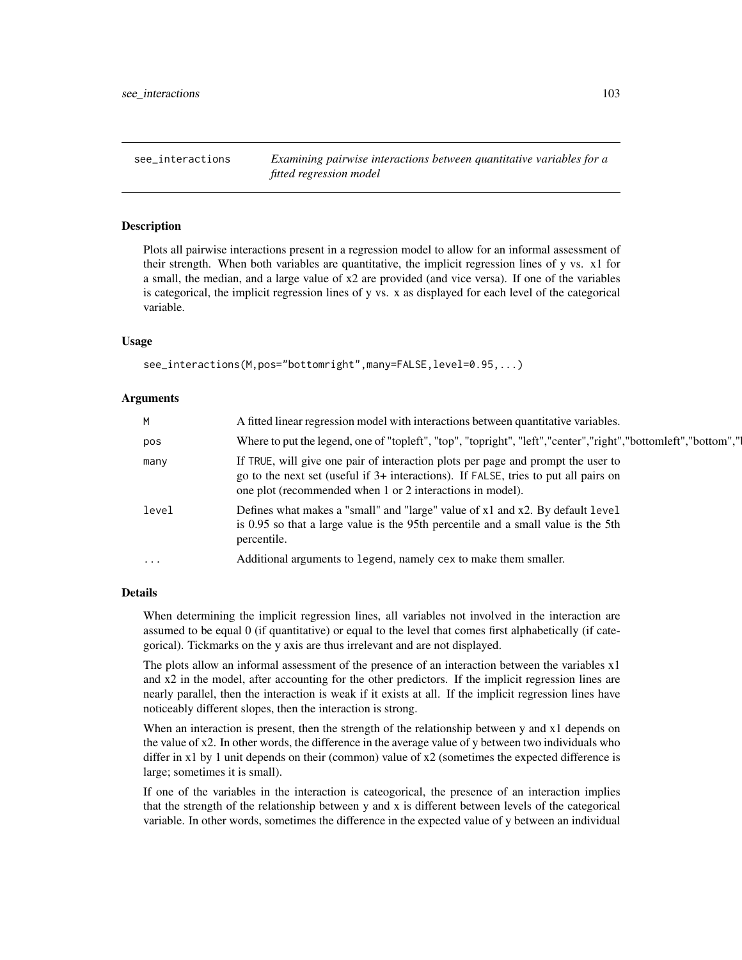see\_interactions *Examining pairwise interactions between quantitative variables for a fitted regression model*

#### Description

Plots all pairwise interactions present in a regression model to allow for an informal assessment of their strength. When both variables are quantitative, the implicit regression lines of y vs. x1 for a small, the median, and a large value of x2 are provided (and vice versa). If one of the variables is categorical, the implicit regression lines of y vs. x as displayed for each level of the categorical variable.

## Usage

```
see_interactions(M,pos="bottomright",many=FALSE,level=0.95,...)
```
#### Arguments

| M         | A fitted linear regression model with interactions between quantitative variables.                                                                                                                                                   |
|-----------|--------------------------------------------------------------------------------------------------------------------------------------------------------------------------------------------------------------------------------------|
| pos       | Where to put the legend, one of "topleft", "top", "topright", "left", "center", "right", "bottomleft", "bottom", "l                                                                                                                  |
| many      | If TRUE, will give one pair of interaction plots per page and prompt the user to<br>go to the next set (useful if 3+ interactions). If FALSE, tries to put all pairs on<br>one plot (recommended when 1 or 2 interactions in model). |
| level     | Defines what makes a "small" and "large" value of x1 and x2. By default level<br>is 0.95 so that a large value is the 95th percentile and a small value is the 5th<br>percentile.                                                    |
| $\ddotsc$ | Additional arguments to legend, namely cex to make them smaller.                                                                                                                                                                     |
|           |                                                                                                                                                                                                                                      |

## Details

When determining the implicit regression lines, all variables not involved in the interaction are assumed to be equal 0 (if quantitative) or equal to the level that comes first alphabetically (if categorical). Tickmarks on the y axis are thus irrelevant and are not displayed.

The plots allow an informal assessment of the presence of an interaction between the variables x1 and x2 in the model, after accounting for the other predictors. If the implicit regression lines are nearly parallel, then the interaction is weak if it exists at all. If the implicit regression lines have noticeably different slopes, then the interaction is strong.

When an interaction is present, then the strength of the relationship between y and x1 depends on the value of x2. In other words, the difference in the average value of y between two individuals who differ in x1 by 1 unit depends on their (common) value of x2 (sometimes the expected difference is large; sometimes it is small).

If one of the variables in the interaction is cateogorical, the presence of an interaction implies that the strength of the relationship between y and x is different between levels of the categorical variable. In other words, sometimes the difference in the expected value of y between an individual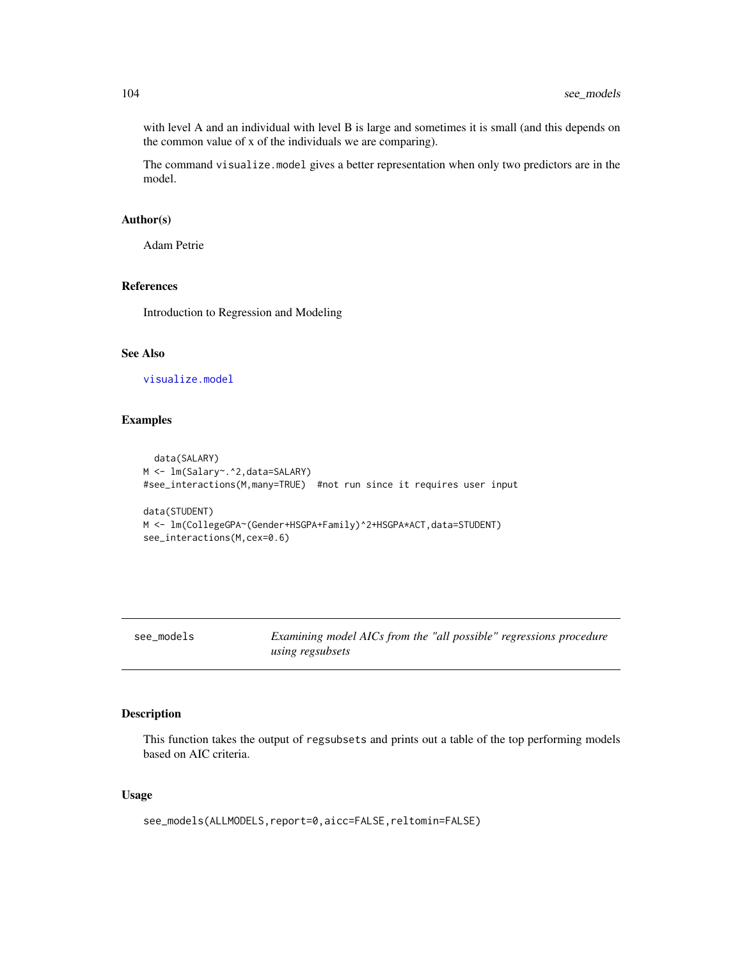with level A and an individual with level B is large and sometimes it is small (and this depends on the common value of x of the individuals we are comparing).

The command visualize.model gives a better representation when only two predictors are in the model.

#### Author(s)

Adam Petrie

# References

Introduction to Regression and Modeling

# See Also

[visualize.model](#page-121-0)

# Examples

```
data(SALARY)
M <- lm(Salary~.^2,data=SALARY)
#see_interactions(M,many=TRUE) #not run since it requires user input
data(STUDENT)
M <- lm(CollegeGPA~(Gender+HSGPA+Family)^2+HSGPA*ACT,data=STUDENT)
see_interactions(M,cex=0.6)
```
see\_models *Examining model AICs from the "all possible" regressions procedure using regsubsets*

# Description

This function takes the output of regsubsets and prints out a table of the top performing models based on AIC criteria.

# Usage

see\_models(ALLMODELS,report=0,aicc=FALSE,reltomin=FALSE)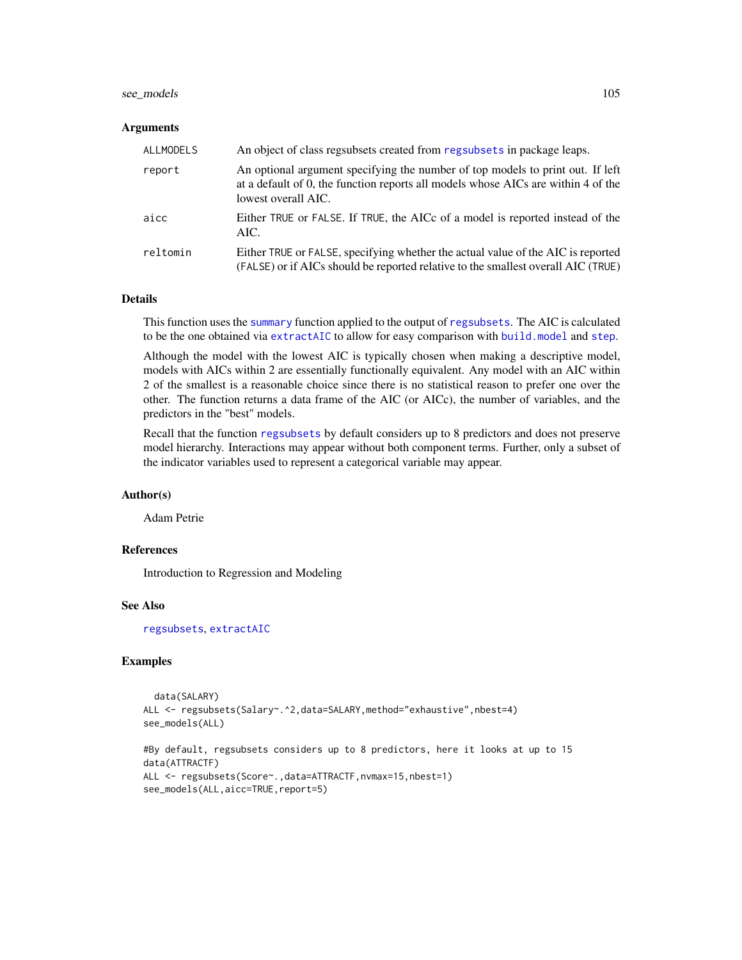## see\_models 105

#### Arguments

| <b>ALLMODELS</b> | An object of class regsubsets created from regsubsets in package leaps.                                                                                                                    |
|------------------|--------------------------------------------------------------------------------------------------------------------------------------------------------------------------------------------|
| report           | An optional argument specifying the number of top models to print out. If left<br>at a default of 0, the function reports all models whose AICs are within 4 of the<br>lowest overall AIC. |
| aicc             | Either TRUE or FALSE. If TRUE, the AICc of a model is reported instead of the<br>AIC.                                                                                                      |
| reltomin         | Either TRUE or FALSE, specifying whether the actual value of the AIC is reported<br>(FALSE) or if AICs should be reported relative to the smallest overall AIC (TRUE)                      |

## Details

This function uses the [summary](#page-0-0) function applied to the output of [regsubsets](#page-0-0). The AIC is calculated to be the one obtained via [extractAIC](#page-0-0) to allow for easy comparison with [build.model](#page-13-0) and [step](#page-0-0).

Although the model with the lowest AIC is typically chosen when making a descriptive model, models with AICs within 2 are essentially functionally equivalent. Any model with an AIC within 2 of the smallest is a reasonable choice since there is no statistical reason to prefer one over the other. The function returns a data frame of the AIC (or AICc), the number of variables, and the predictors in the "best" models.

Recall that the function [regsubsets](#page-0-0) by default considers up to 8 predictors and does not preserve model hierarchy. Interactions may appear without both component terms. Further, only a subset of the indicator variables used to represent a categorical variable may appear.

#### Author(s)

Adam Petrie

#### References

Introduction to Regression and Modeling

## See Also

[regsubsets](#page-0-0), [extractAIC](#page-0-0)

# Examples

```
data(SALARY)
ALL <- regsubsets(Salary~.^2,data=SALARY,method="exhaustive",nbest=4)
see_models(ALL)
#By default, regsubsets considers up to 8 predictors, here it looks at up to 15
data(ATTRACTF)
ALL <- regsubsets(Score~.,data=ATTRACTF,nvmax=15,nbest=1)
see_models(ALL,aicc=TRUE,report=5)
```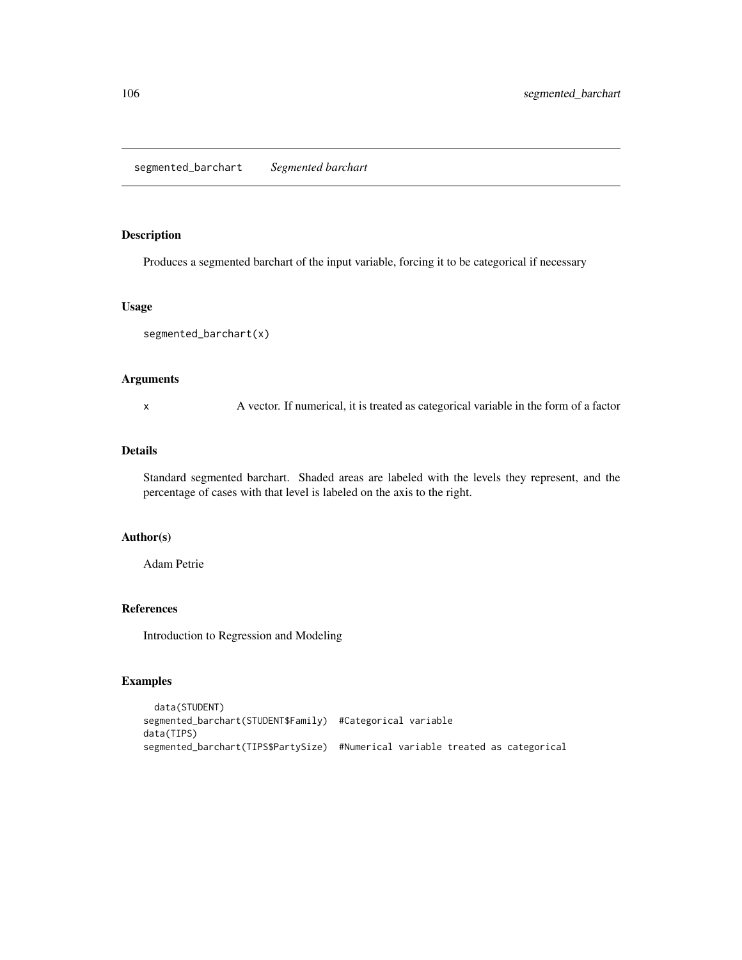# Description

Produces a segmented barchart of the input variable, forcing it to be categorical if necessary

## Usage

```
segmented_barchart(x)
```
# Arguments

x A vector. If numerical, it is treated as categorical variable in the form of a factor

#### Details

Standard segmented barchart. Shaded areas are labeled with the levels they represent, and the percentage of cases with that level is labeled on the axis to the right.

#### Author(s)

Adam Petrie

# References

Introduction to Regression and Modeling

# Examples

```
data(STUDENT)
segmented_barchart(STUDENT$Family) #Categorical variable
data(TIPS)
segmented_barchart(TIPS$PartySize) #Numerical variable treated as categorical
```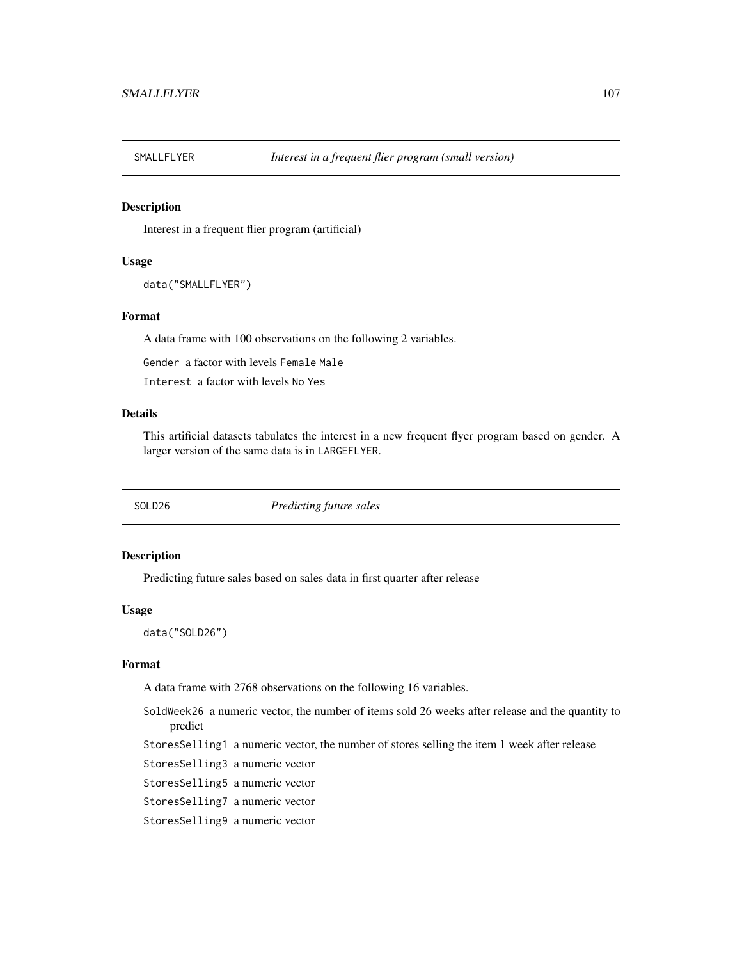## Description

Interest in a frequent flier program (artificial)

#### Usage

```
data("SMALLFLYER")
```
# Format

A data frame with 100 observations on the following 2 variables.

Gender a factor with levels Female Male

Interest a factor with levels No Yes

# Details

This artificial datasets tabulates the interest in a new frequent flyer program based on gender. A larger version of the same data is in LARGEFLYER.

SOLD26 *Predicting future sales*

#### Description

Predicting future sales based on sales data in first quarter after release

#### Usage

data("SOLD26")

## Format

A data frame with 2768 observations on the following 16 variables.

- SoldWeek26 a numeric vector, the number of items sold 26 weeks after release and the quantity to predict
- StoresSelling1 a numeric vector, the number of stores selling the item 1 week after release
- StoresSelling3 a numeric vector
- StoresSelling5 a numeric vector
- StoresSelling7 a numeric vector
- StoresSelling9 a numeric vector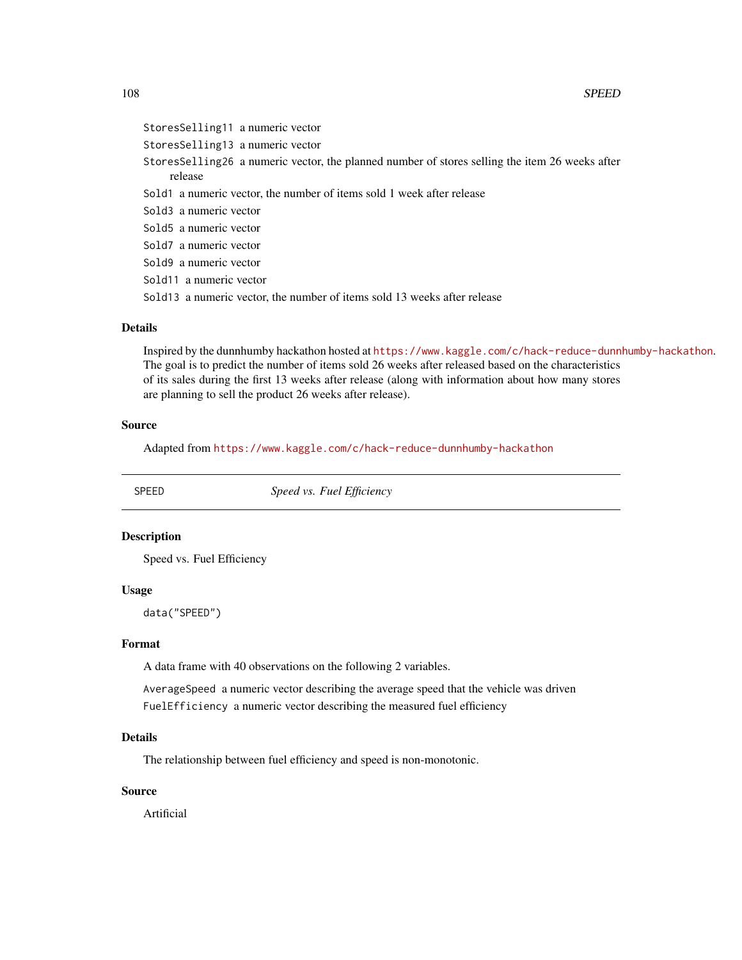## 108 SPEED

StoresSelling11 a numeric vector StoresSelling13 a numeric vector StoresSelling26 a numeric vector, the planned number of stores selling the item 26 weeks after release Sold1 a numeric vector, the number of items sold 1 week after release Sold3 a numeric vector Sold5 a numeric vector Sold7 a numeric vector Sold9 a numeric vector Sold11 a numeric vector Sold13 a numeric vector, the number of items sold 13 weeks after release

# Details

Inspired by the dunnhumby hackathon hosted at <https://www.kaggle.com/c/hack-reduce-dunnhumby-hackathon>. The goal is to predict the number of items sold 26 weeks after released based on the characteristics of its sales during the first 13 weeks after release (along with information about how many stores are planning to sell the product 26 weeks after release).

## Source

Adapted from <https://www.kaggle.com/c/hack-reduce-dunnhumby-hackathon>

SPEED *Speed vs. Fuel Efficiency*

#### Description

Speed vs. Fuel Efficiency

#### Usage

data("SPEED")

#### Format

A data frame with 40 observations on the following 2 variables.

AverageSpeed a numeric vector describing the average speed that the vehicle was driven FuelEfficiency a numeric vector describing the measured fuel efficiency

## Details

The relationship between fuel efficiency and speed is non-monotonic.

## Source

Artificial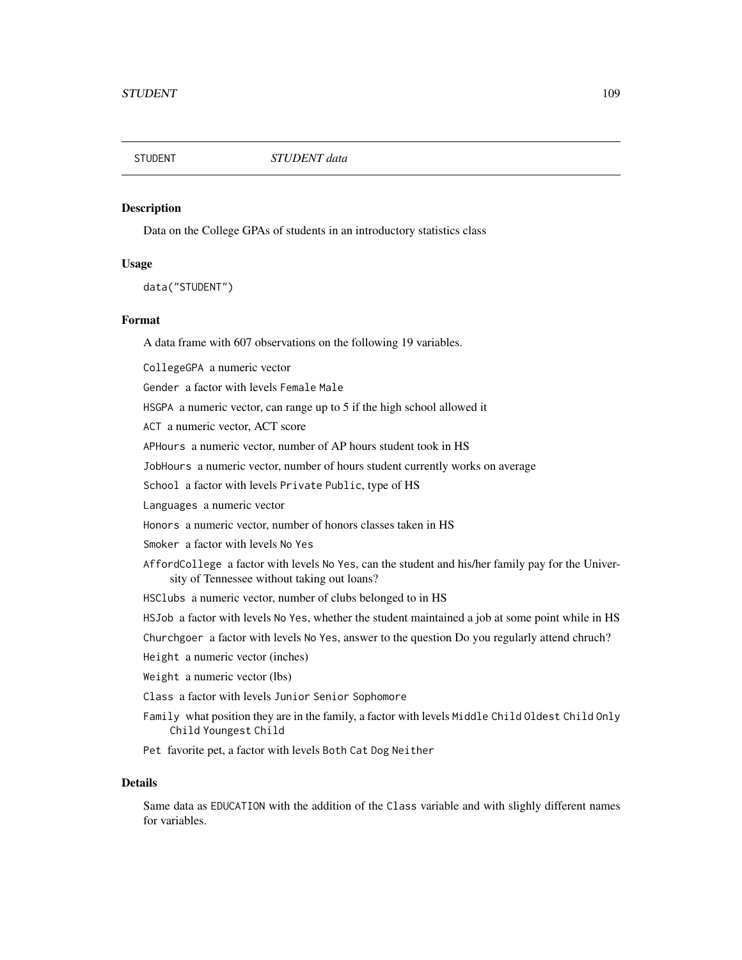<span id="page-108-0"></span>

# **Description**

Data on the College GPAs of students in an introductory statistics class

#### Usage

data("STUDENT")

# Format

A data frame with 607 observations on the following 19 variables.

CollegeGPA a numeric vector Gender a factor with levels Female Male HSGPA a numeric vector, can range up to 5 if the high school allowed it ACT a numeric vector, ACT score

APHours a numeric vector, number of AP hours student took in HS

JobHours a numeric vector, number of hours student currently works on average

School a factor with levels Private Public, type of HS

Languages a numeric vector

Honors a numeric vector, number of honors classes taken in HS

Smoker a factor with levels No Yes

- AffordCollege a factor with levels No Yes, can the student and his/her family pay for the University of Tennessee without taking out loans?
- HSClubs a numeric vector, number of clubs belonged to in HS

HSJob a factor with levels No Yes, whether the student maintained a job at some point while in HS

Churchgoer a factor with levels No Yes, answer to the question Do you regularly attend chruch?

Height a numeric vector (inches)

Weight a numeric vector (lbs)

- Class a factor with levels Junior Senior Sophomore
- Family what position they are in the family, a factor with levels Middle Child Oldest Child Only Child Youngest Child
- Pet favorite pet, a factor with levels Both Cat Dog Neither

#### Details

Same data as EDUCATION with the addition of the Class variable and with slighly different names for variables.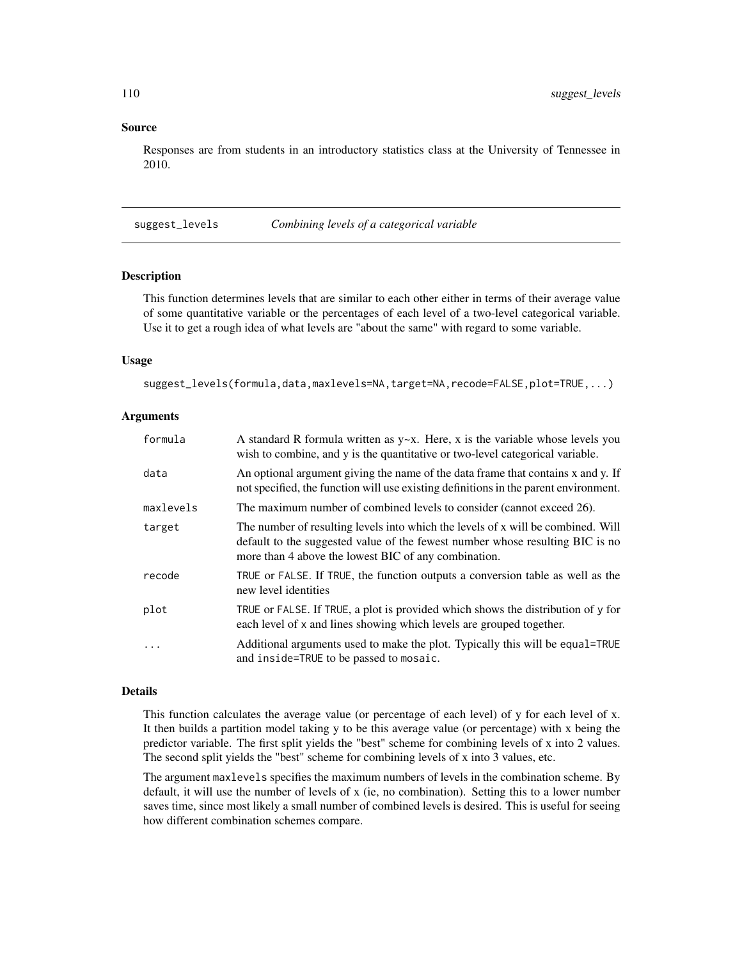#### Source

Responses are from students in an introductory statistics class at the University of Tennessee in 2010.

suggest\_levels *Combining levels of a categorical variable*

#### Description

This function determines levels that are similar to each other either in terms of their average value of some quantitative variable or the percentages of each level of a two-level categorical variable. Use it to get a rough idea of what levels are "about the same" with regard to some variable.

### Usage

```
suggest_levels(formula,data,maxlevels=NA,target=NA,recode=FALSE,plot=TRUE,...)
```
#### **Arguments**

| formula   | A standard R formula written as $y \sim x$ . Here, x is the variable whose levels you<br>wish to combine, and y is the quantitative or two-level categorical variable.                                                    |
|-----------|---------------------------------------------------------------------------------------------------------------------------------------------------------------------------------------------------------------------------|
| data      | An optional argument giving the name of the data frame that contains x and y. If<br>not specified, the function will use existing definitions in the parent environment.                                                  |
| maxlevels | The maximum number of combined levels to consider (cannot exceed 26).                                                                                                                                                     |
| target    | The number of resulting levels into which the levels of x will be combined. Will<br>default to the suggested value of the fewest number whose resulting BIC is no<br>more than 4 above the lowest BIC of any combination. |
| recode    | TRUE or FALSE. If TRUE, the function outputs a conversion table as well as the<br>new level identities                                                                                                                    |
| plot      | TRUE or FALSE. If TRUE, a plot is provided which shows the distribution of y for<br>each level of x and lines showing which levels are grouped together.                                                                  |
| .         | Additional arguments used to make the plot. Typically this will be equal=TRUE<br>and inside=TRUE to be passed to mosaic.                                                                                                  |

#### Details

This function calculates the average value (or percentage of each level) of y for each level of x. It then builds a partition model taking y to be this average value (or percentage) with x being the predictor variable. The first split yields the "best" scheme for combining levels of x into 2 values. The second split yields the "best" scheme for combining levels of x into 3 values, etc.

The argument maxlevels specifies the maximum numbers of levels in the combination scheme. By default, it will use the number of levels of x (ie, no combination). Setting this to a lower number saves time, since most likely a small number of combined levels is desired. This is useful for seeing how different combination schemes compare.

<span id="page-109-0"></span>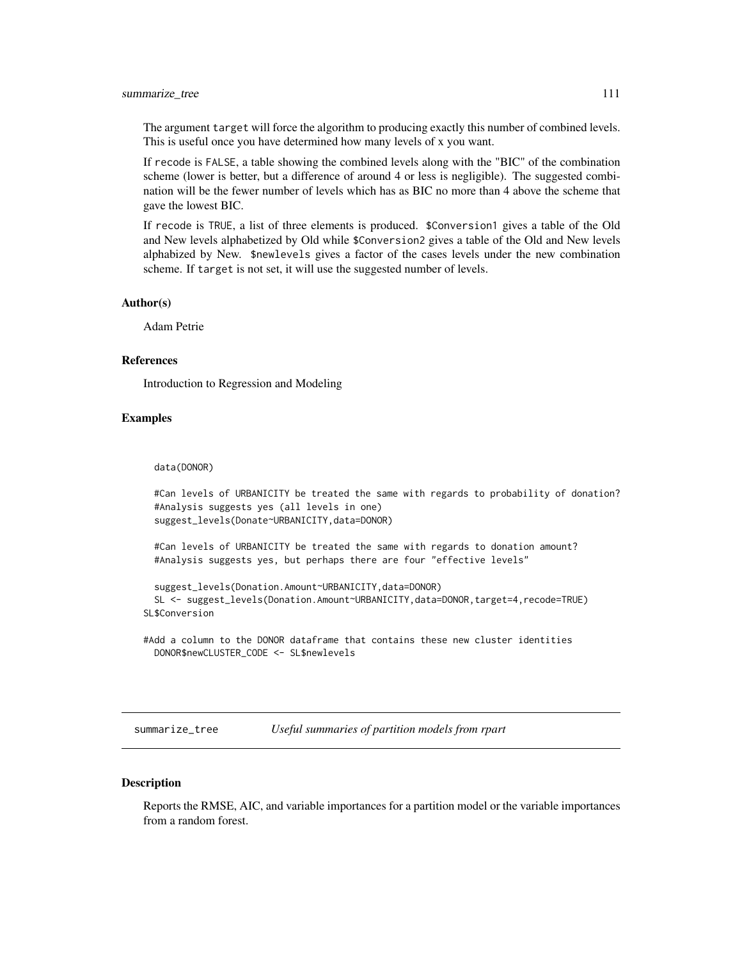#### <span id="page-110-0"></span>summarize\_tree 111

The argument target will force the algorithm to producing exactly this number of combined levels. This is useful once you have determined how many levels of x you want.

If recode is FALSE, a table showing the combined levels along with the "BIC" of the combination scheme (lower is better, but a difference of around 4 or less is negligible). The suggested combination will be the fewer number of levels which has as BIC no more than 4 above the scheme that gave the lowest BIC.

If recode is TRUE, a list of three elements is produced. \$Conversion1 gives a table of the Old and New levels alphabetized by Old while \$Conversion2 gives a table of the Old and New levels alphabized by New. \$newlevels gives a factor of the cases levels under the new combination scheme. If target is not set, it will use the suggested number of levels.

#### Author(s)

Adam Petrie

#### References

Introduction to Regression and Modeling

# Examples

data(DONOR)

```
#Can levels of URBANICITY be treated the same with regards to probability of donation?
#Analysis suggests yes (all levels in one)
suggest_levels(Donate~URBANICITY,data=DONOR)
```
#Can levels of URBANICITY be treated the same with regards to donation amount? #Analysis suggests yes, but perhaps there are four "effective levels"

```
suggest_levels(Donation.Amount~URBANICITY,data=DONOR)
 SL <- suggest_levels(Donation.Amount~URBANICITY,data=DONOR,target=4,recode=TRUE)
SL$Conversion
```
#Add a column to the DONOR dataframe that contains these new cluster identities DONOR\$newCLUSTER\_CODE <- SL\$newlevels

summarize\_tree *Useful summaries of partition models from rpart*

# Description

Reports the RMSE, AIC, and variable importances for a partition model or the variable importances from a random forest.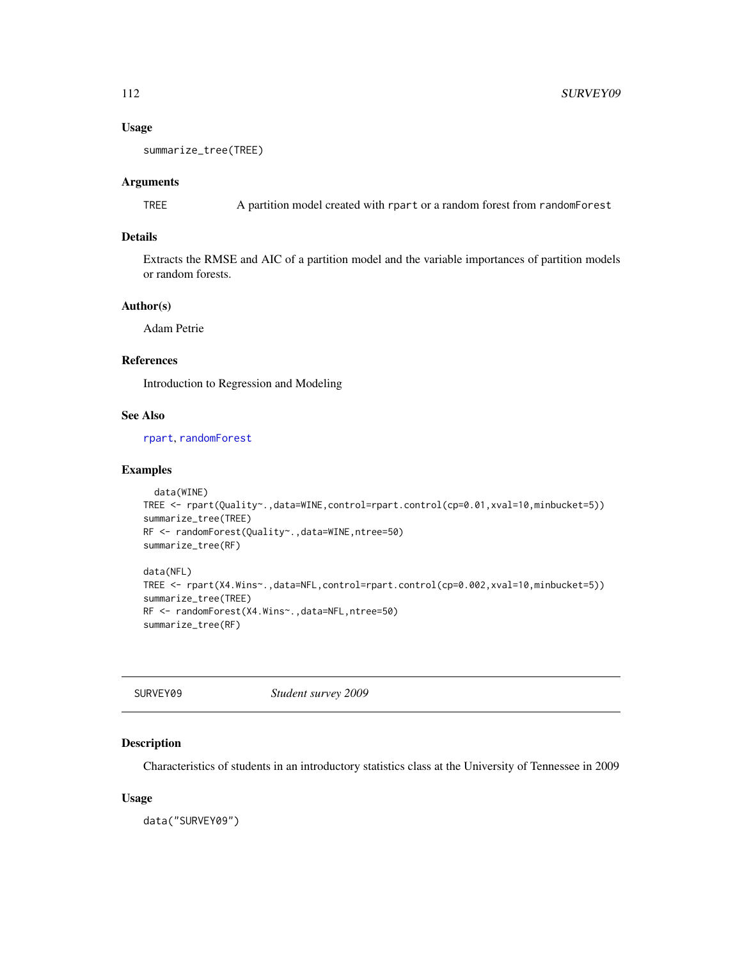# <span id="page-111-0"></span>Usage

```
summarize_tree(TREE)
```
# Arguments

TREE A partition model created with rpart or a random forest from randomForest

# Details

Extracts the RMSE and AIC of a partition model and the variable importances of partition models or random forests.

# Author(s)

Adam Petrie

# References

Introduction to Regression and Modeling

# See Also

[rpart](#page-0-0), [randomForest](#page-0-0)

# Examples

```
data(WINE)
TREE <- rpart(Quality~.,data=WINE,control=rpart.control(cp=0.01,xval=10,minbucket=5))
summarize_tree(TREE)
RF <- randomForest(Quality~.,data=WINE,ntree=50)
summarize_tree(RF)
data(NFL)
```

```
TREE <- rpart(X4.Wins~.,data=NFL,control=rpart.control(cp=0.002,xval=10,minbucket=5))
summarize_tree(TREE)
RF <- randomForest(X4.Wins~.,data=NFL,ntree=50)
```

```
summarize_tree(RF)
```

| SURVEY09 | Student survey 2009 |
|----------|---------------------|
|----------|---------------------|

# Description

Characteristics of students in an introductory statistics class at the University of Tennessee in 2009

#### Usage

data("SURVEY09")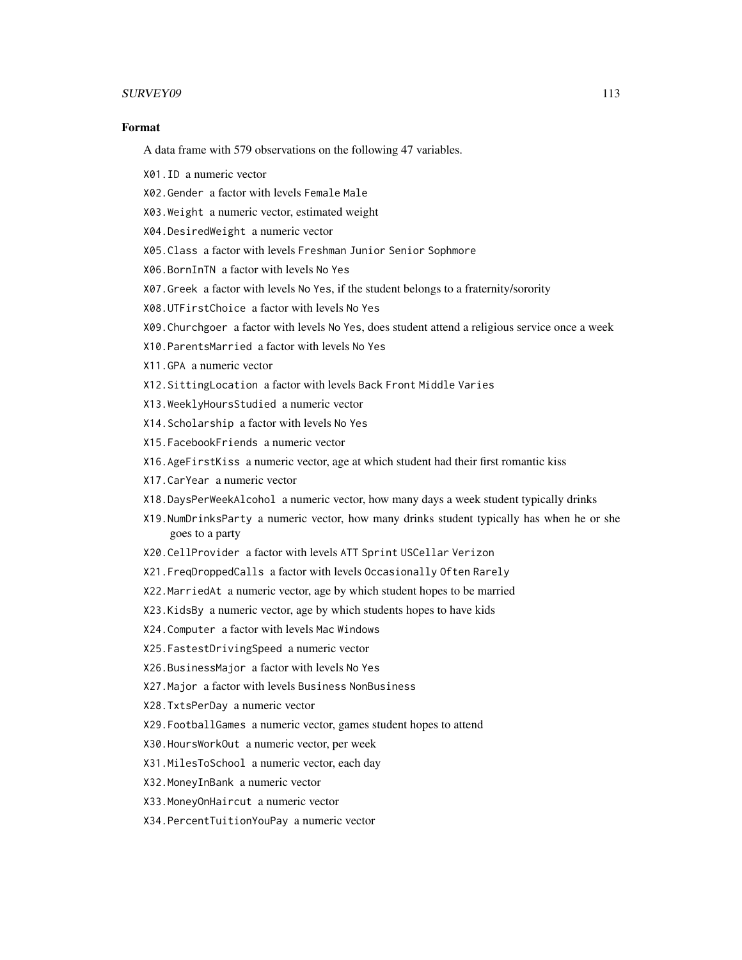#### SURVEY09 113

# Format

A data frame with 579 observations on the following 47 variables.

- X01.ID a numeric vector
- X02.Gender a factor with levels Female Male
- X03.Weight a numeric vector, estimated weight
- X04.DesiredWeight a numeric vector
- X05.Class a factor with levels Freshman Junior Senior Sophmore
- X06.BornInTN a factor with levels No Yes
- X07.Greek a factor with levels No Yes, if the student belongs to a fraternity/sorority
- X08.UTFirstChoice a factor with levels No Yes
- X09.Churchgoer a factor with levels No Yes, does student attend a religious service once a week
- X10.ParentsMarried a factor with levels No Yes
- X11.GPA a numeric vector
- X12.SittingLocation a factor with levels Back Front Middle Varies
- X13.WeeklyHoursStudied a numeric vector
- X14.Scholarship a factor with levels No Yes
- X15.FacebookFriends a numeric vector
- X16.AgeFirstKiss a numeric vector, age at which student had their first romantic kiss
- X17.CarYear a numeric vector
- X18.DaysPerWeekAlcohol a numeric vector, how many days a week student typically drinks
- X19.NumDrinksParty a numeric vector, how many drinks student typically has when he or she goes to a party
- X20.CellProvider a factor with levels ATT Sprint USCellar Verizon
- X21.FreqDroppedCalls a factor with levels Occasionally Often Rarely
- X22.MarriedAt a numeric vector, age by which student hopes to be married
- X23.KidsBy a numeric vector, age by which students hopes to have kids
- X24.Computer a factor with levels Mac Windows
- X25.FastestDrivingSpeed a numeric vector
- X26.BusinessMajor a factor with levels No Yes
- X27.Major a factor with levels Business NonBusiness
- X28.TxtsPerDay a numeric vector
- X29.FootballGames a numeric vector, games student hopes to attend
- X30.HoursWorkOut a numeric vector, per week
- X31.MilesToSchool a numeric vector, each day
- X32.MoneyInBank a numeric vector
- X33.MoneyOnHaircut a numeric vector
- X34.PercentTuitionYouPay a numeric vector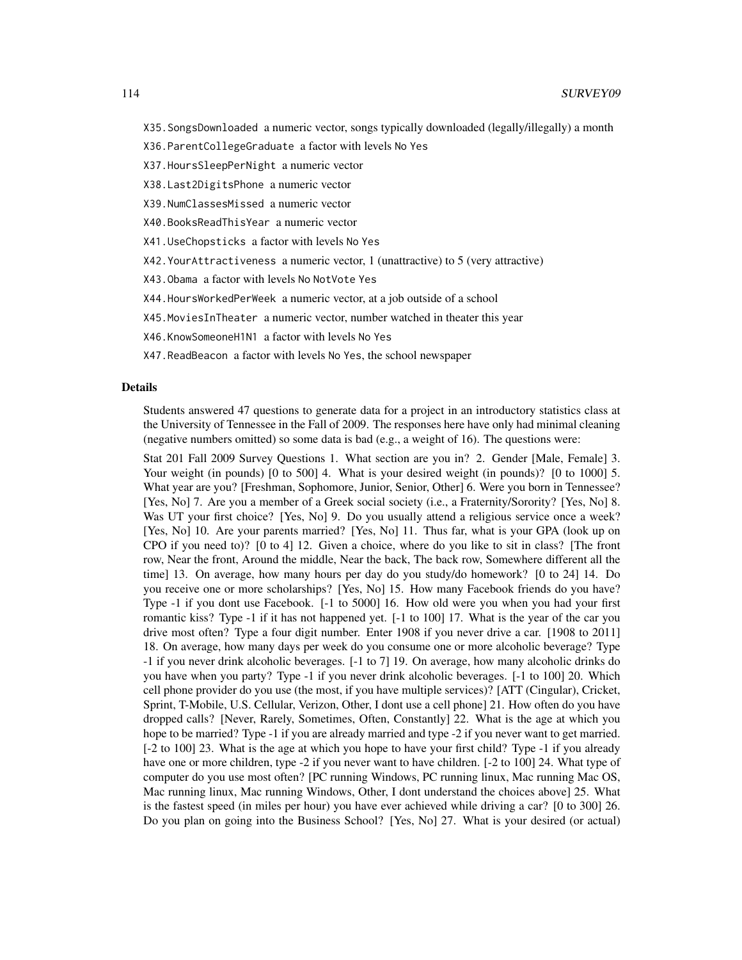- X35.SongsDownloaded a numeric vector, songs typically downloaded (legally/illegally) a month
- X36.ParentCollegeGraduate a factor with levels No Yes
- X37.HoursSleepPerNight a numeric vector
- X38.Last2DigitsPhone a numeric vector
- X39.NumClassesMissed a numeric vector
- X40.BooksReadThisYear a numeric vector
- X41.UseChopsticks a factor with levels No Yes
- X42.YourAttractiveness a numeric vector, 1 (unattractive) to 5 (very attractive)
- X43.Obama a factor with levels No NotVote Yes
- X44.HoursWorkedPerWeek a numeric vector, at a job outside of a school
- X45.MoviesInTheater a numeric vector, number watched in theater this year
- X46.KnowSomeoneH1N1 a factor with levels No Yes
- X47.ReadBeacon a factor with levels No Yes, the school newspaper

#### Details

Students answered 47 questions to generate data for a project in an introductory statistics class at the University of Tennessee in the Fall of 2009. The responses here have only had minimal cleaning (negative numbers omitted) so some data is bad (e.g., a weight of 16). The questions were:

Stat 201 Fall 2009 Survey Questions 1. What section are you in? 2. Gender [Male, Female] 3. Your weight (in pounds) [0 to 500] 4. What is your desired weight (in pounds)? [0 to 1000] 5. What year are you? [Freshman, Sophomore, Junior, Senior, Other] 6. Were you born in Tennessee? [Yes, No] 7. Are you a member of a Greek social society (i.e., a Fraternity/Sorority? [Yes, No] 8. Was UT your first choice? [Yes, No] 9. Do you usually attend a religious service once a week? [Yes, No] 10. Are your parents married? [Yes, No] 11. Thus far, what is your GPA (look up on CPO if you need to)? [0 to 4] 12. Given a choice, where do you like to sit in class? [The front row, Near the front, Around the middle, Near the back, The back row, Somewhere different all the time] 13. On average, how many hours per day do you study/do homework? [0 to 24] 14. Do you receive one or more scholarships? [Yes, No] 15. How many Facebook friends do you have? Type -1 if you dont use Facebook. [-1 to 5000] 16. How old were you when you had your first romantic kiss? Type -1 if it has not happened yet. [-1 to 100] 17. What is the year of the car you drive most often? Type a four digit number. Enter 1908 if you never drive a car. [1908 to 2011] 18. On average, how many days per week do you consume one or more alcoholic beverage? Type -1 if you never drink alcoholic beverages. [-1 to 7] 19. On average, how many alcoholic drinks do you have when you party? Type -1 if you never drink alcoholic beverages. [-1 to 100] 20. Which cell phone provider do you use (the most, if you have multiple services)? [ATT (Cingular), Cricket, Sprint, T-Mobile, U.S. Cellular, Verizon, Other, I dont use a cell phone] 21. How often do you have dropped calls? [Never, Rarely, Sometimes, Often, Constantly] 22. What is the age at which you hope to be married? Type -1 if you are already married and type -2 if you never want to get married. [-2 to 100] 23. What is the age at which you hope to have your first child? Type -1 if you already have one or more children, type -2 if you never want to have children. [-2 to 100] 24. What type of computer do you use most often? [PC running Windows, PC running linux, Mac running Mac OS, Mac running linux, Mac running Windows, Other, I dont understand the choices above] 25. What is the fastest speed (in miles per hour) you have ever achieved while driving a car? [0 to 300] 26. Do you plan on going into the Business School? [Yes, No] 27. What is your desired (or actual)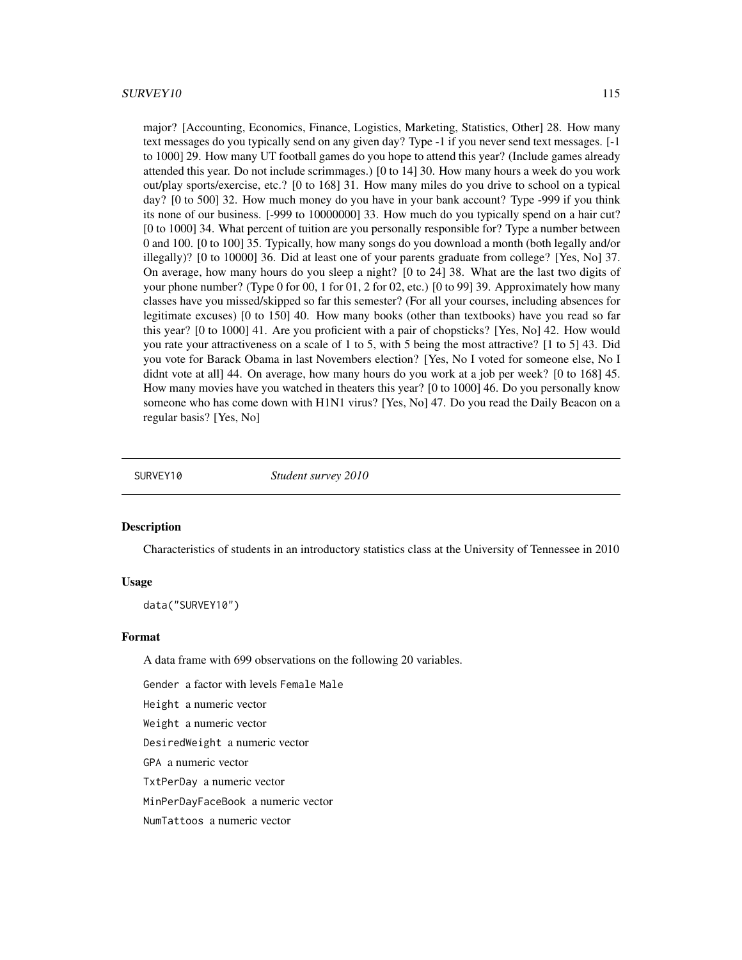<span id="page-114-0"></span>major? [Accounting, Economics, Finance, Logistics, Marketing, Statistics, Other] 28. How many text messages do you typically send on any given day? Type -1 if you never send text messages. [-1 to 1000] 29. How many UT football games do you hope to attend this year? (Include games already attended this year. Do not include scrimmages.) [0 to 14] 30. How many hours a week do you work out/play sports/exercise, etc.? [0 to 168] 31. How many miles do you drive to school on a typical day? [0 to 500] 32. How much money do you have in your bank account? Type -999 if you think its none of our business. [-999 to 10000000] 33. How much do you typically spend on a hair cut? [0 to 1000] 34. What percent of tuition are you personally responsible for? Type a number between 0 and 100. [0 to 100] 35. Typically, how many songs do you download a month (both legally and/or illegally)? [0 to 10000] 36. Did at least one of your parents graduate from college? [Yes, No] 37. On average, how many hours do you sleep a night? [0 to 24] 38. What are the last two digits of your phone number? (Type 0 for 00, 1 for 01, 2 for 02, etc.) [0 to 99] 39. Approximately how many classes have you missed/skipped so far this semester? (For all your courses, including absences for legitimate excuses) [0 to 150] 40. How many books (other than textbooks) have you read so far this year? [0 to 1000] 41. Are you proficient with a pair of chopsticks? [Yes, No] 42. How would you rate your attractiveness on a scale of 1 to 5, with 5 being the most attractive? [1 to 5] 43. Did you vote for Barack Obama in last Novembers election? [Yes, No I voted for someone else, No I didnt vote at all 44. On average, how many hours do you work at a job per week? [0 to 168] 45. How many movies have you watched in theaters this year? [0 to 1000] 46. Do you personally know someone who has come down with H1N1 virus? [Yes, No] 47. Do you read the Daily Beacon on a regular basis? [Yes, No]

SURVEY10 *Student survey 2010*

#### Description

Characteristics of students in an introductory statistics class at the University of Tennessee in 2010

#### Usage

data("SURVEY10")

#### Format

A data frame with 699 observations on the following 20 variables.

Gender a factor with levels Female Male

Height a numeric vector

Weight a numeric vector

DesiredWeight a numeric vector

GPA a numeric vector

TxtPerDay a numeric vector

MinPerDayFaceBook a numeric vector

NumTattoos a numeric vector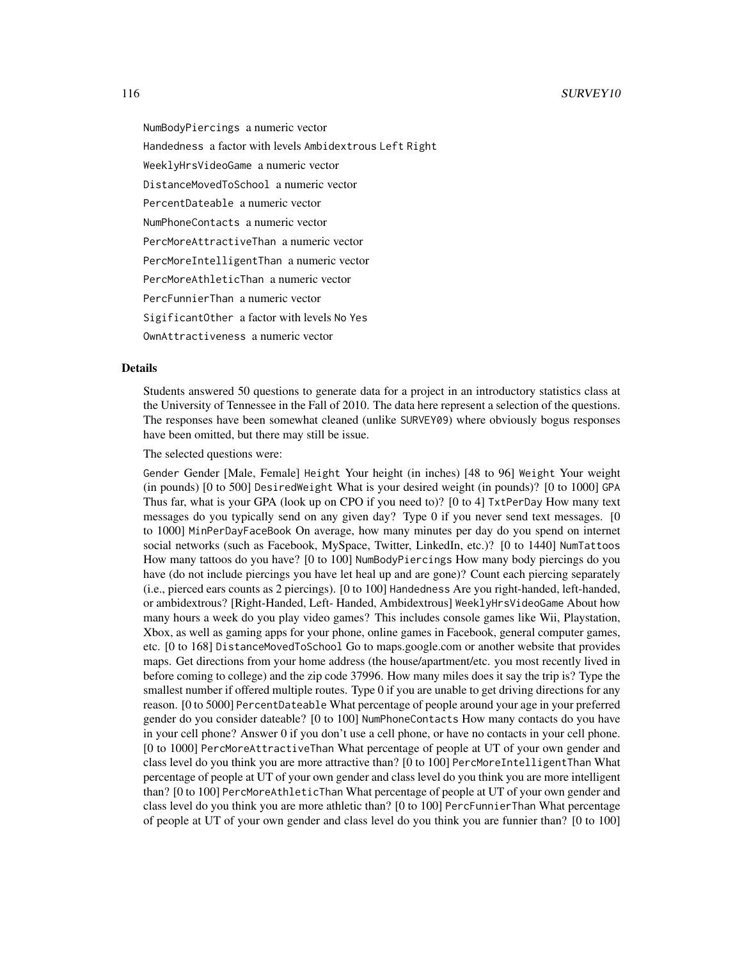NumBodyPiercings a numeric vector Handedness a factor with levels Ambidextrous Left Right WeeklyHrsVideoGame a numeric vector DistanceMovedToSchool a numeric vector PercentDateable a numeric vector NumPhoneContacts a numeric vector PercMoreAttractiveThan a numeric vector PercMoreIntelligentThan a numeric vector PercMoreAthleticThan a numeric vector PercFunnierThan a numeric vector SigificantOther a factor with levels No Yes

OwnAttractiveness a numeric vector

# Details

Students answered 50 questions to generate data for a project in an introductory statistics class at the University of Tennessee in the Fall of 2010. The data here represent a selection of the questions. The responses have been somewhat cleaned (unlike SURVEY09) where obviously bogus responses have been omitted, but there may still be issue.

The selected questions were:

Gender Gender [Male, Female] Height Your height (in inches) [48 to 96] Weight Your weight (in pounds) [0 to 500] DesiredWeight What is your desired weight (in pounds)? [0 to 1000] GPA Thus far, what is your GPA (look up on CPO if you need to)? [0 to 4] TxtPerDay How many text messages do you typically send on any given day? Type 0 if you never send text messages. [0 to 1000] MinPerDayFaceBook On average, how many minutes per day do you spend on internet social networks (such as Facebook, MySpace, Twitter, LinkedIn, etc.)? [0 to 1440] NumTattoos How many tattoos do you have? [0 to 100] NumBodyPiercings How many body piercings do you have (do not include piercings you have let heal up and are gone)? Count each piercing separately (i.e., pierced ears counts as 2 piercings). [0 to 100] Handedness Are you right-handed, left-handed, or ambidextrous? [Right-Handed, Left- Handed, Ambidextrous] WeeklyHrsVideoGame About how many hours a week do you play video games? This includes console games like Wii, Playstation, Xbox, as well as gaming apps for your phone, online games in Facebook, general computer games, etc. [0 to 168] DistanceMovedToSchool Go to maps.google.com or another website that provides maps. Get directions from your home address (the house/apartment/etc. you most recently lived in before coming to college) and the zip code 37996. How many miles does it say the trip is? Type the smallest number if offered multiple routes. Type 0 if you are unable to get driving directions for any reason. [0 to 5000] PercentDateable What percentage of people around your age in your preferred gender do you consider dateable? [0 to 100] NumPhoneContacts How many contacts do you have in your cell phone? Answer 0 if you don't use a cell phone, or have no contacts in your cell phone. [0 to 1000] PercMoreAttractiveThan What percentage of people at UT of your own gender and class level do you think you are more attractive than? [0 to 100] PercMoreIntelligentThan What percentage of people at UT of your own gender and class level do you think you are more intelligent than? [0 to 100] PercMoreAthleticThan What percentage of people at UT of your own gender and class level do you think you are more athletic than? [0 to 100] PercFunnierThan What percentage of people at UT of your own gender and class level do you think you are funnier than? [0 to 100]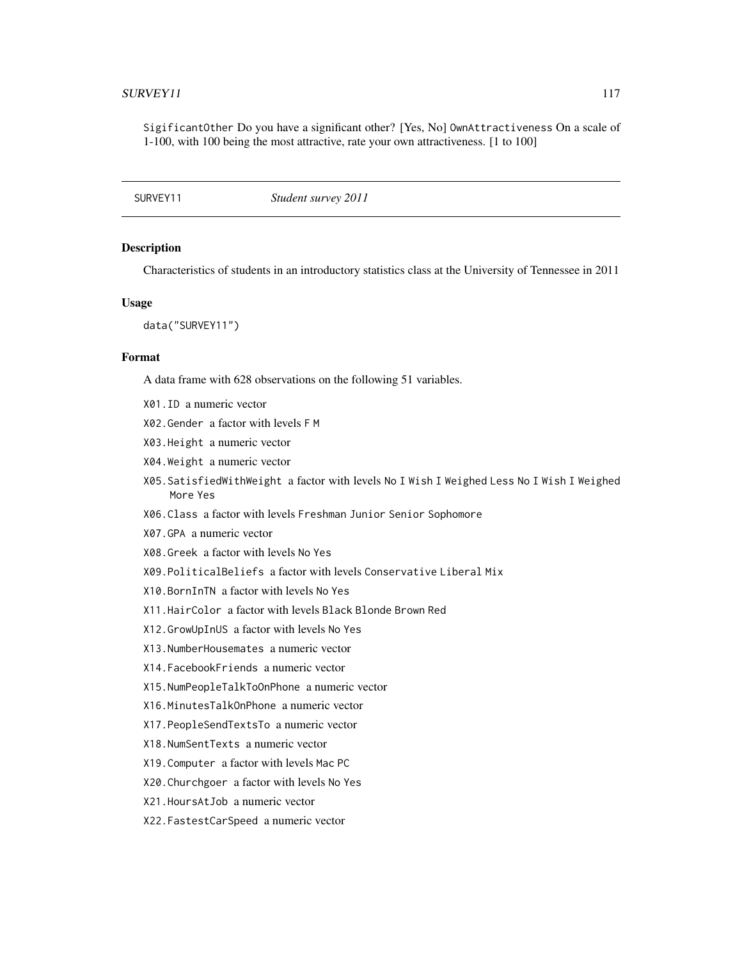<span id="page-116-0"></span>SigificantOther Do you have a significant other? [Yes, No] OwnAttractiveness On a scale of 1-100, with 100 being the most attractive, rate your own attractiveness. [1 to 100]

SURVEY11 *Student survey 2011*

# Description

Characteristics of students in an introductory statistics class at the University of Tennessee in 2011

#### Usage

data("SURVEY11")

#### Format

A data frame with 628 observations on the following 51 variables.

- X01.ID a numeric vector
- X02.Gender a factor with levels F M
- X03.Height a numeric vector
- X04.Weight a numeric vector
- X05.SatisfiedWithWeight a factor with levels No I Wish I Weighed Less No I Wish I Weighed More Yes
- X06.Class a factor with levels Freshman Junior Senior Sophomore
- X07.GPA a numeric vector
- X08.Greek a factor with levels No Yes
- X09.PoliticalBeliefs a factor with levels Conservative Liberal Mix
- X10.BornInTN a factor with levels No Yes
- X11.HairColor a factor with levels Black Blonde Brown Red
- X12.GrowUpInUS a factor with levels No Yes
- X13.NumberHousemates a numeric vector
- X14.FacebookFriends a numeric vector
- X15.NumPeopleTalkToOnPhone a numeric vector
- X16.MinutesTalkOnPhone a numeric vector
- X17.PeopleSendTextsTo a numeric vector
- X18.NumSentTexts a numeric vector
- X19.Computer a factor with levels Mac PC
- X20.Churchgoer a factor with levels No Yes
- X21.HoursAtJob a numeric vector
- X22.FastestCarSpeed a numeric vector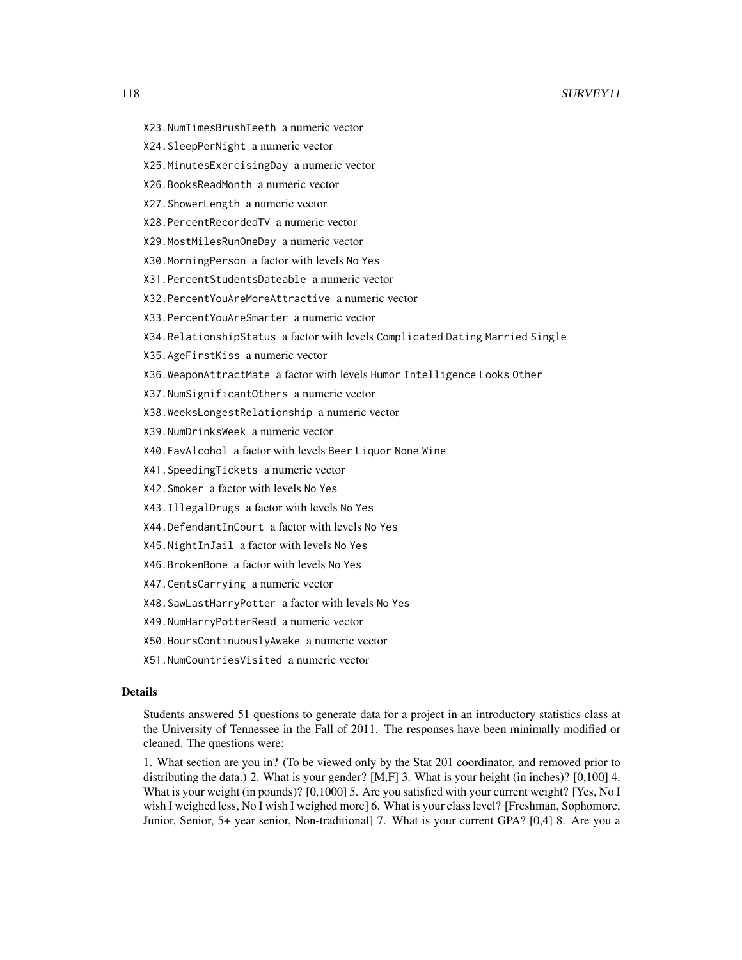- X23.NumTimesBrushTeeth a numeric vector
- X24.SleepPerNight a numeric vector
- X25.MinutesExercisingDay a numeric vector
- X26.BooksReadMonth a numeric vector
- X27.ShowerLength a numeric vector
- X28.PercentRecordedTV a numeric vector
- X29.MostMilesRunOneDay a numeric vector
- X30.MorningPerson a factor with levels No Yes
- X31.PercentStudentsDateable a numeric vector
- X32.PercentYouAreMoreAttractive a numeric vector
- X33.PercentYouAreSmarter a numeric vector
- X34.RelationshipStatus a factor with levels Complicated Dating Married Single
- X35.AgeFirstKiss a numeric vector
- X36.WeaponAttractMate a factor with levels Humor Intelligence Looks Other
- X37.NumSignificantOthers a numeric vector
- X38.WeeksLongestRelationship a numeric vector
- X39.NumDrinksWeek a numeric vector
- X40.FavAlcohol a factor with levels Beer Liquor None Wine
- X41.SpeedingTickets a numeric vector
- X42.Smoker a factor with levels No Yes
- X43.IllegalDrugs a factor with levels No Yes
- X44.DefendantInCourt a factor with levels No Yes
- X45.NightInJail a factor with levels No Yes
- X46.BrokenBone a factor with levels No Yes
- X47.CentsCarrying a numeric vector
- X48.SawLastHarryPotter a factor with levels No Yes
- X49.NumHarryPotterRead a numeric vector
- X50.HoursContinuouslyAwake a numeric vector
- X51.NumCountriesVisited a numeric vector

#### Details

Students answered 51 questions to generate data for a project in an introductory statistics class at the University of Tennessee in the Fall of 2011. The responses have been minimally modified or cleaned. The questions were:

1. What section are you in? (To be viewed only by the Stat 201 coordinator, and removed prior to distributing the data.) 2. What is your gender? [M,F] 3. What is your height (in inches)? [0,100] 4. What is your weight (in pounds)? [0,1000] 5. Are you satisfied with your current weight? [Yes, No I wish I weighed less, No I wish I weighed more] 6. What is your class level? [Freshman, Sophomore, Junior, Senior, 5+ year senior, Non-traditional] 7. What is your current GPA? [0,4] 8. Are you a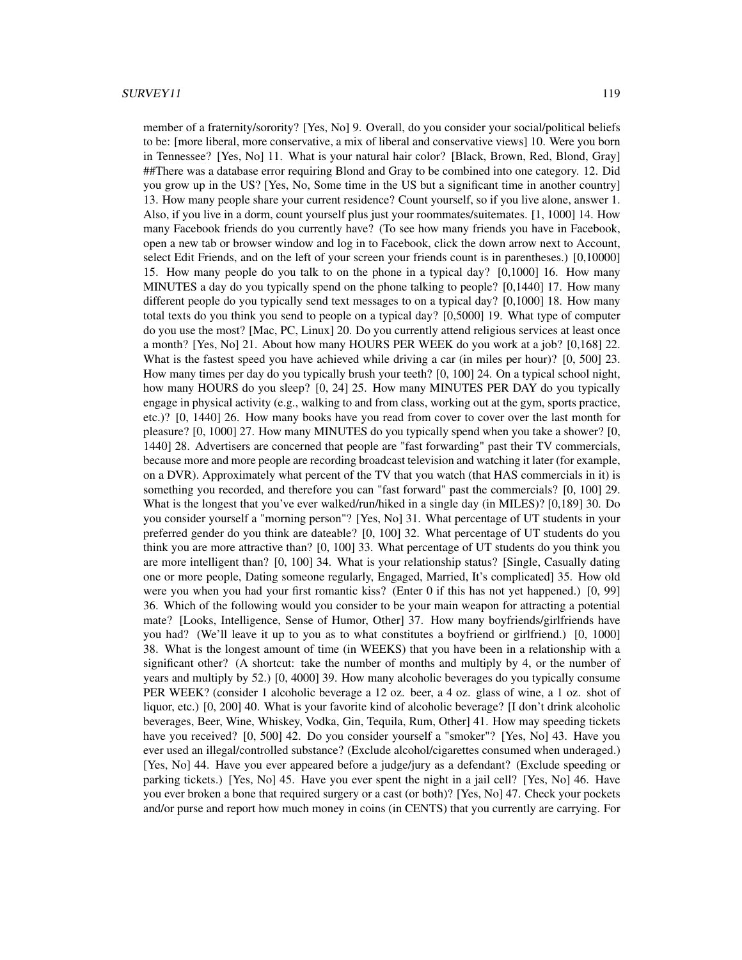member of a fraternity/sorority? [Yes, No] 9. Overall, do you consider your social/political beliefs to be: [more liberal, more conservative, a mix of liberal and conservative views] 10. Were you born in Tennessee? [Yes, No] 11. What is your natural hair color? [Black, Brown, Red, Blond, Gray] ##There was a database error requiring Blond and Gray to be combined into one category. 12. Did you grow up in the US? [Yes, No, Some time in the US but a significant time in another country] 13. How many people share your current residence? Count yourself, so if you live alone, answer 1. Also, if you live in a dorm, count yourself plus just your roommates/suitemates. [1, 1000] 14. How many Facebook friends do you currently have? (To see how many friends you have in Facebook, open a new tab or browser window and log in to Facebook, click the down arrow next to Account, select Edit Friends, and on the left of your screen your friends count is in parentheses.) [0,10000] 15. How many people do you talk to on the phone in a typical day? [0,1000] 16. How many MINUTES a day do you typically spend on the phone talking to people? [0,1440] 17. How many different people do you typically send text messages to on a typical day? [0,1000] 18. How many total texts do you think you send to people on a typical day? [0,5000] 19. What type of computer do you use the most? [Mac, PC, Linux] 20. Do you currently attend religious services at least once a month? [Yes, No] 21. About how many HOURS PER WEEK do you work at a job? [0,168] 22. What is the fastest speed you have achieved while driving a car (in miles per hour)? [0, 500] 23. How many times per day do you typically brush your teeth? [0, 100] 24. On a typical school night, how many HOURS do you sleep? [0, 24] 25. How many MINUTES PER DAY do you typically engage in physical activity (e.g., walking to and from class, working out at the gym, sports practice, etc.)? [0, 1440] 26. How many books have you read from cover to cover over the last month for pleasure? [0, 1000] 27. How many MINUTES do you typically spend when you take a shower? [0, 1440] 28. Advertisers are concerned that people are "fast forwarding" past their TV commercials, because more and more people are recording broadcast television and watching it later (for example, on a DVR). Approximately what percent of the TV that you watch (that HAS commercials in it) is something you recorded, and therefore you can "fast forward" past the commercials? [0, 100] 29. What is the longest that you've ever walked/run/hiked in a single day (in MILES)? [0,189] 30. Do you consider yourself a "morning person"? [Yes, No] 31. What percentage of UT students in your preferred gender do you think are dateable? [0, 100] 32. What percentage of UT students do you think you are more attractive than? [0, 100] 33. What percentage of UT students do you think you are more intelligent than? [0, 100] 34. What is your relationship status? [Single, Casually dating one or more people, Dating someone regularly, Engaged, Married, It's complicated] 35. How old were you when you had your first romantic kiss? (Enter 0 if this has not yet happened.) [0, 99] 36. Which of the following would you consider to be your main weapon for attracting a potential mate? [Looks, Intelligence, Sense of Humor, Other] 37. How many boyfriends/girlfriends have you had? (We'll leave it up to you as to what constitutes a boyfriend or girlfriend.) [0, 1000] 38. What is the longest amount of time (in WEEKS) that you have been in a relationship with a significant other? (A shortcut: take the number of months and multiply by 4, or the number of years and multiply by 52.) [0, 4000] 39. How many alcoholic beverages do you typically consume PER WEEK? (consider 1 alcoholic beverage a 12 oz. beer, a 4 oz. glass of wine, a 1 oz. shot of liquor, etc.) [0, 200] 40. What is your favorite kind of alcoholic beverage? [I don't drink alcoholic beverages, Beer, Wine, Whiskey, Vodka, Gin, Tequila, Rum, Other] 41. How may speeding tickets have you received? [0, 500] 42. Do you consider yourself a "smoker"? [Yes, No] 43. Have you ever used an illegal/controlled substance? (Exclude alcohol/cigarettes consumed when underaged.) [Yes, No] 44. Have you ever appeared before a judge/jury as a defendant? (Exclude speeding or parking tickets.) [Yes, No] 45. Have you ever spent the night in a jail cell? [Yes, No] 46. Have you ever broken a bone that required surgery or a cast (or both)? [Yes, No] 47. Check your pockets and/or purse and report how much money in coins (in CENTS) that you currently are carrying. For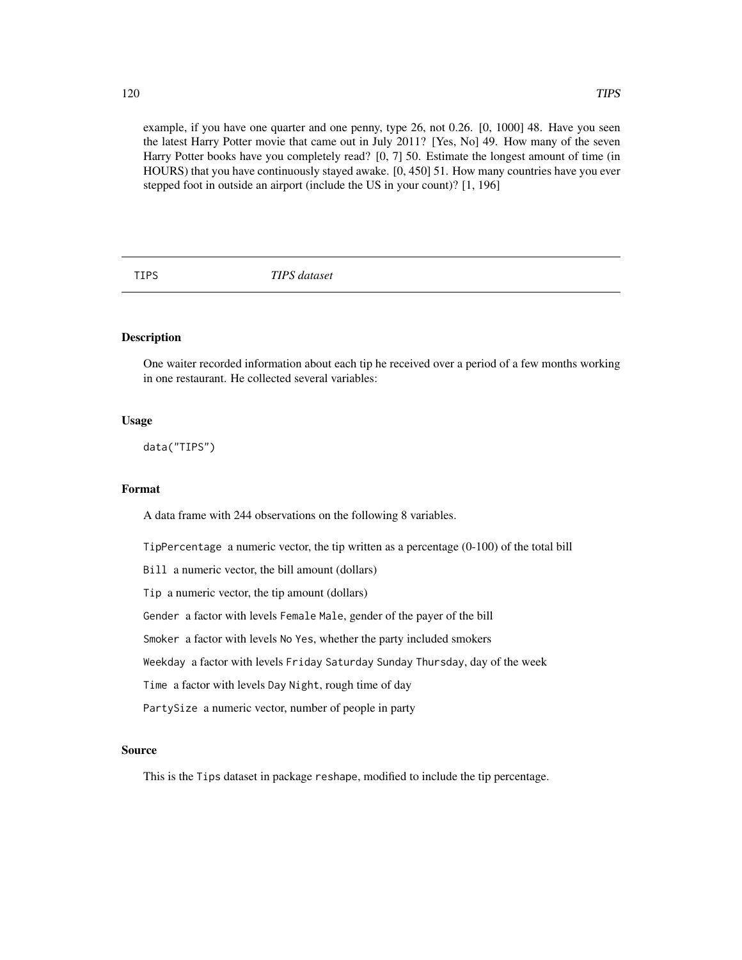<span id="page-119-0"></span>example, if you have one quarter and one penny, type 26, not 0.26. [0, 1000] 48. Have you seen the latest Harry Potter movie that came out in July 2011? [Yes, No] 49. How many of the seven Harry Potter books have you completely read? [0, 7] 50. Estimate the longest amount of time (in HOURS) that you have continuously stayed awake. [0, 450] 51. How many countries have you ever stepped foot in outside an airport (include the US in your count)? [1, 196]

TIPS *TIPS dataset*

# Description

One waiter recorded information about each tip he received over a period of a few months working in one restaurant. He collected several variables:

# Usage

data("TIPS")

# Format

A data frame with 244 observations on the following 8 variables.

TipPercentage a numeric vector, the tip written as a percentage (0-100) of the total bill

Bill a numeric vector, the bill amount (dollars)

Tip a numeric vector, the tip amount (dollars)

Gender a factor with levels Female Male, gender of the payer of the bill

Smoker a factor with levels No Yes, whether the party included smokers

Weekday a factor with levels Friday Saturday Sunday Thursday, day of the week

Time a factor with levels Day Night, rough time of day

PartySize a numeric vector, number of people in party

# Source

This is the Tips dataset in package reshape, modified to include the tip percentage.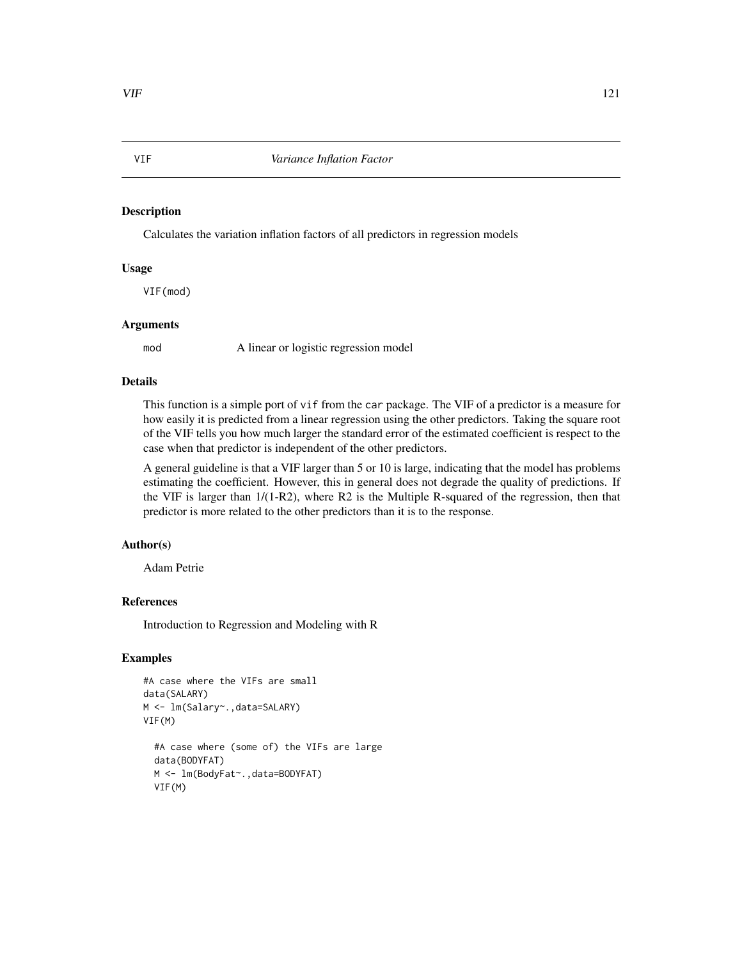# <span id="page-120-0"></span>Description

Calculates the variation inflation factors of all predictors in regression models

# Usage

VIF(mod)

#### Arguments

mod A linear or logistic regression model

# Details

This function is a simple port of vif from the car package. The VIF of a predictor is a measure for how easily it is predicted from a linear regression using the other predictors. Taking the square root of the VIF tells you how much larger the standard error of the estimated coefficient is respect to the case when that predictor is independent of the other predictors.

A general guideline is that a VIF larger than 5 or 10 is large, indicating that the model has problems estimating the coefficient. However, this in general does not degrade the quality of predictions. If the VIF is larger than 1/(1-R2), where R2 is the Multiple R-squared of the regression, then that predictor is more related to the other predictors than it is to the response.

# Author(s)

Adam Petrie

# References

Introduction to Regression and Modeling with R

# Examples

```
#A case where the VIFs are small
data(SALARY)
M <- lm(Salary~.,data=SALARY)
VIF(M)
 #A case where (some of) the VIFs are large
 data(BODYFAT)
 M <- lm(BodyFat~.,data=BODYFAT)
 VIF(M)
```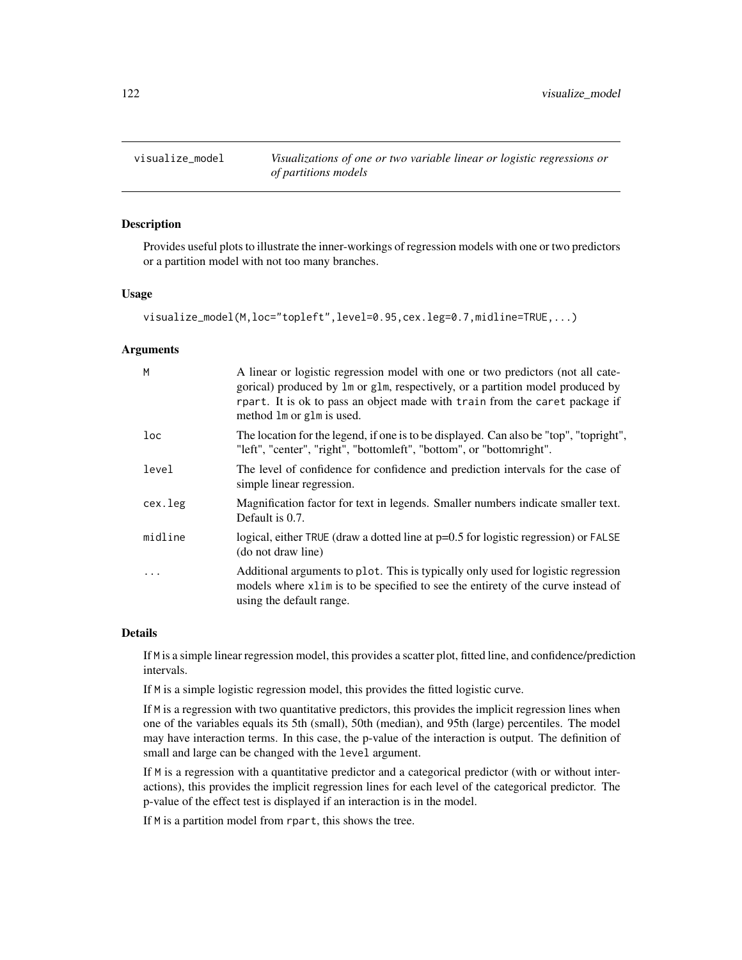<span id="page-121-0"></span>visualize\_model *Visualizations of one or two variable linear or logistic regressions or of partitions models*

# Description

Provides useful plots to illustrate the inner-workings of regression models with one or two predictors or a partition model with not too many branches.

# Usage

```
visualize_model(M,loc="topleft",level=0.95,cex.leg=0.7,midline=TRUE,...)
```
# Arguments

| M       | A linear or logistic regression model with one or two predictors (not all cate-<br>gorical) produced by 1m or g1m, respectively, or a partition model produced by<br>rpart. It is ok to pass an object made with train from the caret package if<br>method 1m or g1m is used. |
|---------|-------------------------------------------------------------------------------------------------------------------------------------------------------------------------------------------------------------------------------------------------------------------------------|
| loc     | The location for the legend, if one is to be displayed. Can also be "top", "topright",<br>"left", "center", "right", "bottomleft", "bottom", or "bottomright".                                                                                                                |
| level   | The level of confidence for confidence and prediction intervals for the case of<br>simple linear regression.                                                                                                                                                                  |
| cex.leg | Magnification factor for text in legends. Smaller numbers indicate smaller text.<br>Default is 0.7.                                                                                                                                                                           |
| midline | logical, either TRUE (draw a dotted line at p=0.5 for logistic regression) or FALSE<br>(do not draw line)                                                                                                                                                                     |
| .       | Additional arguments to plot. This is typically only used for logistic regression<br>models where x1im is to be specified to see the entirety of the curve instead of<br>using the default range.                                                                             |

#### Details

If M is a simple linear regression model, this provides a scatter plot, fitted line, and confidence/prediction intervals.

If M is a simple logistic regression model, this provides the fitted logistic curve.

If M is a regression with two quantitative predictors, this provides the implicit regression lines when one of the variables equals its 5th (small), 50th (median), and 95th (large) percentiles. The model may have interaction terms. In this case, the p-value of the interaction is output. The definition of small and large can be changed with the level argument.

If M is a regression with a quantitative predictor and a categorical predictor (with or without interactions), this provides the implicit regression lines for each level of the categorical predictor. The p-value of the effect test is displayed if an interaction is in the model.

If M is a partition model from rpart, this shows the tree.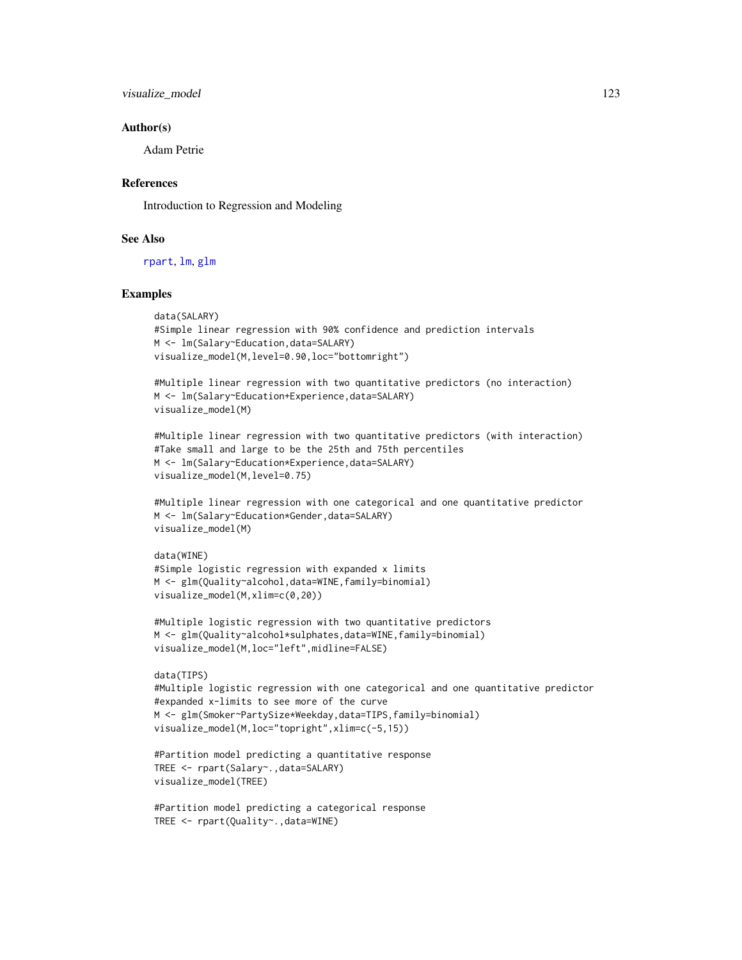<span id="page-122-0"></span>visualize\_model 123

#### Author(s)

Adam Petrie

# References

Introduction to Regression and Modeling

# See Also

[rpart](#page-0-0), [lm](#page-0-0), [glm](#page-0-0)

# Examples

```
data(SALARY)
#Simple linear regression with 90% confidence and prediction intervals
M <- lm(Salary~Education,data=SALARY)
visualize_model(M,level=0.90,loc="bottomright")
```
#Multiple linear regression with two quantitative predictors (no interaction) M <- lm(Salary~Education+Experience,data=SALARY) visualize\_model(M)

```
#Multiple linear regression with two quantitative predictors (with interaction)
#Take small and large to be the 25th and 75th percentiles
M <- lm(Salary~Education*Experience,data=SALARY)
visualize_model(M,level=0.75)
```
#Multiple linear regression with one categorical and one quantitative predictor M <- lm(Salary~Education\*Gender,data=SALARY) visualize\_model(M)

```
data(WINE)
#Simple logistic regression with expanded x limits
M <- glm(Quality~alcohol,data=WINE,family=binomial)
visualize_model(M,xlim=c(0,20))
```

```
#Multiple logistic regression with two quantitative predictors
M <- glm(Quality~alcohol*sulphates,data=WINE,family=binomial)
visualize_model(M,loc="left",midline=FALSE)
```

```
data(TIPS)
#Multiple logistic regression with one categorical and one quantitative predictor
#expanded x-limits to see more of the curve
M <- glm(Smoker~PartySize*Weekday,data=TIPS,family=binomial)
visualize_model(M,loc="topright",xlim=c(-5,15))
```

```
#Partition model predicting a quantitative response
TREE <- rpart(Salary~.,data=SALARY)
visualize_model(TREE)
```

```
#Partition model predicting a categorical response
TREE <- rpart(Quality~.,data=WINE)
```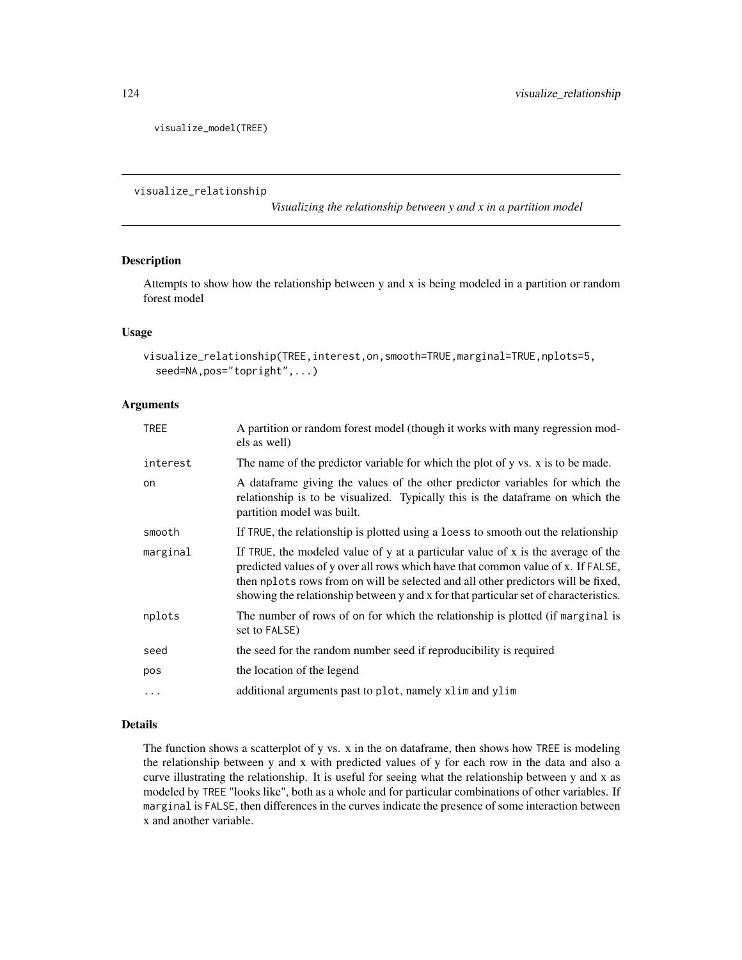<span id="page-123-0"></span>visualize\_model(TREE)

visualize\_relationship

*Visualizing the relationship between y and x in a partition model*

# Description

Attempts to show how the relationship between y and x is being modeled in a partition or random forest model

# Usage

```
visualize_relationship(TREE,interest,on,smooth=TRUE,marginal=TRUE,nplots=5,
  seed=NA,pos="topright",...)
```
# Arguments

| <b>TREE</b> | A partition or random forest model (though it works with many regression mod-<br>els as well)                                                                                                                                                                                                                                                     |
|-------------|---------------------------------------------------------------------------------------------------------------------------------------------------------------------------------------------------------------------------------------------------------------------------------------------------------------------------------------------------|
| interest    | The name of the predictor variable for which the plot of y vs. x is to be made.                                                                                                                                                                                                                                                                   |
| on.         | A dataframe giving the values of the other predictor variables for which the<br>relationship is to be visualized. Typically this is the dataframe on which the<br>partition model was built.                                                                                                                                                      |
| smooth      | If TRUE, the relationship is plotted using a loess to smooth out the relationship                                                                                                                                                                                                                                                                 |
| marginal    | If TRUE, the modeled value of y at a particular value of x is the average of the<br>predicted values of y over all rows which have that common value of x. If FALSE,<br>then nplots rows from on will be selected and all other predictors will be fixed,<br>showing the relationship between y and x for that particular set of characteristics. |
| nplots      | The number of rows of on for which the relationship is plotted (if marginal is<br>set to FALSE)                                                                                                                                                                                                                                                   |
| seed        | the seed for the random number seed if reproducibility is required                                                                                                                                                                                                                                                                                |
| pos         | the location of the legend                                                                                                                                                                                                                                                                                                                        |
| $\ddots$ .  | additional arguments past to plot, namely xlim and ylim                                                                                                                                                                                                                                                                                           |

# Details

The function shows a scatterplot of y vs. x in the on dataframe, then shows how TREE is modeling the relationship between y and x with predicted values of y for each row in the data and also a curve illustrating the relationship. It is useful for seeing what the relationship between y and x as modeled by TREE "looks like", both as a whole and for particular combinations of other variables. If marginal is FALSE, then differences in the curves indicate the presence of some interaction between x and another variable.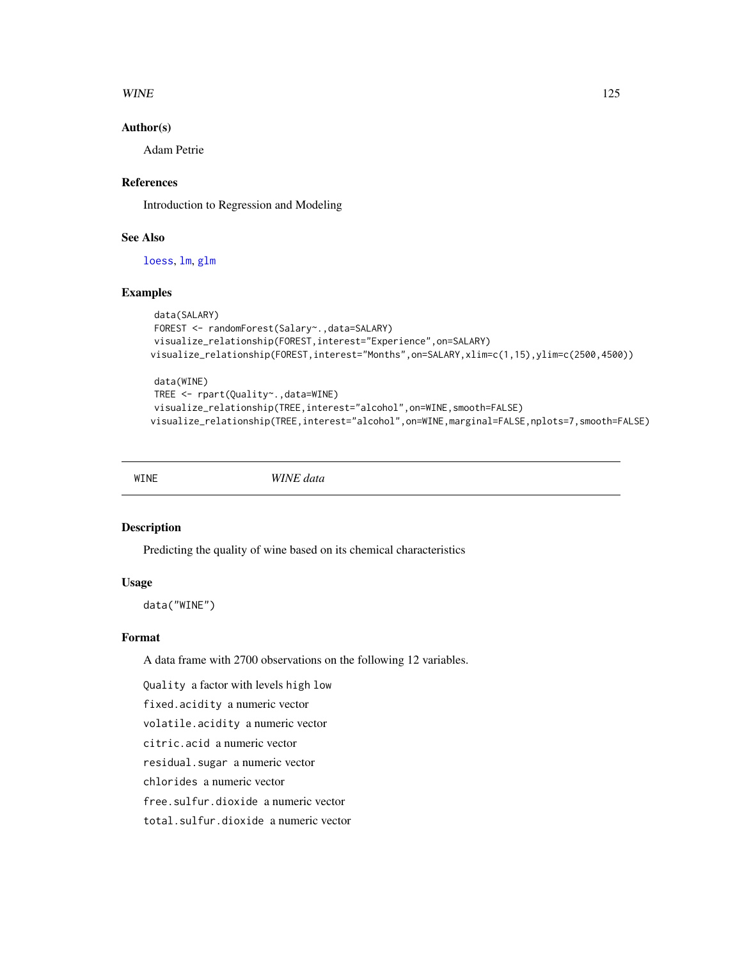# <span id="page-124-0"></span> $WINE$  and  $125$

# Author(s)

Adam Petrie

# References

Introduction to Regression and Modeling

# See Also

[loess](#page-0-0), [lm](#page-0-0), [glm](#page-0-0)

# Examples

```
data(SALARY)
FOREST <- randomForest(Salary~.,data=SALARY)
visualize_relationship(FOREST,interest="Experience",on=SALARY)
visualize_relationship(FOREST,interest="Months",on=SALARY,xlim=c(1,15),ylim=c(2500,4500))
```

```
data(WINE)
TREE <- rpart(Quality~.,data=WINE)
visualize_relationship(TREE,interest="alcohol",on=WINE,smooth=FALSE)
visualize_relationship(TREE,interest="alcohol",on=WINE,marginal=FALSE,nplots=7,smooth=FALSE)
```
WINE *WINE data*

# Description

Predicting the quality of wine based on its chemical characteristics

#### Usage

data("WINE")

# Format

A data frame with 2700 observations on the following 12 variables.

Quality a factor with levels high low

fixed.acidity a numeric vector

volatile.acidity a numeric vector

citric.acid a numeric vector

residual.sugar a numeric vector

chlorides a numeric vector

free.sulfur.dioxide a numeric vector

total.sulfur.dioxide a numeric vector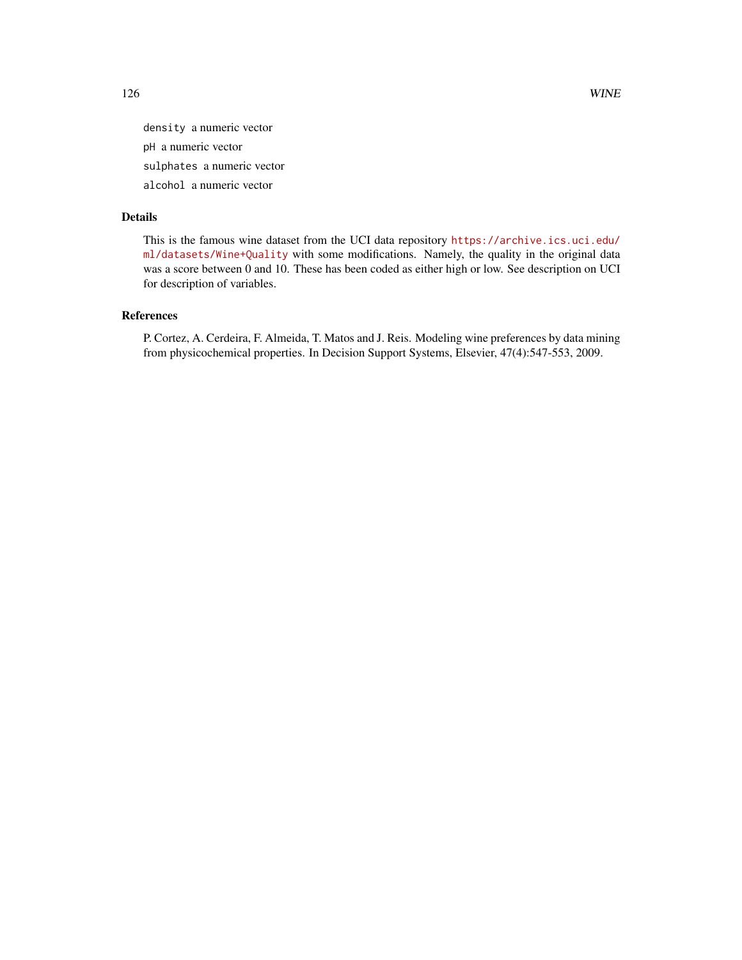density a numeric vector pH a numeric vector sulphates a numeric vector alcohol a numeric vector

#### Details

This is the famous wine dataset from the UCI data repository [https://archive.ics.uci.edu/](https://archive.ics.uci.edu/ml/datasets/Wine+Quality) [ml/datasets/Wine+Quality](https://archive.ics.uci.edu/ml/datasets/Wine+Quality) with some modifications. Namely, the quality in the original data was a score between 0 and 10. These has been coded as either high or low. See description on UCI for description of variables.

# References

P. Cortez, A. Cerdeira, F. Almeida, T. Matos and J. Reis. Modeling wine preferences by data mining from physicochemical properties. In Decision Support Systems, Elsevier, 47(4):547-553, 2009.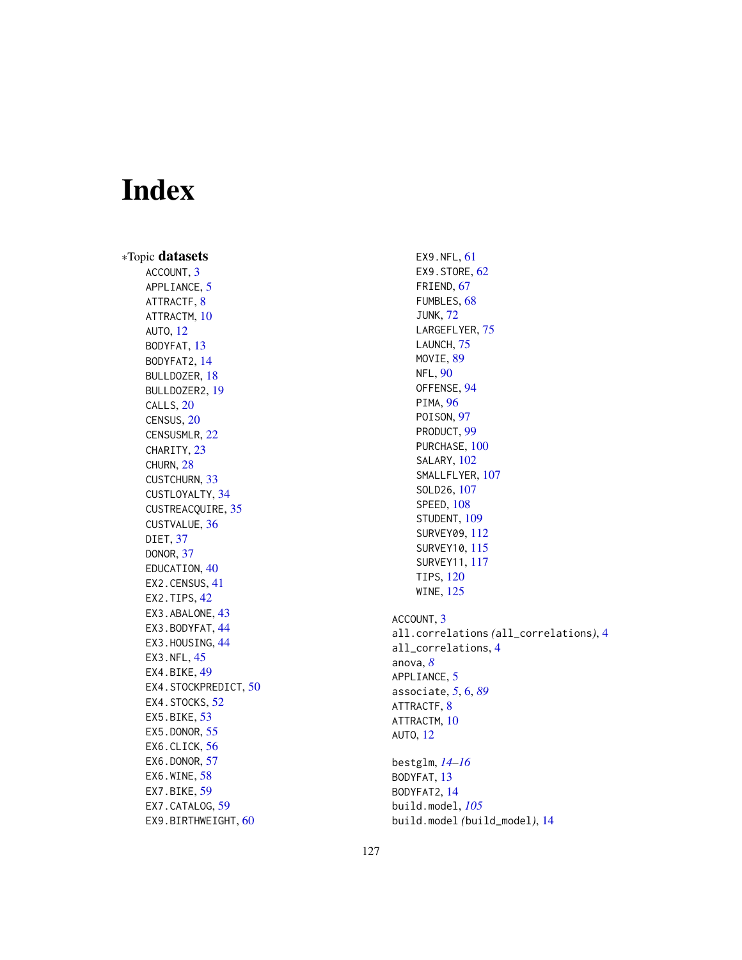# Index

∗Topic datasets ACCOUNT, [3](#page-2-0) APPLIANCE, [5](#page-4-0) ATTRACTF, [8](#page-7-0) ATTRACTM, [10](#page-9-0) AUTO , [12](#page-11-0) BODYFAT , [13](#page-12-0) BODYFAT2 , [14](#page-13-0) BULLDOZER , [18](#page-17-0) BULLDOZER2 , [19](#page-18-0) CALLS, [20](#page-19-0) CENSUS , [20](#page-19-0) CENSUSMLR , [22](#page-21-0) CHARITY, [23](#page-22-0) CHURN , [28](#page-27-0) CUSTCHURN , [33](#page-32-0) CUSTLOYALTY, [34](#page-33-0) CUSTREACQUIRE , [35](#page-34-0) CUSTVALUE , [36](#page-35-0) DIET , [37](#page-36-0) DONOR , [37](#page-36-0) EDUCATION, [40](#page-39-0) EX2.CENSUS , [41](#page-40-0) EX2. TIPS, [42](#page-41-0) EX3. ABALONE, [43](#page-42-0) EX3.BODYFAT, [44](#page-43-0) EX3.HOUSING, [44](#page-43-0) EX3.NFL, [45](#page-44-0) EX4.BIKE, [49](#page-48-0) EX4. STOCKPREDICT, [50](#page-49-0) EX4.STOCKS, [52](#page-51-0) EX5.BIKE, [53](#page-52-0) EX5.DONOR, [55](#page-54-0) EX6.CLICK, [56](#page-55-0) EX6.DONOR, [57](#page-56-0) EX6.WINE, [58](#page-57-0) EX7.BIKE, <mark>5</mark>9 EX7.CATALOG, [59](#page-58-0) EX9.BIRTHWEIGHT, [60](#page-59-0)

EX9.NFL, [61](#page-60-0) EX9.STORE, [62](#page-61-0) FRIEND , [67](#page-66-0) FUMBLES, [68](#page-67-0) JUNK , [72](#page-71-0) LARGEFLYER, [75](#page-74-0) LAUNCH, [75](#page-74-0) MOVIE, [89](#page-88-0) NFL , [90](#page-89-0) OFFENSE, [94](#page-93-0) PIMA, [96](#page-95-0) POISON, [97](#page-96-0) PRODUCT , [99](#page-98-0) PURCHASE, [100](#page-99-0) SALARY, [102](#page-101-0) SMALLFLYER, [107](#page-106-0) SOLD26 , [107](#page-106-0) SPEED , [108](#page-107-0) STUDENT, [109](#page-108-0) SURVEY09 , [112](#page-111-0) SURVEY10 , [115](#page-114-0) SURVEY11 , [117](#page-116-0) TIPS , [120](#page-119-0) WINE , [125](#page-124-0) ACCOUNT, [3](#page-2-0) all.correlations *(*all\_correlations *)* , [4](#page-3-0) all\_correlations , [4](#page-3-0) anova , *[8](#page-7-0)* APPLIANCE, [5](#page-4-0) associate , *[5](#page-4-0)* , [6](#page-5-0) , *[89](#page-88-0)* ATTRACTF, [8](#page-7-0) ATTRACTM , [10](#page-9-0) AUTO , [12](#page-11-0) bestglm , *[14](#page-13-0) [–16](#page-15-0)* BODYFAT , [13](#page-12-0) BODYFAT2, [14](#page-13-0) build.model , *[105](#page-104-0)*

build.model *(*build\_model *)* , [14](#page-13-0)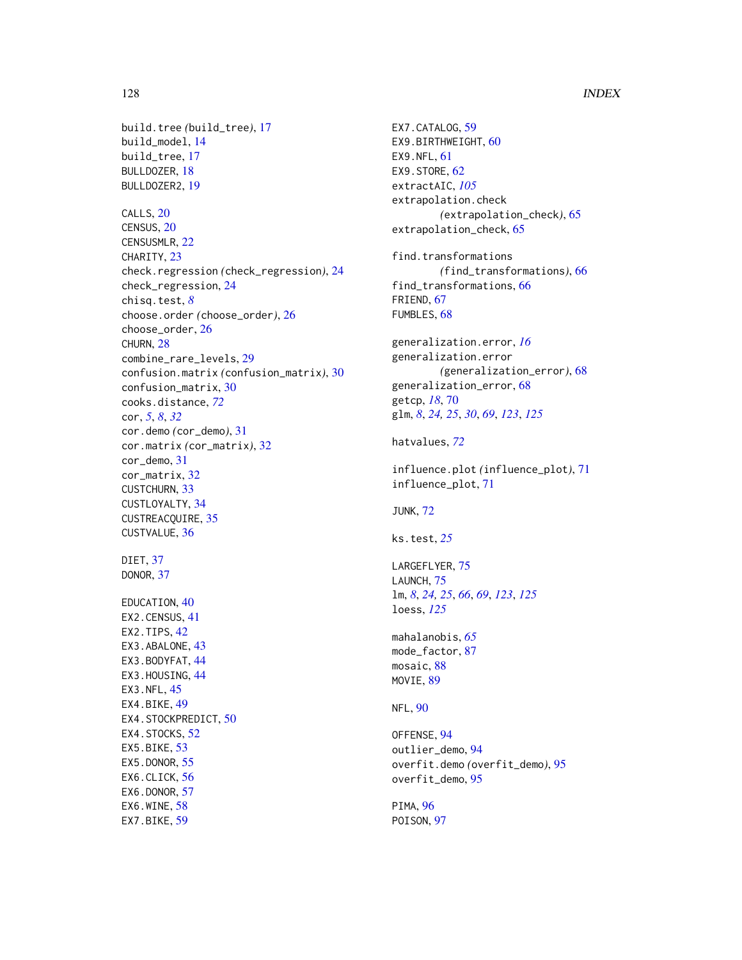build.tree *(*build\_tree*)*, [17](#page-16-0) build\_model, [14](#page-13-0) build\_tree, [17](#page-16-0) BULLDOZER, [18](#page-17-0) BULLDOZER2, [19](#page-18-0) CALLS, [20](#page-19-0) CENSUS, [20](#page-19-0) CENSUSMLR, [22](#page-21-0) CHARITY, [23](#page-22-0) check.regression *(*check\_regression*)*, [24](#page-23-0) check\_regression, [24](#page-23-0) chisq.test, *[8](#page-7-0)* choose.order *(*choose\_order*)*, [26](#page-25-0) choose\_order, [26](#page-25-0) CHURN, [28](#page-27-0) combine\_rare\_levels, [29](#page-28-0) confusion.matrix *(*confusion\_matrix*)*, [30](#page-29-0) confusion\_matrix, [30](#page-29-0) cooks.distance, *[72](#page-71-0)* cor, *[5](#page-4-0)*, *[8](#page-7-0)*, *[32](#page-31-0)* cor.demo *(*cor\_demo*)*, [31](#page-30-0) cor.matrix *(*cor\_matrix*)*, [32](#page-31-0) cor\_demo, [31](#page-30-0) cor\_matrix, [32](#page-31-0) CUSTCHURN, [33](#page-32-0) CUSTLOYALTY, [34](#page-33-0) CUSTREACQUIRE, [35](#page-34-0) CUSTVALUE, [36](#page-35-0) DIET, [37](#page-36-0) DONOR, [37](#page-36-0) EDUCATION, [40](#page-39-0) EX2.CENSUS, [41](#page-40-0) EX2.TIPS, [42](#page-41-0) EX3.ABALONE, [43](#page-42-0) EX3.BODYFAT, [44](#page-43-0) EX3.HOUSING, [44](#page-43-0) EX3.NFL, [45](#page-44-0) EX4.BIKE, [49](#page-48-0) EX4.STOCKPREDICT, [50](#page-49-0) EX4.STOCKS, [52](#page-51-0) EX5.BIKE, [53](#page-52-0) EX5.DONOR, [55](#page-54-0) EX6.CLICK, [56](#page-55-0) EX6.DONOR, [57](#page-56-0) EX6.WINE, [58](#page-57-0) EX7.BIKE, [59](#page-58-0)

```
EX7.CATALOG, 59
EX9.BIRTHWEIGHT, 60
EX9.NFL, 61
EX9.STORE, 62
extractAIC, 105
extrapolation.check
        (extrapolation_check), 65
extrapolation_check, 65
find.transformations
        (find_transformations), 66
find_transformations, 66
FRIEND, 67
FUMBLES, 68
generalization.error, 16
generalization.error
        (generalization_error), 68
generalization_error, 68
getcp, 18, 70
glm, 8, 24, 25, 30, 69, 123, 125
hatvalues, 72
influence.plot (influence_plot), 71
influence_plot, 71
JUNK, 72
ks.test, 25
LARGEFLYER, 75
LAUNCH, 75
lm, 8, 24, 25, 66, 69, 123, 125
loess, 125
mahalanobis, 65
mode_factor, 87
mosaic, 88
MOVIE, 89
NFL, 90
OFFENSE, 94
outlier_demo, 94
overfit.demo (overfit_demo), 95
overfit_demo, 95
PIMA, 96
POISON, 97
```